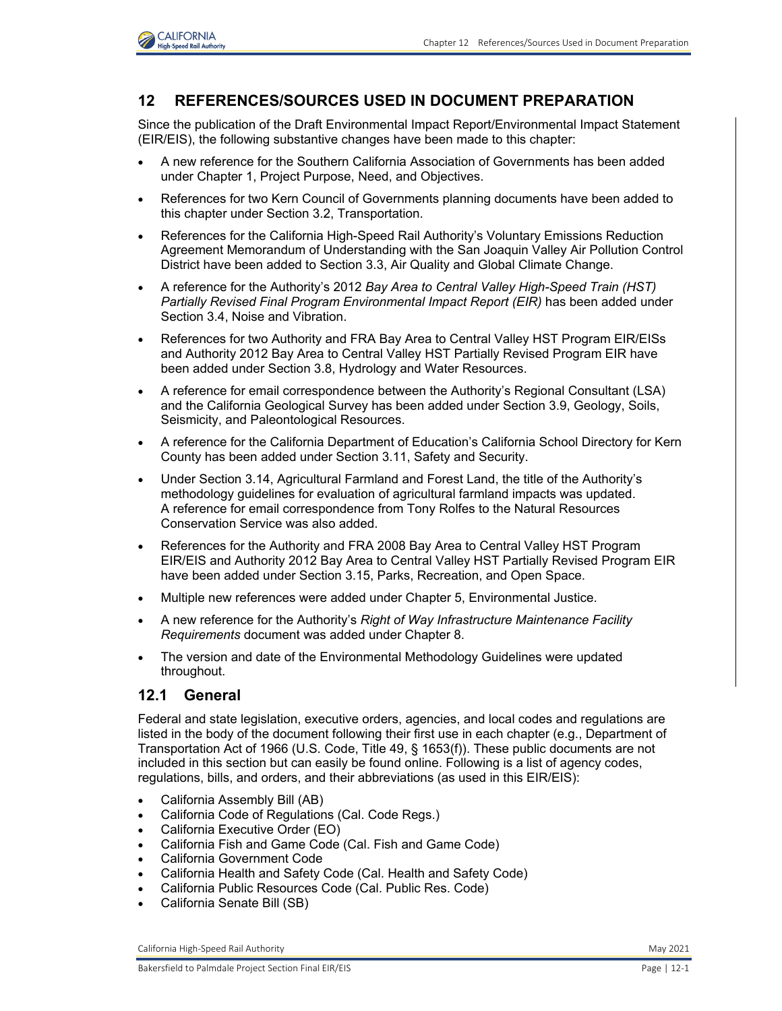

# **12 REFERENCES/SOURCES USED IN DOCUMENT PREPARATION**

Since the publication of the Draft Environmental Impact Report/Environmental Impact Statement (EIR/EIS), the following substantive changes have been made to this chapter:

- A new reference for the Southern California Association of Governments has been added under Chapter 1, Project Purpose, Need, and Objectives.
- References for two Kern Council of Governments planning documents have been added to this chapter under Section 3.2, Transportation.
- References for the California High-Speed Rail Authority's Voluntary Emissions Reduction Agreement Memorandum of Understanding with the San Joaquin Valley Air Pollution Control District have been added to Section 3.3, Air Quality and Global Climate Change.
- A reference for the Authority's 2012 *Bay Area to Central Valley High-Speed Train (HST) Partially Revised Final Program Environmental Impact Report (EIR)* has been added under Section 3.4, Noise and Vibration.
- References for two Authority and FRA Bay Area to Central Valley HST Program EIR/EISs and Authority 2012 Bay Area to Central Valley HST Partially Revised Program EIR have been added under Section 3.8, Hydrology and Water Resources.
- A reference for email correspondence between the Authority's Regional Consultant (LSA) and the California Geological Survey has been added under Section 3.9, Geology, Soils, Seismicity, and Paleontological Resources.
- A reference for the California Department of Education's California School Directory for Kern County has been added under Section 3.11, Safety and Security.
- Under Section 3.14, Agricultural Farmland and Forest Land, the title of the Authority's methodology guidelines for evaluation of agricultural farmland impacts was updated. A reference for email correspondence from Tony Rolfes to the Natural Resources Conservation Service was also added.
- References for the Authority and FRA 2008 Bay Area to Central Valley HST Program EIR/EIS and Authority 2012 Bay Area to Central Valley HST Partially Revised Program EIR have been added under Section 3.15, Parks, Recreation, and Open Space.
- Multiple new references were added under Chapter 5, Environmental Justice.
- A new reference for the Authority's *Right of Way Infrastructure Maintenance Facility Requirements* document was added under Chapter 8.
- The version and date of the Environmental Methodology Guidelines were updated throughout.

## **12.1 General**

Federal and state legislation, executive orders, agencies, and local codes and regulations are listed in the body of the document following their first use in each chapter (e.g., Department of Transportation Act of 1966 (U.S. Code, Title 49, § 1653(f)). These public documents are not included in this section but can easily be found online. Following is a list of agency codes, regulations, bills, and orders, and their abbreviations (as used in this EIR/EIS):

- California Assembly Bill (AB)
- California Code of Regulations (Cal. Code Regs.)
- California Executive Order (EO)
- California Fish and Game Code (Cal. Fish and Game Code)
- California Government Code
- California Health and Safety Code (Cal. Health and Safety Code)
- California Public Resources Code (Cal. Public Res. Code)
- California Senate Bill (SB)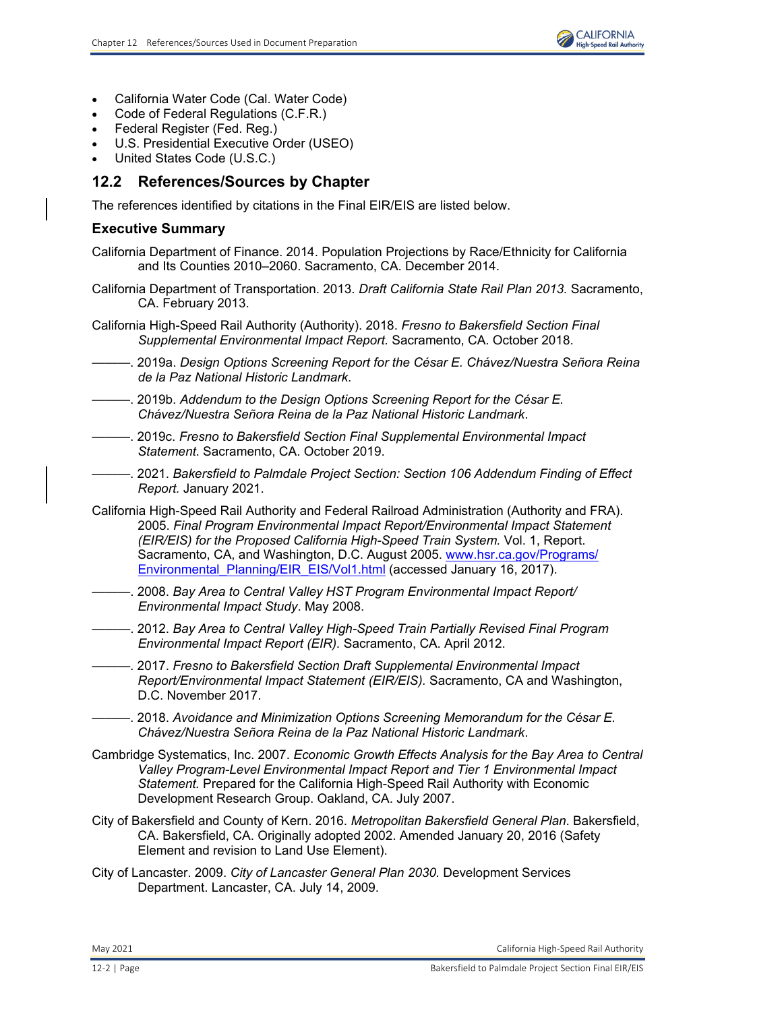- California Water Code (Cal. Water Code)
- Code of Federal Regulations (C.F.R.)
- Federal Register (Fed. Reg.)
- U.S. Presidential Executive Order (USEO)
- United States Code (U.S.C.)

# **12.2 References/Sources by Chapter**

The references identified by citations in the Final EIR/EIS are listed below.

## **Executive Summary**

California Department of Finance. 2014. Population Projections by Race/Ethnicity for California and Its Counties 2010–2060. Sacramento, CA. December 2014.

- California Department of Transportation. 2013. *Draft California State Rail Plan 2013.* Sacramento, CA. February 2013.
- California High-Speed Rail Authority (Authority). 2018. *Fresno to Bakersfield Section Final Supplemental Environmental Impact Report.* Sacramento, CA. October 2018.
- ———. 2019a. *Design Options Screening Report for the César E. Chávez/Nuestra Señora Reina de la Paz National Historic Landmark*.
- ———. 2019b. *Addendum to the Design Options Screening Report for the César E. Chávez/Nuestra Señora Reina de la Paz National Historic Landmark*.
- ———. 2019c. *Fresno to Bakersfield Section Final Supplemental Environmental Impact Statement*. Sacramento, CA. October 2019.
- ———. 2021. *Bakersfield to Palmdale Project Section: Section 106 Addendum Finding of Effect Report.* January 2021.
- California High-Speed Rail Authority and Federal Railroad Administration (Authority and FRA). 2005. *Final Program Environmental Impact Report/Environmental Impact Statement (EIR/EIS) for the Proposed California High-Speed Train System.* Vol. 1, Report. Sacramento, CA, and Washington, D.C. August 2005. [www.hsr.ca.gov/Programs/](http://www.hsr.ca.gov/Programs/Environmental_planning/EIR_EIS/Vol1.html) Environmental Planning/EIR\_EIS/Vol1.html (accessed January 16, 2017).
- ———. 2008. *Bay Area to Central Valley HST Program Environmental Impact Report/ Environmental Impact Study*. May 2008.
- ———. 2012. *Bay Area to Central Valley High-Speed Train Partially Revised Final Program Environmental Impact Report (EIR).* Sacramento, CA. April 2012.
- ———. 2017. *Fresno to Bakersfield Section Draft Supplemental Environmental Impact Report/Environmental Impact Statement (EIR/EIS).* Sacramento, CA and Washington, D.C. November 2017.
- ———. 2018. *Avoidance and Minimization Options Screening Memorandum for the César E. Chávez/Nuestra Señora Reina de la Paz National Historic Landmark*.
- Cambridge Systematics, Inc. 2007. *Economic Growth Effects Analysis for the Bay Area to Central Valley Program-Level Environmental Impact Report and Tier 1 Environmental Impact Statement.* Prepared for the California High-Speed Rail Authority with Economic Development Research Group. Oakland, CA. July 2007.
- City of Bakersfield and County of Kern. 2016. *Metropolitan Bakersfield General Plan*. Bakersfield, CA. Bakersfield, CA. Originally adopted 2002. Amended January 20, 2016 (Safety Element and revision to Land Use Element).
- City of Lancaster. 2009. *City of Lancaster General Plan 2030.* Development Services Department. Lancaster, CA. July 14, 2009.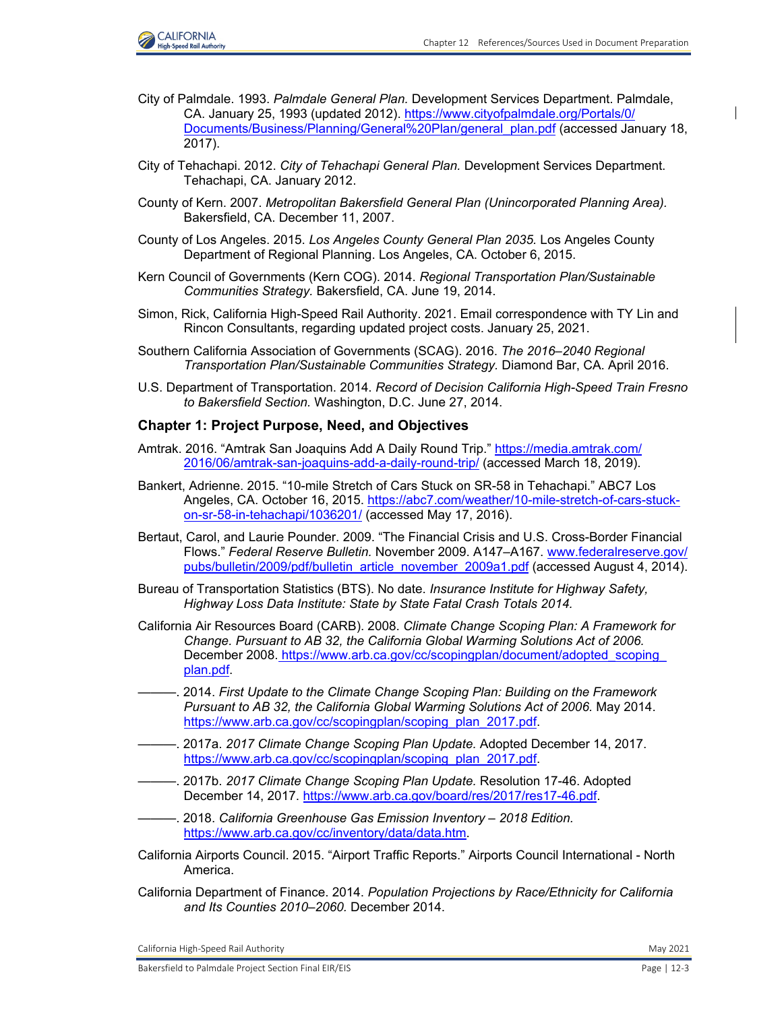

- City of Palmdale. 1993. *Palmdale General Plan.* Development Services Department. Palmdale, CA. January 25, 1993 (updated 2012). [https://www.cityofpalmdale.org/Portals/0/](https://www.cityofpalmdale.org/Portals/0/ Documents/Business/Planning/General%20Plan/general_plan.pdf) [Documents/Business/Planning/General%20Plan/general\\_plan.pdf \(](https://www.cityofpalmdale.org/Portals/0/ Documents/Business/Planning/General%20Plan/general_plan.pdf)accessed January 18, 2017).
- City of Tehachapi. 2012. *City of Tehachapi General Plan.* Development Services Department. Tehachapi, CA. January 2012.
- County of Kern. 2007. *Metropolitan Bakersfield General Plan (Unincorporated Planning Area).* Bakersfield, CA. December 11, 2007.
- County of Los Angeles. 2015. *Los Angeles County General Plan 2035.* Los Angeles County Department of Regional Planning. Los Angeles, CA. October 6, 2015.
- Kern Council of Governments (Kern COG). 2014. *Regional Transportation Plan/Sustainable Communities Strategy.* Bakersfield, CA. June 19, 2014.
- Simon, Rick, California High-Speed Rail Authority. 2021. Email correspondence with TY Lin and Rincon Consultants, regarding updated project costs. January 25, 2021.
- Southern California Association of Governments (SCAG). 2016. *The 2016–2040 Regional Transportation Plan/Sustainable Communities Strategy.* Diamond Bar, CA. April 2016.
- U.S. Department of Transportation. 2014. *Record of Decision California High-Speed Train Fresno to Bakersfield Section.* Washington, D.C. June 27, 2014.

#### **Chapter 1: Project Purpose, Need, and Objectives**

- Amtrak. 2016. "Amtrak San Joaquins Add A Daily Round Trip." [https://media.amtrak.com/](https://media.amtrak.com/ 2016/06/amtrak-san-joaquins-add-a-daily-round-trip/) [2016/06/amtrak-san-joaquins-add-a-daily-round-trip/](https://media.amtrak.com/ 2016/06/amtrak-san-joaquins-add-a-daily-round-trip/) (accessed March 18, 2019).
- Bankert, Adrienne. 2015. "10-mile Stretch of Cars Stuck on SR-58 in Tehachapi." ABC7 Los Angeles, CA. October 16, 2015[. https://abc7.com/weather/10-mile-stretch-of-cars-stuck](https://abc7.com/weather/10-mile-stretch-of-cars-stuckon-sr-58-in-tehachapi/1036201/)[on-sr-58-in-tehachapi/1036201/](https://abc7.com/weather/10-mile-stretch-of-cars-stuckon-sr-58-in-tehachapi/1036201/) (accessed May 17, 2016).
- Bertaut, Carol, and Laurie Pounder. 2009. "The Financial Crisis and U.S. Cross-Border Financial Flows." *Federal Reserve Bulletin.* November 2009. A147–A167[. www.federalreserve.gov/](http://www.federalreserve.gov/ pubs/bulletin/2009/pdf/bulletin_article_november_2009a1.pdf) [pubs/bulletin/2009/pdf/bulletin\\_article\\_november\\_2009a1.pdf](http://www.federalreserve.gov/ pubs/bulletin/2009/pdf/bulletin_article_november_2009a1.pdf) (accessed August 4, 2014).
- Bureau of Transportation Statistics (BTS). No date. *Insurance Institute for Highway Safety, Highway Loss Data Institute: State by State Fatal Crash Totals 2014.*
- California Air Resources Board (CARB). 2008. *Climate Change Scoping Plan: A Framework for Change. Pursuant to AB 32, the California Global Warming Solutions Act of 2006.*  December 2008[. https://www.arb.ca.gov/cc/scopingplan/document/adopted\\_scoping\\_](https://www.arb.ca.gov/cc/scopingplan/document/adopted_scoping_ plan.pdf.) [plan.pdf.](https://www.arb.ca.gov/cc/scopingplan/document/adopted_scoping_ plan.pdf.)
- ———. 2014. *First Update to the Climate Change Scoping Plan: Building on the Framework Pursuant to AB 32, the California Global Warming Solutions Act of 2006.* May 2014. [https://www.arb.ca.gov/cc/scopingplan/scoping\\_plan\\_2017.pdf.](https://www.arb.ca.gov/cc/scopingplan/scoping_plan_2017.pdf.)
- ———. 2017a. *2017 Climate Change Scoping Plan Update.* Adopted December 14, 2017. [https://www.arb.ca.gov/cc/scopingplan/scoping\\_plan\\_2017.pdf.](https://www.arb.ca.gov/cc/scopingplan/scoping_plan_2017.pdf.)
- ———. 2017b. *2017 Climate Change Scoping Plan Update.* Resolution 17-46. Adopted December 14, 2017.<https://www.arb.ca.gov/board/res/2017/res17-46.pdf.>
- ———. 2018. *California Greenhouse Gas Emission Inventory 2018 Edition.*  <https://www.arb.ca.gov/cc/inventory/data/data.htm.>
- California Airports Council. 2015. "Airport Traffic Reports." Airports Council International North America.
- California Department of Finance. 2014. *Population Projections by Race/Ethnicity for California and Its Counties 2010–2060.* December 2014.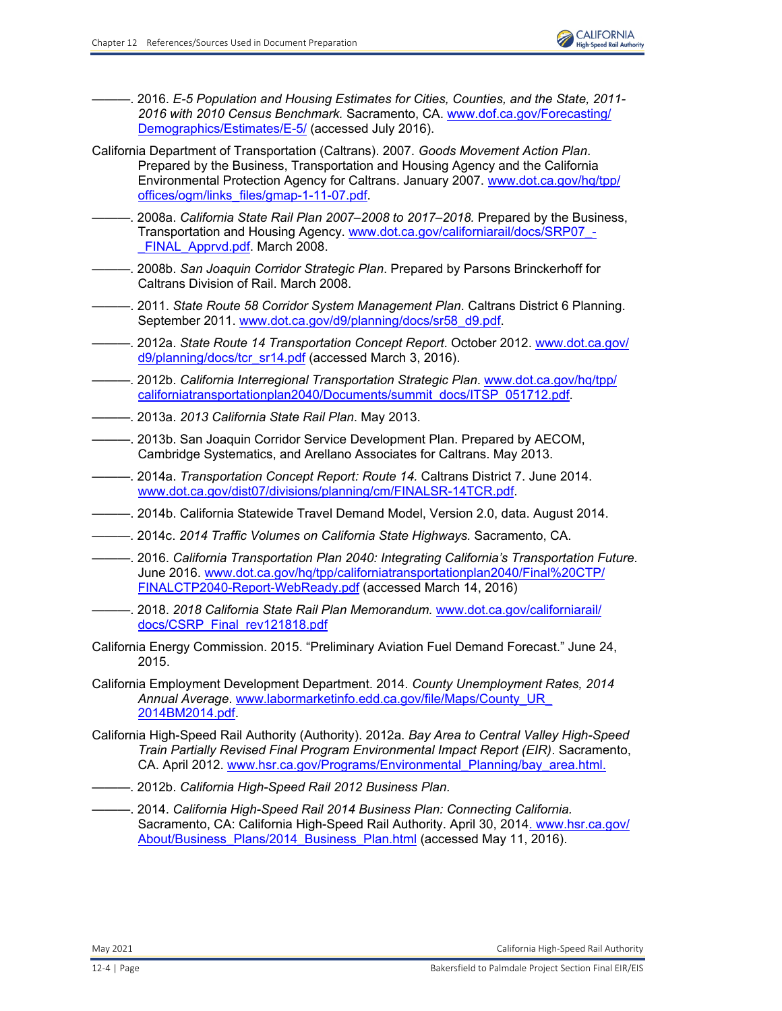

- ———. 2016. *E-5 Population and Housing Estimates for Cities, Counties, and the State, 2011- 2016 with 2010 Census Benchmark.* Sacramento, CA. [www.dof.ca.gov/Forecasting/](http://www.dof.ca.gov/Forecasting/ Demographics/Estimates/E-5/) [Demographics/Estimates/E-5/](http://www.dof.ca.gov/Forecasting/ Demographics/Estimates/E-5/) (accessed July 2016).
- California Department of Transportation (Caltrans). 2007. *Goods Movement Action Plan*. Prepared by the Business, Transportation and Housing Agency and the California Environmental Protection Agency for Caltrans. January 2007. [www.dot.ca.gov/hq/tpp/](http://www.dot.ca.gov/hq/tpp/ offices/ogm/links_files/gmap-1-11-07.pdf.) [offices/ogm/links\\_files/gmap-1-11-07.pdf.](http://www.dot.ca.gov/hq/tpp/ offices/ogm/links_files/gmap-1-11-07.pdf.)
- ———. 2008a. *California State Rail Plan 2007–2008 to 2017–2018.* Prepared by the Business, Transportation and Housing Agency. [www.dot.ca.gov/californiarail/docs/SRP07\\_-](http://www.dot.ca.gov/californiarail/docs/SRP07__FINAL_Apprvd.pdf.) FINAL Apprvd.pdf. March 2008.
- ———. 2008b. *San Joaquin Corridor Strategic Plan*. Prepared by Parsons Brinckerhoff for Caltrans Division of Rail. March 2008.
- ———. 2011. *State Route 58 Corridor System Management Plan*. Caltrans District 6 Planning. September 2011. [www.dot.ca.gov/d9/planning/docs/sr58\\_d9.pdf.](http://www.dot.ca.gov/d9/planning/docs/sr58_d9.pdf.)
- ———. 2012a. *State Route 14 Transportation Concept Report*. October 2012. [www.dot.ca.gov/](http://www.dot.ca.gov/ d9/planning/docs/tcr_sr14.pdf) [d9/planning/docs/tcr\\_sr14.pdf](http://www.dot.ca.gov/ d9/planning/docs/tcr_sr14.pdf) (accessed March 3, 2016).
- ———. 2012b. *California Interregional Transportation Strategic Plan*. [www.dot.ca.gov/hq/tpp/](http://www.dot.ca.gov/hq/tpp/ californiatransportationplan2040/Documents/summit_docs/ITSP_051712.pdf.) [californiatransportationplan2040/Documents/summit\\_docs/ITSP\\_051712.pdf.](http://www.dot.ca.gov/hq/tpp/ californiatransportationplan2040/Documents/summit_docs/ITSP_051712.pdf.)
- ———. 2013a. *2013 California State Rail Plan*. May 2013.
- ———. 2013b. San Joaquin Corridor Service Development Plan. Prepared by AECOM, Cambridge Systematics, and Arellano Associates for Caltrans. May 2013.
- ———. 2014a. *Transportation Concept Report: Route 14.* Caltrans District 7. June 2014. [www.dot.ca.gov/dist07/divisions/planning/cm/FINALSR-14TCR.pdf.](http://www.dot.ca.gov/dist07/divisions/planning/cm/FINALSR-14TCR.pdf.)
- ———. 2014b. California Statewide Travel Demand Model, Version 2.0, data. August 2014.
- ———. 2014c. *2014 Traffic Volumes on California State Highways.* Sacramento, CA.
- ———. 2016. *California Transportation Plan 2040: Integrating California's Transportation Future.* June 2016. [www.dot.ca.gov/hq/tpp/californiatransportationplan2040/Final%20CTP/](www.dot.ca.gov/hq/tpp/californiatransportationplan2040/Final%20CTP/ FINALCTP2040-Report-WebReady.pdf) [FINALCTP2040-Report-WebReady.pdf](http://www.dot.ca.gov/hq/tpp/californiatransportationplan2040/Final%20CTP/ FINALCTP2040-Report-WebReady.pdf) (accessed March 14, 2016)
- ———. 2018. *2018 California State Rail Plan Memorandum.* [www.dot.ca.gov/californiarail/](http://www.dot.ca.gov/californiarail/docs/CSRP_Final_rev121818.pdf) [docs/CSRP\\_Final\\_rev121818.pdf](http://www.dot.ca.gov/californiarail/docs/CSRP_Final_rev121818.pdf)
- California Energy Commission. 2015. "Preliminary Aviation Fuel Demand Forecast." June 24, 2015.
- California Employment Development Department. 2014. *County Unemployment Rates, 2014 Annual Average*. [www.labormarketinfo.edd.ca.gov/file/Maps/County\\_UR\\_](http://www.labormarketinfo.edd.ca.gov/file/Maps/County_UR_2014BM2014.pdf.) [2014BM2014.pdf.](http://www.labormarketinfo.edd.ca.gov/file/Maps/County_UR_2014BM2014.pdf.)
- California High-Speed Rail Authority (Authority). 2012a. *Bay Area to Central Valley High-Speed Train Partially Revised Final Program Environmental Impact Report (EIR)*. Sacramento, CA. April 2012. [www.hsr.ca.gov/Programs/Environmental\\_Planning/bay\\_area.html.](http://www.hsr.ca.gov/Programs/Environmental_Planning/bay_area.html.)
- ———. 2012b. *California High-Speed Rail 2012 Business Plan.* 
	- ———. 2014. *California High-Speed Rail 2014 Business Plan: Connecting California.*  Sacramento, CA: California High-Speed Rail Authority. April 30, 2014[. www.hsr.ca.gov/](http://www.hsr.ca.gov/About/Business_Plans/2014_Business_Plan.html) [About/Business\\_Plans/2014\\_Business\\_Plan.html](http://www.hsr.ca.gov/About/Business_Plans/2014_Business_Plan.html) (accessed May 11, 2016).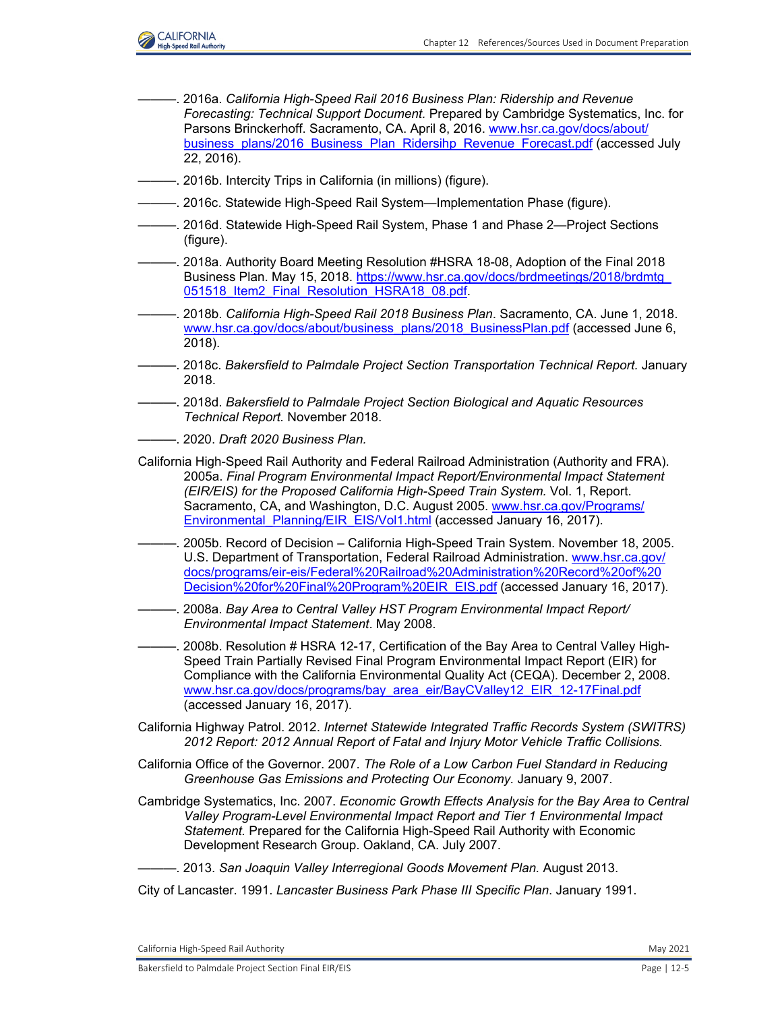

- ———. 2016a. *California High-Speed Rail 2016 Business Plan: Ridership and Revenue Forecasting: Technical Support Document.* Prepared by Cambridge Systematics, Inc. for Parsons Brinckerhoff. Sacramento, CA. April 8, 2016[. www.hsr.ca.gov/docs/about/](http://www.hsr.ca.gov/docs/about/business_plans/2016_Business_Plan_Ridersihp_Revenue_Forecast.pdf) [business\\_plans/2016\\_Business\\_Plan\\_Ridersihp\\_Revenue\\_Forecast.pdf](http://www.hsr.ca.gov/docs/about/business_plans/2016_Business_Plan_Ridersihp_Revenue_Forecast.pdf) (accessed July 22, 2016).
- ———. 2016b. Intercity Trips in California (in millions) (figure).
- -. 2016c. Statewide High-Speed Rail System—Implementation Phase (figure).
- -. 2016d. Statewide High-Speed Rail System, Phase 1 and Phase 2—Project Sections (figure).
- ———. 2018a. Authority Board Meeting Resolution #HSRA 18-08, Adoption of the Final 2018 Business Plan. May 15, 2018. [https://www.hsr.ca.gov/docs/brdmeetings/2018/brdmtg\\_](https://www.hsr.ca.gov/docs/brdmeetings/2018/brdmtg_ 051518_Item2_Final_Resolution_HSRA18_08.pdf.) 051518 Item2 Final Resolution HSRA18 08.pdf.
- ———. 2018b. *California High-Speed Rail 2018 Business Plan*. Sacramento, CA. June 1, 2018. [www.hsr.ca.gov/docs/about/business\\_plans/2018\\_BusinessPlan.pdf](http://www.hsr.ca.gov/docs/about/business_plans/2018_BusinessPlan.pdf) (accessed June 6, 2018).
- ———. 2018c. *Bakersfield to Palmdale Project Section Transportation Technical Report.* January 2018.
- ———. 2018d. *Bakersfield to Palmdale Project Section Biological and Aquatic Resources Technical Report.* November 2018.
- ———. 2020. *Draft 2020 Business Plan.*
- California High-Speed Rail Authority and Federal Railroad Administration (Authority and FRA). 2005a. *Final Program Environmental Impact Report/Environmental Impact Statement (EIR/EIS) for the Proposed California High-Speed Train System.* Vol. 1, Report. Sacramento, CA, and Washington, D.C. August 2005[. www.hsr.ca.gov/Programs/](http://www.hsr.ca.gov/Programs/Environmental_Planning/EIR_EIS/Vol1.html) Environmental Planning/EIR\_EIS/Vol1.html (accessed January 16, 2017).
- ———. 2005b. Record of Decision California High-Speed Train System. November 18, 2005. U.S. Department of Transportation, Federal Railroad Administration. [www.hsr.ca.gov/](http://www.hsr.ca.gov/docs/programs/eir-eis/Federal%20Railroad%20Administration%20Record%20of%20Decision%20for%20Final%20Program%20EIR_EIS.pdf) [docs/programs/eir-eis/Federal%20Railroad%20Administration%20Record%20of%20](http://www.hsr.ca.gov/docs/programs/eir-eis/Federal%20Railroad%20Administration%20Record%20of%20Decision%20for%20Final%20Program%20EIR_EIS.pdf) [Decision%20for%20Final%20Program%20EIR\\_EIS.pdf](http://www.hsr.ca.gov/docs/programs/eir-eis/Federal%20Railroad%20Administration%20Record%20of%20Decision%20for%20Final%20Program%20EIR_EIS.pdf) (accessed January 16, 2017).
- ———. 2008a. *Bay Area to Central Valley HST Program Environmental Impact Report/ Environmental Impact Statement*. May 2008.
- ———. 2008b. Resolution # HSRA 12-17, Certification of the Bay Area to Central Valley High-Speed Train Partially Revised Final Program Environmental Impact Report (EIR) for Compliance with the California Environmental Quality Act (CEQA). December 2, 2008. [www.hsr.ca.gov/docs/programs/bay\\_area\\_eir/BayCValley12\\_EIR\\_12-17Final.pdf](http://www.hsr.ca.gov/docs/programs/bay_area_eir/BayCValley12_EIR_12-17Final.pdf) (accessed January 16, 2017).
- California Highway Patrol. 2012. *Internet Statewide Integrated Traffic Records System (SWITRS) 2012 Report: 2012 Annual Report of Fatal and Injury Motor Vehicle Traffic Collisions.*
- California Office of the Governor. 2007. *The Role of a Low Carbon Fuel Standard in Reducing Greenhouse Gas Emissions and Protecting Our Economy.* January 9, 2007.
- Cambridge Systematics, Inc. 2007. *Economic Growth Effects Analysis for the Bay Area to Central Valley Program-Level Environmental Impact Report and Tier 1 Environmental Impact Statement.* Prepared for the California High-Speed Rail Authority with Economic Development Research Group. Oakland, CA. July 2007.
- ———. 2013. *San Joaquin Valley Interregional Goods Movement Plan.* August 2013.
- City of Lancaster. 1991. *Lancaster Business Park Phase III Specific Plan*. January 1991.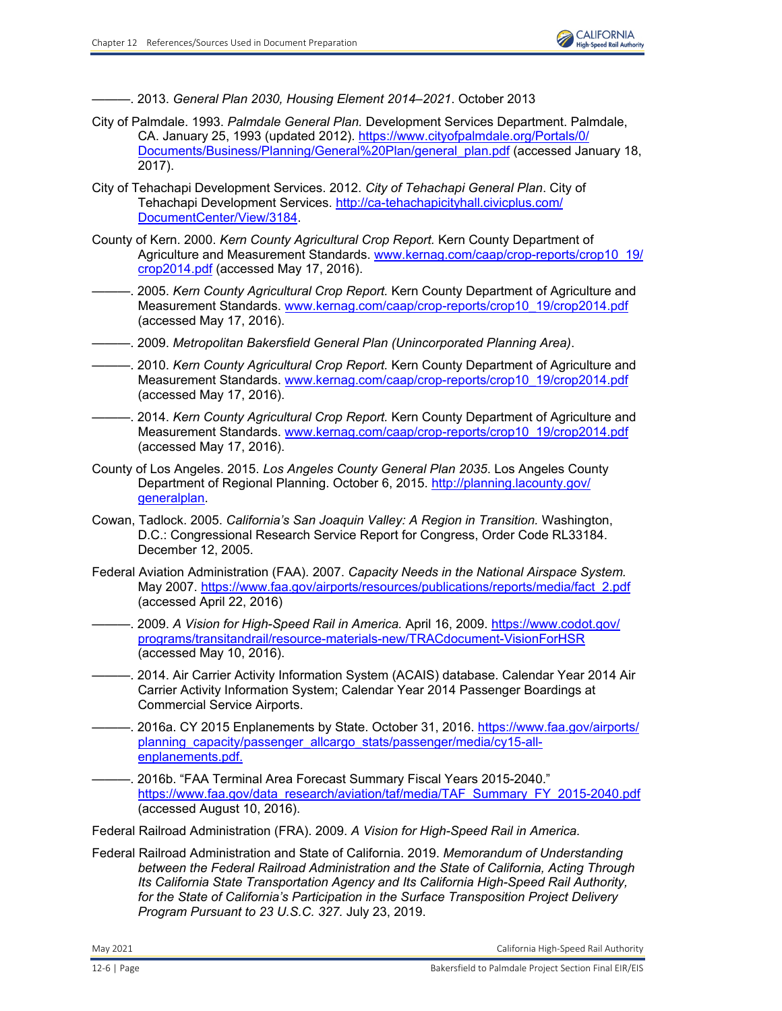

———. 2013. *General Plan 2030, Housing Element 2014–2021*. October 2013

- City of Palmdale. 1993. *Palmdale General Plan.* Development Services Department. Palmdale, CA. January 25, 1993 (updated 2012). [https://www.cityofpalmdale.org/Portals/0/](https://www.cityofpalmdale.org/Portals/0/ Documents/Business/Planning/General%20Plan/general_plan.pdf) [Documents/Business/Planning/General%20Plan/general\\_plan.pdf](https://www.cityofpalmdale.org/Portals/0/ Documents/Business/Planning/General%20Plan/general_plan.pdf) (accessed January 18, 2017).
- City of Tehachapi Development Services. 2012. *City of Tehachapi General Plan*. City of Tehachapi Development Services[. http://ca-tehachapicityhall.civicplus.com/](http://ca-tehachapicityhall.civicplus.com/ DocumentCenter/View/3184.) [DocumentCenter/View/3184.](http://ca-tehachapicityhall.civicplus.com/ DocumentCenter/View/3184.)
- County of Kern. 2000. *Kern County Agricultural Crop Report.* Kern County Department of Agriculture and Measurement Standards[. www.kernag.com/caap/crop-reports/crop10\\_19/](http://www.kernag.com/caap/crop-reports/crop10_19/crop2014.pdf) [crop2014.pdf](http://www.kernag.com/caap/crop-reports/crop10_19/crop2014.pdf) (accessed May 17, 2016).
- ———. 2005. *Kern County Agricultural Crop Report.* Kern County Department of Agriculture and Measurement Standards. [www.kernag.com/caap/crop-reports/crop10\\_19/crop2014.pdf](http://www.kernag.com/caap/crop-reports/crop10_19/crop2014.pdf) (accessed May 17, 2016).
- ———. 2009. *Metropolitan Bakersfield General Plan (Unincorporated Planning Area)*.
- ———. 2010. *Kern County Agricultural Crop Report.* Kern County Department of Agriculture and Measurement Standards. [www.kernag.com/caap/crop-reports/crop10\\_19/crop2014.pdf](http://www.kernag.com/caap/crop-reports/crop10_19/crop2014.pdf) (accessed May 17, 2016).
- ———. 2014. *Kern County Agricultural Crop Report.* Kern County Department of Agriculture and Measurement Standards. [www.kernag.com/caap/crop-reports/crop10\\_19/crop2014.pdf](http://www.kernag.com/caap/crop-reports/crop10_19/crop2014.pdf) (accessed May 17, 2016).
- County of Los Angeles. 2015. *Los Angeles County General Plan 2035*. Los Angeles County Department of Regional Planning. October 6, 2015. [http://planning.lacounty.gov/](http://planning.lacounty.gov/ generalplan.) [generalplan.](http://planning.lacounty.gov/ generalplan.)
- Cowan, Tadlock. 2005. *California's San Joaquin Valley: A Region in Transition.* Washington, D.C.: Congressional Research Service Report for Congress, Order Code RL33184. December 12, 2005.
- Federal Aviation Administration (FAA). 2007. *Capacity Needs in the National Airspace System.* May 2007. [https://www.faa.gov/airports/resources/publications/reports/media/fact\\_2.pdf](https://www.faa.gov/airports/resources/publications/reports/media/fact_2.pdf) (accessed April 22, 2016)
- ———. 2009. *A Vision for High-Speed Rail in America.* April 16, 2009. [https://www.codot.gov/](https://www.codot.gov/ programs/transitandrail/resource-materials-new/TRACdocument-VisionForHSR) [programs/transitandrail/resource-materials-new/TRACdocument-VisionForHSR](https://www.codot.gov/ programs/transitandrail/resource-materials-new/TRACdocument-VisionForHSR) (accessed May 10, 2016).
- ———. 2014. Air Carrier Activity Information System (ACAIS) database. Calendar Year 2014 Air Carrier Activity Information System; Calendar Year 2014 Passenger Boardings at Commercial Service Airports.
- -. 2016a. CY 2015 Enplanements by State. October 31, 2016. [https://www.faa.gov/airports/](https://www.faa.gov/airports/ planning_capacity/passenger_allcargo_stats/passenger/media/cy15-allenplanements.pdf.) planning capacity/passenger allcargo stats/passenger/media/cy15-all[enplanements.pdf.](https://www.faa.gov/airports/ planning_capacity/passenger_allcargo_stats/passenger/media/cy15-allenplanements.pdf.)
- -. 2016b. "FAA Terminal Area Forecast Summary Fiscal Years 2015-2040." [https://www.faa.gov/data\\_research/aviation/taf/media/TAF\\_Summary\\_FY\\_2015-2040.pdf](https://www.faa.gov/data_research/aviation/taf/media/TAF_Summary_FY_2015-2040.pdf) (accessed August 10, 2016).

Federal Railroad Administration (FRA). 2009. *A Vision for High-Speed Rail in America.* 

Federal Railroad Administration and State of California. 2019. *Memorandum of Understanding between the Federal Railroad Administration and the State of California, Acting Through Its California State Transportation Agency and Its California High-Speed Rail Authority, for the State of California's Participation in the Surface Transposition Project Delivery Program Pursuant to 23 U.S.C. 327.* July 23, 2019.

May 2021 California High‐Speed Rail Authority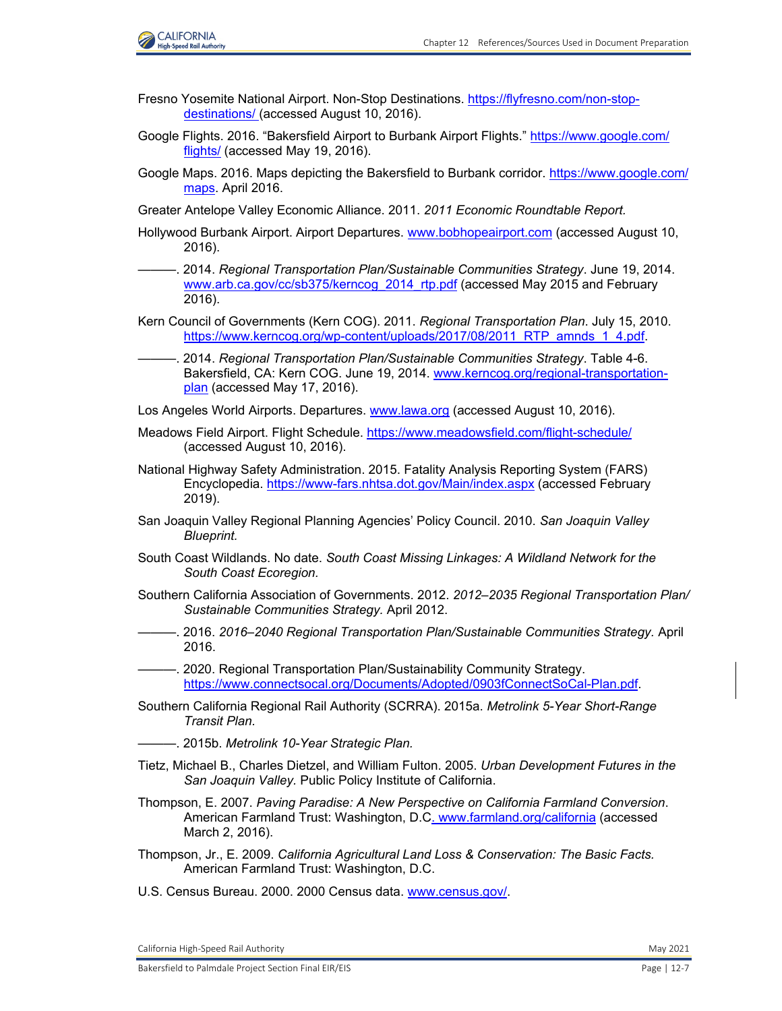

- Fresno Yosemite National Airport. Non-Stop Destinations[. https://flyfresno.com/non-stop](https://flyfresno.com/non-stopdestinations/)[destinations/](https://flyfresno.com/non-stopdestinations/) (accessed August 10, 2016).
- Google Flights. 2016. "Bakersfield Airport to Burbank Airport Flights." [https://www.google.com/](https://www.google.com/ flights/) [flights/](https://www.google.com/ flights/) (accessed May 19, 2016).
- Google Maps. 2016. Maps depicting the Bakersfield to Burbank corridor. [https://www.google.com/](https://www.google.com/ maps.) [maps.](https://www.google.com/ maps.) April 2016.
- Greater Antelope Valley Economic Alliance. 2011. *2011 Economic Roundtable Report.*
- Hollywood Burbank Airport. Airport Departures. [www.bobhopeairport.com](http://www.bobhopeairport.com) (accessed August 10, 2016).
- ———. 2014. *Regional Transportation Plan/Sustainable Communities Strategy*. June 19, 2014. [www.arb.ca.gov/cc/sb375/kerncog\\_2014\\_rtp.pdf](http://www.arb.ca.gov/cc/sb375/kerncog_2014_rtp.pdf) (accessed May 2015 and February 2016).
- Kern Council of Governments (Kern COG). 2011. *Regional Transportation Plan*. July 15, 2010. https://www.kerncog.org/wp-content/uploads/2017/08/2011\_RTP\_amnds\_1\_4.pdf.
- ———. 2014. *Regional Transportation Plan/Sustainable Communities Strategy*. Table 4-6. Bakersfield, CA: Kern COG. June 19, 2014. [www.kerncog.org/regional-transportation](http://www.kerncog.org/regional-transportation-plan)[plan](http://www.kerncog.org/regional-transportation-plan) (accessed May 17, 2016).
- Los Angeles World Airports. Departures. [www.lawa.org](http://www.lawa.org) (accessed August 10, 2016).
- Meadows Field Airport. Flight Schedule.<https://www.meadowsfield.com/flight-schedule/> (accessed August 10, 2016).
- National Highway Safety Administration. 2015. Fatality Analysis Reporting System (FARS) Encyclopedia. <https://www-fars.nhtsa.dot.gov/Main/index.aspx> (accessed February 2019).
- San Joaquin Valley Regional Planning Agencies' Policy Council. 2010. *San Joaquin Valley Blueprint.*
- South Coast Wildlands. No date. *South Coast Missing Linkages: A Wildland Network for the South Coast Ecoregion.*
- Southern California Association of Governments. 2012. *2012–2035 Regional Transportation Plan/ Sustainable Communities Strategy.* April 2012.
- ———. 2016. *2016–2040 Regional Transportation Plan/Sustainable Communities Strategy.* April 2016.
- ———. 2020. Regional Transportation Plan/Sustainability Community Strategy. <https://www.connectsocal.org/Documents/Adopted/0903fConnectSoCal-Plan.pdf.>
- Southern California Regional Rail Authority (SCRRA). 2015a. *Metrolink 5-Year Short-Range Transit Plan.*
- ———. 2015b. *Metrolink 10-Year Strategic Plan.*
- Tietz, Michael B., Charles Dietzel, and William Fulton. 2005. *Urban Development Futures in the San Joaquin Valley.* Public Policy Institute of California.
- Thompson, E. 2007. *Paving Paradise: A New Perspective on California Farmland Conversion*. American Farmland Trust: Washington, D.C. [www.farmland.org/california](http://www.farmland.org/california) (accessed March 2, 2016).
- Thompson, Jr., E. 2009. *California Agricultural Land Loss & Conservation: The Basic Facts.*  American Farmland Trust: Washington, D.C.
- U.S. Census Bureau. 2000. 2000 Census data. [www.census.gov/.](http://www.census.gov/)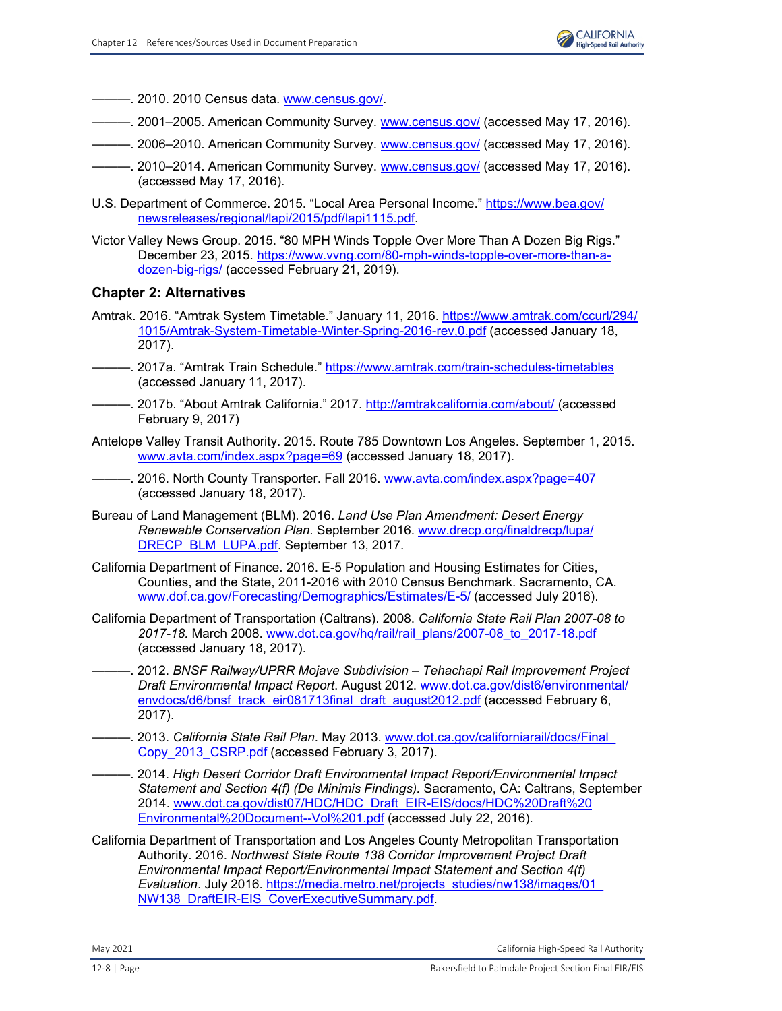- ———. 2010. 2010 Census data. [www.census.gov/.](http://www.census.gov/)
- ———. 2001–2005. American Community Survey. [www.census.gov/](http://www.census.gov/) (accessed May 17, 2016).
- ———. 2006–2010. American Community Survey. [www.census.gov/](http://www.census.gov/) (accessed May 17, 2016).
- -. 2010–2014. American Community Survey. [www.census.gov/](http://www.census.gov/) (accessed May 17, 2016). (accessed May 17, 2016).
- U.S. Department of Commerce. 2015. "Local Area Personal Income." [https://www.bea.gov/](https://www.bea.gov/ newsreleases/regional/lapi/2015/pdf/lapi1115.pdf.) [newsreleases/regional/lapi/2015/pdf/lapi1115.pdf.](https://www.bea.gov/ newsreleases/regional/lapi/2015/pdf/lapi1115.pdf.)
- Victor Valley News Group. 2015. "80 MPH Winds Topple Over More Than A Dozen Big Rigs." December 23, 2015. [https://www.vvng.com/80-mph-winds-topple-over-more-than-a](https://www.vvng.com/80-mph-winds-topple-over-more-than-adozen-big-rigs/)[dozen-big-rigs/](https://www.vvng.com/80-mph-winds-topple-over-more-than-adozen-big-rigs/) (accessed February 21, 2019).

### **Chapter 2: Alternatives**

- Amtrak. 2016. "Amtrak System Timetable." January 11, 2016[. https://www.amtrak.com/ccurl/294/](https://www.amtrak.com/ccurl/294/ 1015/Amtrak-System-Timetable-Winter-Spring-2016-rev,0.pdf) [1015/Amtrak-System-Timetable-Winter-Spring-2016-rev,0.pdf](https://www.amtrak.com/ccurl/294/ 1015/Amtrak-System-Timetable-Winter-Spring-2016-rev,0.pdf) (accessed January 18, 2017).
- ———. 2017a. "Amtrak Train Schedule." <https://www.amtrak.com/train-schedules-timetables> (accessed January 11, 2017).
- ———. 2017b. "About Amtrak California." 2017.<http://amtrakcalifornia.com/about/>(accessed February 9, 2017)
- Antelope Valley Transit Authority. 2015. Route 785 Downtown Los Angeles. September 1, 2015. [www.avta.com/index.aspx?page=69](http://www.avta.com/index.aspx?page=69) (accessed January 18, 2017).
- ———. 2016. North County Transporter. Fall 2016. [www.avta.com/index.aspx?page=407](http://www.avta.com/index.aspx?page=407) (accessed January 18, 2017).
- Bureau of Land Management (BLM). 2016. *Land Use Plan Amendment: Desert Energy Renewable Conservation Plan*. September 2016. [www.drecp.org/finaldrecp/lupa/](http://www.drecp.org/finaldrecp/lupa/DRECP_BLM_LUPA.pdf.) [DRECP\\_BLM\\_LUPA.pdf.](http://www.drecp.org/finaldrecp/lupa/DRECP_BLM_LUPA.pdf.) September 13, 2017.
- California Department of Finance. 2016. E-5 Population and Housing Estimates for Cities, Counties, and the State, 2011-2016 with 2010 Census Benchmark. Sacramento, CA. [www.dof.ca.gov/Forecasting/Demographics/Estimates/E-5/](http://www.dof.ca.gov/Forecasting/Demographics/Estimates/E-5/) (accessed July 2016).
- California Department of Transportation (Caltrans). 2008. *California State Rail Plan 2007-08 to 2017-18.* March 2008. [www.dot.ca.gov/hq/rail/rail\\_plans/2007-08\\_to\\_2017-18.pdf](http://www.dot.ca.gov/hq/rail/rail_plans/2007-08_to_2017-18.pdf) (accessed January 18, 2017).
- ———. 2012. *BNSF Railway/UPRR Mojave Subdivision Tehachapi Rail Improvement Project Draft Environmental Impact Report*. August 2012. [www.dot.ca.gov/dist6/environmental/](http://www.dot.ca.gov/dist6/environmental/envdocs/d6/bnsf_track_eir081713final_draft_august2012.pdf) [envdocs/d6/bnsf\\_track\\_eir081713final\\_draft\\_august2012.pdf](http://www.dot.ca.gov/dist6/environmental/envdocs/d6/bnsf_track_eir081713final_draft_august2012.pdf) (accessed February 6, 2017).
- ———. 2013. *California State Rail Plan.* May 2013. [www.dot.ca.gov/californiarail/docs/Final\\_](http://www.dot.ca.gov/californiarail/docs/Final_Copy_2013_CSRP.pdf) [Copy\\_2013\\_CSRP.pdf \(](http://www.dot.ca.gov/californiarail/docs/Final_Copy_2013_CSRP.pdf)accessed February 3, 2017).
- ———. 2014. *High Desert Corridor Draft Environmental Impact Report/Environmental Impact Statement and Section 4(f) (De Minimis Findings).* Sacramento, CA: Caltrans, September 2014. [www.dot.ca.gov/dist07/HDC/HDC\\_Draft\\_EIR-EIS/docs/HDC%20Draft%20](http://www.dot.ca.gov/dist07/HDC/HDC_Draft_EIR-EIS/docs/HDC%20Draft%20Environmental%20Document--Vol%201.pdf) [Environmental%20Document--Vol%201.pdf](http://www.dot.ca.gov/dist07/HDC/HDC_Draft_EIR-EIS/docs/HDC%20Draft%20Environmental%20Document--Vol%201.pdf) (accessed July 22, 2016).
- California Department of Transportation and Los Angeles County Metropolitan Transportation Authority. 2016. *Northwest State Route 138 Corridor Improvement Project Draft Environmental Impact Report/Environmental Impact Statement and Section 4(f) Evaluation*. July 2016. [https://media.metro.net/projects\\_studies/nw138/images/01\\_](https://media.metro.net/projects_studies/nw138/images/01_ NW138_DraftEIR-EIS_CoverExecutiveSummary.pdf.) [NW138\\_DraftEIR-EIS\\_CoverExecutiveSummary.pdf.](https://media.metro.net/projects_studies/nw138/images/01_ NW138_DraftEIR-EIS_CoverExecutiveSummary.pdf.)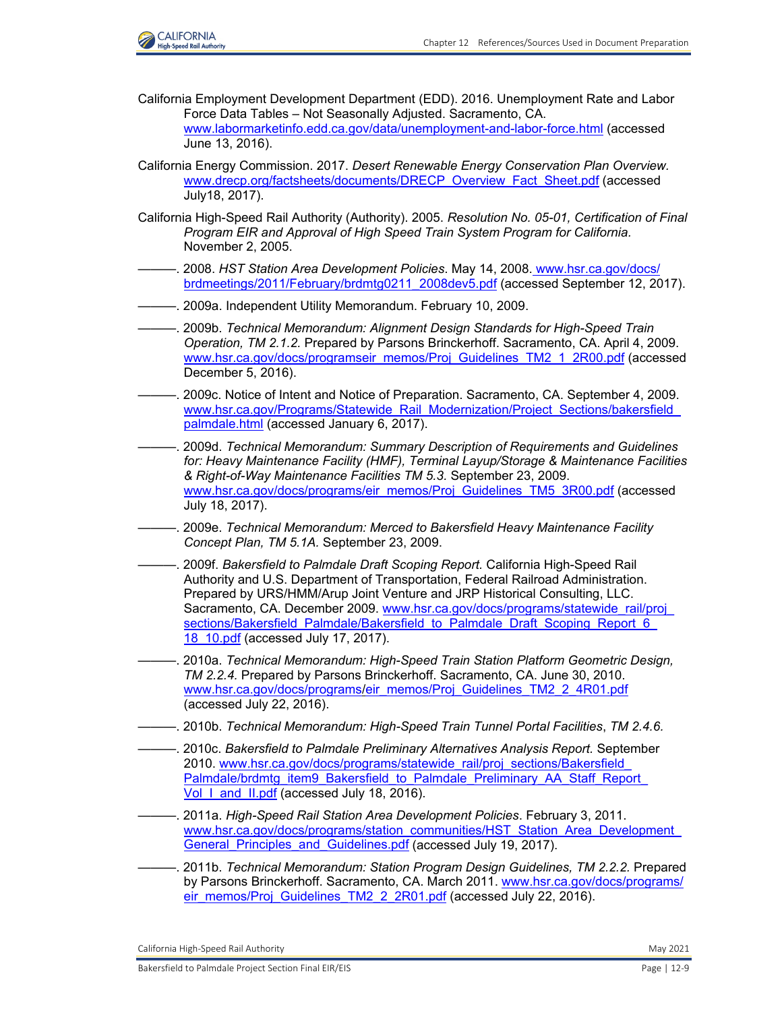

- California Employment Development Department (EDD). 2016. Unemployment Rate and Labor Force Data Tables – Not Seasonally Adjusted. Sacramento, CA. [www.labormarketinfo.edd.ca.gov/data/unemployment-and-labor-force.html](http://www.labormarketinfo.edd.ca.gov/data/unemployment-and-labor-force.html) (accessed June 13, 2016).
- California Energy Commission. 2017. *Desert Renewable Energy Conservation Plan Overview.*  [www.drecp.org/factsheets/documents/DRECP\\_Overview\\_Fact\\_Sheet.pdf](http://www.drecp.org/factsheets/documents/DRECP_Overview_Fact_Sheet.pdf) (accessed July18, 2017).
- California High-Speed Rail Authority (Authority). 2005. *Resolution No. 05-01, Certification of Final Program EIR and Approval of High Speed Train System Program for California.* November 2, 2005.
- ———. 2008. *HST Station Area Development Policies*. May 14, 2008. [www.hsr.ca.gov/docs/](http://www.hsr.ca.gov/docs/brdmeetings/2011/February/brdmtg0211_2008dev5.pdf) [brdmeetings/2011/February/brdmtg0211\\_2008dev5.pdf](http://www.hsr.ca.gov/docs/brdmeetings/2011/February/brdmtg0211_2008dev5.pdf) (accessed September 12, 2017).
- ———. 2009a. Independent Utility Memorandum. February 10, 2009.
- ———. 2009b. *Technical Memorandum: Alignment Design Standards for High-Speed Train Operation, TM 2.1.2.* Prepared by Parsons Brinckerhoff. Sacramento, CA. April 4, 2009. [www.hsr.ca.gov/docs/programseir\\_memos/Proj\\_Guidelines\\_TM2\\_1\\_2R00.pdf](http://www.hsr.ca.gov/docs/programseir_memos/Proj_Guidelines_TM2_1_2R00.pdf) (accessed December 5, 2016).
- ———. 2009c. Notice of Intent and Notice of Preparation. Sacramento, CA. September 4, 2009. www.hsr.ca.gov/Programs/Statewide\_Rail\_Modernization/Project\_Sections/bakersfield [palmdale.html](http://www.hsr.ca.gov/Programs/Statewide_Rail_Modernization/Project_Sections/bakersfield_palmdale.html) (accessed January 6, 2017).
- ———. 2009d. *Technical Memorandum: Summary Description of Requirements and Guidelines for: Heavy Maintenance Facility (HMF), Terminal Layup/Storage & Maintenance Facilities & Right-of-Way Maintenance Facilities TM 5.3.* September 23, 2009. [www.hsr.ca.gov/docs/programs/eir\\_memos/Proj\\_Guidelines\\_TM5\\_3R00.pdf](http://www.hsr.ca.gov/docs/programs/eir_memos/Proj_Guidelines_TM5_3R00.pdf) (accessed July 18, 2017).
- ———. 2009e. *Technical Memorandum: Merced to Bakersfield Heavy Maintenance Facility Concept Plan, TM 5.1A.* September 23, 2009.
- ———. 2009f. *Bakersfield to Palmdale Draft Scoping Report.* California High-Speed Rail Authority and U.S. Department of Transportation, Federal Railroad Administration. Prepared by URS/HMM/Arup Joint Venture and JRP Historical Consulting, LLC. Sacramento, CA. December 2009. [www.hsr.ca.gov/docs/programs/statewide\\_rail/proj\\_](http://www.hsr.ca.gov/docs/programs/statewide_rail/proj_sections/Bakersfield_Palmdale/Bakersfield_to_Palmdale_Draft_Scoping_Report_6_18_10.pdf) [sections/Bakersfield\\_Palmdale/Bakersfield\\_to\\_Palmdale\\_Draft\\_Scoping\\_Report\\_6\\_](http://www.hsr.ca.gov/docs/programs/statewide_rail/proj_sections/Bakersfield_Palmdale/Bakersfield_to_Palmdale_Draft_Scoping_Report_6_18_10.pdf) 18 10.pdf (accessed July 17, 2017).
- ———. 2010a. *Technical Memorandum: High-Speed Train Station Platform Geometric Design, TM 2.2.4.* Prepared by Parsons Brinckerhoff. Sacramento, CA. June 30, 2010. [www.hsr.ca.gov/docs/programs/eir\\_memos/Proj\\_Guidelines\\_TM2\\_2\\_4R01.pdf](http://www.hsr.ca.gov/docs/programs/eir_memos/Proj_Guidelines_TM2_2_4R01.pdf) (accessed July 22, 2016).
- ———. 2010b. *Technical Memorandum: High-Speed Train Tunnel Portal Facilities*, *TM 2.4.6.*
- ———. 2010c. *Bakersfield to Palmdale Preliminary Alternatives Analysis Report.* September 2010. www.hsr.ca.gov/docs/programs/statewide\_rail/proj\_sections/Bakersfield [Palmdale/brdmtg\\_item9\\_Bakersfield\\_to\\_Palmdale\\_Preliminary\\_AA\\_Staff\\_Report\\_](http://www.hsr.ca.gov/docs/programs/statewide_rail/proj_sections/Bakersfield_Palmdale/brdmtg_item9_Bakersfield_to_Palmdale_Preliminary_AA_Staff_Report_Vol_I_and_II.pdf) Vol I and **II.pdf** (accessed July 18, 2016).
- ———. 2011a. *High-Speed Rail Station Area Development Policies*. February 3, 2011. www.hsr.ca.gov/docs/programs/station\_communities/HST\_Station\_Area\_Development General Principles and Guidelines.pdf (accessed July 19, 2017).
- ———. 2011b. *Technical Memorandum: Station Program Design Guidelines, TM 2.2.2.* Prepared by Parsons Brinckerhoff. Sacramento, CA. March 2011[. www.hsr.ca.gov/docs/programs/](http://www.hsr.ca.gov/docs/programs/eir_memos/Proj_Guidelines_TM2_2_2R01.pdf) [eir\\_memos/Proj\\_Guidelines\\_TM2\\_2\\_2R01.pdf](http://www.hsr.ca.gov/docs/programs/eir_memos/Proj_Guidelines_TM2_2_2R01.pdf) (accessed July 22, 2016).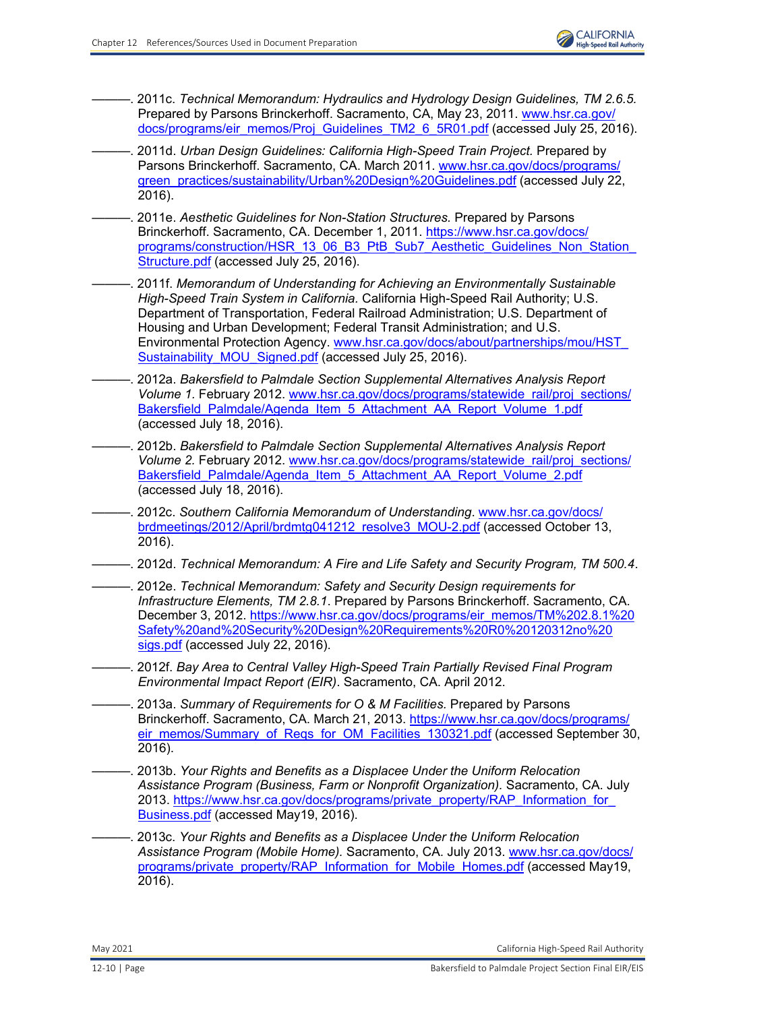- ———. 2011c. *Technical Memorandum: Hydraulics and Hydrology Design Guidelines, TM 2.6.5.*  Prepared by Parsons Brinckerhoff. Sacramento, CA, May 23, 2011. [www.hsr.ca.gov/](http://www.hsr.ca.gov/docs/programs/eir_memos/Proj_Guidelines_TM2_6_5R01.pdf) [docs/programs/eir\\_memos/Proj\\_Guidelines\\_TM2\\_6\\_5R01.pdf](http://www.hsr.ca.gov/docs/programs/eir_memos/Proj_Guidelines_TM2_6_5R01.pdf) (accessed July 25, 2016).
- ———. 2011d. *Urban Design Guidelines: California High-Speed Train Project.* Prepared by Parsons Brinckerhoff. Sacramento, CA. March 2011[. www.hsr.ca.gov/docs/programs/](http://www.hsr.ca.gov/docs/programs/green_practices/sustainability/Urban%20Design%20Guidelines.pdf) [green\\_practices/sustainability/Urban%20Design%20Guidelines.pdf](http://www.hsr.ca.gov/docs/programs/green_practices/sustainability/Urban%20Design%20Guidelines.pdf) (accessed July 22, 2016).
- ———. 2011e. *Aesthetic Guidelines for Non-Station Structures.* Prepared by Parsons Brinckerhoff. Sacramento, CA. December 1, 2011. [https://www.hsr.ca.gov/docs/](https://www.hsr.ca.gov/docs/ programs/construction/HSR_13_06_B3_PtB_Sub7_Aesthetic_Guidelines_Non_Station_ Structure.pdf) programs/construction/HSR\_13\_06\_B3\_PtB\_Sub7\_Aesthetic\_Guidelines\_Non\_Station [Structure.pdf](https://www.hsr.ca.gov/docs/ programs/construction/HSR_13_06_B3_PtB_Sub7_Aesthetic_Guidelines_Non_Station_ Structure.pdf) (accessed July 25, 2016).
- ———. 2011f. *Memorandum of Understanding for Achieving an Environmentally Sustainable High-Speed Train System in California.* California High-Speed Rail Authority; U.S. Department of Transportation, Federal Railroad Administration; U.S. Department of Housing and Urban Development; Federal Transit Administration; and U.S. Environmental Protection Agency. [www.hsr.ca.gov/docs/about/partnerships/mou/HST\\_](http://www.hsr.ca.gov/docs/about/partnerships/mou/HST_Sustainability_MOU_Signed.pdf) Sustainability MOU Signed.pdf (accessed July 25, 2016).
- ———. 2012a. *Bakersfield to Palmdale Section Supplemental Alternatives Analysis Report Volume 1.* February 2012. [www.hsr.ca.gov/docs/programs/statewide\\_rail/proj\\_sections/](http://www.hsr.ca.gov/docs/programs/statewide_rail/proj_sections/Bakersfield_Palmdale/Agenda_Item_5_Attachment_AA_Report_Volume_1.pdf) [Bakersfield\\_Palmdale/Agenda\\_Item\\_5\\_Attachment\\_AA\\_Report\\_Volume\\_1.pdf](http://www.hsr.ca.gov/docs/programs/statewide_rail/proj_sections/Bakersfield_Palmdale/Agenda_Item_5_Attachment_AA_Report_Volume_1.pdf) (accessed July 18, 2016).
- ———. 2012b. *Bakersfield to Palmdale Section Supplemental Alternatives Analysis Report Volume 2.* February 2012. [www.hsr.ca.gov/docs/programs/statewide\\_rail/proj\\_sections/](http://www.hsr.ca.gov/docs/programs/statewide_rail/proj_sections/Bakersfield_Palmdale/Agenda_Item_5_Attachment_AA_Report_Volume_2.pdf) [Bakersfield\\_Palmdale/Agenda\\_Item\\_5\\_Attachment\\_AA\\_Report\\_Volume\\_2.pdf](http://www.hsr.ca.gov/docs/programs/statewide_rail/proj_sections/Bakersfield_Palmdale/Agenda_Item_5_Attachment_AA_Report_Volume_2.pdf) (accessed July 18, 2016).
- ———. 2012c. *Southern California Memorandum of Understanding*. [www.hsr.ca.gov/docs/](http://www.hsr.ca.gov/docs/brdmeetings/2012/April/brdmtg041212_resolve3_MOU-2.pdf) [brdmeetings/2012/April/brdmtg041212\\_resolve3\\_MOU-2.pdf](http://www.hsr.ca.gov/docs/brdmeetings/2012/April/brdmtg041212_resolve3_MOU-2.pdf) (accessed October 13, 2016).
- ———. 2012d. *Technical Memorandum: A Fire and Life Safety and Security Program, TM 500.4*.
- ———. 2012e. *Technical Memorandum: Safety and Security Design requirements for Infrastructure Elements, TM 2.8.1*. Prepared by Parsons Brinckerhoff. Sacramento, CA. December 3, 2012. [https://www.hsr.ca.gov/docs/programs/eir\\_memos/TM%202.8.1%20](https://www.hsr.ca.gov/docs/programs/eir_memos/TM%202.8.1%20 Safety%20and%20Security%20Design%20Requirements%20R0%20120312no%20 sigs.pdf) [Safety%20and%20Security%20Design%20Requirements%20R0%20120312no%20](https://www.hsr.ca.gov/docs/programs/eir_memos/TM%202.8.1%20 Safety%20and%20Security%20Design%20Requirements%20R0%20120312no%20 sigs.pdf) [sigs.pdf](https://www.hsr.ca.gov/docs/programs/eir_memos/TM%202.8.1%20 Safety%20and%20Security%20Design%20Requirements%20R0%20120312no%20 sigs.pdf) (accessed July 22, 2016).
- ———. 2012f. *Bay Area to Central Valley High-Speed Train Partially Revised Final Program Environmental Impact Report (EIR)*. Sacramento, CA. April 2012.
- ———. 2013a. *Summary of Requirements for O & M Facilities.* Prepared by Parsons Brinckerhoff. Sacramento, CA. March 21, 2013. [https://www.hsr.ca.gov/docs/programs/](https://www.hsr.ca.gov/docs/programs/ eir_memos/Summary_of_Reqs_for_OM_Facilities_130321.pdf) [eir\\_memos/Summary\\_of\\_Reqs\\_for\\_OM\\_Facilities\\_130321.pdf](https://www.hsr.ca.gov/docs/programs/ eir_memos/Summary_of_Reqs_for_OM_Facilities_130321.pdf) (accessed September 30, 2016).
- ———. 2013b. *Your Rights and Benefits as a Displacee Under the Uniform Relocation Assistance Program (Business, Farm or Nonprofit Organization).* Sacramento, CA. July 2013. https://www.hsr.ca.gov/docs/programs/private\_property/RAP\_Information\_for [Business.pdf](https://www.hsr.ca.gov/docs/programs/private_property/RAP_Information_for_ Business.pdf) (accessed May19, 2016).
- ———. 2013c. *Your Rights and Benefits as a Displacee Under the Uniform Relocation Assistance Program (Mobile Home).* Sacramento, CA. July 2013. [www.hsr.ca.gov/docs/](http://www.hsr.ca.gov/docs/programs/private_property/RAP_Information_for_Mobile_Homes.pdf) [programs/private\\_property/RAP\\_Information\\_for\\_Mobile\\_Homes.pdf](http://www.hsr.ca.gov/docs/programs/private_property/RAP_Information_for_Mobile_Homes.pdf) (accessed May19, 2016).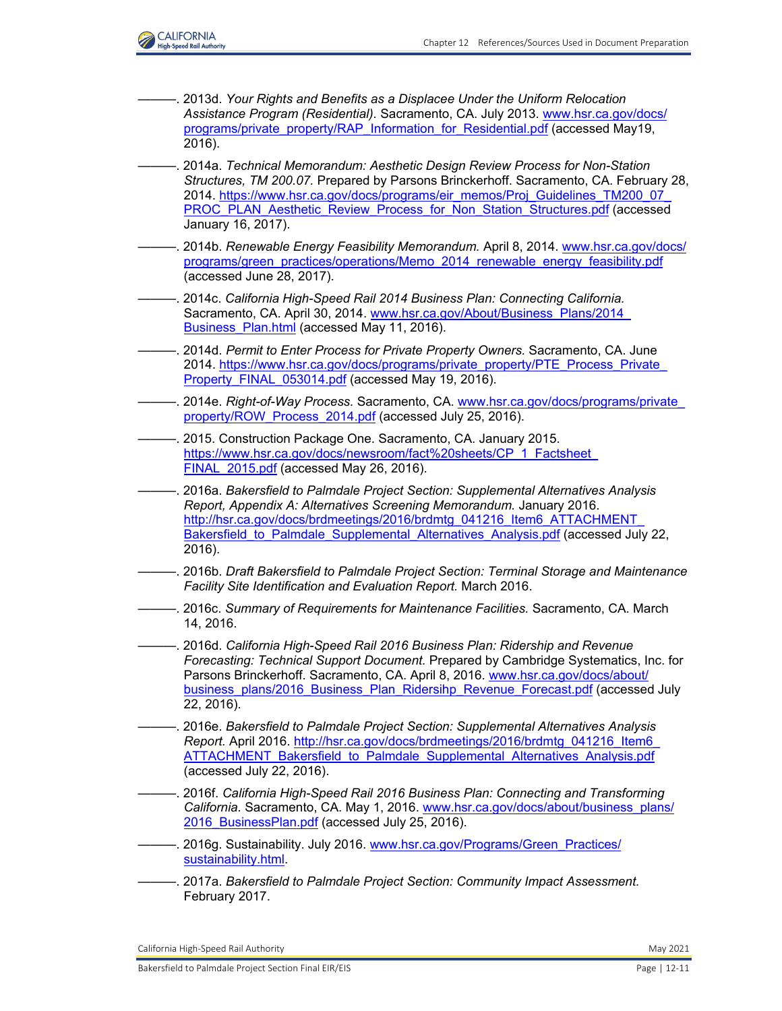

- -. 2013d. Your Rights and Benefits as a Displacee Under the Uniform Relocation *Assistance Program (Residential).* Sacramento, CA. July 2013. [www.hsr.ca.gov/docs/](http://www.hsr.ca.gov/docs/programs/private_property/RAP_Information_for_Residential.pdf) [programs/private\\_property/RAP\\_Information\\_for\\_Residential.pdf](http://www.hsr.ca.gov/docs/programs/private_property/RAP_Information_for_Residential.pdf) (accessed May19, 2016).
- ———. 2014a. *Technical Memorandum: Aesthetic Design Review Process for Non-Station Structures, TM 200.07.* Prepared by Parsons Brinckerhoff. Sacramento, CA. February 28, 2014. [https://www.hsr.ca.gov/docs/programs/eir\\_memos/Proj\\_Guidelines\\_TM200\\_07\\_](https://www.hsr.ca.gov/docs/programs/eir_memos/Proj_Guidelines_TM200_07_ PROC_PLAN_Aesthetic_Review_Process_for_Non_Station_Structures.pdf) [PROC\\_PLAN\\_Aesthetic\\_Review\\_Process\\_for\\_Non\\_Station\\_Structures.pdf](https://www.hsr.ca.gov/docs/programs/eir_memos/Proj_Guidelines_TM200_07_ PROC_PLAN_Aesthetic_Review_Process_for_Non_Station_Structures.pdf) (accessed January 16, 2017).
- ———. 2014b. *Renewable Energy Feasibility Memorandum.* April 8, 2014. [www.hsr.ca.gov/docs/](http://www.hsr.ca.gov/docs/programs/green_practices/operations/Memo_2014_renewable_energy_feasibility.pdf) [programs/green\\_practices/operations/Memo\\_2014\\_renewable\\_energy\\_feasibility.pdf](http://www.hsr.ca.gov/docs/programs/green_practices/operations/Memo_2014_renewable_energy_feasibility.pdf) (accessed June 28, 2017).
- ———. 2014c. *California High-Speed Rail 2014 Business Plan: Connecting California.*  Sacramento, CA. April 30, 2014. [www.hsr.ca.gov/About/Business\\_Plans/2014\\_](http://www.hsr.ca.gov/About/Business_Plans/2014_Business_Plan.html) Business Plan.html (accessed May 11, 2016).
- ———. 2014d. *Permit to Enter Process for Private Property Owners.* Sacramento, CA. June 2014. [https://www.hsr.ca.gov/docs/programs/private\\_property/PTE\\_Process\\_Private\\_](https://www.hsr.ca.gov/docs/programs/private_property/PTE_Process_Private_ Property_FINAL_053014.pdf) [Property\\_FINAL\\_053014.pdf](https://www.hsr.ca.gov/docs/programs/private_property/PTE_Process_Private_ Property_FINAL_053014.pdf) (accessed May 19, 2016).
- ———. 2014e. *Right-of-Way Process.* Sacramento, CA. [www.hsr.ca.gov/docs/programs/private\\_](http://www.hsr.ca.gov/docs/programs/private_property/ROW_Process_2014.pdf) [property/ROW\\_Process\\_2014.pdf](http://www.hsr.ca.gov/docs/programs/private_property/ROW_Process_2014.pdf) (accessed July 25, 2016).
- -. 2015. Construction Package One. Sacramento, CA. January 2015. https://www.hsr.ca.gov/docs/newsroom/fact%20sheets/CP\_1\_Factsheet [FINAL\\_2015.pdf](https://www.hsr.ca.gov/docs/newsroom/fact%20sheets/CP_1_Factsheet_ FINAL_2015.pdf) (accessed May 26, 2016).
- ———. 2016a. *Bakersfield to Palmdale Project Section: Supplemental Alternatives Analysis Report, Appendix A: Alternatives Screening Memorandum.* January 2016. http://hsr.ca.gov/docs/brdmeetings/2016/brdmtg\_041216\_Item6\_ATTACHMENT Bakersfield to Palmdale Supplemental Alternatives Analysis.pdf (accessed July 22, 2016).
- ———. 2016b. *Draft Bakersfield to Palmdale Project Section: Terminal Storage and Maintenance Facility Site Identification and Evaluation Report.* March 2016.
- ———. 2016c. *Summary of Requirements for Maintenance Facilities.* Sacramento, CA. March 14, 2016.
- ———. 2016d. *California High-Speed Rail 2016 Business Plan: Ridership and Revenue Forecasting: Technical Support Document.* Prepared by Cambridge Systematics, Inc. for Parsons Brinckerhoff. Sacramento, CA. April 8, 2016. [www.hsr.ca.gov/docs/about/](http://www.hsr.ca.gov/docs/about/business_plans/2016_Business_Plan_Ridersihp_Revenue_Forecast.pdf) [business\\_plans/2016\\_Business\\_Plan\\_Ridersihp\\_Revenue\\_Forecast.pdf](http://www.hsr.ca.gov/docs/about/business_plans/2016_Business_Plan_Ridersihp_Revenue_Forecast.pdf) (accessed July 22, 2016).
- ———. 2016e. *Bakersfield to Palmdale Project Section: Supplemental Alternatives Analysis Report.* April 2016. [http://hsr.ca.gov/docs/brdmeetings/2016/brdmtg\\_041216\\_Item6\\_](http://hsr.ca.gov/docs/brdmeetings/2016/brdmtg_041216_Item6_ ATTACHMENT_Bakersfield_to_Palmdale_Supplemental_Alternatives_Analysis.pdf) ATTACHMENT Bakersfield to Palmdale Supplemental Alternatives Analysis.pdf (accessed July 22, 2016).
- ———. 2016f. *California High-Speed Rail 2016 Business Plan: Connecting and Transforming California.* Sacramento, CA. May 1, 2016. [www.hsr.ca.gov/docs/about/business\\_plans/](http://www.hsr.ca.gov/docs/about/business_plans/2016_BusinessPlan.pdf) 2016 BusinessPlan.pdf (accessed July 25, 2016).
- -. 2016g. Sustainability. July 2016. [www.hsr.ca.gov/Programs/Green\\_Practices/](http://www.hsr.ca.gov/Programs/Green_Practices/sustainability.html.) [sustainability.html.](http://www.hsr.ca.gov/Programs/Green_Practices/sustainability.html.)
- ———. 2017a. *Bakersfield to Palmdale Project Section: Community Impact Assessment.*  February 2017.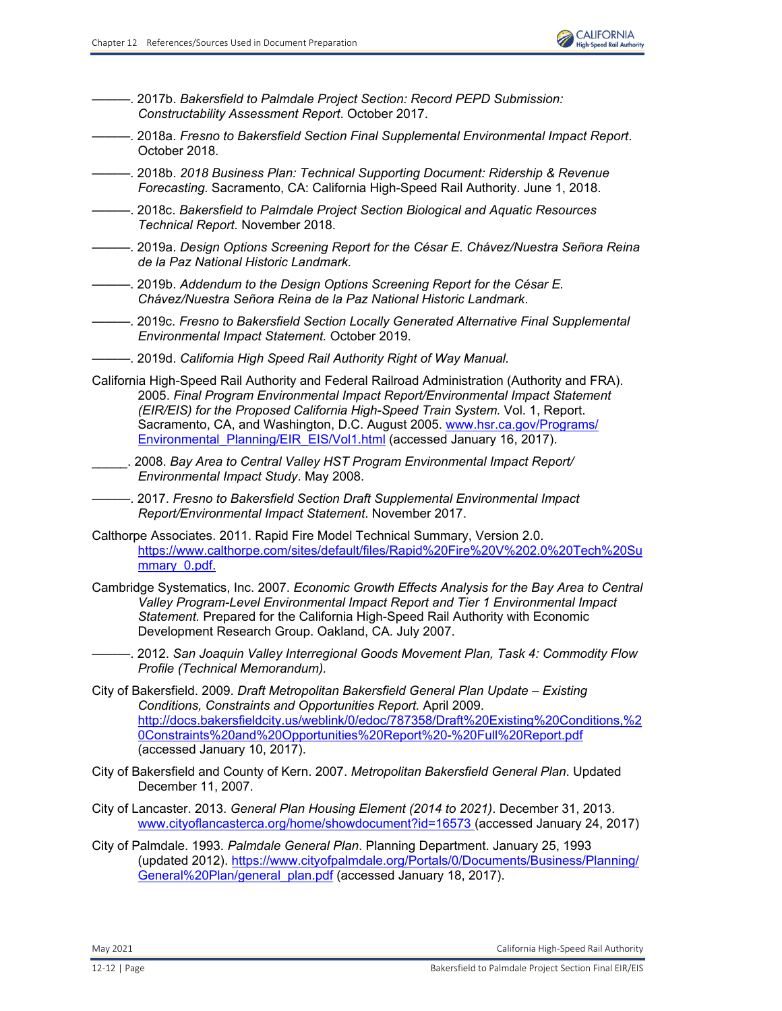

———. 2017b. *Bakersfield to Palmdale Project Section: Record PEPD Submission: Constructability Assessment Report*. October 2017.

- ———. 2018a. *Fresno to Bakersfield Section Final Supplemental Environmental Impact Report*. October 2018.
- ———. 2018b. *2018 Business Plan: Technical Supporting Document: Ridership & Revenue Forecasting.* Sacramento, CA: California High-Speed Rail Authority. June 1, 2018.
- ———. 2018c. *Bakersfield to Palmdale Project Section Biological and Aquatic Resources Technical Report.* November 2018.
- ———. 2019a. *Design Options Screening Report for the César E. Chávez/Nuestra Señora Reina de la Paz National Historic Landmark.*
- ———. 2019b. *Addendum to the Design Options Screening Report for the César E. Chávez/Nuestra Señora Reina de la Paz National Historic Landmark*.
- ———. 2019c. *Fresno to Bakersfield Section Locally Generated Alternative Final Supplemental Environmental Impact Statement.* October 2019.
- ———. 2019d. *California High Speed Rail Authority Right of Way Manual.*
- California High-Speed Rail Authority and Federal Railroad Administration (Authority and FRA). 2005. *Final Program Environmental Impact Report/Environmental Impact Statement (EIR/EIS) for the Proposed California High-Speed Train System.* Vol. 1, Report. Sacramento, CA, and Washington, D.C. August 2005. [www.hsr.ca.gov/Programs/](http://www.hsr.ca.gov/Programs/Environmental_Planning/EIR_EIS/Vol1.html) Environmental Planning/EIR\_EIS/Vol1.html (accessed January 16, 2017).
- \_\_\_\_\_. 2008. *Bay Area to Central Valley HST Program Environmental Impact Report/ Environmental Impact Study*. May 2008.

———. 2017. *Fresno to Bakersfield Section Draft Supplemental Environmental Impact Report/Environmental Impact Statement*. November 2017.

- Calthorpe Associates. 2011. Rapid Fire Model Technical Summary, Version 2.0. [https://www.calthorpe.com/sites/default/files/Rapid%20Fire%20V%202.0%20Tech%20Su](https://www.calthorpe.com/sites/default/files/Rapid%20Fire%20V%202.0%20Tech%20Su mmary_0.pdf.) mmary 0.pdf.
- Cambridge Systematics, Inc. 2007. *Economic Growth Effects Analysis for the Bay Area to Central Valley Program-Level Environmental Impact Report and Tier 1 Environmental Impact Statement.* Prepared for the California High-Speed Rail Authority with Economic Development Research Group. Oakland, CA. July 2007.
- ———. 2012. *San Joaquin Valley Interregional Goods Movement Plan, Task 4: Commodity Flow Profile (Technical Memorandum).*
- City of Bakersfield. 2009. *Draft Metropolitan Bakersfield General Plan Update Existing Conditions, Constraints and Opportunities Report.* April 2009. [http://docs.bakersfieldcity.us/weblink/0/edoc/787358/Draft%20Existing%20Conditions,%2](http://docs.bakersfieldcity.us/weblink/0/edoc/787358/Draft%20Existing%20Conditions,%2 0Constraints%20and%20Opportunities%20Report%20-%20Full%20Report.pdf) [0Constraints%20and%20Opportunities%20Report%20-%20Full%20Report.pdf](http://docs.bakersfieldcity.us/weblink/0/edoc/787358/Draft%20Existing%20Conditions,%2 0Constraints%20and%20Opportunities%20Report%20-%20Full%20Report.pdf) (accessed January 10, 2017).
- City of Bakersfield and County of Kern. 2007. *Metropolitan Bakersfield General Plan*. Updated December 11, 2007.
- City of Lancaster. 2013. *General Plan Housing Element (2014 to 2021)*. December 31, 2013. [www.cityoflancasterca.org/home/showdocument?id=16573 \(](http://www.cityoflancasterca.org/home/showdocument?id=16573)accessed January 24, 2017)
- City of Palmdale. 1993. *Palmdale General Plan*. Planning Department. January 25, 1993 (updated 2012). [https://www.cityofpalmdale.org/Portals/0/Documents/Business/Planning/](https://www.cityofpalmdale.org/Portals/0/Documents/Business/Planning/ General%20Plan/general_plan.pdf) [General%20Plan/general\\_plan.pdf](https://www.cityofpalmdale.org/Portals/0/Documents/Business/Planning/ General%20Plan/general_plan.pdf) (accessed January 18, 2017).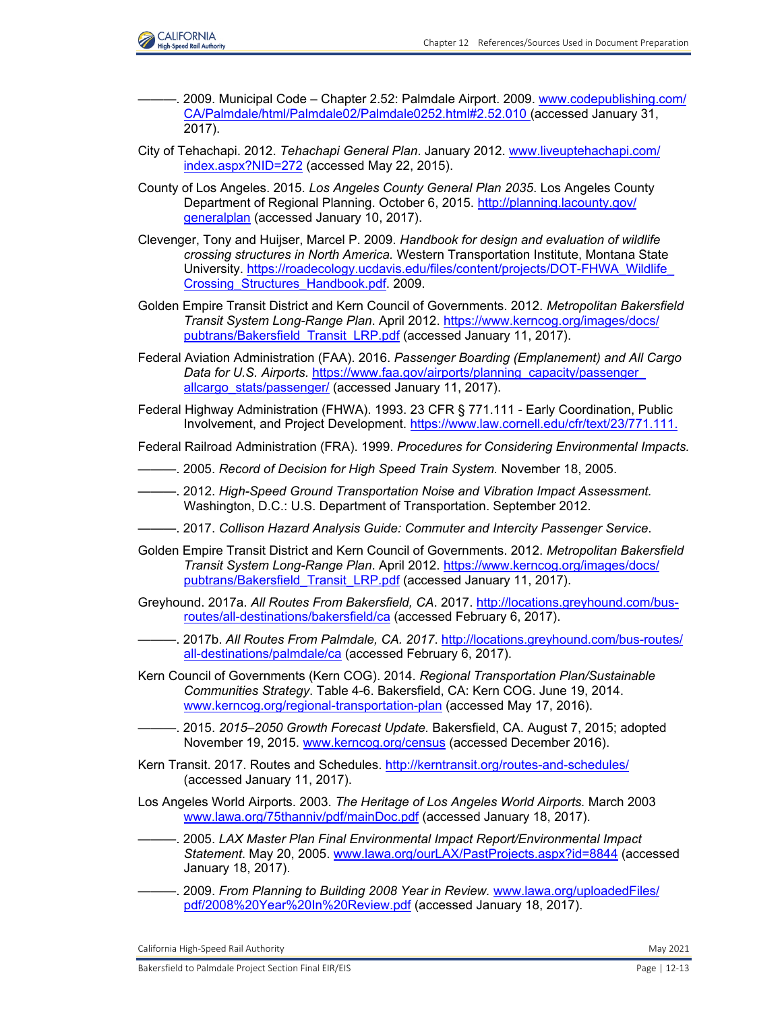

- -. 2009. Municipal Code Chapter 2.52: Palmdale Airport. 2009. [www.codepublishing.com/](http://www.codepublishing.com/CA/Palmdale/html/Palmdale02/Palmdale0252.html#2.52.010) [CA/Palmdale/html/Palmdale02/Palmdale0252.html#2.52.010](http://www.codepublishing.com/CA/Palmdale/html/Palmdale02/Palmdale0252.html#2.52.010) (accessed January 31, 2017).
- City of Tehachapi. 2012. *Tehachapi General Plan*. January 2012. [www.liveuptehachapi.com/](http://www.liveuptehachapi.com/index.aspx?NID=272) [index.aspx?NID=272](http://www.liveuptehachapi.com/index.aspx?NID=272) (accessed May 22, 2015).
- County of Los Angeles. 2015. *Los Angeles County General Plan 2035*. Los Angeles County Department of Regional Planning. October 6, 2015. [http://planning.lacounty.gov/](http://planning.lacounty.gov/ generalplan) [generalplan](http://planning.lacounty.gov/ generalplan) (accessed January 10, 2017).
- Clevenger, Tony and Huijser, Marcel P. 2009. *Handbook for design and evaluation of wildlife crossing structures in North America.* Western Transportation Institute, Montana State University. [https://roadecology.ucdavis.edu/files/content/projects/DOT-FHWA\\_Wildlife\\_](https://roadecology.ucdavis.edu/files/content/projects/DOT-FHWA_Wildlife_ Crossing_Structures_Handbook.pdf.) [Crossing\\_Structures\\_Handbook.pdf.](https://roadecology.ucdavis.edu/files/content/projects/DOT-FHWA_Wildlife_ Crossing_Structures_Handbook.pdf.) 2009.
- Golden Empire Transit District and Kern Council of Governments. 2012. *Metropolitan Bakersfield Transit System Long-Range Plan*. April 2012[. https://www.kerncog.org/images/docs/](https://www.kerncog.org/images/docs/ pubtrans/Bakersfield_Transit_LRP.pdf) [pubtrans/Bakersfield\\_Transit\\_LRP.pdf](https://www.kerncog.org/images/docs/ pubtrans/Bakersfield_Transit_LRP.pdf) (accessed January 11, 2017).
- Federal Aviation Administration (FAA). 2016. *Passenger Boarding (Emplanement) and All Cargo*  Data for U.S. Airports. [https://www.faa.gov/airports/planning\\_capacity/passenger\\_](https://www.faa.gov/airports/planning_capacity/passenger_ allcargo_stats/passenger/) [allcargo\\_stats/passenger/](https://www.faa.gov/airports/planning_capacity/passenger_ allcargo_stats/passenger/) (accessed January 11, 2017).
- Federal Highway Administration (FHWA). 1993. 23 CFR § 771.111 Early Coordination, Public Involvement, and Project Development. <https://www.law.cornell.edu/cfr/text/23/771.111.>
- Federal Railroad Administration (FRA). 1999. *Procedures for Considering Environmental Impacts.*
- ———. 2005. *Record of Decision for High Speed Train System.* November 18, 2005.
- ———. 2012. *High-Speed Ground Transportation Noise and Vibration Impact Assessment.*  Washington, D.C.: U.S. Department of Transportation. September 2012.
- ———. 2017. *Collison Hazard Analysis Guide: Commuter and Intercity Passenger Service*.
- Golden Empire Transit District and Kern Council of Governments. 2012. *Metropolitan Bakersfield Transit System Long-Range Plan*. April 2012. [https://www.kerncog.org/images/docs/](https://www.kerncog.org/images/docs/ pubtrans/Bakersfield_Transit_LRP.pdf) [pubtrans/Bakersfield\\_Transit\\_LRP.pdf](https://www.kerncog.org/images/docs/ pubtrans/Bakersfield_Transit_LRP.pdf) (accessed January 11, 2017).
- Greyhound. 2017a. *All Routes From Bakersfield, CA*. 2017. [http://locations.greyhound.com/bus](http://locations.greyhound.com/busroutes/all-destinations/bakersfield/ca)[routes/all-destinations/bakersfield/ca](http://locations.greyhound.com/busroutes/all-destinations/bakersfield/ca) (accessed February 6, 2017).
- ———. 2017b. *All Routes From Palmdale, CA. 2017*. [http://locations.greyhound.com/bus-routes/](http://locations.greyhound.com/bus-routes/ all-destinations/palmdale/ca) [all-destinations/palmdale/ca](http://locations.greyhound.com/bus-routes/ all-destinations/palmdale/ca) (accessed February 6, 2017).
- Kern Council of Governments (Kern COG). 2014. *Regional Transportation Plan/Sustainable Communities Strategy*. Table 4-6. Bakersfield, CA: Kern COG. June 19, 2014. [www.kerncog.org/regional-transportation-plan](http://www.kerncog.org/regional-transportation-plan) (accessed May 17, 2016).
- ———. 2015. *2015–2050 Growth Forecast Update.* Bakersfield, CA. August 7, 2015; adopted November 19, 2015[. www.kerncog.org/census](http://www.kerncog.org/census) (accessed December 2016).
- Kern Transit. 2017. Routes and Schedules.<http://kerntransit.org/routes-and-schedules/> (accessed January 11, 2017).
- Los Angeles World Airports. 2003. *The Heritage of Los Angeles World Airports.* March 2003 [www.lawa.org/75thanniv/pdf/mainDoc.pdf](http://www.lawa.org/75thanniv/pdf/mainDoc.pdf) (accessed January 18, 2017).
	- ———. 2005. *LAX Master Plan Final Environmental Impact Report/Environmental Impact Statement*. May 20, 2005. [www.lawa.org/ourLAX/PastProjects.aspx?id=8844](http://www.lawa.org/ourLAX/PastProjects.aspx?id=8844) (accessed January 18, 2017).
- ———. 2009. *From Planning to Building 2008 Year in Review.* [www.lawa.org/uploadedFiles/](http://www.lawa.org/uploadedFiles/pdf/2008%20Year%20In%20Review.pdf) [pdf/2008%20Year%20In%20Review.pdf](http://www.lawa.org/uploadedFiles/pdf/2008%20Year%20In%20Review.pdf) (accessed January 18, 2017).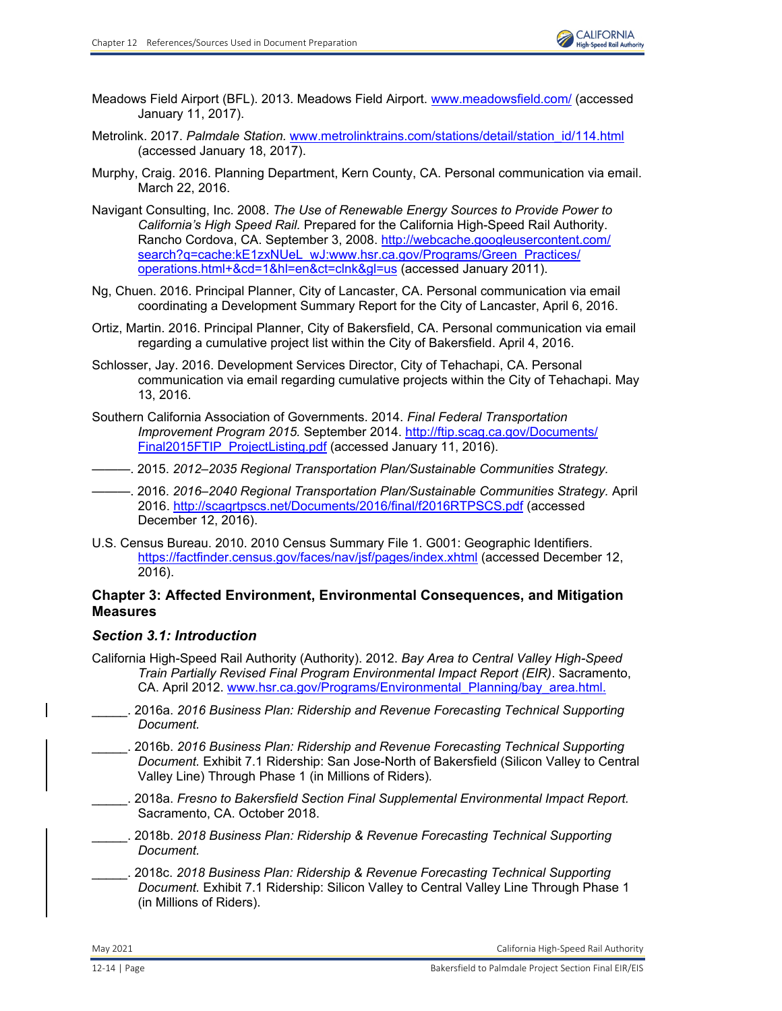- Meadows Field Airport (BFL). 2013. Meadows Field Airport[. www.meadowsfield.com/](http://www.meadowsfield.com/) (accessed January 11, 2017).
- Metrolink. 2017. *Palmdale Station.* [www.metrolinktrains.com/stations/detail/station\\_id/114.html](http://www.metrolinktrains.com/stations/detail/station_id/114.html) (accessed January 18, 2017).
- Murphy, Craig. 2016. Planning Department, Kern County, CA. Personal communication via email. March 22, 2016.
- Navigant Consulting, Inc. 2008. *The Use of Renewable Energy Sources to Provide Power to California's High Speed Rail.* Prepared for the California High-Speed Rail Authority. Rancho Cordova, CA. September 3, 2008. [http://webcache.googleusercontent.com/](http://webcache.googleusercontent.com/ search?q=cache:kE1zxNUeL_wJ:www.hsr.ca.gov/Programs/Green_Practices/ operations.html+&cd=1&hl=en&ct=clnk&gl=us) [search?q=cache:kE1zxNUeL\\_wJ:www.hsr.ca.gov/Programs/Green\\_Practices/](http://webcache.googleusercontent.com/ search?q=cache:kE1zxNUeL_wJ:www.hsr.ca.gov/Programs/Green_Practices/ operations.html+&cd=1&hl=en&ct=clnk&gl=us) [operations.html+&cd=1&hl=en&ct=clnk&gl=us](http://webcache.googleusercontent.com/ search?q=cache:kE1zxNUeL_wJ:www.hsr.ca.gov/Programs/Green_Practices/ operations.html+&cd=1&hl=en&ct=clnk&gl=us) (accessed January 2011).
- Ng, Chuen. 2016. Principal Planner, City of Lancaster, CA. Personal communication via email coordinating a Development Summary Report for the City of Lancaster, April 6, 2016.
- Ortiz, Martin. 2016. Principal Planner, City of Bakersfield, CA. Personal communication via email regarding a cumulative project list within the City of Bakersfield. April 4, 2016.
- Schlosser, Jay. 2016. Development Services Director, City of Tehachapi, CA. Personal communication via email regarding cumulative projects within the City of Tehachapi. May 13, 2016.
- Southern California Association of Governments. 2014. *Final Federal Transportation Improvement Program 2015.* September 2014[. http://ftip.scag.ca.gov/Documents/](http://ftip.scag.ca.gov/Documents/ Final2015FTIP_ProjectListing.pdf) [Final2015FTIP\\_ProjectListing.pdf](http://ftip.scag.ca.gov/Documents/ Final2015FTIP_ProjectListing.pdf) (accessed January 11, 2016).
- ———. 2015. *2012–2035 Regional Transportation Plan/Sustainable Communities Strategy.* 
	- ———. 2016. *2016–2040 Regional Transportation Plan/Sustainable Communities Strategy.* April 2016.<http://scagrtpscs.net/Documents/2016/final/f2016RTPSCS.pdf> (accessed December 12, 2016).
- U.S. Census Bureau. 2010. 2010 Census Summary File 1. G001: Geographic Identifiers. <https://factfinder.census.gov/faces/nav/jsf/pages/index.xhtml> (accessed December 12, 2016).

## **Chapter 3: Affected Environment, Environmental Consequences, and Mitigation Measures**

## *Section 3.1: Introduction*

- California High-Speed Rail Authority (Authority). 2012. *Bay Area to Central Valley High-Speed Train Partially Revised Final Program Environmental Impact Report (EIR)*. Sacramento, CA. April 2012. [www.hsr.ca.gov/Programs/Environmental\\_Planning/bay\\_area.html.](http://www.hsr.ca.gov/Programs/Environmental_Planning/bay_area.html.)
- \_\_\_\_\_. 2016a. *2016 Business Plan: Ridership and Revenue Forecasting Technical Supporting Document.*
- \_\_\_\_\_. 2016b. *2016 Business Plan: Ridership and Revenue Forecasting Technical Supporting Document.* Exhibit 7.1 Ridership: San Jose-North of Bakersfield (Silicon Valley to Central Valley Line) Through Phase 1 (in Millions of Riders)*.*
- \_\_\_\_\_. 2018a. *Fresno to Bakersfield Section Final Supplemental Environmental Impact Report.* Sacramento, CA. October 2018.
- \_\_\_\_\_. 2018b. *2018 Business Plan: Ridership & Revenue Forecasting Technical Supporting Document.*
- \_\_\_\_\_. 2018c. *2018 Business Plan: Ridership & Revenue Forecasting Technical Supporting Document.* Exhibit 7.1 Ridership: Silicon Valley to Central Valley Line Through Phase 1 (in Millions of Riders).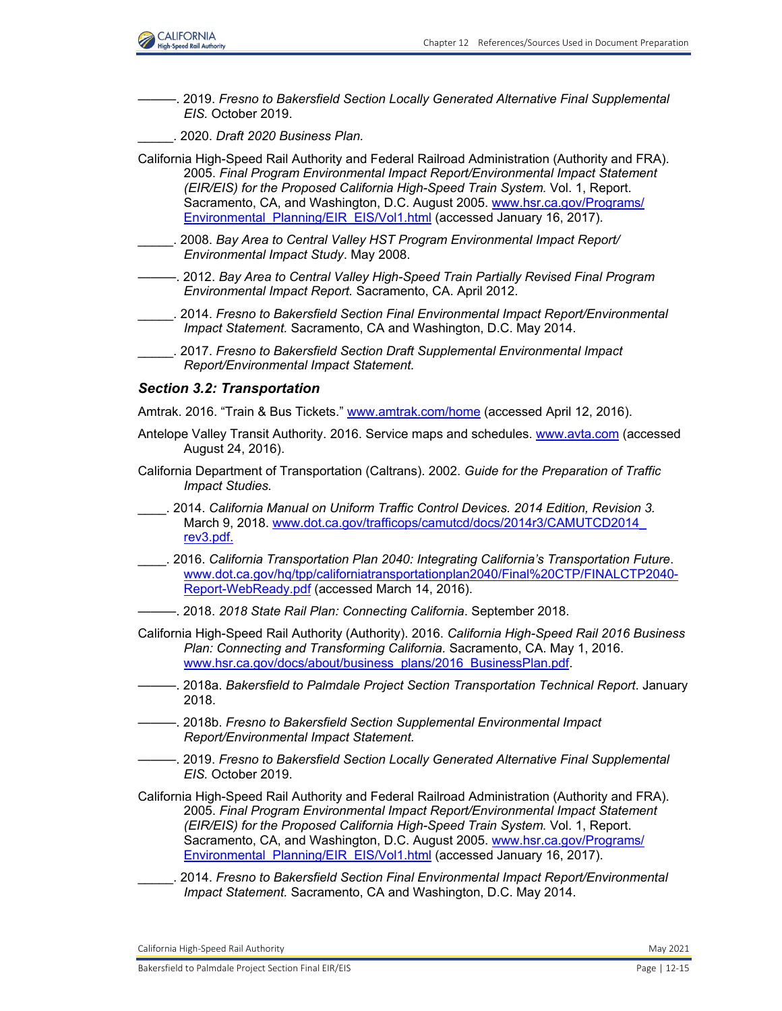

———. 2019. *Fresno to Bakersfield Section Locally Generated Alternative Final Supplemental EIS.* October 2019.

\_\_\_\_\_. 2020. *Draft 2020 Business Plan.* 

California High-Speed Rail Authority and Federal Railroad Administration (Authority and FRA). 2005. *Final Program Environmental Impact Report/Environmental Impact Statement (EIR/EIS) for the Proposed California High-Speed Train System.* Vol. 1, Report. Sacramento, CA, and Washington, D.C. August 2005. [www.hsr.ca.gov/Programs/](http://www.hsr.ca.gov/Programs/Environmental_Planning/EIR_EIS/Vol1.html) [Environmental\\_Planning/EIR\\_EIS/Vol1.html](http://www.hsr.ca.gov/Programs/Environmental_Planning/EIR_EIS/Vol1.html) (accessed January 16, 2017).

- \_\_\_\_\_. 2008. *Bay Area to Central Valley HST Program Environmental Impact Report/ Environmental Impact Study*. May 2008.
- ———. 2012. *Bay Area to Central Valley High-Speed Train Partially Revised Final Program Environmental Impact Report.* Sacramento, CA. April 2012.
- \_\_\_\_\_. 2014. *Fresno to Bakersfield Section Final Environmental Impact Report/Environmental Impact Statement.* Sacramento, CA and Washington, D.C. May 2014.
	- \_\_\_\_\_. 2017. *Fresno to Bakersfield Section Draft Supplemental Environmental Impact Report/Environmental Impact Statement.*

#### *Section 3.2: Transportation*

Amtrak. 2016. "Train & Bus Tickets." [www.amtrak.com/home](http://www.amtrak.com/home) (accessed April 12, 2016).

- Antelope Valley Transit Authority. 2016. Service maps and schedules[. www.avta.com](http://www.avta.com) (accessed August 24, 2016).
- California Department of Transportation (Caltrans). 2002. *Guide for the Preparation of Traffic Impact Studies.*
- \_\_\_\_. 2014. *California Manual on Uniform Traffic Control Devices. 2014 Edition, Revision 3.*  March 9, 2018. [www.dot.ca.gov/trafficops/camutcd/docs/2014r3/CAMUTCD2014\\_](http://www.dot.ca.gov/trafficops/camutcd/docs/2014r3/CAMUTCD2014_rev3.pdf.) [rev3.pdf.](http://www.dot.ca.gov/trafficops/camutcd/docs/2014r3/CAMUTCD2014_rev3.pdf.)
- \_\_\_\_. 2016. *California Transportation Plan 2040: Integrating California's Transportation Future*. [www.dot.ca.gov/hq/tpp/californiatransportationplan2040/Final%20CTP/FINALCTP2040-](http://www.dot.ca.gov/hq/tpp/californiatransportationplan2040/Final%20CTP/FINALCTP2040-Report-WebReady.pdf) [Report-WebReady.pdf](http://www.dot.ca.gov/hq/tpp/californiatransportationplan2040/Final%20CTP/FINALCTP2040-Report-WebReady.pdf) (accessed March 14, 2016).
- ———. 2018. *2018 State Rail Plan: Connecting California*. September 2018.
- California High-Speed Rail Authority (Authority). 2016. *California High-Speed Rail 2016 Business Plan: Connecting and Transforming California.* Sacramento, CA. May 1, 2016. www.hsr.ca.gov/docs/about/business\_plans/2016\_BusinessPlan.pdf.
- ———. 2018a. *Bakersfield to Palmdale Project Section Transportation Technical Report*. January 2018.
- ———. 2018b. *Fresno to Bakersfield Section Supplemental Environmental Impact Report/Environmental Impact Statement.*
- ———. 2019. *Fresno to Bakersfield Section Locally Generated Alternative Final Supplemental EIS.* October 2019.

California High-Speed Rail Authority and Federal Railroad Administration (Authority and FRA). 2005. *Final Program Environmental Impact Report/Environmental Impact Statement (EIR/EIS) for the Proposed California High-Speed Train System.* Vol. 1, Report. Sacramento, CA, and Washington, D.C. August 2005. [www.hsr.ca.gov/Programs/](http://www.hsr.ca.gov/Programs/Environmental_Planning/EIR_EIS/Vol1.html) [Environmental\\_Planning/EIR\\_EIS/Vol1.html](http://www.hsr.ca.gov/Programs/Environmental_Planning/EIR_EIS/Vol1.html) (accessed January 16, 2017).

\_\_\_\_\_. 2014. *Fresno to Bakersfield Section Final Environmental Impact Report/Environmental Impact Statement.* Sacramento, CA and Washington, D.C. May 2014.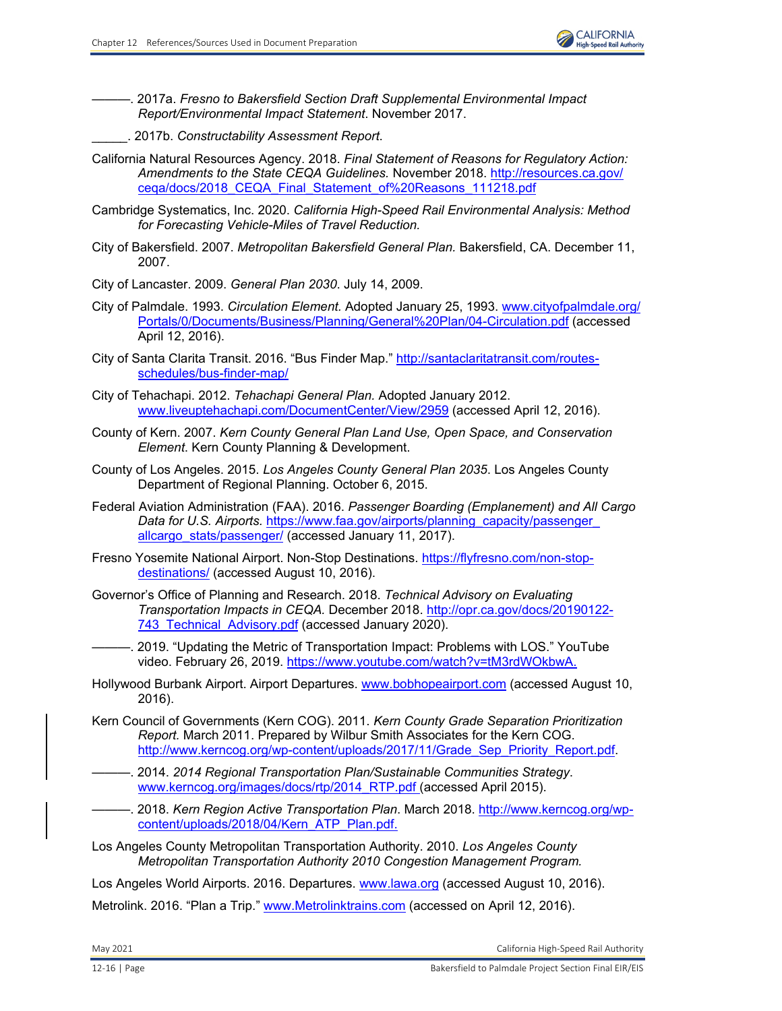

———. 2017a. *Fresno to Bakersfield Section Draft Supplemental Environmental Impact Report/Environmental Impact Statement*. November 2017.

- \_\_\_\_\_. 2017b. *Constructability Assessment Report*.
- California Natural Resources Agency. 2018. *Final Statement of Reasons for Regulatory Action: Amendments to the State CEQA Guidelines.* November 2018. [http://resources.ca.gov/](http://resources.ca.gov/ ceqa/docs/2018_CEQA_Final_Statement_of%20Reasons_111218.pdf) [ceqa/docs/2018\\_CEQA\\_Final\\_Statement\\_of%20Reasons\\_111218.pdf](http://resources.ca.gov/ ceqa/docs/2018_CEQA_Final_Statement_of%20Reasons_111218.pdf)
- Cambridge Systematics, Inc. 2020. *California High-Speed Rail Environmental Analysis: Method for Forecasting Vehicle-Miles of Travel Reduction.*
- City of Bakersfield. 2007. *Metropolitan Bakersfield General Plan.* Bakersfield, CA. December 11, 2007.
- City of Lancaster. 2009. *General Plan 2030*. July 14, 2009.
- City of Palmdale. 1993. *Circulation Element.* Adopted January 25, 1993. [www.cityofpalmdale.org/](http://www.cityofpalmdale.org/Portals/0/Documents/Business/Planning/General%20Plan/04-Circulation.pdf) [Portals/0/Documents/Business/Planning/General%20Plan/04-Circulation.pdf](http://www.cityofpalmdale.org/Portals/0/Documents/Business/Planning/General%20Plan/04-Circulation.pdf) (accessed April 12, 2016).
- City of Santa Clarita Transit. 2016. "Bus Finder Map." [http://santaclaritatransit.com/routes](http://santaclaritatransit.com/routesschedules/bus-finder-map/)[schedules/bus-finder-map/](http://santaclaritatransit.com/routesschedules/bus-finder-map/)
- City of Tehachapi. 2012. *Tehachapi General Plan.* Adopted January 2012. [www.liveuptehachapi.com/DocumentCenter/View/2959](http://www.liveuptehachapi.com/DocumentCenter/View/2959) (accessed April 12, 2016).
- County of Kern. 2007. *Kern County General Plan Land Use, Open Space, and Conservation Element*. Kern County Planning & Development.
- County of Los Angeles. 2015. *Los Angeles County General Plan 2035*. Los Angeles County Department of Regional Planning. October 6, 2015.
- Federal Aviation Administration (FAA). 2016. *Passenger Boarding (Emplanement) and All Cargo Data for U.S. Airports.* [https://www.faa.gov/airports/planning\\_capacity/passenger\\_](https://www.faa.gov/airports/planning_capacity/passenger_ allcargo_stats/passenger/) [allcargo\\_stats/passenger/ \(](https://www.faa.gov/airports/planning_capacity/passenger_ allcargo_stats/passenger/)accessed January 11, 2017).
- Fresno Yosemite National Airport. Non-Stop Destinations. [https://flyfresno.com/non-stop](https://flyfresno.com/non-stopdestinations/)[destinations/](https://flyfresno.com/non-stopdestinations/) (accessed August 10, 2016).
- Governor's Office of Planning and Research. 2018. *Technical Advisory on Evaluating Transportation Impacts in CEQA.* December 2018. [http://opr.ca.gov/docs/20190122-](http://opr.ca.gov/docs/20190122- 743_Technical_Advisory.pdf) 743 Technical Advisory.pdf (accessed January 2020).
	- 2019. "Updating the Metric of Transportation Impact: Problems with LOS." YouTube video. February 26, 2019.<https://www.youtube.com/watch?v=tM3rdWOkbwA.>
- Hollywood Burbank Airport. Airport Departures. [www.bobhopeairport.com](http://www.bobhopeairport.com) (accessed August 10, 2016).
- Kern Council of Governments (Kern COG). 2011. *Kern County Grade Separation Prioritization Report.* March 2011. Prepared by Wilbur Smith Associates for the Kern COG. [http://www.kerncog.org/wp-content/uploads/2017/11/Grade\\_Sep\\_Priority\\_Report.pdf.](http://www.kerncog.org/wp-content/uploads/2017/11/Grade_Sep_Priority_Report.pdf.)
	- ———. 2014. *2014 Regional Transportation Plan/Sustainable Communities Strategy*. [www.kerncog.org/images/docs/rtp/2014\\_RTP.pdf](http://www.kerncog.org/images/docs/rtp/2014_RTP.pdf) (accessed April 2015).
	- ———. 2018. *Kern Region Active Transportation Plan*. March 2018[. http://www.kerncog.org/wp](http://www.kerncog.org/wpcontent/uploads/2018/04/Kern_ATP_Plan.pdf.)[content/uploads/2018/04/Kern\\_ATP\\_Plan.pdf.](http://www.kerncog.org/wpcontent/uploads/2018/04/Kern_ATP_Plan.pdf.)
- Los Angeles County Metropolitan Transportation Authority. 2010. *Los Angeles County Metropolitan Transportation Authority 2010 Congestion Management Program.*

Los Angeles World Airports. 2016. Departures. [www.lawa.org](http://www.lawa.org) (accessed August 10, 2016).

Metrolink. 2016. "Plan a Trip." [www.Metrolinktrains.com](http://www.Metrolinktrains.com) (accessed on April 12, 2016).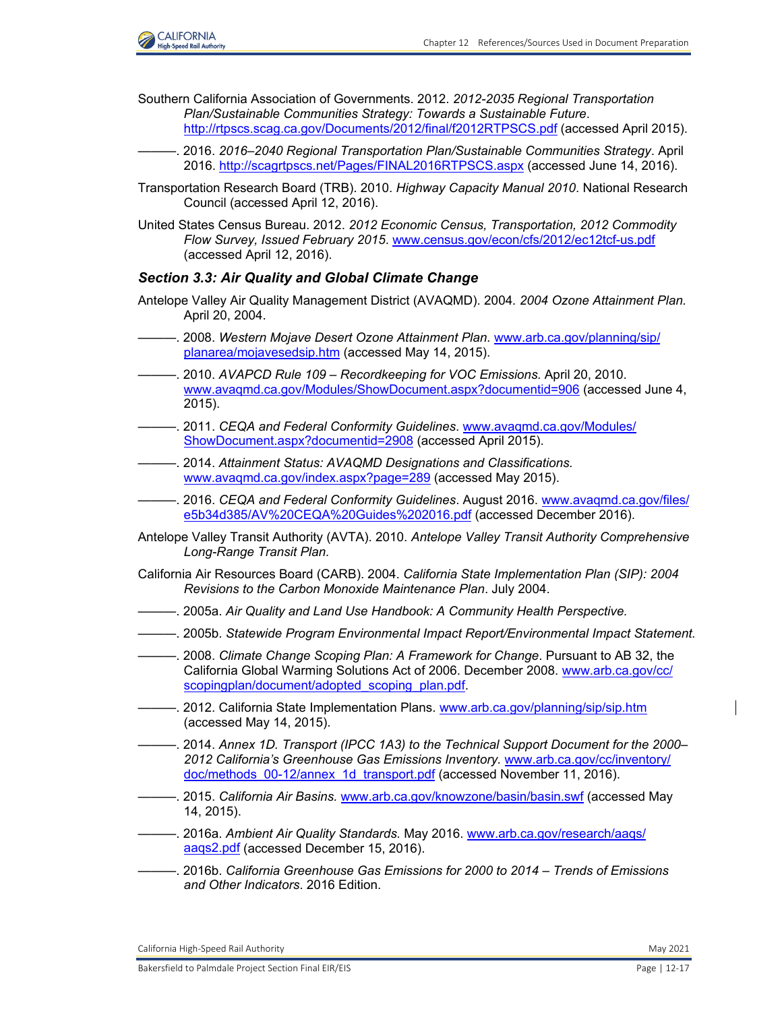

- Southern California Association of Governments. 2012. *2012-2035 Regional Transportation Plan/Sustainable Communities Strategy: Towards a Sustainable Future*. <http://rtpscs.scag.ca.gov/Documents/2012/final/f2012RTPSCS.pdf> (accessed April 2015).
- ———. 2016. *2016–2040 Regional Transportation Plan/Sustainable Communities Strategy*. April 2016[. http://scagrtpscs.net/Pages/FINAL2016RTPSCS.aspx](http://scagrtpscs.net/Pages/FINAL2016RTPSCS.aspx) (accessed June 14, 2016).
- Transportation Research Board (TRB). 2010. *Highway Capacity Manual 2010*. National Research Council (accessed April 12, 2016).
- United States Census Bureau. 2012. *2012 Economic Census, Transportation, 2012 Commodity Flow Survey, Issued February 2015*. [www.census.gov/econ/cfs/2012/ec12tcf-us.pdf](http://www.census.gov/econ/cfs/2012/ec12tcf-us.pdf) (accessed April 12, 2016).

#### *Section 3.3: Air Quality and Global Climate Change*

- Antelope Valley Air Quality Management District (AVAQMD). 2004*. 2004 Ozone Attainment Plan.* April 20, 2004.
- ———. 2008. *Western Mojave Desert Ozone Attainment Plan.* [www.arb.ca.gov/planning/sip/](http://www.arb.ca.gov/planning/sip/planarea/mojavesedsip.htm) [planarea/mojavesedsip.htm](http://www.arb.ca.gov/planning/sip/planarea/mojavesedsip.htm) (accessed May 14, 2015).
- ———. 2010. *AVAPCD Rule 109 Recordkeeping for VOC Emissions.* April 20, 2010. [www.avaqmd.ca.gov/Modules/ShowDocument.aspx?documentid=906](http://www.avaqmd.ca.gov/Modules/ShowDocument.aspx?documentid=906) (accessed June 4, 2015).
- ———. 2011. *CEQA and Federal Conformity Guidelines*. [www.avaqmd.ca.gov/Modules/](http://www.avaqmd.ca.gov/Modules/ShowDocument.aspx?documentid=2908) [ShowDocument.aspx?documentid=2908](http://www.avaqmd.ca.gov/Modules/ShowDocument.aspx?documentid=2908) (accessed April 2015).
- ———. 2014. *Attainment Status: AVAQMD Designations and Classifications.*  [www.avaqmd.ca.gov/index.aspx?page=289](http://www.avaqmd.ca.gov/index.aspx?page=289) (accessed May 2015).
- ———. 2016. *CEQA and Federal Conformity Guidelines*. August 2016. [www.avaqmd.ca.gov/files/](http://www.avaqmd.ca.gov/files/e5b34d385/AV%20CEQA%20Guides%202016.pdf) [e5b34d385/AV%20CEQA%20Guides%202016.pdf](http://www.avaqmd.ca.gov/files/e5b34d385/AV%20CEQA%20Guides%202016.pdf) (accessed December 2016).
- Antelope Valley Transit Authority (AVTA). 2010. *Antelope Valley Transit Authority Comprehensive Long-Range Transit Plan.*
- California Air Resources Board (CARB). 2004. *California State Implementation Plan (SIP): 2004 Revisions to the Carbon Monoxide Maintenance Plan*. July 2004.
- ———. 2005a. *Air Quality and Land Use Handbook: A Community Health Perspective.*
- ———. 2005b. *Statewide Program Environmental Impact Report/Environmental Impact Statement.*
- ———. 2008. *Climate Change Scoping Plan: A Framework for Change*. Pursuant to AB 32, the California Global Warming Solutions Act of 2006. December 2008[. www.arb.ca.gov/cc/](http://www.arb.ca.gov/cc/scopingplan/document/adopted_scoping_plan.pdf.) [scopingplan/document/adopted\\_scoping\\_plan.pdf.](http://www.arb.ca.gov/cc/scopingplan/document/adopted_scoping_plan.pdf.)
- -. 2012. California State Implementation Plans. [www.arb.ca.gov/planning/sip/sip.htm](http://www.arb.ca.gov/planning/sip/sip.htm) (accessed May 14, 2015).
- ———. 2014. *Annex 1D. Transport (IPCC 1A3) to the Technical Support Document for the 2000– 2012 California's Greenhouse Gas Emissions Inventory.* [www.arb.ca.gov/cc/inventory/](http://www.arb.ca.gov/cc/inventory/doc/methods_00-12/annex_1d_transport.pdf) doc/methods 00-12/annex 1d transport.pdf (accessed November 11, 2016).
- ———. 2015. *California Air Basins.* [www.arb.ca.gov/knowzone/basin/basin.swf](http://www.arb.ca.gov/knowzone/basin/basin.swf) (accessed May 14, 2015).
- ———. 2016a. *Ambient Air Quality Standards.* May 2016. [www.arb.ca.gov/research/aaqs/](http://www.arb.ca.gov/research/aaqs/aaqs2.pdf) [aaqs2.pdf](http://www.arb.ca.gov/research/aaqs/aaqs2.pdf) (accessed December 15, 2016).
- ———. 2016b. *California Greenhouse Gas Emissions for 2000 to 2014 Trends of Emissions and Other Indicators*. 2016 Edition.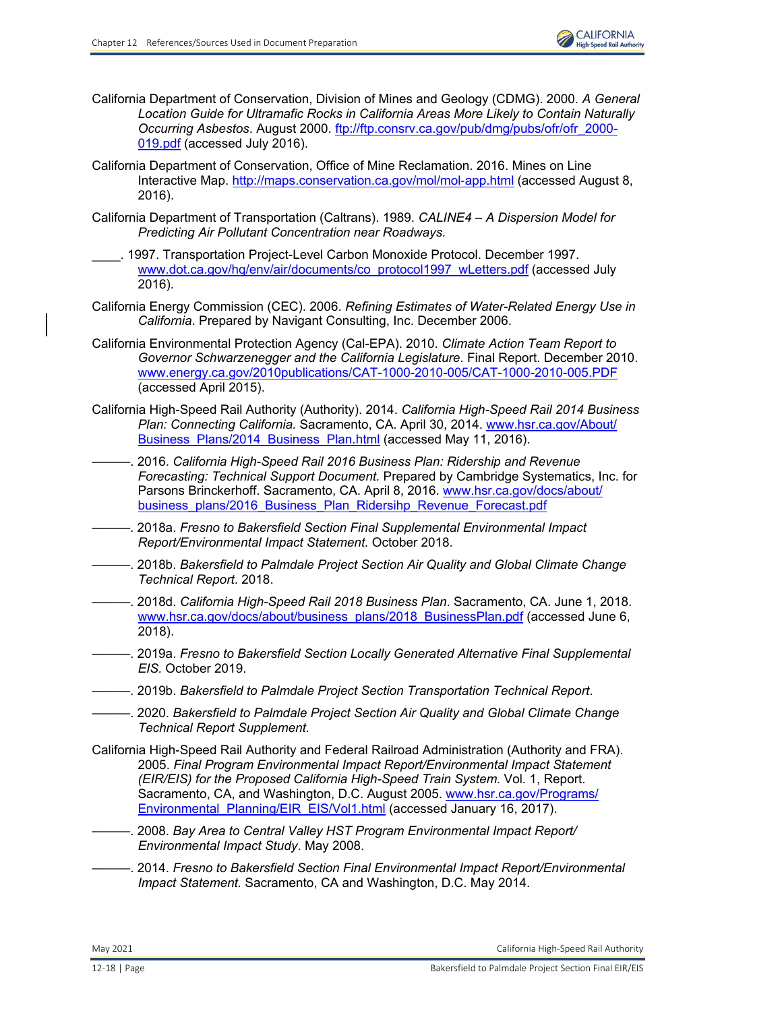- California Department of Conservation, Division of Mines and Geology (CDMG). 2000. *A General Location Guide for Ultramafic Rocks in California Areas More Likely to Contain Naturally Occurring Asbestos*. August 2000. [ftp://ftp.consrv.ca.gov/pub/dmg/pubs/ofr/ofr\\_2000-](ftp://ftp.consrv.ca.gov/pub/dmg/pubs/ofr/ofr_2000-019.pdf) [019.pdf](ftp://ftp.consrv.ca.gov/pub/dmg/pubs/ofr/ofr_2000-019.pdf) (accessed July 2016).
- California Department of Conservation, Office of Mine Reclamation. 2016. Mines on Line Interactive Map. [http://maps.conservation.ca.gov/mol/mol](http://maps.conservation.ca.gov/mol/mol-app.html)-app.html (accessed August 8, 2016).
- California Department of Transportation (Caltrans). 1989. *CALINE4 A Dispersion Model for Predicting Air Pollutant Concentration near Roadways.*
- \_\_\_\_. 1997. Transportation Project-Level Carbon Monoxide Protocol. December 1997. [www.dot.ca.gov/hq/env/air/documents/co\\_protocol1997\\_wLetters.pdf](http://www.dot.ca.gov/hq/env/air/documents/co_protocol1997_wLetters.pdf) (accessed July 2016).
- California Energy Commission (CEC). 2006. *Refining Estimates of Water-Related Energy Use in California*. Prepared by Navigant Consulting, Inc. December 2006.
- California Environmental Protection Agency (Cal-EPA). 2010. *Climate Action Team Report to Governor Schwarzenegger and the California Legislature*. Final Report. December 2010. [www.energy.ca.gov/2010publications/CAT-1000-2010-005/CAT-1000-2010-005.PDF](http://www.energy.ca.gov/2010publications/CAT-1000-2010-005/CAT-1000-2010-005.PDF) (accessed April 2015).
- California High-Speed Rail Authority (Authority). 2014. *California High-Speed Rail 2014 Business Plan: Connecting California.* Sacramento, CA. April 30, 2014. [www.hsr.ca.gov/About/](http://www.hsr.ca.gov/About/Business_Plans/2014_Business_Plan.html) [Business\\_Plans/2014\\_Business\\_Plan.html](http://www.hsr.ca.gov/About/Business_Plans/2014_Business_Plan.html) (accessed May 11, 2016).
	- ———. 2016. *California High-Speed Rail 2016 Business Plan: Ridership and Revenue Forecasting: Technical Support Document.* Prepared by Cambridge Systematics, Inc. for Parsons Brinckerhoff. Sacramento, CA. April 8, 2016[. www.hsr.ca.gov/docs/about/](http://www.hsr.ca.gov/docs/about/business_plans/2016_Business_Plan_Ridersihp_Revenue_Forecast.pdf) [business\\_plans/2016\\_Business\\_Plan\\_Ridersihp\\_Revenue\\_Forecast.pdf](http://www.hsr.ca.gov/docs/about/business_plans/2016_Business_Plan_Ridersihp_Revenue_Forecast.pdf)
- ———. 2018a. *Fresno to Bakersfield Section Final Supplemental Environmental Impact Report/Environmental Impact Statement.* October 2018.
- ———. 2018b. *Bakersfield to Palmdale Project Section Air Quality and Global Climate Change Technical Report*. 2018.
- ———. 2018d. *California High-Speed Rail 2018 Business Plan*. Sacramento, CA. June 1, 2018. [www.hsr.ca.gov/docs/about/business\\_plans/2018\\_BusinessPlan.pdf](http://www.hsr.ca.gov/docs/about/business_plans/2018_BusinessPlan.pdf) (accessed June 6, 2018).
- ———. 2019a. *Fresno to Bakersfield Section Locally Generated Alternative Final Supplemental EIS.* October 2019.
- ———. 2019b. *Bakersfield to Palmdale Project Section Transportation Technical Report*.
- ———. 2020. *Bakersfield to Palmdale Project Section Air Quality and Global Climate Change Technical Report Supplement.*
- California High-Speed Rail Authority and Federal Railroad Administration (Authority and FRA). 2005. *Final Program Environmental Impact Report/Environmental Impact Statement (EIR/EIS) for the Proposed California High-Speed Train System.* Vol. 1, Report. Sacramento, CA, and Washington, D.C. August 2005. [www.hsr.ca.gov/Programs/](http://www.hsr.ca.gov/Programs/Environmental_Planning/EIR_EIS/Vol1.html) Environmental Planning/EIR\_EIS/Vol1.html (accessed January 16, 2017).
- ———. 2008. *Bay Area to Central Valley HST Program Environmental Impact Report/ Environmental Impact Study*. May 2008.
- ———. 2014. *Fresno to Bakersfield Section Final Environmental Impact Report/Environmental Impact Statement.* Sacramento, CA and Washington, D.C. May 2014.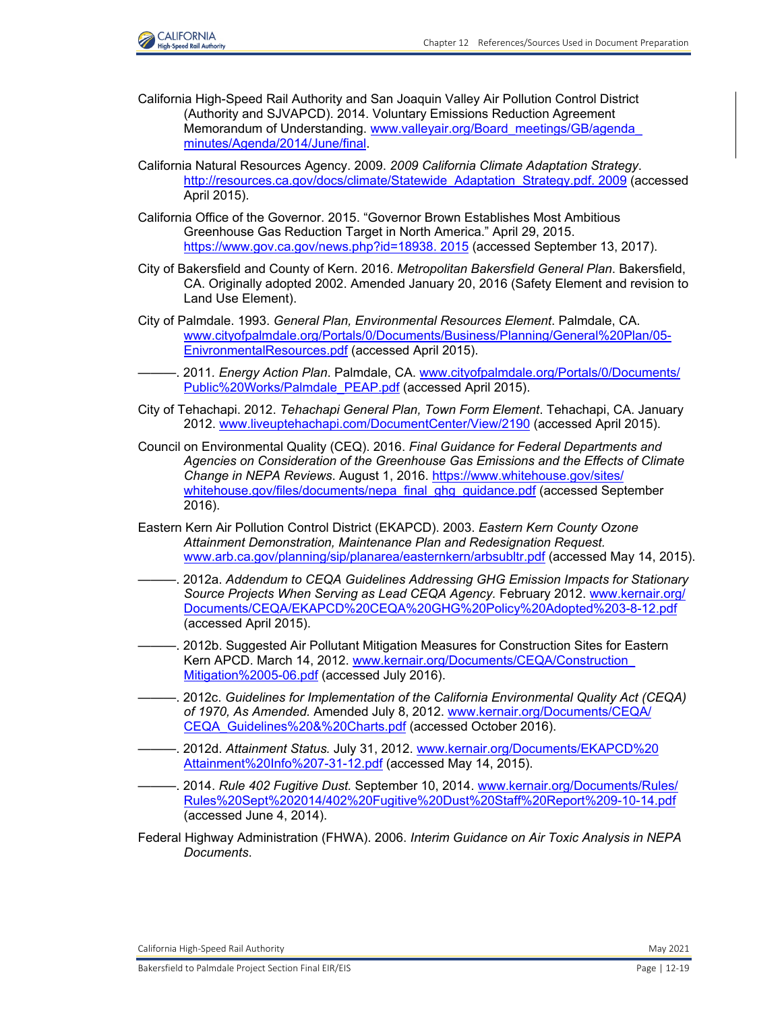

- California High-Speed Rail Authority and San Joaquin Valley Air Pollution Control District (Authority and SJVAPCD). 2014. Voluntary Emissions Reduction Agreement Memorandum of Understanding. [www.valleyair.org/Board\\_meetings/GB/agenda\\_](http://www.valleyair.org/Board_meetings/GB/agenda_minutes/Agenda/2014/June/final.) [minutes/Agenda/2014/June/final.](http://www.valleyair.org/Board_meetings/GB/agenda_minutes/Agenda/2014/June/final.)
- California Natural Resources Agency. 2009. *2009 California Climate Adaptation Strategy*. [http://resources.ca.gov/docs/climate/Statewide\\_Adaptation\\_Strategy.pdf. 2009](http://resources.ca.gov/docs/climate/Statewide_Adaptation_Strategy.pdf. 2009) (accessed April 2015).
- California Office of the Governor. 2015. "Governor Brown Establishes Most Ambitious Greenhouse Gas Reduction Target in North America." April 29, 2015. <https://www.gov.ca.gov/news.php?id=18938. 2015> (accessed September 13, 2017).
- City of Bakersfield and County of Kern. 2016. *Metropolitan Bakersfield General Plan*. Bakersfield, CA. Originally adopted 2002. Amended January 20, 2016 (Safety Element and revision to Land Use Element).
- City of Palmdale. 1993. *General Plan, Environmental Resources Element*. Palmdale, CA. [www.cityofpalmdale.org/Portals/0/Documents/Business/Planning/General%20Plan/05-](http://www.cityofpalmdale.org/Portals/0/Documents/Business/Planning/General%20Plan/05-EnivronmentalResources.pdf) [EnivronmentalResources.pdf](http://www.cityofpalmdale.org/Portals/0/Documents/Business/Planning/General%20Plan/05-EnivronmentalResources.pdf) (accessed April 2015).
- ———. 2011*. Energy Action Plan*. Palmdale, CA. [www.cityofpalmdale.org/Portals/0/Documents/](http://www.cityofpalmdale.org/Portals/0/Documents/Public%20Works/Palmdale_PEAP.pdf) [Public%20Works/Palmdale\\_PEAP.pdf](http://www.cityofpalmdale.org/Portals/0/Documents/Public%20Works/Palmdale_PEAP.pdf) (accessed April 2015).
- City of Tehachapi. 2012. *Tehachapi General Plan, Town Form Element*. Tehachapi, CA. January 2012. [www.liveuptehachapi.com/DocumentCenter/View/2190](http://www.liveuptehachapi.com/DocumentCenter/View/2190) (accessed April 2015).
- Council on Environmental Quality (CEQ). 2016. *Final Guidance for Federal Departments and Agencies on Consideration of the Greenhouse Gas Emissions and the Effects of Climate Change in NEPA Reviews*. August 1, 2016. [https://www.whitehouse.gov/sites/](https://www.whitehouse.gov/sites/ whitehouse.gov/files/documents/nepa_final_ghg_guidance.pdf) [whitehouse.gov/files/documents/nepa\\_final\\_ghg\\_guidance.pdf](https://www.whitehouse.gov/sites/ whitehouse.gov/files/documents/nepa_final_ghg_guidance.pdf) (accessed September 2016).
- Eastern Kern Air Pollution Control District (EKAPCD). 2003. *Eastern Kern County Ozone Attainment Demonstration, Maintenance Plan and Redesignation Request.*  [www.arb.ca.gov/planning/sip/planarea/easternkern/arbsubltr.pdf](http://www.arb.ca.gov/planning/sip/planarea/easternkern/arbsubltr.pdf) (accessed May 14, 2015).
- ———. 2012a. *Addendum to CEQA Guidelines Addressing GHG Emission Impacts for Stationary Source Projects When Serving as Lead CEQA Agency.* February 2012. [www.kernair.org/](http://www.kernair.org/Documents/CEQA/EKAPCD%20CEQA%20GHG%20Policy%20Adopted%203-8-12.pdf) [Documents/CEQA/EKAPCD%20CEQA%20GHG%20Policy%20Adopted%203-8-12.pdf](http://www.kernair.org/Documents/CEQA/EKAPCD%20CEQA%20GHG%20Policy%20Adopted%203-8-12.pdf) (accessed April 2015).
- ———. 2012b. Suggested Air Pollutant Mitigation Measures for Construction Sites for Eastern Kern APCD. March 14, 2012. [www.kernair.org/Documents/CEQA/Construction\\_](http://www.kernair.org/Documents/CEQA/Construction_Mitigation%2005-06.pdf) [Mitigation%2005-06.pdf](http://www.kernair.org/Documents/CEQA/Construction_Mitigation%2005-06.pdf) (accessed July 2016).
- ———. 2012c. *Guidelines for Implementation of the California Environmental Quality Act (CEQA) of 1970, As Amended.* Amended July 8, 2012. [www.kernair.org/Documents/CEQA/](http://www.kernair.org/Documents/CEQA/CEQA_Guidelines%20&%20Charts.pdf) [CEQA\\_Guidelines%20&%20Charts.pdf](http://www.kernair.org/Documents/CEQA/CEQA_Guidelines%20&%20Charts.pdf) (accessed October 2016).
- ———. 2012d. *Attainment Status.* July 31, 2012. [www.kernair.org/Documents/EKAPCD%20](http://www.kernair.org/Documents/EKAPCD%20Attainment%20Info%207-31-12.pdf) [Attainment%20Info%207-31-12.pdf](http://www.kernair.org/Documents/EKAPCD%20Attainment%20Info%207-31-12.pdf) (accessed May 14, 2015).
- ———. 2014. *Rule 402 Fugitive Dust.* September 10, 2014. [www.kernair.org/Documents/Rules/](http://www.kernair.org/Documents/Rules/Rules%20Sept%202014/402%20Fugitive%20Dust%20Staff%20Report%209-10-14.pdf) [Rules%20Sept%202014/402%20Fugitive%20Dust%20Staff%20Report%209-10-14.pdf](http://www.kernair.org/Documents/Rules/Rules%20Sept%202014/402%20Fugitive%20Dust%20Staff%20Report%209-10-14.pdf) (accessed June 4, 2014).
- Federal Highway Administration (FHWA). 2006. *Interim Guidance on Air Toxic Analysis in NEPA Documents*.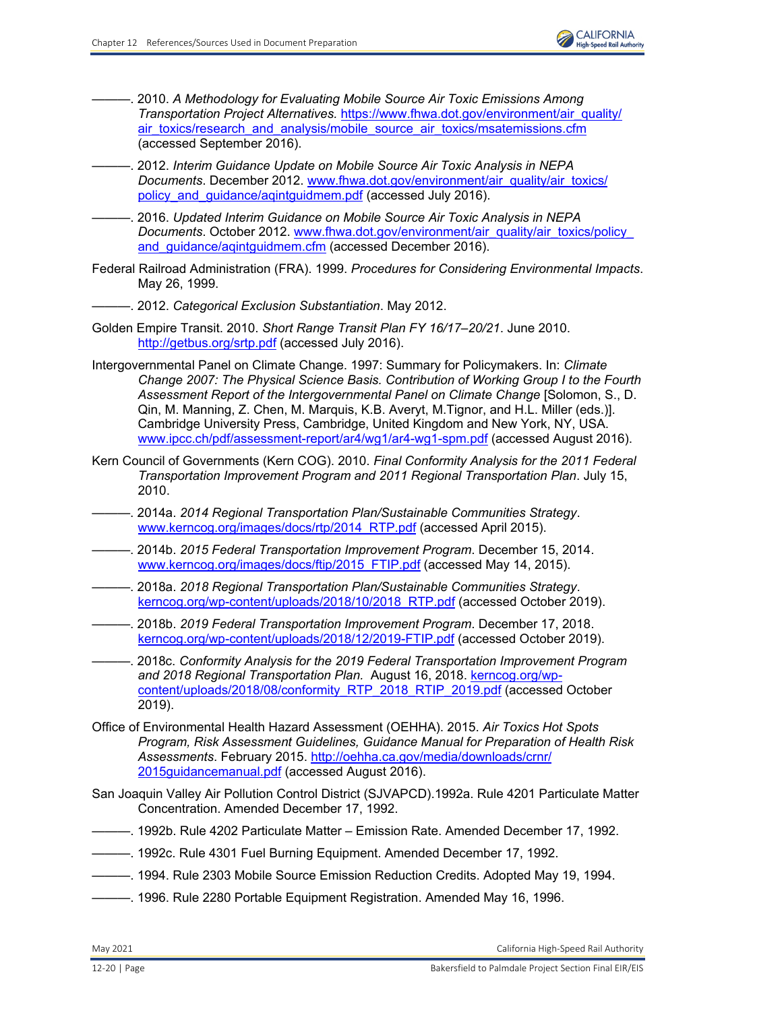

- -. 2010. A Methodology for Evaluating Mobile Source Air Toxic Emissions Among *Transportation Project Alternatives.* [https://www.fhwa.dot.gov/environment/air\\_quality/](https://www.fhwa.dot.gov/environment/air_quality/ air_toxics/research_and_analysis/mobile_source_air_toxics/msatemissions.cfm) [air\\_toxics/research\\_and\\_analysis/mobile\\_source\\_air\\_toxics/msatemissions.cfm](https://www.fhwa.dot.gov/environment/air_quality/ air_toxics/research_and_analysis/mobile_source_air_toxics/msatemissions.cfm) (accessed September 2016).
- ———. 2012. *Interim Guidance Update on Mobile Source Air Toxic Analysis in NEPA Documents*. December 2012. [www.fhwa.dot.gov/environment/air\\_quality/air\\_toxics/](http://www.fhwa.dot.gov/environment/air_quality/air_toxics/policy_and_guidance/aqintguidmem.pdf) policy and quidance/agintguidmem.pdf (accessed July 2016).
- ———. 2016. *Updated Interim Guidance on Mobile Source Air Toxic Analysis in NEPA Documents*. October 2012. [www.fhwa.dot.gov/environment/air\\_quality/air\\_toxics/policy\\_](http://www.fhwa.dot.gov/environment/air_quality/air_toxics/policy_and_guidance/aqintguidmem.cfm) and quidance/aqintquidmem.cfm (accessed December 2016).
- Federal Railroad Administration (FRA). 1999. *Procedures for Considering Environmental Impacts*. May 26, 1999.
- ———. 2012. *Categorical Exclusion Substantiation*. May 2012.
- Golden Empire Transit. 2010. *Short Range Transit Plan FY 16/17–20/21*. June 2010. <http://getbus.org/srtp.pdf> (accessed July 2016).
- Intergovernmental Panel on Climate Change. 1997: Summary for Policymakers. In: *Climate Change 2007: The Physical Science Basis. Contribution of Working Group I to the Fourth Assessment Report of the Intergovernmental Panel on Climate Change* [Solomon, S., D. Qin, M. Manning, Z. Chen, M. Marquis, K.B. Averyt, M.Tignor, and H.L. Miller (eds.)]. Cambridge University Press, Cambridge, United Kingdom and New York, NY, USA. [www.ipcc.ch/pdf/assessment-report/ar4/wg1/ar4-wg1-spm.pdf](http://www.ipcc.ch/pdf/assessment-report/ar4/wg1/ar4-wg1-spm.pdf) (accessed August 2016).
- Kern Council of Governments (Kern COG). 2010. *Final Conformity Analysis for the 2011 Federal Transportation Improvement Program and 2011 Regional Transportation Plan*. July 15, 2010.
- ———. 2014a. *2014 Regional Transportation Plan/Sustainable Communities Strategy*. [www.kerncog.org/images/docs/rtp/2014\\_RTP.pdf](http://www.kerncog.org/images/docs/rtp/2014_RTP.pdf) (accessed April 2015).
- ———. 2014b. *2015 Federal Transportation Improvement Program*. December 15, 2014. [www.kerncog.org/images/docs/ftip/2015\\_FTIP.pdf](http://www.kerncog.org/images/docs/ftip/2015_FTIP.pdf) (accessed May 14, 2015).
- ———. 2018a. *2018 Regional Transportation Plan/Sustainable Communities Strategy*. [kerncog.org/wp-content/uploads/2018/10/2018\\_RTP.pdf](http://kerncog.org/wp-content/uploads/2018/10/2018_RTP.pdf) (accessed October 2019).
- ———. 2018b. *2019 Federal Transportation Improvement Program*. December 17, 2018. [kerncog.org/wp-content/uploads/2018/12/2019-FTIP.pdf \(](http://kerncog.org/wp-content/uploads/2018/12/2019-FTIP.pdf)accessed October 2019).
- ———. 2018c. *Conformity Analysis for the 2019 Federal Transportation Improvement Program and 2018 Regional Transportation Plan.* August 16, 2018. [kerncog.org/wp](http://kerncog.org/wpcontent/uploads/2018/08/conformity_RTP_2018_RTIP_2019.pdf)[content/uploads/2018/08/conformity\\_RTP\\_2018\\_RTIP\\_2019.pdf](http://kerncog.org/wpcontent/uploads/2018/08/conformity_RTP_2018_RTIP_2019.pdf) (accessed October 2019).
- Office of Environmental Health Hazard Assessment (OEHHA). 2015. *Air Toxics Hot Spots Program, Risk Assessment Guidelines, Guidance Manual for Preparation of Health Risk Assessments*. February 2015. [http://oehha.ca.gov/media/downloads/crnr/](http://oehha.ca.gov/media/downloads/crnr/ 2015guidancemanual.pdf) 2015 guidancemanual.pdf (accessed August 2016).
- San Joaquin Valley Air Pollution Control District (SJVAPCD).1992a. Rule 4201 Particulate Matter Concentration. Amended December 17, 1992.
- ———. 1992b. Rule 4202 Particulate Matter Emission Rate. Amended December 17, 1992.
- ———. 1992c. Rule 4301 Fuel Burning Equipment. Amended December 17, 1992.
- ———. 1994. Rule 2303 Mobile Source Emission Reduction Credits. Adopted May 19, 1994.
- -. 1996. Rule 2280 Portable Equipment Registration. Amended May 16, 1996.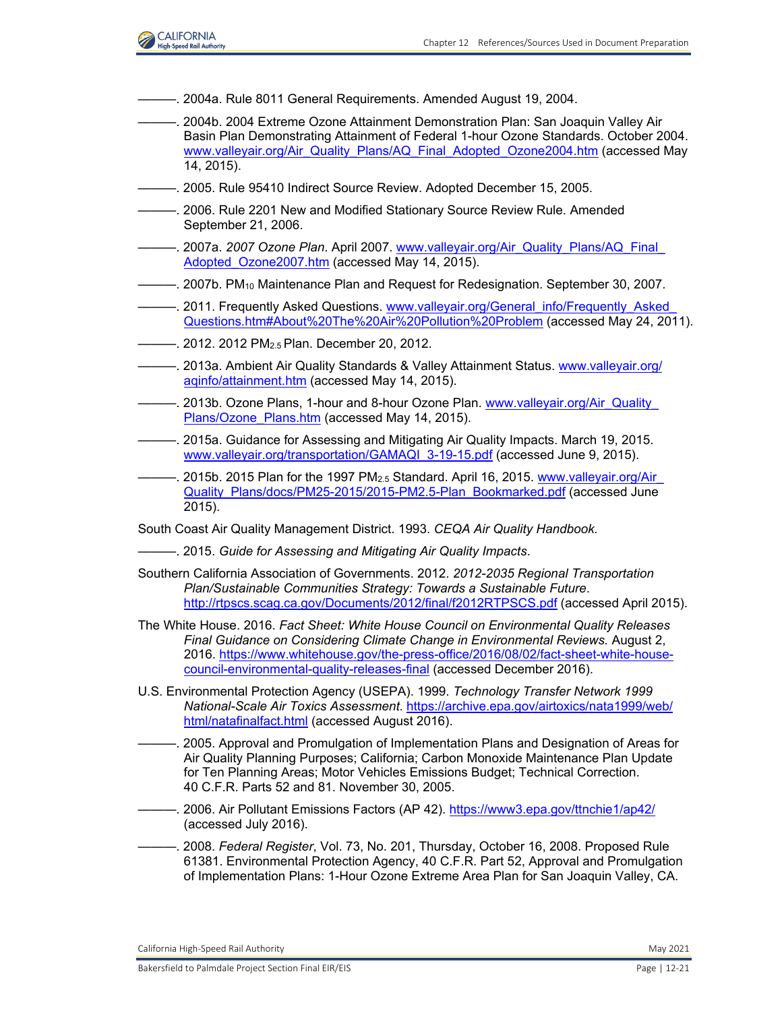

- ———. 2004a. Rule 8011 General Requirements. Amended August 19, 2004.
- ———. 2004b. 2004 Extreme Ozone Attainment Demonstration Plan: San Joaquin Valley Air Basin Plan Demonstrating Attainment of Federal 1-hour Ozone Standards. October 2004. [www.valleyair.org/Air\\_Quality\\_Plans/AQ\\_Final\\_Adopted\\_Ozone2004.htm](http://www.valleyair.org/Air_Quality_Plans/AQ_Final_Adopted_Ozone2004.htm) (accessed May 14, 2015).
- -. 2005. Rule 95410 Indirect Source Review. Adopted December 15, 2005.
- -. 2006. Rule 2201 New and Modified Stationary Source Review Rule. Amended September 21, 2006.
- ———. 2007a. *2007 Ozone Plan*. April 2007. [www.valleyair.org/Air\\_Quality\\_Plans/AQ\\_Final\\_](http://www.valleyair.org/Air_Quality_Plans/AQ_Final_Adopted_Ozone2007.htm) [Adopted\\_Ozone2007.htm](http://www.valleyair.org/Air_Quality_Plans/AQ_Final_Adopted_Ozone2007.htm) (accessed May 14, 2015).
- ———. 2007b. PM10 Maintenance Plan and Request for Redesignation. September 30, 2007.
- 2011. Frequently Asked Questions. www.valleyair.org/General\_info/Frequently\_Asked [Questions.htm#About%20The%20Air%20Pollution%20Problem](http://www.valleyair.org/General_info/Frequently_Asked_Questions.htm#About%20The%20Air%20Pollution%20Problem) (accessed May 24, 2011).
- ———. 2012. 2012 PM2.5 Plan. December 20, 2012.
- ———. 2013a. Ambient Air Quality Standards & Valley Attainment Status. [www.valleyair.org/](http://www.valleyair.org/aqinfo/attainment.htm) [aqinfo/attainment.htm](http://www.valleyair.org/aqinfo/attainment.htm) (accessed May 14, 2015).
- ———. 2013b. Ozone Plans, 1-hour and 8-hour Ozone Plan. [www.valleyair.org/Air\\_Quality\\_](http://www.valleyair.org/Air_Quality_Plans/Ozone_Plans.htm) [Plans/Ozone\\_Plans.htm](http://www.valleyair.org/Air_Quality_Plans/Ozone_Plans.htm) (accessed May 14, 2015).
- ———. 2015a. Guidance for Assessing and Mitigating Air Quality Impacts. March 19, 2015. www.valleyair.org/transportation/GAMAQI 3-19-15.pdf (accessed June 9, 2015).
- —. 2015b. 2015 Plan for the 1997 PM<sub>2.5</sub> Standard. April 16, 2015. www.valleyair.org/Air [Quality\\_Plans/docs/PM25-2015/2015-PM2.5-Plan\\_Bookmarked.pdf](http://www.valleyair.org/Air_Quality_Plans/docs/PM25-2015/2015-PM2.5-Plan_Bookmarked.pdf) (accessed June 2015).
- South Coast Air Quality Management District. 1993. *CEQA Air Quality Handbook.*
- ———. 2015. *Guide for Assessing and Mitigating Air Quality Impacts*.
- Southern California Association of Governments. 2012. *2012-2035 Regional Transportation Plan/Sustainable Communities Strategy: Towards a Sustainable Future*. <http://rtpscs.scag.ca.gov/Documents/2012/final/f2012RTPSCS.pdf> (accessed April 2015).
- The White House. 2016. *Fact Sheet: White House Council on Environmental Quality Releases Final Guidance on Considering Climate Change in Environmental Reviews.* August 2, 2016[. https://www.whitehouse.gov/the-press-office/2016/08/02/fact-sheet-white-house](https://www.whitehouse.gov/the-press-office/2016/08/02/fact-sheet-white-house-council-environmental-quality-releases-final)[council-environmental-quality-releases-final](https://www.whitehouse.gov/the-press-office/2016/08/02/fact-sheet-white-house-council-environmental-quality-releases-final) (accessed December 2016).
- U.S. Environmental Protection Agency (USEPA). 1999. *Technology Transfer Network 1999 National-Scale Air Toxics Assessment*. [https://archive.epa.gov/airtoxics/nata1999/web/](https://archive.epa.gov/airtoxics/nata1999/web/html/natafinalfact.html) [html/natafinalfact.html](https://archive.epa.gov/airtoxics/nata1999/web/html/natafinalfact.html) (accessed August 2016).
- ———. 2005. Approval and Promulgation of Implementation Plans and Designation of Areas for Air Quality Planning Purposes; California; Carbon Monoxide Maintenance Plan Update for Ten Planning Areas; Motor Vehicles Emissions Budget; Technical Correction. 40 C.F.R. Parts 52 and 81. November 30, 2005.
- ———. 2006. Air Pollutant Emissions Factors (AP 42).<https://www3.epa.gov/ttnchie1/ap42/> (accessed July 2016).
- ———. 2008. *Federal Register*, Vol. 73, No. 201, Thursday, October 16, 2008. Proposed Rule 61381. Environmental Protection Agency, 40 C.F.R. Part 52, Approval and Promulgation of Implementation Plans: 1-Hour Ozone Extreme Area Plan for San Joaquin Valley, CA.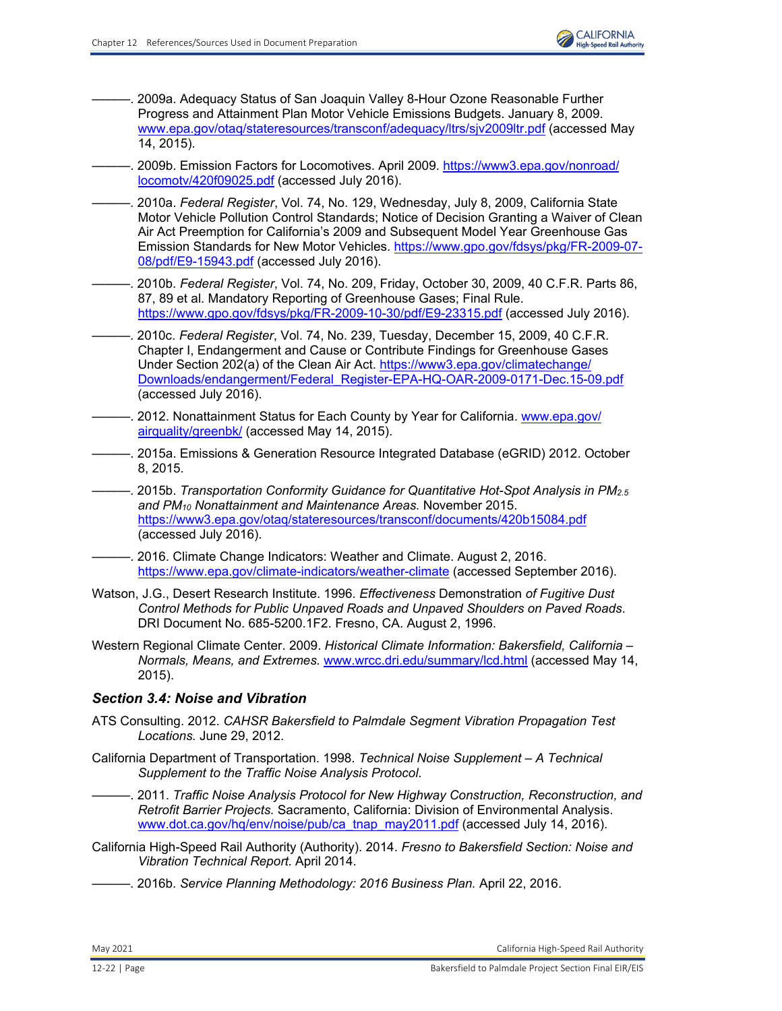. 2009a. Adequacy Status of San Joaquin Valley 8-Hour Ozone Reasonable Further Progress and Attainment Plan Motor Vehicle Emissions Budgets. January 8, 2009. [www.epa.gov/otaq/stateresources/transconf/adequacy/ltrs/sjv2009ltr.pdf](http://www.epa.gov/otaq/stateresources/transconf/adequacy/ltrs/sjv2009ltr.pdf) (accessed May 14, 2015).

———. 2009b. Emission Factors for Locomotives. April 2009[. https://www3.epa.gov/nonroad/](https://www3.epa.gov/nonroad/ locomotv/420f09025.pdf) [locomotv/420f09025.pdf \(](https://www3.epa.gov/nonroad/ locomotv/420f09025.pdf)accessed July 2016).

- ———. 2010a. *Federal Register*, Vol. 74, No. 129, Wednesday, July 8, 2009, California State Motor Vehicle Pollution Control Standards; Notice of Decision Granting a Waiver of Clean Air Act Preemption for California's 2009 and Subsequent Model Year Greenhouse Gas Emission Standards for New Motor Vehicles. [https://www.gpo.gov/fdsys/pkg/FR-2009-07-](https://www.gpo.gov/fdsys/pkg/FR-2009-07- 08/pdf/E9-15943.pdf) [08/pdf/E9-15943.pdf](https://www.gpo.gov/fdsys/pkg/FR-2009-07- 08/pdf/E9-15943.pdf) (accessed July 2016).
- ———. 2010b. *Federal Register*, Vol. 74, No. 209, Friday, October 30, 2009, 40 C.F.R. Parts 86, 87, 89 et al. Mandatory Reporting of Greenhouse Gases; Final Rule. <https://www.gpo.gov/fdsys/pkg/FR-2009-10-30/pdf/E9-23315.pdf> (accessed July 2016).
	- ———. 2010c. *Federal Register*, Vol. 74, No. 239, Tuesday, December 15, 2009, 40 C.F.R. Chapter I, Endangerment and Cause or Contribute Findings for Greenhouse Gases Under Section 202(a) of the Clean Air Act. [https://www3.epa.gov/climatechange/](https://www3.epa.gov/climatechange/ Downloads/endangerment/Federal_Register-EPA-HQ-OAR-2009-0171-Dec.15-09.pdf) [Downloads/endangerment/Federal\\_Register-EPA-HQ-OAR-2009-0171-Dec.15-09.pdf](https://www3.epa.gov/climatechange/ Downloads/endangerment/Federal_Register-EPA-HQ-OAR-2009-0171-Dec.15-09.pdf) (accessed July 2016).
- ———. 2012. Nonattainment Status for Each County by Year for California. [www.epa.gov/](http://www.epa.gov/airquality/greenbk/) [airquality/greenbk/](http://www.epa.gov/airquality/greenbk/) (accessed May 14, 2015).
- ———. 2015a. Emissions & Generation Resource Integrated Database (eGRID) 2012. October 8, 2015.

———. 2015b. *Transportation Conformity Guidance for Quantitative Hot-Spot Analysis in PM2.5 and PM10 Nonattainment and Maintenance Areas.* November 2015. <https://www3.epa.gov/otaq/stateresources/transconf/documents/420b15084.pdf> (accessed July 2016).

- -. 2016. Climate Change Indicators: Weather and Climate. August 2, 2016. <https://www.epa.gov/climate-indicators/weather-climate> (accessed September 2016).
- Watson, J.G., Desert Research Institute. 1996. *Effectiveness* Demonstration *of Fugitive Dust Control Methods for Public Unpaved Roads and Unpaved Shoulders on Paved Roads*. DRI Document No. 685-5200.1F2. Fresno, CA. August 2, 1996.
- Western Regional Climate Center. 2009. *Historical Climate Information: Bakersfield, California Normals, Means, and Extremes.* [www.wrcc.dri.edu/summary/lcd.html](http://www.wrcc.dri.edu/summary/lcd.html) (accessed May 14, 2015).

## *Section 3.4: Noise and Vibration*

- ATS Consulting. 2012. *CAHSR Bakersfield to Palmdale Segment Vibration Propagation Test Locations.* June 29, 2012.
- California Department of Transportation. 1998. *Technical Noise Supplement A Technical Supplement to the Traffic Noise Analysis Protocol*.
	- ———. 2011. *Traffic Noise Analysis Protocol for New Highway Construction, Reconstruction, and Retrofit Barrier Projects.* Sacramento, California: Division of Environmental Analysis. [www.dot.ca.gov/hq/env/noise/pub/ca\\_tnap\\_may2011.pdf](http://www.dot.ca.gov/hq/env/noise/pub/ca_tnap_may2011.pdf) (accessed July 14, 2016).
- California High-Speed Rail Authority (Authority). 2014. *Fresno to Bakersfield Section: Noise and Vibration Technical Report*. April 2014.
- ———. 2016b. *Service Planning Methodology: 2016 Business Plan.* April 22, 2016.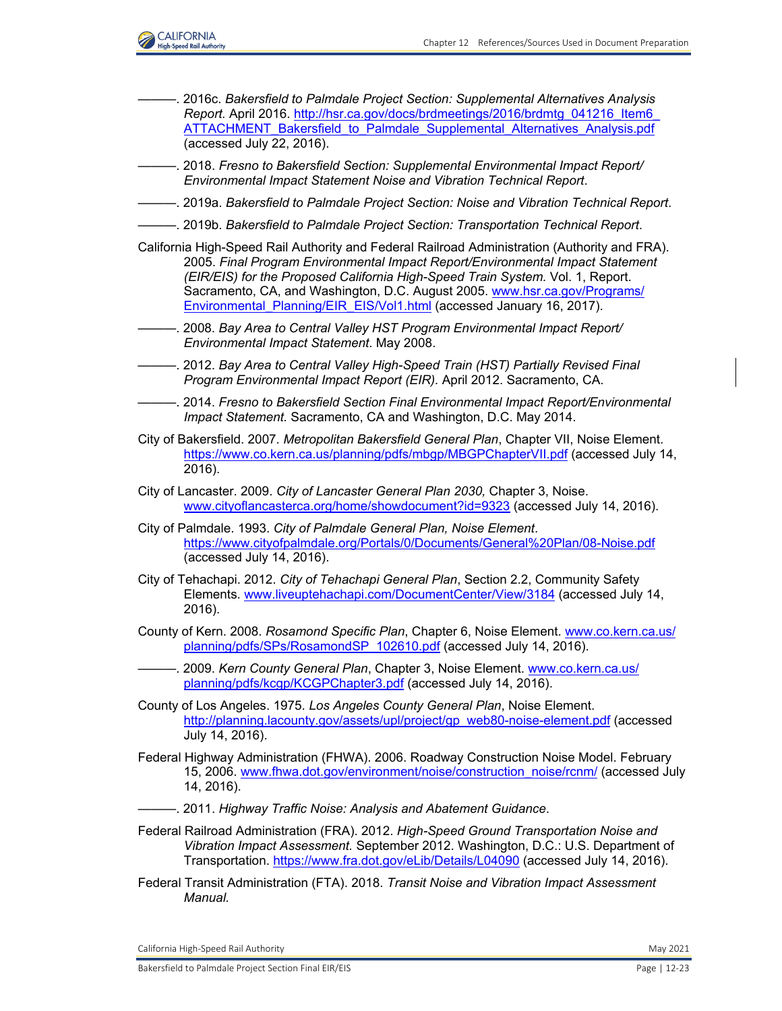

———. 2016c. *Bakersfield to Palmdale Project Section: Supplemental Alternatives Analysis Report.* April 2016. [http://hsr.ca.gov/docs/brdmeetings/2016/brdmtg\\_041216\\_Item6\\_](http://hsr.ca.gov/docs/brdmeetings/2016/brdmtg_041216_Item6_ ATTACHMENT_Bakersfield_to_Palmdale_Supplemental_Alternatives_Analysis.pdf) [ATTACHMENT\\_Bakersfield\\_to\\_Palmdale\\_Supplemental\\_Alternatives\\_Analysis.pdf](http://hsr.ca.gov/docs/brdmeetings/2016/brdmtg_041216_Item6_ ATTACHMENT_Bakersfield_to_Palmdale_Supplemental_Alternatives_Analysis.pdf) (accessed July 22, 2016). ———. 2018. *Fresno to Bakersfield Section: Supplemental Environmental Impact Report/ Environmental Impact Statement Noise and Vibration Technical Report*. ———. 2019a. *Bakersfield to Palmdale Project Section: Noise and Vibration Technical Report*. ———. 2019b. *Bakersfield to Palmdale Project Section: Transportation Technical Report*. California High-Speed Rail Authority and Federal Railroad Administration (Authority and FRA). 2005. *Final Program Environmental Impact Report/Environmental Impact Statement (EIR/EIS) for the Proposed California High-Speed Train System.* Vol. 1, Report. Sacramento, CA, and Washington, D.C. August 2005. [www.hsr.ca.gov/Programs/](http://www.hsr.ca.gov/Programs/Environmental_Planning/EIR_EIS/Vol1.html) Environmental Planning/EIR EIS/Vol1.html (accessed January 16, 2017). ———. 2008. *Bay Area to Central Valley HST Program Environmental Impact Report/ Environmental Impact Statement*. May 2008. ———. 2012. *Bay Area to Central Valley High-Speed Train (HST) Partially Revised Final Program Environmental Impact Report (EIR).* April 2012. Sacramento, CA. ———. 2014. *Fresno to Bakersfield Section Final Environmental Impact Report/Environmental Impact Statement.* Sacramento, CA and Washington, D.C. May 2014. City of Bakersfield. 2007. *Metropolitan Bakersfield General Plan*, Chapter VII, Noise Element. <https://www.co.kern.ca.us/planning/pdfs/mbgp/MBGPChapterVII.pdf> (accessed July 14, 2016). City of Lancaster. 2009. *City of Lancaster General Plan 2030,* Chapter 3, Noise. [www.cityoflancasterca.org/home/showdocument?id=9323](http://www.cityoflancasterca.org/home/showdocument?id=9323) (accessed July 14, 2016). City of Palmdale. 1993. *City of Palmdale General Plan, Noise Element*. <https://www.cityofpalmdale.org/Portals/0/Documents/General%20Plan/08-Noise.pdf> (accessed July 14, 2016). City of Tehachapi. 2012. *City of Tehachapi General Plan*, Section 2.2, Community Safety Elements. [www.liveuptehachapi.com/DocumentCenter/View/3184](http://www.liveuptehachapi.com/DocumentCenter/View/3184) (accessed July 14, 2016). County of Kern. 2008. *Rosamond Specific Plan*, Chapter 6, Noise Element. [www.co.kern.ca.us/](http://www.co.kern.ca.us/planning/pdfs/SPs/RosamondSP_102610.pdf) [planning/pdfs/SPs/RosamondSP\\_102610.pdf](http://www.co.kern.ca.us/planning/pdfs/SPs/RosamondSP_102610.pdf) (accessed July 14, 2016). ———. 2009. *Kern County General Plan*, Chapter 3, Noise Element. [www.co.kern.ca.us/](http://www.co.kern.ca.us/planning/pdfs/kcgp/KCGPChapter3.pdf) [planning/pdfs/kcgp/KCGPChapter3.pdf](http://www.co.kern.ca.us/planning/pdfs/kcgp/KCGPChapter3.pdf) (accessed July 14, 2016). County of Los Angeles. 1975. *Los Angeles County General Plan*, Noise Element. [http://planning.lacounty.gov/assets/upl/project/gp\\_web80-noise-element.pdf](http://planning.lacounty.gov/assets/upl/project/gp_web80-noise-element.pdf) (accessed July 14, 2016). Federal Highway Administration (FHWA). 2006. Roadway Construction Noise Model. February 15, 2006. [www.fhwa.dot.gov/environment/noise/construction\\_noise/rcnm/](http://www.fhwa.dot.gov/environment/noise/construction_noise/rcnm/) (accessed July 14, 2016). ———. 2011. *Highway Traffic Noise: Analysis and Abatement Guidance*. Federal Railroad Administration (FRA). 2012. *High-Speed Ground Transportation Noise and Vibration Impact Assessment.* September 2012. Washington, D.C.: U.S. Department of Transportation.<https://www.fra.dot.gov/eLib/Details/L04090> (accessed July 14, 2016). Federal Transit Administration (FTA). 2018. *Transit Noise and Vibration Impact Assessment Manual.*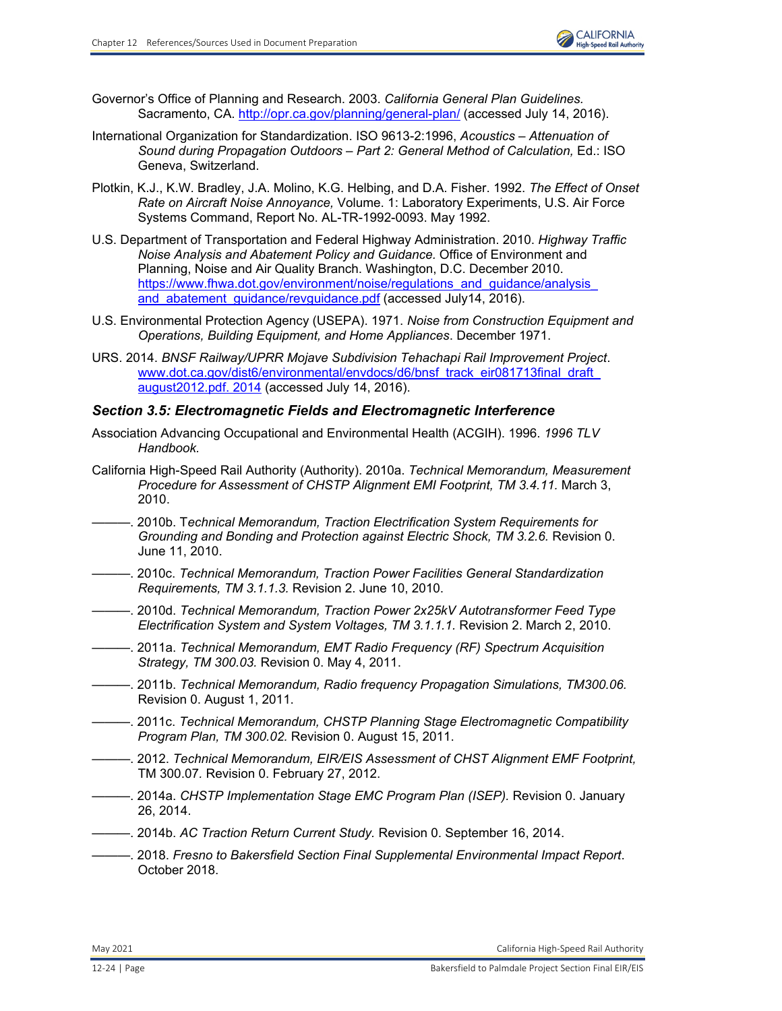

- Governor's Office of Planning and Research. 2003. *California General Plan Guidelines.* Sacramento, CA. <http://opr.ca.gov/planning/general-plan/> (accessed July 14, 2016).
- International Organization for Standardization. ISO 9613-2:1996, *Acoustics Attenuation of Sound during Propagation Outdoors – Part 2: General Method of Calculation,* Ed.: ISO Geneva, Switzerland.
- Plotkin, K.J., K.W. Bradley, J.A. Molino, K.G. Helbing, and D.A. Fisher. 1992. *The Effect of Onset Rate on Aircraft Noise Annoyance,* Volume. 1: Laboratory Experiments, U.S. Air Force Systems Command, Report No. AL-TR-1992-0093. May 1992.
- U.S. Department of Transportation and Federal Highway Administration. 2010. *Highway Traffic Noise Analysis and Abatement Policy and Guidance.* Office of Environment and Planning, Noise and Air Quality Branch. Washington, D.C. December 2010. [https://www.fhwa.dot.gov/environment/noise/regulations\\_and\\_guidance/analysis\\_](https://www.fhwa.dot.gov/environment/noise/regulations_and_guidance/analysis_ and_abatement_guidance/revguidance.pdf) and abatement quidance/revguidance.pdf (accessed July14, 2016).
- U.S. Environmental Protection Agency (USEPA). 1971. *Noise from Construction Equipment and Operations, Building Equipment, and Home Appliances*. December 1971.
- URS. 2014. *BNSF Railway/UPRR Mojave Subdivision Tehachapi Rail Improvement Project*. [www.dot.ca.gov/dist6/environmental/envdocs/d6/bnsf\\_track\\_eir081713final\\_draft\\_](http://www.dot.ca.gov/dist6/environmental/envdocs/d6/bnsf_track_eir081713final_draft_august2012.pdf. 2014) [august2012.pdf. 2014](http://www.dot.ca.gov/dist6/environmental/envdocs/d6/bnsf_track_eir081713final_draft_august2012.pdf. 2014) (accessed July 14, 2016).

#### *Section 3.5: Electromagnetic Fields and Electromagnetic Interference*

- Association Advancing Occupational and Environmental Health (ACGIH). 1996. *1996 TLV Handbook.*
- California High-Speed Rail Authority (Authority). 2010a. *Technical Memorandum, Measurement Procedure for Assessment of CHSTP Alignment EMI Footprint, TM 3.4.11.* March 3, 2010.
- ———. 2010b. T*echnical Memorandum, Traction Electrification System Requirements for Grounding and Bonding and Protection against Electric Shock, TM 3.2.6.* Revision 0. June 11, 2010.
- ———. 2010c. *Technical Memorandum, Traction Power Facilities General Standardization Requirements, TM 3.1.1.3.* Revision 2. June 10, 2010.
- ———. 2010d. *Technical Memorandum, Traction Power 2x25kV Autotransformer Feed Type Electrification System and System Voltages, TM 3.1.1.1.* Revision 2. March 2, 2010.
- ———. 2011a. *Technical Memorandum, EMT Radio Frequency (RF) Spectrum Acquisition Strategy, TM 300.03.* Revision 0. May 4, 2011.
- ———. 2011b. *Technical Memorandum, Radio frequency Propagation Simulations, TM300.06.*  Revision 0. August 1, 2011.
- ———. 2011c. *Technical Memorandum, CHSTP Planning Stage Electromagnetic Compatibility Program Plan, TM 300.02.* Revision 0. August 15, 2011.
- ———. 2012. *Technical Memorandum, EIR/EIS Assessment of CHST Alignment EMF Footprint,* TM 300.07*.* Revision 0. February 27, 2012.
- ———. 2014a. *CHSTP Implementation Stage EMC Program Plan (ISEP).* Revision 0. January 26, 2014.
- ———. 2014b. *AC Traction Return Current Study.* Revision 0. September 16, 2014.
- ———. 2018. *Fresno to Bakersfield Section Final Supplemental Environmental Impact Report*. October 2018.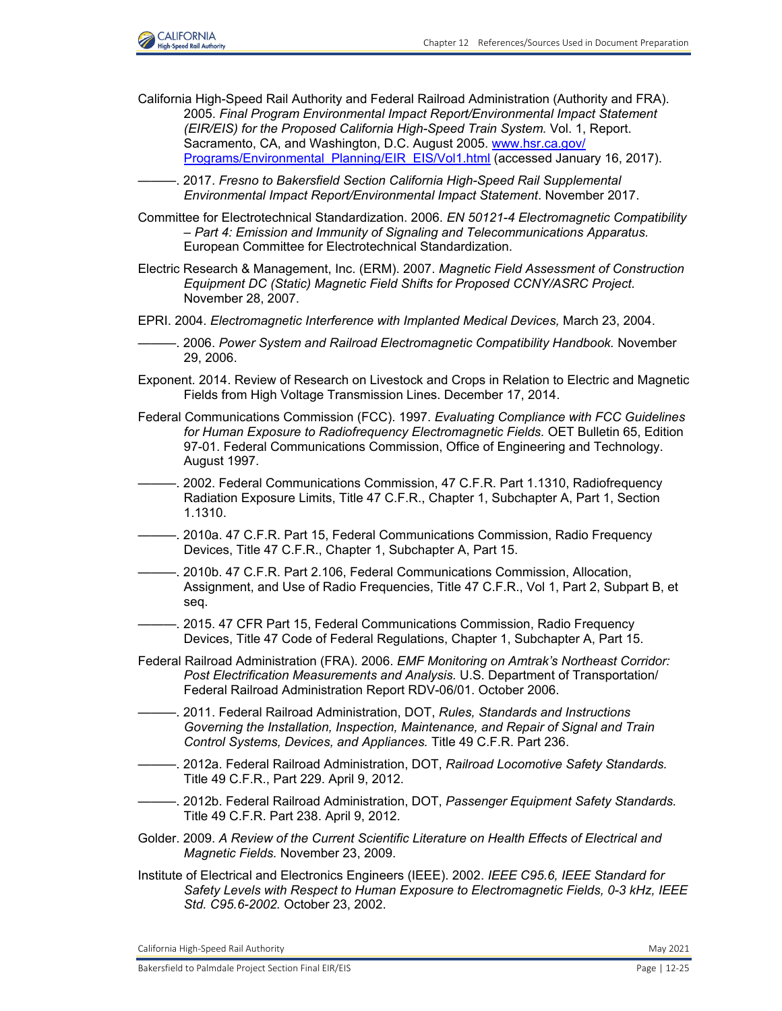

California High-Speed Rail Authority and Federal Railroad Administration (Authority and FRA). 2005. *Final Program Environmental Impact Report/Environmental Impact Statement (EIR/EIS) for the Proposed California High-Speed Train System.* Vol. 1, Report. Sacramento, CA, and Washington, D.C. August 2005. [www.hsr.ca.gov/](http://www.hsr.ca.gov/Programs/Environmental_Planning/EIR_EIS/Vol1.html) [Programs/Environmental\\_Planning/EIR\\_EIS/Vol1.html](http://www.hsr.ca.gov/Programs/Environmental_Planning/EIR_EIS/Vol1.html) (accessed January 16, 2017).

-. 2017. *Fresno to Bakersfield Section California High-Speed Rail Supplemental Environmental Impact Report/Environmental Impact Statement*. November 2017.

- Committee for Electrotechnical Standardization. 2006. *EN 50121-4 Electromagnetic Compatibility – Part 4: Emission and Immunity of Signaling and Telecommunications Apparatus.* European Committee for Electrotechnical Standardization.
- Electric Research & Management, Inc. (ERM). 2007. *Magnetic Field Assessment of Construction Equipment DC (Static) Magnetic Field Shifts for Proposed CCNY/ASRC Project.*  November 28, 2007.
- EPRI. 2004. *Electromagnetic Interference with Implanted Medical Devices,* March 23, 2004.
- ———. 2006. *Power System and Railroad Electromagnetic Compatibility Handbook.* November 29, 2006.
- Exponent. 2014. Review of Research on Livestock and Crops in Relation to Electric and Magnetic Fields from High Voltage Transmission Lines. December 17, 2014.
- Federal Communications Commission (FCC). 1997. *Evaluating Compliance with FCC Guidelines for Human Exposure to Radiofrequency Electromagnetic Fields.* OET Bulletin 65, Edition 97-01. Federal Communications Commission, Office of Engineering and Technology. August 1997.
- ———. 2002. Federal Communications Commission, 47 C.F.R. Part 1.1310, Radiofrequency Radiation Exposure Limits, Title 47 C.F.R., Chapter 1, Subchapter A, Part 1, Section 1.1310.
- ———. 2010a. 47 C.F.R. Part 15, Federal Communications Commission, Radio Frequency Devices, Title 47 C.F.R., Chapter 1, Subchapter A, Part 15.
- ———. 2010b. 47 C.F.R. Part 2.106, Federal Communications Commission, Allocation, Assignment, and Use of Radio Frequencies, Title 47 C.F.R., Vol 1, Part 2, Subpart B, et seq.
- ———. 2015. 47 CFR Part 15, Federal Communications Commission, Radio Frequency Devices, Title 47 Code of Federal Regulations, Chapter 1, Subchapter A, Part 15.
- Federal Railroad Administration (FRA). 2006. *EMF Monitoring on Amtrak's Northeast Corridor: Post Electrification Measurements and Analysis.* U.S. Department of Transportation/ Federal Railroad Administration Report RDV-06/01. October 2006.
- ———. 2011. Federal Railroad Administration, DOT, *Rules, Standards and Instructions Governing the Installation, Inspection, Maintenance, and Repair of Signal and Train Control Systems, Devices, and Appliances.* Title 49 C.F.R. Part 236.
- ———. 2012a. Federal Railroad Administration, DOT, *Railroad Locomotive Safety Standards.*  Title 49 C.F.R., Part 229. April 9, 2012.
- ———. 2012b. Federal Railroad Administration, DOT, *Passenger Equipment Safety Standards.*  Title 49 C.F.R. Part 238. April 9, 2012.
- Golder. 2009. *A Review of the Current Scientific Literature on Health Effects of Electrical and Magnetic Fields.* November 23, 2009.
- Institute of Electrical and Electronics Engineers (IEEE). 2002. *IEEE C95.6, IEEE Standard for Safety Levels with Respect to Human Exposure to Electromagnetic Fields, 0-3 kHz, IEEE Std. C95.6-2002.* October 23, 2002.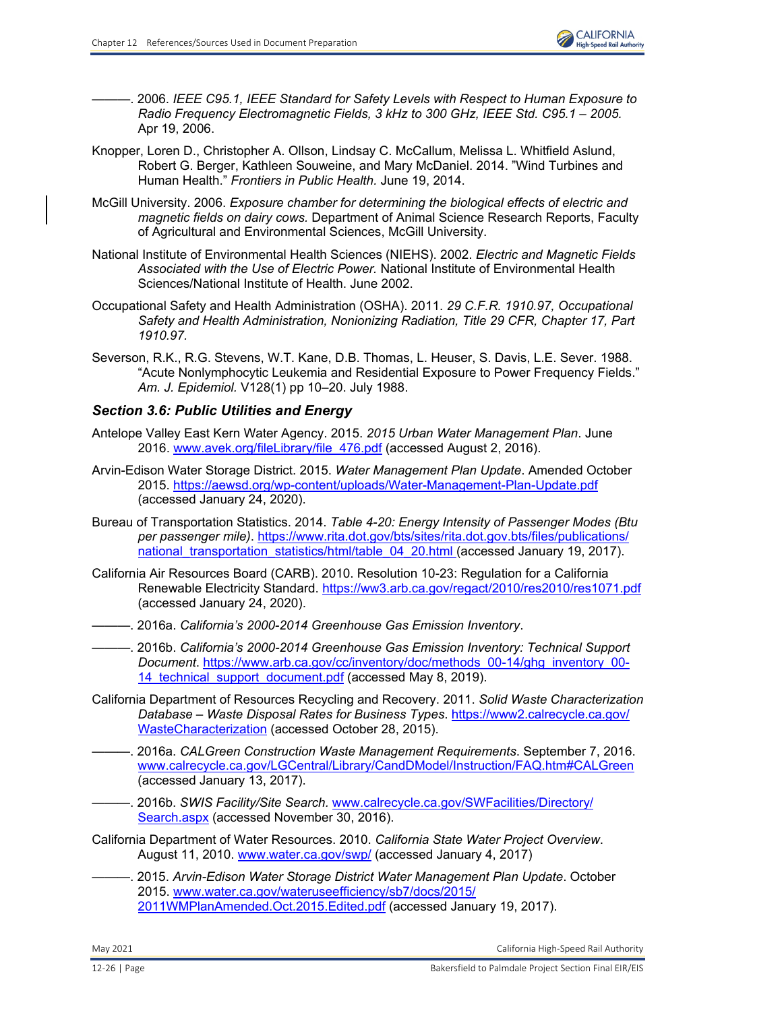———. 2006. *IEEE C95.1, IEEE Standard for Safety Levels with Respect to Human Exposure to Radio Frequency Electromagnetic Fields, 3 kHz to 300 GHz, IEEE Std. C95.1 – 2005.*  Apr 19, 2006.

- Knopper, Loren D., Christopher A. Ollson, Lindsay C. McCallum, Melissa L. Whitfield Aslund, Robert G. Berger, Kathleen Souweine, and Mary McDaniel. 2014. "Wind Turbines and Human Health." *Frontiers in Public Health.* June 19, 2014.
- McGill University. 2006. *Exposure chamber for determining the biological effects of electric and magnetic fields on dairy cows.* Department of Animal Science Research Reports, Faculty of Agricultural and Environmental Sciences, McGill University.
- National Institute of Environmental Health Sciences (NIEHS). 2002. *Electric and Magnetic Fields Associated with the Use of Electric Power.* National Institute of Environmental Health Sciences/National Institute of Health. June 2002.
- Occupational Safety and Health Administration (OSHA). 2011. *29 C.F.R. 1910.97, Occupational Safety and Health Administration, Nonionizing Radiation, Title 29 CFR, Chapter 17, Part 1910.97.*
- Severson, R.K., R.G. Stevens, W.T. Kane, D.B. Thomas, L. Heuser, S. Davis, L.E. Sever. 1988. "Acute Nonlymphocytic Leukemia and Residential Exposure to Power Frequency Fields." *Am. J. Epidemiol.* V128(1) pp 10–20. July 1988.

### *Section 3.6: Public Utilities and Energy*

- Antelope Valley East Kern Water Agency. 2015. *2015 Urban Water Management Plan*. June 2016. [www.avek.org/fileLibrary/file\\_476.pdf](http://www.avek.org/fileLibrary/file_476.pdf) (accessed August 2, 2016).
- Arvin-Edison Water Storage District. 2015. *Water Management Plan Update*. Amended October 2015[. https://aewsd.org/wp-content/uploads/Water-Management-Plan-Update.pdf](https://aewsd.org/wp-content/uploads/Water-Management-Plan-Update.pdf) (accessed January 24, 2020).
- Bureau of Transportation Statistics. 2014. *Table 4-20: Energy Intensity of Passenger Modes (Btu per passenger mile)*. [https://www.rita.dot.gov/bts/sites/rita.dot.gov.bts/files/publications/](https://www.rita.dot.gov/bts/sites/rita.dot.gov.bts/files/publications/ national_transportation_statistics/html/table_04_20.html) national transportation statistics/html/table 04 20.html (accessed January 19, 2017).
- California Air Resources Board (CARB). 2010. Resolution 10-23: Regulation for a California Renewable Electricity Standard. <https://ww3.arb.ca.gov/regact/2010/res2010/res1071.pdf> (accessed January 24, 2020).
- ———. 2016a. *California's 2000-2014 Greenhouse Gas Emission Inventory*.
- ———. 2016b. *California's 2000-2014 Greenhouse Gas Emission Inventory: Technical Support Document*. [https://www.arb.ca.gov/cc/inventory/doc/methods\\_00-14/ghg\\_inventory\\_00-](https://www.arb.ca.gov/cc/inventory/doc/methods_00-14/ghg_inventory_00- 14_technical_support_document.pdf) 14 technical support document.pdf (accessed May 8, 2019).
- California Department of Resources Recycling and Recovery. 2011. *Solid Waste Characterization Database – Waste Disposal Rates for Business Types*. [https://www2.calrecycle.ca.gov](https://www2.calrecycle.ca.gov/ WasteCharacterization)/ [WasteCharacterization](https://www2.calrecycle.ca.gov/ WasteCharacterization) (accessed October 28, 2015).
- ———. 2016a. *CALGreen Construction Waste Management Requirements*. September 7, 2016. [www.calrecycle.ca.gov/LGCentral/Library/CandDModel/Instruction/FAQ.htm#CALGreen](http://www.calrecycle.ca.gov/LGCentral/Library/CandDModel/Instruction/FAQ.htm#CALGreen) (accessed January 13, 2017).
- ———. 2016b. *SWIS Facility/Site Search.* [www.calrecycle.ca.gov/SWFacilities/Directory/](http://www.calrecycle.ca.gov/SWFacilities/Directory/Search.aspx) [Search.aspx](http://www.calrecycle.ca.gov/SWFacilities/Directory/Search.aspx) (accessed November 30, 2016).
- California Department of Water Resources. 2010. *California State Water Project Overview*. August 11, 2010. [www.water.ca.gov/swp/](http://www.water.ca.gov/swp/) (accessed January 4, 2017)
	- ———. 2015. *Arvin-Edison Water Storage District Water Management Plan Update*. October 2015. [www.water.ca.gov/wateruseefficiency/sb7/docs/2015/](http://www.water.ca.gov/wateruseefficiency/sb7/docs/2015/2011WMPlanAmended.Oct.2015.Edited.pdf) [2011WMPlanAmended.Oct.2015.Edited.pdf \(](http://www.water.ca.gov/wateruseefficiency/sb7/docs/2015/2011WMPlanAmended.Oct.2015.Edited.pdf)accessed January 19, 2017).

May 2021 California High-Speed Rail Authority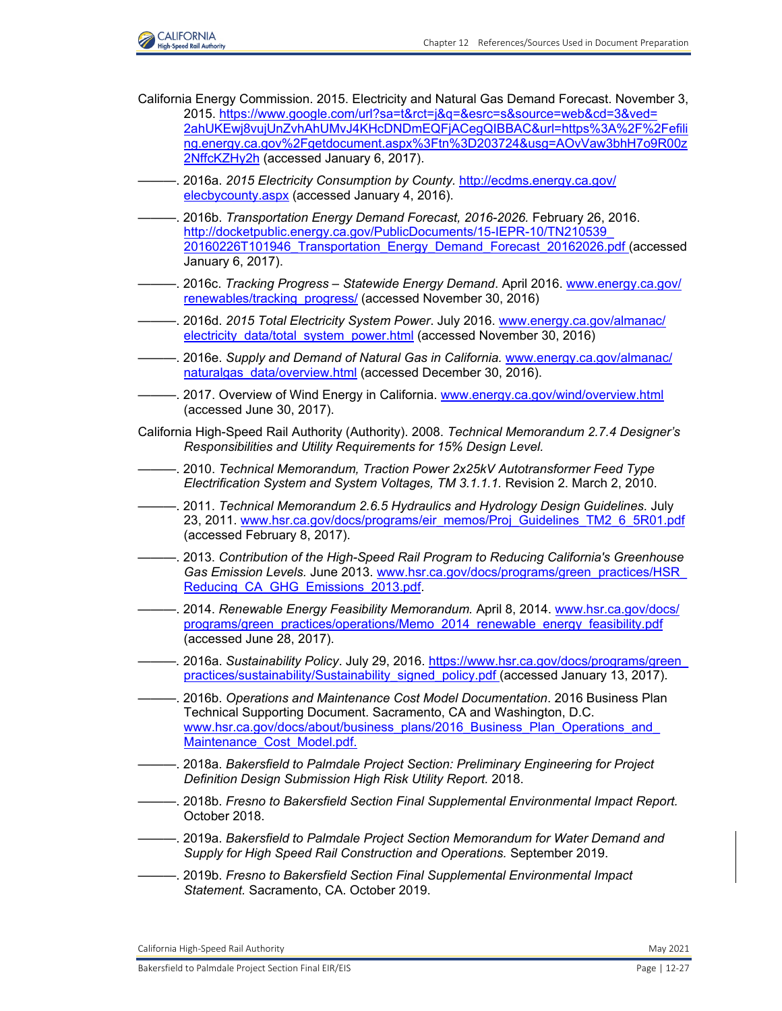

- California Energy Commission. 2015. Electricity and Natural Gas Demand Forecast. November 3, 2015[. https://www.google.com/url?sa=t&rct=j&q=&esrc=s&source=web&cd=3&ved=](https://www.google.com/url?sa=t&rct=j&q=&esrc=s&source=web&cd=3&ved= 2ahUKEwj8vujUnZvhAhUMvJ4KHcDNDmEQFjACegQIBBAC&url=https%3A%2F%2Fefili ng.energy.ca.gov%2Fgetdocument.aspx%3Ftn%3D203724&usg=AOvVaw3bhH7o9R00z 2NffcKZHy2h) [2ahUKEwj8vujUnZvhAhUMvJ4KHcDNDmEQFjACegQIBBAC&url=https%3A%2F%2Fefili](https://www.google.com/url?sa=t&rct=j&q=&esrc=s&source=web&cd=3&ved= 2ahUKEwj8vujUnZvhAhUMvJ4KHcDNDmEQFjACegQIBBAC&url=https%3A%2F%2Fefili ng.energy.ca.gov%2Fgetdocument.aspx%3Ftn%3D203724&usg=AOvVaw3bhH7o9R00z 2NffcKZHy2h) ng.energy.ca.gov%2Fgetdocument.aspx%3Ftn%3D203724&usg=AOvVaw3bhH7o9R00z [2NffcKZHy2h](https://www.google.com/url?sa=t&rct=j&q=&esrc=s&source=web&cd=3&ved= 2ahUKEwj8vujUnZvhAhUMvJ4KHcDNDmEQFjACegQIBBAC&url=https%3A%2F%2Fefili ng.energy.ca.gov%2Fgetdocument.aspx%3Ftn%3D203724&usg=AOvVaw3bhH7o9R00z 2NffcKZHy2h) (accessed January 6, 2017).
- ———. 2016a. *2015 Electricity Consumption by County.* [http://ecdms.energy.ca.gov/](http://ecdms.energy.ca.gov/ elecbycounty.aspx) [elecbycounty.aspx](http://ecdms.energy.ca.gov/ elecbycounty.aspx) (accessed January 4, 2016).
- ———. 2016b. *Transportation Energy Demand Forecast, 2016-2026.* February 26, 2016. [http://docketpublic.energy.ca.gov/PublicDocuments/15-IEPR-10/TN210539\\_](http://docketpublic.energy.ca.gov/PublicDocuments/15-IEPR-10/TN210539_ 20160226T101946_Transportation_Energy_Demand_Forecast_20162026.pdf) [20160226T101946\\_Transportation\\_Energy\\_Demand\\_Forecast\\_20162026.pdf](http://docketpublic.energy.ca.gov/PublicDocuments/15-IEPR-10/TN210539_ 20160226T101946_Transportation_Energy_Demand_Forecast_20162026.pdf) (accessed January 6, 2017).
- ———. 2016c. *Tracking Progress Statewide Energy Demand*. April 2016. [www.energy.ca.gov/](http://www.energy.ca.gov/renewables/tracking_progress/) [renewables/tracking\\_progress/](http://www.energy.ca.gov/renewables/tracking_progress/) (accessed November 30, 2016)
- ———. 2016d. *2015 Total Electricity System Power*. July 2016. [www.energy.ca.gov/almanac/](http://www.energy.ca.gov/almanac/electricity_data/total_system_power.html) [electricity\\_data/total\\_system\\_power.html](http://www.energy.ca.gov/almanac/electricity_data/total_system_power.html) (accessed November 30, 2016)
- ———. 2016e. *Supply and Demand of Natural Gas in California.* [www.energy.ca.gov/almanac/](http://www.energy.ca.gov/almanac/naturalgas_data/overview.html) [naturalgas\\_data/overview.html](http://www.energy.ca.gov/almanac/naturalgas_data/overview.html) (accessed December 30, 2016).
- -. 2017. Overview of Wind Energy in California. [www.energy.ca.gov/wind/overview.html](http://www.energy.ca.gov/wind/overview.html) (accessed June 30, 2017).
- California High-Speed Rail Authority (Authority). 2008. *Technical Memorandum 2.7.4 Designer's Responsibilities and Utility Requirements for 15% Design Level.*
- ———. 2010. *Technical Memorandum, Traction Power 2x25kV Autotransformer Feed Type Electrification System and System Voltages, TM 3.1.1.1.* Revision 2. March 2, 2010.
- ———. 2011. *Technical Memorandum 2.6.5 Hydraulics and Hydrology Design Guidelines.* July 23, 2011. [www.hsr.ca.gov/docs/programs/eir\\_memos/Proj\\_Guidelines\\_TM2\\_6\\_5R01.pdf](http://www.hsr.ca.gov/docs/programs/eir_memos/Proj_Guidelines_TM2_6_5R01.pdf) (accessed February 8, 2017).
- ———. 2013. *Contribution of the High-Speed Rail Program to Reducing California's Greenhouse Gas Emission Levels.* June 2013. [www.hsr.ca.gov/docs/programs/green\\_practices/HSR\\_](http://www.hsr.ca.gov/docs/programs/green_practices/HSR_Reducing_CA_GHG_Emissions_2013.pdf.) Reducing CA GHG Emissions 2013.pdf.
- ———. 2014. *Renewable Energy Feasibility Memorandum.* April 8, 2014[. www.hsr.ca.gov/docs/](http://www.hsr.ca.gov/docs/programs/green_practices/operations/Memo_2014_renewable_energy_feasibility.pdf) [programs/green\\_practices/operations/Memo\\_2014\\_renewable\\_energy\\_feasibility.pdf](http://www.hsr.ca.gov/docs/programs/green_practices/operations/Memo_2014_renewable_energy_feasibility.pdf) (accessed June 28, 2017).
- *———.* 2016a. *Sustainability Policy*. July 29, 2016. [https://www.hsr.ca.gov/docs/programs/green\\_](https://www.hsr.ca.gov/docs/programs/green_ practices/sustainability/Sustainability_signed_policy.pdf) [practices/sustainability/Sustainability\\_signed\\_policy.pdf \(](https://www.hsr.ca.gov/docs/programs/green_ practices/sustainability/Sustainability_signed_policy.pdf)accessed January 13, 2017).
- ———. 2016b. *Operations and Maintenance Cost Model Documentation*. 2016 Business Plan Technical Supporting Document. Sacramento, CA and Washington, D.C. [www.hsr.ca.gov/docs/about/business\\_plans/2016\\_Business\\_Plan\\_Operations\\_and\\_](http://www.hsr.ca.gov/docs/about/business_plans/2016_Business_Plan_Operations_and_ Maintenance_Cost_Model.pdf.) Maintenance\_Cost\_Model.pdf.
- ———. 2018a. *Bakersfield to Palmdale Project Section: Preliminary Engineering for Project Definition Design Submission High Risk Utility Report.* 2018.
- ———. 2018b. *Fresno to Bakersfield Section Final Supplemental Environmental Impact Report.* October 2018.
- ———. 2019a. *Bakersfield to Palmdale Project Section Memorandum for Water Demand and Supply for High Speed Rail Construction and Operations.* September 2019.
- ———. 2019b. *Fresno to Bakersfield Section Final Supplemental Environmental Impact Statement.* Sacramento, CA. October 2019.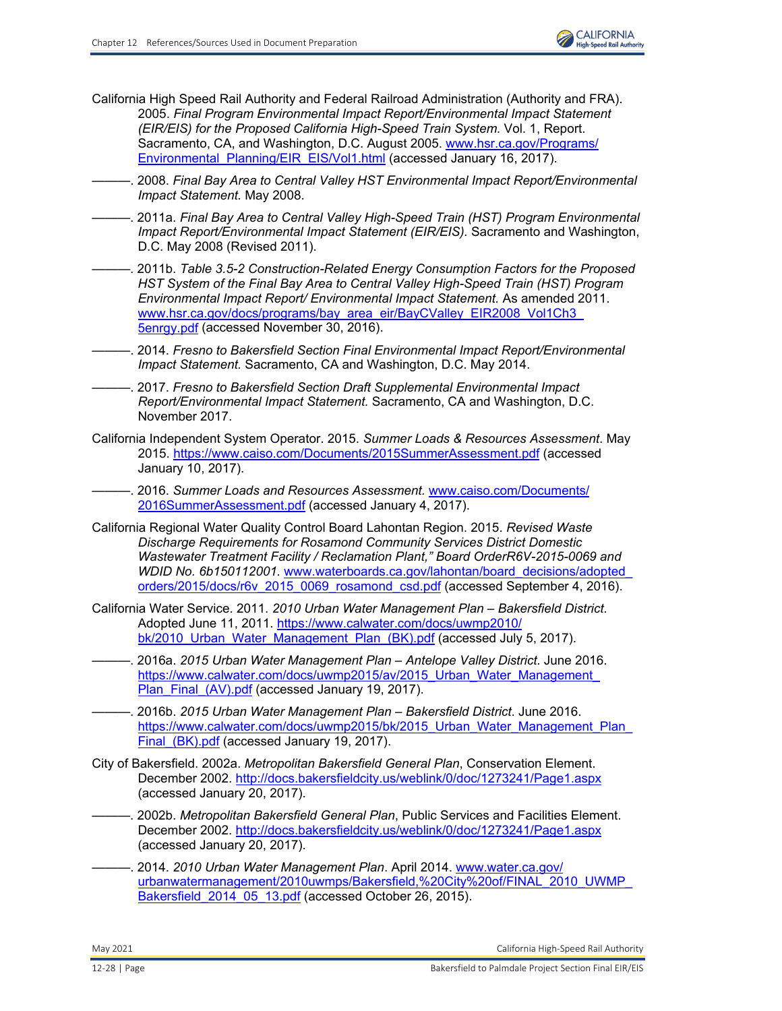- California High Speed Rail Authority and Federal Railroad Administration (Authority and FRA). 2005. *Final Program Environmental Impact Report/Environmental Impact Statement (EIR/EIS) for the Proposed California High-Speed Train System.* Vol. 1, Report. Sacramento, CA, and Washington, D.C. August 2005. [www.hsr.ca.gov/Programs/](http://www.hsr.ca.gov/Programs/Environmental_Planning/EIR_EIS/Vol1.html) [Environmental\\_Planning/EIR\\_EIS/Vol1.html](http://www.hsr.ca.gov/Programs/Environmental_Planning/EIR_EIS/Vol1.html) (accessed January 16, 2017).
- ———. 2008. *Final Bay Area to Central Valley HST Environmental Impact Report/Environmental Impact Statement.* May 2008.
- ———. 2011a. *Final Bay Area to Central Valley High-Speed Train (HST) Program Environmental Impact Report/Environmental Impact Statement (EIR/EIS).* Sacramento and Washington, D.C. May 2008 (Revised 2011).
- ———. 2011b. *Table 3.5-2 Construction-Related Energy Consumption Factors for the Proposed HST System of the Final Bay Area to Central Valley High-Speed Train (HST) Program Environmental Impact Report/ Environmental Impact Statement.* As amended 2011. www.hsr.ca.gov/docs/programs/bay\_area\_eir/BayCValley\_EIR2008\_Vol1Ch3 [5enrgy.pdf](http://www.hsr.ca.gov/docs/programs/bay_area_eir/BayCValley_EIR2008_Vol1Ch3_5enrgy.pdf) (accessed November 30, 2016).
- ———. 2014. *Fresno to Bakersfield Section Final Environmental Impact Report/Environmental Impact Statement.* Sacramento, CA and Washington, D.C. May 2014.
- ———. 2017. *Fresno to Bakersfield Section Draft Supplemental Environmental Impact Report/Environmental Impact Statement.* Sacramento, CA and Washington, D.C. November 2017.
- California Independent System Operator. 2015. *Summer Loads & Resources Assessment*. May 2015.<https://www.caiso.com/Documents/2015SummerAssessment.pdf>(accessed January 10, 2017).
	- ———. 2016. *Summer Loads and Resources Assessment.* [www.caiso.com/Documents/](http://www.caiso.com/Documents/2016SummerAssessment.pdf) [2016SummerAssessment.pdf](http://www.caiso.com/Documents/2016SummerAssessment.pdf) (accessed January 4, 2017).
- California Regional Water Quality Control Board Lahontan Region. 2015. *Revised Waste Discharge Requirements for Rosamond Community Services District Domestic Wastewater Treatment Facility / Reclamation Plant," Board OrderR6V-2015-0069 and WDID No. 6b150112001.* [www.waterboards.ca.gov/lahontan/board\\_decisions/adopted\\_](http://www.waterboards.ca.gov/lahontan/board_decisions/adopted_orders/2015/docs/r6v_2015_0069_rosamond_csd.pdf) [orders/2015/docs/r6v\\_2015\\_0069\\_rosamond\\_csd.pdf](http://www.waterboards.ca.gov/lahontan/board_decisions/adopted_orders/2015/docs/r6v_2015_0069_rosamond_csd.pdf) (accessed September 4, 2016).
- California Water Service. 2011. *2010 Urban Water Management Plan Bakersfield District*. Adopted June 11, 2011. [https://www.calwater.com/docs/uwmp2010/](https://www.calwater.com/docs/uwmp2010/ bk/2010_Urban_Water_Management_Plan_(BK).pdf)  [bk/2010\\_Urban\\_Water\\_Management\\_Plan\\_\(BK\).pdf](https://www.calwater.com/docs/uwmp2010/ bk/2010_Urban_Water_Management_Plan_(BK).pdf) (accessed July 5, 2017).
- ———. 2016a. *2015 Urban Water Management Plan Antelope Valley District*. June 2016. https://www.calwater.com/docs/uwmp2015/av/2015\_Urban\_Water\_Management [Plan\\_Final\\_\(AV\).pdf](https://www.calwater.com/docs/uwmp2015/av/2015_Urban_Water_Management_ Plan_Final_(AV).pdf) (accessed January 19, 2017).
- ———. 2016b. *2015 Urban Water Management Plan Bakersfield District*. June 2016. https://www.calwater.com/docs/uwmp2015/bk/2015\_Urban\_Water\_Management\_Plan Final (BK).pdf (accessed January 19, 2017).
- City of Bakersfield. 2002a. *Metropolitan Bakersfield General Plan*, Conservation Element. December 2002. <http://docs.bakersfieldcity.us/weblink/0/doc/1273241/Page1.aspx> (accessed January 20, 2017).
- ———. 2002b. *Metropolitan Bakersfield General Plan*, Public Services and Facilities Element. December 2002. <http://docs.bakersfieldcity.us/weblink/0/doc/1273241/Page1.aspx> (accessed January 20, 2017).
- ———. 2014. *2010 Urban Water Management Plan*. April 2014. [www.water.ca.gov/](http://www.water.ca.gov/urbanwatermanagement/2010uwmps/Bakersfield,%20City%20of/FINAL_2010_UWMP_Bakersfield_2014_05_13.pdf) [urbanwatermanagement/2010uwmps/Bakersfield,%20City%20of/FINAL\\_2010\\_UWMP\\_](http://www.water.ca.gov/urbanwatermanagement/2010uwmps/Bakersfield,%20City%20of/FINAL_2010_UWMP_Bakersfield_2014_05_13.pdf) Bakersfield 2014 05 13.pdf (accessed October 26, 2015).

May 2021 California High‐Speed Rail Authority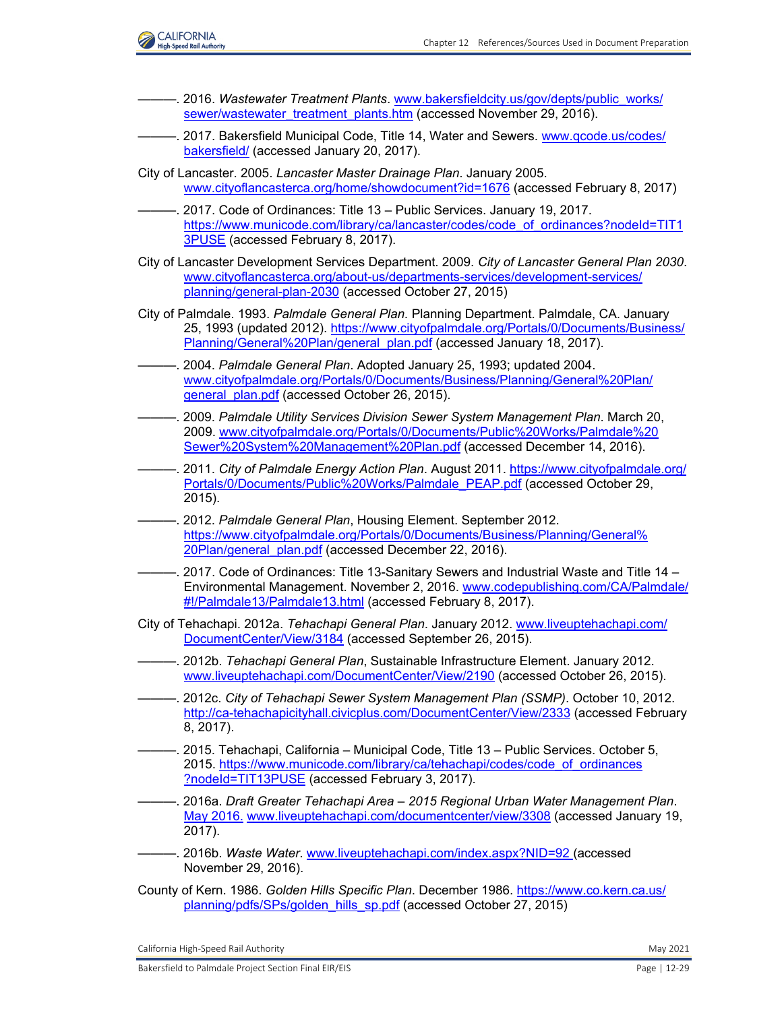

- ———. 2016. *Wastewater Treatment Plants*. [www.bakersfieldcity.us/gov/depts/public\\_works/](http://www.bakersfieldcity.us/gov/depts/public_works/sewer/wastewater_treatment_plants.htm) [sewer/wastewater\\_treatment\\_plants.htm](http://www.bakersfieldcity.us/gov/depts/public_works/sewer/wastewater_treatment_plants.htm) (accessed November 29, 2016).
- ———. 2017. Bakersfield Municipal Code, Title 14, Water and Sewers. [www.qcode.us/codes/](http://www.qcode.us/codes/bakersfield/) [bakersfield/](http://www.qcode.us/codes/bakersfield/) (accessed January 20, 2017).
- City of Lancaster. 2005. *Lancaster Master Drainage Plan*. January 2005. <www.cityoflancasterca.org/home/showdocument?id=1676> (accessed February 8, 2017)
- 2017. Code of Ordinances: Title 13 Public Services. January 19, 2017. [https://www.municode.com/library/ca/lancaster/codes/code\\_of\\_ordinances?nodeId=TIT1](https://www.municode.com/library/ca/lancaster/codes/code_of_ordinances?nodeId=TIT1 3PUSE) [3PUSE](https://www.municode.com/library/ca/lancaster/codes/code_of_ordinances?nodeId=TIT1 3PUSE) (accessed February 8, 2017).
- City of Lancaster Development Services Department. 2009. *City of Lancaster General Plan 2030*. [www.cityoflancasterca.org/about-us/departments-services/development-services/](http://www.cityoflancasterca.org/about-us/departments-services/development-services/planning/general-plan-2030) [planning/general-plan-2030](http://www.cityoflancasterca.org/about-us/departments-services/development-services/planning/general-plan-2030) (accessed October 27, 2015)
- City of Palmdale. 1993. *Palmdale General Plan.* Planning Department. Palmdale, CA. January 25, 1993 (updated 2012). [https://www.cityofpalmdale.org/Portals/0/Documents/Business/](https://www.cityofpalmdale.org/Portals/0/Documents/Business/ Planning/General%20Plan/general_plan.pdf) [Planning/General%20Plan/general\\_plan.pdf](https://www.cityofpalmdale.org/Portals/0/Documents/Business/ Planning/General%20Plan/general_plan.pdf) (accessed January 18, 2017).
- ———. 2004. *Palmdale General Plan*. Adopted January 25, 1993; updated 2004. [www.cityofpalmdale.org/Portals/0/Documents/Business/Planning/General%20Plan/](http://www.cityofpalmdale.org/Portals/0/Documents/Business/Planning/General%20Plan/general_plan.pdf) [general\\_plan.pdf](http://www.cityofpalmdale.org/Portals/0/Documents/Business/Planning/General%20Plan/general_plan.pdf) (accessed October 26, 2015).
- ———. 2009. *Palmdale Utility Services Division Sewer System Management Plan*. March 20, 2009. [www.cityofpalmdale.org/Portals/0/Documents/Public%20Works/Palmdale%20](http://www.cityofpalmdale.org/Portals/0/Documents/Public%20Works/Palmdale%20Sewer%20System%20Management%20Plan.pdf) [Sewer%20System%20Management%20Plan.pdf](http://www.cityofpalmdale.org/Portals/0/Documents/Public%20Works/Palmdale%20Sewer%20System%20Management%20Plan.pdf) (accessed December 14, 2016).
- ———. 2011. *City of Palmdale Energy Action Plan*. August 2011. [https://www.cityofpalmdale.org/](https://www.cityofpalmdale.org/ Portals/0/Documents/Public%20Works/Palmdale_PEAP.pdf) [Portals/0/Documents/Public%20Works/Palmdale\\_PEAP.pdf](https://www.cityofpalmdale.org/ Portals/0/Documents/Public%20Works/Palmdale_PEAP.pdf) (accessed October 29, 2015).
- ———. 2012. *Palmdale General Plan*, Housing Element. September 2012. [https://www.cityofpalmdale.org/Portals/0/Documents/Business/Planning/General%](https://www.cityofpalmdale.org/Portals/0/Documents/Business/Planning/General% 20Plan/general_plan.pdf) [20Plan/general\\_plan.pdf](https://www.cityofpalmdale.org/Portals/0/Documents/Business/Planning/General% 20Plan/general_plan.pdf) (accessed December 22, 2016).
- ———. 2017. Code of Ordinances: Title 13-Sanitary Sewers and Industrial Waste and Title 14 Environmental Management. November 2, 2016. [www.codepublishing.com/CA/Palmdale/](http://www.codepublishing.com/CA/Palmdale/#!/Palmdale13/Palmdale13.html) [#!/Palmdale13/Palmdale13.html](http://www.codepublishing.com/CA/Palmdale/#!/Palmdale13/Palmdale13.html) (accessed February 8, 2017).
- City of Tehachapi. 2012a. *Tehachapi General Plan*. January 2012. [www.liveuptehachapi.com/](http://www.liveuptehachapi.com/DocumentCenter/View/3184) [DocumentCenter/View/3184](http://www.liveuptehachapi.com/DocumentCenter/View/3184) (accessed September 26, 2015).
- ———. 2012b. *Tehachapi General Plan*, Sustainable Infrastructure Element. January 2012. [www.liveuptehachapi.com/DocumentCenter/View/2190](http://www.liveuptehachapi.com/DocumentCenter/View/2190) (accessed October 26, 2015).
- ———. 2012c. *City of Tehachapi Sewer System Management Plan (SSMP)*. October 10, 2012. <http://ca-tehachapicityhall.civicplus.com/DocumentCenter/View/2333> (accessed February 8, 2017).
- ———. 2015. Tehachapi, California Municipal Code, Title 13 Public Services. October 5, 2015. [https://www.municode.com/library/ca/tehachapi/codes/code\\_of\\_ordinances](https://www.municode.com/library/ca/tehachapi/codes/code_of_ordinances ?nodeId=TIT13PUSE) [?nodeId=TIT13PUSE](https://www.municode.com/library/ca/tehachapi/codes/code_of_ordinances ?nodeId=TIT13PUSE) (accessed February 3, 2017).
- ———. 2016a. *Draft Greater Tehachapi Area 2015 Regional Urban Water Management Plan*. May 2016. [www.liveuptehachapi.com/documentcenter/view/3308](http://www.liveuptehachapi.com/documentcenter/view/3308) (accessed January 19, 2017).
- ———. 2016b. *Waste Water*. [www.liveuptehachapi.com/index.aspx?NID=92 \(](http://www.liveuptehachapi.com/index.aspx?NID=92)accessed November 29, 2016).
- County of Kern. 1986. *Golden Hills Specific Plan*. December 1986. [https://www.co.kern.ca.us/](https://www.co.kern.ca.us/ planning/pdfs/SPs/golden_hills_sp.pdf) [planning/pdfs/SPs/golden\\_hills\\_sp.pdf](https://www.co.kern.ca.us/ planning/pdfs/SPs/golden_hills_sp.pdf) (accessed October 27, 2015)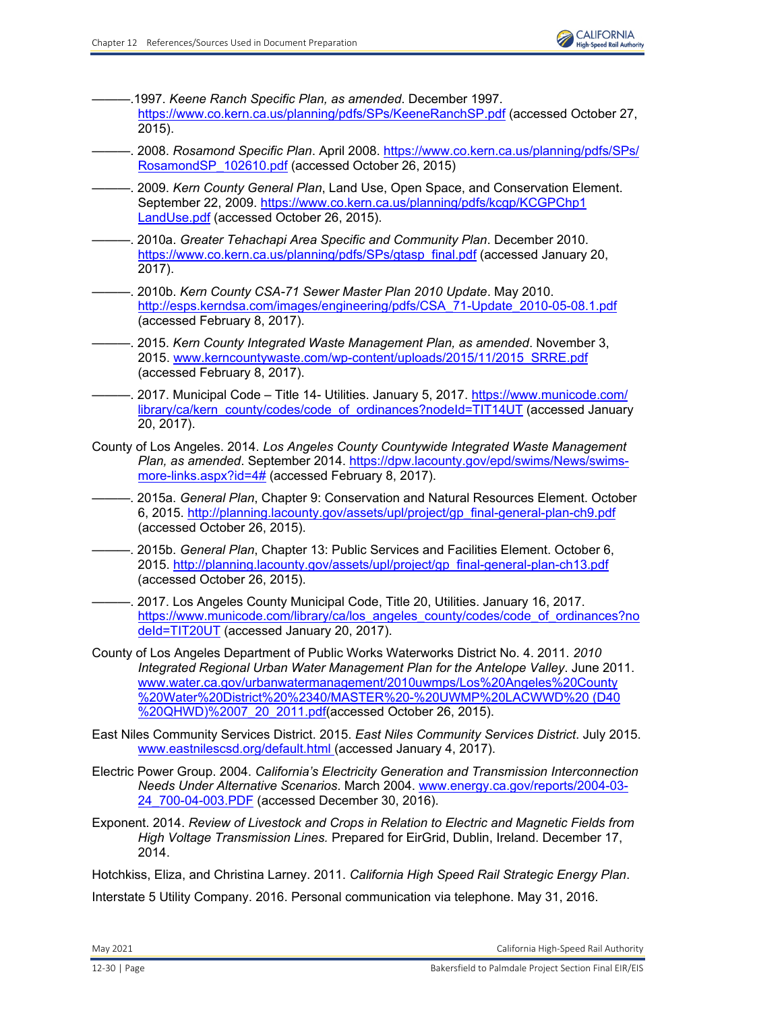- ———.1997. *Keene Ranch Specific Plan, as amended*. December 1997. <https://www.co.kern.ca.us/planning/pdfs/SPs/KeeneRanchSP.pdf> (accessed October 27, 2015).
- ———. 2008. *Rosamond Specific Plan*. April 2008. [https://www.co.kern.ca.us/planning/pdfs/SPs/](https://www.co.kern.ca.us/planning/pdfs/SPs/ RosamondSP_102610.pdf) [RosamondSP\\_102610.pdf](https://www.co.kern.ca.us/planning/pdfs/SPs/ RosamondSP_102610.pdf) (accessed October 26, 2015)
- ———. 2009. *Kern County General Plan*, Land Use, Open Space, and Conservation Element. September 22, 2009[. https://www.co.kern.ca.us/planning/pdfs/kcgp/KCGPChp1](https://www.co.kern.ca.us/planning/pdfs/kcgp/KCGPChp1 LandUse.pdf) [LandUse.pdf](https://www.co.kern.ca.us/planning/pdfs/kcgp/KCGPChp1 LandUse.pdf) (accessed October 26, 2015).
- ———. 2010a. *Greater Tehachapi Area Specific and Community Plan*. December 2010. [https://www.co.kern.ca.us/planning/pdfs/SPs/gtasp\\_final.pdf](https://www.co.kern.ca.us/planning/pdfs/SPs/gtasp_final.pdf) (accessed January 20, 2017).
- ———. 2010b. *Kern County CSA-71 Sewer Master Plan 2010 Update*. May 2010. [http://esps.kerndsa.com/images/engineering/pdfs/CSA\\_71-Update\\_2010-05-08.1.pdf](http://esps.kerndsa.com/images/engineering/pdfs/CSA_71-Update_2010-05-08.1.pdf) (accessed February 8, 2017).
- ———. 2015. *Kern County Integrated Waste Management Plan, as amended*. November 3, 2015. [www.kerncountywaste.com/wp-content/uploads/2015/11/2015\\_SRRE.pdf](http://www.kerncountywaste.com/wp-content/uploads/2015/11/2015_SRRE.pdf) (accessed February 8, 2017).
- . 2017. Municipal Code Title 14- Utilities. January 5, 2017. [https://www.municode.com/](https://www.municode.com/ library/ca/kern_county/codes/code_of_ordinances?nodeId=TIT14UT) [library/ca/kern\\_county/codes/code\\_of\\_ordinances?nodeId=TIT14UT](https://www.municode.com/ library/ca/kern_county/codes/code_of_ordinances?nodeId=TIT14UT) (accessed January 20, 2017).
- County of Los Angeles. 2014. *Los Angeles County Countywide Integrated Waste Management Plan, as amended*. September 2014. [https://dpw.lacounty.gov/epd/swims/News/swims](https://dpw.lacounty.gov/epd/swims/News/swimsmore-links.aspx?id=4#)[more-links.aspx?id=4#](https://dpw.lacounty.gov/epd/swims/News/swimsmore-links.aspx?id=4#) (accessed February 8, 2017).
- ———. 2015a. *General Plan*, Chapter 9: Conservation and Natural Resources Element. October 6, 2015. [http://planning.lacounty.gov/assets/upl/project/gp\\_final-general-plan-ch9.pdf](http://planning.lacounty.gov/assets/upl/project/gp_final-general-plan-ch9.pdf) (accessed October 26, 2015).
- ———. 2015b. *General Plan*, Chapter 13: Public Services and Facilities Element. October 6, 2015. [http://planning.lacounty.gov/assets/upl/project/gp\\_final-general-plan-ch13.pdf](http://planning.lacounty.gov/assets/upl/project/gp_final-general-plan-ch13.pdf) (accessed October 26, 2015).
- -. 2017. Los Angeles County Municipal Code, Title 20, Utilities. January 16, 2017. [https://www.municode.com/library/ca/los\\_angeles\\_county/codes/code\\_of\\_ordinances?no](https://www.municode.com/library/ca/los_angeles_county/codes/code_of_ordinances?no deId=TIT20UT) deld=TIT20UT (accessed January 20, 2017).
- County of Los Angeles Department of Public Works Waterworks District No. 4. 2011. *2010 Integrated Regional Urban Water Management Plan for the Antelope Valley*. June 2011. www.water.ca.gov/urbanwatermanagement/2010uwmps/Los%20Angeles%20County [%20Water%20District%20%2340/MASTER%20-%20UWMP%20LACWWD%20 \(D40](http://www.water.ca.gov/urbanwatermanagement/2010uwmps/Los%20Angeles%20County%20Water%20District%20%2340/MASTER%20-%20UWMP%20LACWWD%20(D40 %20QHWD)%2007_20_2011.pdf) [%20QHWD\)%2007\\_20\\_2011.pdf\(](http://www.water.ca.gov/urbanwatermanagement/2010uwmps/Los%20Angeles%20County%20Water%20District%20%2340/MASTER%20-%20UWMP%20LACWWD%20(D40 %20QHWD)%2007_20_2011.pdf)accessed October 26, 2015).
- East Niles Community Services District. 2015. *East Niles Community Services District*. July 2015. [www.eastnilescsd.org/default.html \(](http://www.eastnilescsd.org/default.html)accessed January 4, 2017).
- Electric Power Group. 2004. *California's Electricity Generation and Transmission Interconnection Needs Under Alternative Scenarios*. March 2004. [www.energy.ca.gov/reports/2004-03-](http://www.energy.ca.gov/reports/2004-03-24_700-04-003.PDF) 24 700-04-003.PDF (accessed December 30, 2016).
- Exponent. 2014. *Review of Livestock and Crops in Relation to Electric and Magnetic Fields from High Voltage Transmission Lines.* Prepared for EirGrid, Dublin, Ireland. December 17, 2014.

Hotchkiss, Eliza, and Christina Larney. 2011. *California High Speed Rail Strategic Energy Plan*.

Interstate 5 Utility Company. 2016. Personal communication via telephone. May 31, 2016.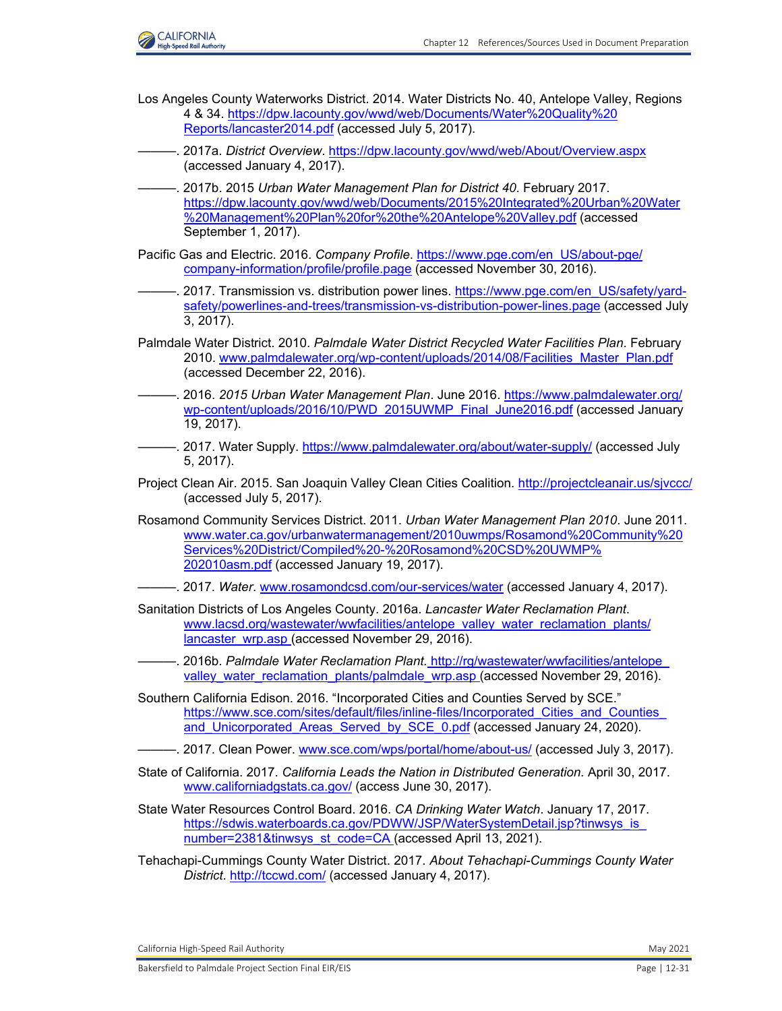

- Los Angeles County Waterworks District. 2014. Water Districts No. 40, Antelope Valley, Regions 4 & 34[. https://dpw.lacounty.gov/wwd/web/Documents/Water%20Quality%20](https://dpw.lacounty.gov/wwd/web/Documents/Water%20Quality%20 Reports/lancaster2014.pdf) [Reports/lancaster2014.pdf](https://dpw.lacounty.gov/wwd/web/Documents/Water%20Quality%20 Reports/lancaster2014.pdf) (accessed July 5, 2017).
- ———. 2017a. *District Overview*.<https://dpw.lacounty.gov/wwd/web/About/Overview.aspx> (accessed January 4, 2017).
- ———. 2017b. 2015 *Urban Water Management Plan for District 40*. February 2017. [https://dpw.lacounty.gov/wwd/web/Documents/2015%20Integrated%20Urban%20Water](https://dpw.lacounty.gov/wwd/web/Documents/2015%20Integrated%20Urban%20Water %20Management%20Plan%20for%20the%20Antelope%20Valley.pdf) [%20Management%20Plan%20for%20the%20Antelope%20Valley.pdf](https://dpw.lacounty.gov/wwd/web/Documents/2015%20Integrated%20Urban%20Water %20Management%20Plan%20for%20the%20Antelope%20Valley.pdf) (accessed September 1, 2017).
- Pacific Gas and Electric. 2016. *Company Profile*[. https://www.pge.com/en\\_US/about-pge/](https://www.pge.com/en_US/about-pge/ company-information/profile/profile.page) [company-information/profile/profile.page](https://www.pge.com/en_US/about-pge/ company-information/profile/profile.page) (accessed November 30, 2016).
- -. 2017. Transmission vs. distribution power lines. [https://www.pge.com/en\\_US/safety/yard](https://www.pge.com/en_US/safety/yardsafety/powerlines-and-trees/transmission-vs-distribution-power-lines.page)[safety/powerlines-and-trees/transmission-vs-distribution-power-lines.page](https://www.pge.com/en_US/safety/yardsafety/powerlines-and-trees/transmission-vs-distribution-power-lines.page) (accessed July 3, 2017).
- Palmdale Water District. 2010. *Palmdale Water District Recycled Water Facilities Plan*. February 2010. [www.palmdalewater.org/wp-content/uploads/2014/08/Facilities\\_Master\\_Plan.pdf](http://www.palmdalewater.org/wp-content/uploads/2014/08/Facilities_Master_Plan.pdf) (accessed December 22, 2016).
- ———. 2016. *2015 Urban Water Management Plan*. June 2016. [https://www.palmdalewater.org/](https://www.palmdalewater.org/ wp-content/uploads/2016/10/PWD_2015UWMP_Final_June2016.pdf) [wp-content/uploads/2016/10/PWD\\_2015UWMP\\_Final\\_June2016.pdf](https://www.palmdalewater.org/ wp-content/uploads/2016/10/PWD_2015UWMP_Final_June2016.pdf) (accessed January 19, 2017).
- ———. 2017. Water Supply.<https://www.palmdalewater.org/about/water-supply/> (accessed July 5, 2017).
- Project Clean Air. 2015. San Joaquin Valley Clean Cities Coalition.<http://projectcleanair.us/sjvccc/> (accessed July 5, 2017).
- Rosamond Community Services District. 2011. *Urban Water Management Plan 2010*. June 2011. [www.water.ca.gov/urbanwatermanagement/2010uwmps/Rosamond%20Community%20](http://www.water.ca.gov/urbanwatermanagement/2010uwmps/Rosamond%20Community%20Services%20District/Compiled%20-%20Rosamond%20CSD%20UWMP%202010asm.pdf) Services%20District/Compiled%20-%20Rosamond%20CSD%20UWMP% [202010asm.pdf](http://www.water.ca.gov/urbanwatermanagement/2010uwmps/Rosamond%20Community%20Services%20District/Compiled%20-%20Rosamond%20CSD%20UWMP%202010asm.pdf) (accessed January 19, 2017).
- ———. 2017. *Water*. [www.rosamondcsd.com/our-services/water](http://www.rosamondcsd.com/our-services/water) (accessed January 4, 2017).
- Sanitation Districts of Los Angeles County. 2016a. *Lancaster Water Reclamation Plant*. [www.lacsd.org/wastewater/wwfacilities/antelope\\_valley\\_water\\_reclamation\\_plants/](http://www.lacsd.org/wastewater/wwfacilities/antelope_valley_water_reclamation_plants/lancaster_wrp.asp) [lancaster\\_wrp.asp \(](http://www.lacsd.org/wastewater/wwfacilities/antelope_valley_water_reclamation_plants/lancaster_wrp.asp)accessed November 29, 2016).
- ———. 2016b. *Palmdale Water Reclamation Plant.* [http://rg/wastewater/wwfacilities/antelope\\_](http://rg/wastewater/wwfacilities/antelope_ valley_water_reclamation_plants/palmdale_wrp.asp) [valley\\_water\\_reclamation\\_plants/palmdale\\_wrp.asp \(](http://rg/wastewater/wwfacilities/antelope_ valley_water_reclamation_plants/palmdale_wrp.asp)accessed November 29, 2016).
- Southern California Edison. 2016. "Incorporated Cities and Counties Served by SCE." [https://www.sce.com/sites/default/files/inline-files/Incorporated\\_Cities\\_and\\_Counties\\_](https://www.sce.com/sites/default/files/inline-files/Incorporated_Cities_and_Counties_ and_Unicorporated_Areas_Served_by_SCE_0.pdf) and Unicorporated Areas Served by SCE 0.pdf (accessed January 24, 2020).
- -. 2017. Clean Power. [www.sce.com/wps/portal/home/about-us/](http://www.sce.com/wps/portal/home/about-us/) (accessed July 3, 2017).
- State of California. 2017. *California Leads the Nation in Distributed Generation.* April 30, 2017. [www.californiadgstats.ca.gov/](http://www.californiadgstats.ca.gov/) (access June 30, 2017).
- State Water Resources Control Board. 2016. *CA Drinking Water Watch*. January 17, 2017. [https://sdwis.waterboards.ca.gov/PDWW/JSP/WaterSystemDetail.jsp?tinwsys\\_is\\_](https://sdwis.waterboards.ca.gov/PDWW/JSP/WaterSystemDetail.jsp?tinwsys_is_ number=2381&tinwsys_st_code=CA) [number=2381&tinwsys\\_st\\_code=CA \(](https://sdwis.waterboards.ca.gov/PDWW/JSP/WaterSystemDetail.jsp?tinwsys_is_ number=2381&tinwsys_st_code=CA)accessed April 13, 2021).
- Tehachapi-Cummings County Water District. 2017. *About Tehachapi-Cummings County Water District*.<http://tccwd.com/> (accessed January 4, 2017).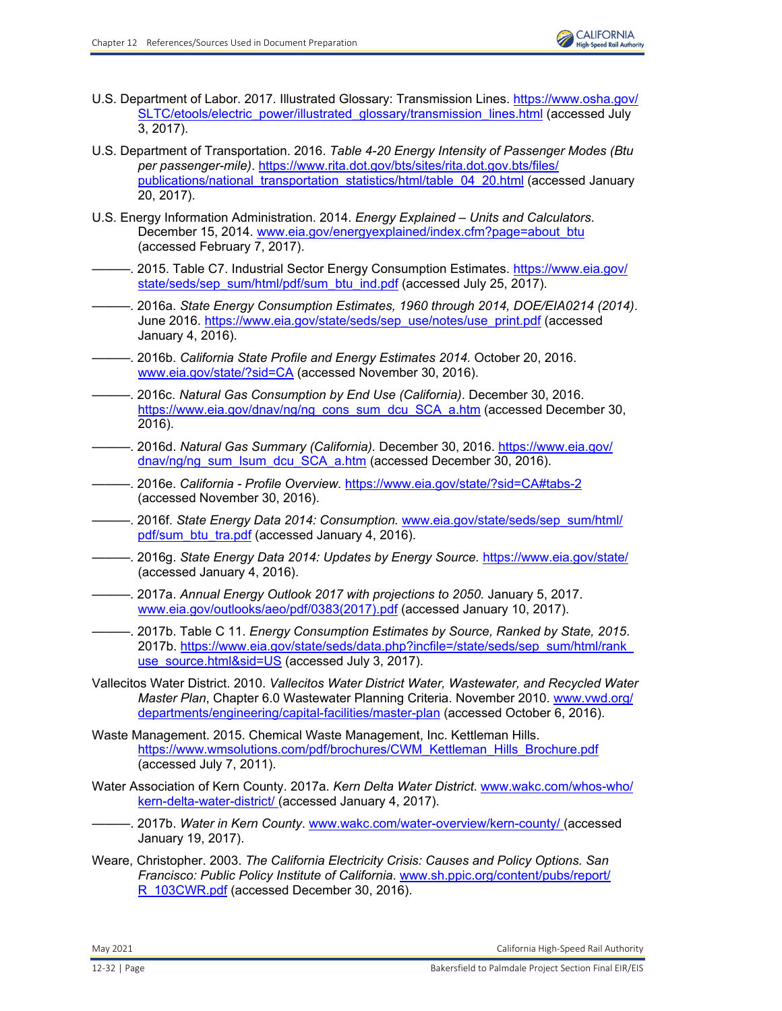- U.S. Department of Labor. 2017. Illustrated Glossary: Transmission Lines. [https://www.osha.gov/](https://www.osha.gov/ SLTC/etools/electric_power/illustrated_glossary/transmission_lines.html) [SLTC/etools/electric\\_power/illustrated\\_glossary/transmission\\_lines.html](https://www.osha.gov/ SLTC/etools/electric_power/illustrated_glossary/transmission_lines.html) (accessed July 3, 2017).
- U.S. Department of Transportation. 2016. *Table 4-20 Energy Intensity of Passenger Modes (Btu per passenger-mile)*. [https://www.rita.dot.gov/bts/sites/rita.dot.gov.bts/files/](https://www.rita.dot.gov/bts/sites/rita.dot.gov.bts/files/ publications/national_transportation_statistics/html/table_04_20.html) [publications/national\\_transportation\\_statistics/html/table\\_04\\_20.html](https://www.rita.dot.gov/bts/sites/rita.dot.gov.bts/files/ publications/national_transportation_statistics/html/table_04_20.html) (accessed January 20, 2017).
- U.S. Energy Information Administration. 2014. *Energy Explained Units and Calculators*. December 15, 2014. [www.eia.gov/energyexplained/index.cfm?page=about\\_btu](http://www.eia.gov/energyexplained/index.cfm?page=about_btu) (accessed February 7, 2017).
	- ———. 2015. Table C7. Industrial Sector Energy Consumption Estimates. [https://www.eia.gov/](https://www.eia.gov/ state/seds/sep_sum/html/pdf/sum_btu_ind.pdf) [state/seds/sep\\_sum/html/pdf/sum\\_btu\\_ind.pdf](https://www.eia.gov/ state/seds/sep_sum/html/pdf/sum_btu_ind.pdf) (accessed July 25, 2017).
- ———. 2016a. *State Energy Consumption Estimates, 1960 through 2014, DOE/EIA0214 (2014)*. June 2016. [https://www.eia.gov/state/seds/sep\\_use/notes/use\\_print.pdf](https://www.eia.gov/state/seds/sep_use/notes/use_print.pdf) (accessed January 4, 2016).
- ———. 2016b. *California State Profile and Energy Estimates 2014.* October 20, 2016. [www.eia.gov/state/?sid=CA](http://www.eia.gov/state/?sid=CA) (accessed November 30, 2016).
- ———. 2016c. *Natural Gas Consumption by End Use (California)*. December 30, 2016. [https://www.eia.gov/dnav/ng/ng\\_cons\\_sum\\_dcu\\_SCA\\_a.htm](https://www.eia.gov/dnav/ng/ng_cons_sum_dcu_SCA_a.htm) (accessed December 30, 2016).
- ———. 2016d. *Natural Gas Summary (California).* December 30, 2016. [https://www.eia.gov/](https://www.eia.gov/ dnav/ng/ng_sum_lsum_dcu_SCA_a.htm) [dnav/ng/ng\\_sum\\_lsum\\_dcu\\_SCA\\_a.htm](https://www.eia.gov/ dnav/ng/ng_sum_lsum_dcu_SCA_a.htm) (accessed December 30, 2016).
- ———. 2016e. *California Profile Overview.* <https://www.eia.gov/state/?sid=CA#tabs-2> (accessed November 30, 2016).
- ———. 2016f. *State Energy Data 2014: Consumption.* [www.eia.gov/state/seds/sep\\_sum/html/](http://www.eia.gov/state/seds/sep_sum/html/pdf/sum_btu_tra.pdf) [pdf/sum\\_btu\\_tra.pdf](http://www.eia.gov/state/seds/sep_sum/html/pdf/sum_btu_tra.pdf) (accessed January 4, 2016).
- ———. 2016g. *State Energy Data 2014: Updates by Energy Source.* <https://www.eia.gov/state/> (accessed January 4, 2016).
- ———. 2017a. *Annual Energy Outlook 2017 with projections to 2050.* January 5, 2017. [www.eia.gov/outlooks/aeo/pdf/0383\(2017\).pdf](http://www.eia.gov/outlooks/aeo/pdf/0383(2017).pdf) (accessed January 10, 2017).
- ———. 2017b. Table C 11. *Energy Consumption Estimates by Source, Ranked by State, 2015*. 2017b. [https://www.eia.gov/state/seds/data.php?incfile=/state/seds/sep\\_sum/html/rank\\_](https://www.eia.gov/state/seds/data.php?incfile=/state/seds/sep_sum/html/rank_ use_source.html&sid=US) [use\\_source.html&sid=US](https://www.eia.gov/state/seds/data.php?incfile=/state/seds/sep_sum/html/rank_ use_source.html&sid=US) (accessed July 3, 2017).
- Vallecitos Water District. 2010. *Vallecitos Water District Water, Wastewater, and Recycled Water Master Plan*, Chapter 6.0 Wastewater Planning Criteria. November 2010. [www.vwd.org/](http://www.vwd.org/departments/engineering/capital-facilities/master-plan) [departments/engineering/capital-facilities/master-plan](http://www.vwd.org/departments/engineering/capital-facilities/master-plan) (accessed October 6, 2016).
- Waste Management. 2015. Chemical Waste Management, Inc. Kettleman Hills. [https://www.wmsolutions.com/pdf/brochures/CWM\\_Kettleman\\_Hills\\_Brochure.pdf](https://www.wmsolutions.com/pdf/brochures/CWM_Kettleman_Hills_Brochure.pdf) (accessed July 7, 2011).
- Water Association of Kern County. 2017a. *Kern Delta Water District*. [www.wakc.com/whos-who/](http://www.wakc.com/whos-who/kern-delta-water-district/) [kern-delta-water-district/](http://www.wakc.com/whos-who/kern-delta-water-district/) (accessed January 4, 2017).
- ———. 2017b. *Water in Kern County*. [www.wakc.com/water-overview/kern-county/ \(](http://www.wakc.com/water-overview/kern-county/)accessed January 19, 2017).
- Weare, Christopher. 2003. *The California Electricity Crisis: Causes and Policy Options. San Francisco: Public Policy Institute of California*. [www.sh.ppic.org/content/pubs/report/](http://www.sh.ppic.org/content/pubs/report/R_103CWR.pdf) R 103CWR.pdf (accessed December 30, 2016).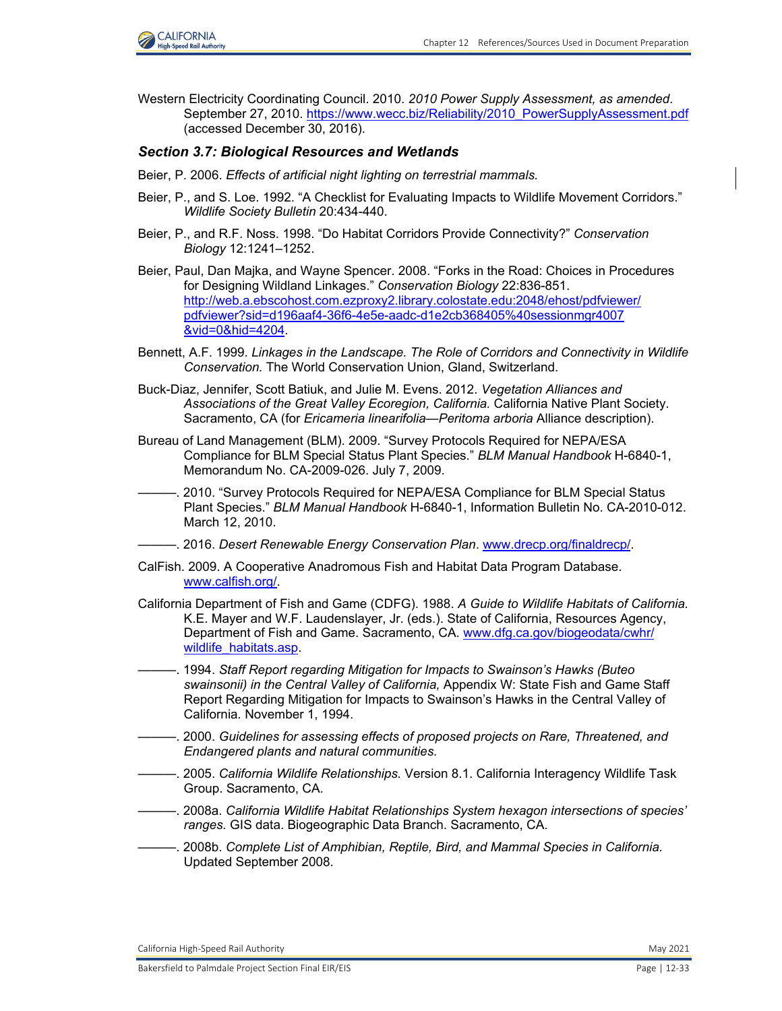

Western Electricity Coordinating Council. 2010. *2010 Power Supply Assessment, as amended*. September 27, 2010. [https://www.wecc.biz/Reliability/2010\\_PowerSupplyAssessment.pdf](https://www.wecc.biz/Reliability/2010_PowerSupplyAssessment.pdf) (accessed December 30, 2016).

#### *Section 3.7: Biological Resources and Wetlands*

- Beier, P. 2006. *Effects of artificial night lighting on terrestrial mammals.*
- Beier, P., and S. Loe. 1992. "A Checklist for Evaluating Impacts to Wildlife Movement Corridors." *Wildlife Society Bulletin* 20:434-440.
- Beier, P., and R.F. Noss. 1998. "Do Habitat Corridors Provide Connectivity?" *Conservation Biology* 12:1241–1252.
- Beier, Paul, Dan Majka, and Wayne Spencer. 2008. "Forks in the Road: Choices in Procedures for Designing Wildland Linkages." *Conservation Biology* 22:836-851. [http://web.a.ebscohost.com.ezproxy2.library.colostate.edu:2048/ehost/pdfviewer/](http://web.a.ebscohost.com.ezproxy2.library.colostate.edu:2048/ehost/pdfviewer/ pdfviewer?sid=d196aaf4-36f6-4e5e-aadc-d1e2cb368405%40sessionmgr4007 &vid=0&hid=4204.) pdfviewer?sid=d196aaf4-36f6-4e5e-aadc-d1e2cb368405%40sessionmgr4007 &vid=0&hid=4204.
- Bennett, A.F. 1999. *Linkages in the Landscape. The Role of Corridors and Connectivity in Wildlife Conservation.* The World Conservation Union, Gland, Switzerland.
- Buck-Diaz, Jennifer, Scott Batiuk, and Julie M. Evens. 2012. *Vegetation Alliances and Associations of the Great Valley Ecoregion, California.* California Native Plant Society. Sacramento, CA (for *Ericameria linearifolia—Peritoma arboria* Alliance description).
- Bureau of Land Management (BLM). 2009. "Survey Protocols Required for NEPA/ESA Compliance for BLM Special Status Plant Species." *BLM Manual Handbook* H-6840-1, Memorandum No. CA-2009-026. July 7, 2009.
- -. 2010. "Survey Protocols Required for NEPA/ESA Compliance for BLM Special Status Plant Species." *BLM Manual Handbook* H-6840-1, Information Bulletin No. CA-2010-012. March 12, 2010.
- ———. 2016. *Desert Renewable Energy Conservation Plan*. [www.drecp.org/finaldrecp/.](http://www.drecp.org/finaldrecp/.)
- CalFish. 2009. A Cooperative Anadromous Fish and Habitat Data Program Database. [www.calfish.org/.](http://www.calfish.org/.)
- California Department of Fish and Game (CDFG). 1988. *A Guide to Wildlife Habitats of California.*  K.E. Mayer and W.F. Laudenslayer, Jr. (eds.). State of California, Resources Agency, Department of Fish and Game. Sacramento, CA. [www.dfg.ca.gov/biogeodata/cwhr/](http://www.dfg.ca.gov/biogeodata/cwhr/wildlife_habitats.asp.) wildlife\_habitats.asp.
- ———. 1994. *Staff Report regarding Mitigation for Impacts to Swainson's Hawks (Buteo swainsonii) in the Central Valley of California,* Appendix W: State Fish and Game Staff Report Regarding Mitigation for Impacts to Swainson's Hawks in the Central Valley of California*.* November 1, 1994.
- ———. 2000. *Guidelines for assessing effects of proposed projects on Rare, Threatened, and Endangered plants and natural communities.*
- ———. 2005. *California Wildlife Relationships.* Version 8.1. California Interagency Wildlife Task Group. Sacramento, CA.
- ———. 2008a. *California Wildlife Habitat Relationships System hexagon intersections of species' ranges.* GIS data. Biogeographic Data Branch. Sacramento, CA.
- ———. 2008b. *Complete List of Amphibian, Reptile, Bird, and Mammal Species in California.*  Updated September 2008.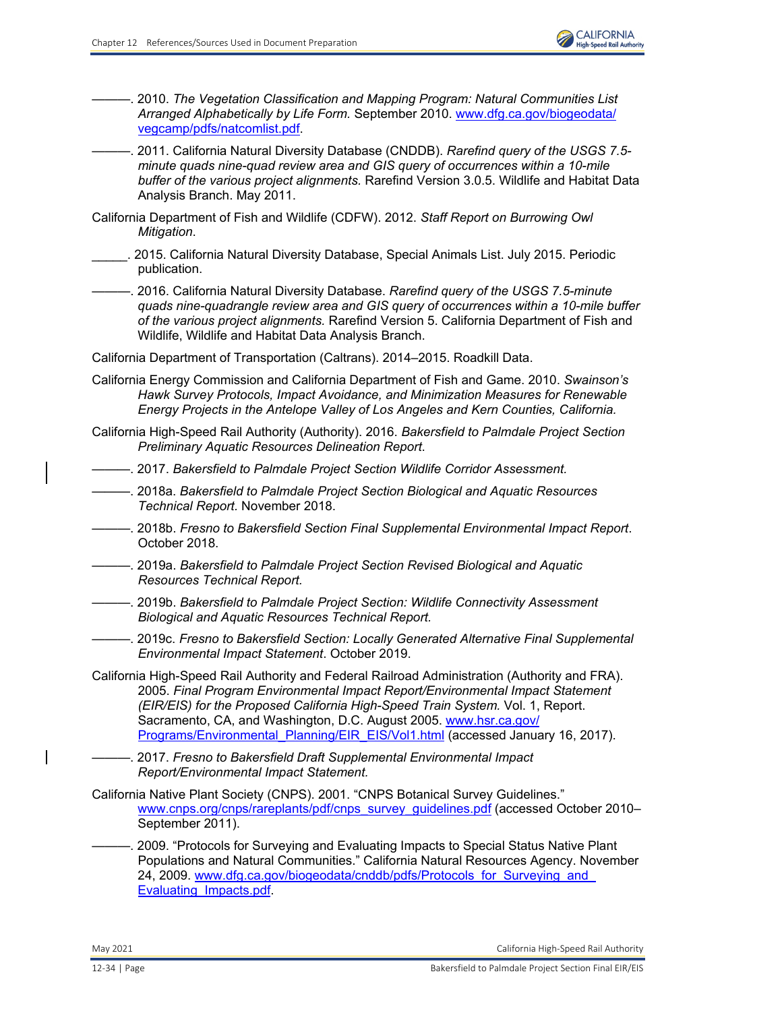- ———. 2010. *The Vegetation Classification and Mapping Program: Natural Communities List Arranged Alphabetically by Life Form.* September 2010. [www.dfg.ca.gov/biogeodata/](http://www.dfg.ca.gov/biogeodata/vegcamp/pdfs/natcomlist.pdf.) [vegcamp/pdfs/natcomlist.pdf.](http://www.dfg.ca.gov/biogeodata/vegcamp/pdfs/natcomlist.pdf.)
- ———. 2011. California Natural Diversity Database (CNDDB). *Rarefind query of the USGS 7.5 minute quads nine-quad review area and GIS query of occurrences within a 10-mile buffer of the various project alignments.* Rarefind Version 3.0.5. Wildlife and Habitat Data Analysis Branch. May 2011.
- California Department of Fish and Wildlife (CDFW). 2012. *Staff Report on Burrowing Owl Mitigation*.
- \_\_\_\_\_. 2015. California Natural Diversity Database, Special Animals List. July 2015. Periodic publication.
	- ———. 2016. California Natural Diversity Database. *Rarefind query of the USGS 7.5-minute quads nine-quadrangle review area and GIS query of occurrences within a 10-mile buffer of the various project alignments.* Rarefind Version 5. California Department of Fish and Wildlife, Wildlife and Habitat Data Analysis Branch.

California Department of Transportation (Caltrans). 2014–2015. Roadkill Data.

- California Energy Commission and California Department of Fish and Game. 2010. *Swainson's Hawk Survey Protocols, Impact Avoidance, and Minimization Measures for Renewable Energy Projects in the Antelope Valley of Los Angeles and Kern Counties, California.*
- California High-Speed Rail Authority (Authority). 2016. *Bakersfield to Palmdale Project Section Preliminary Aquatic Resources Delineation Report*.
- ———. 2017. *Bakersfield to Palmdale Project Section Wildlife Corridor Assessment.*
- ———. 2018a. *Bakersfield to Palmdale Project Section Biological and Aquatic Resources Technical Report.* November 2018.
- ———. 2018b. *Fresno to Bakersfield Section Final Supplemental Environmental Impact Report*. October 2018.
- ———. 2019a. *Bakersfield to Palmdale Project Section Revised Biological and Aquatic Resources Technical Report.*
- ———. 2019b. *Bakersfield to Palmdale Project Section: Wildlife Connectivity Assessment Biological and Aquatic Resources Technical Report.*

———. 2019c. *Fresno to Bakersfield Section: Locally Generated Alternative Final Supplemental Environmental Impact Statement*. October 2019.

- California High-Speed Rail Authority and Federal Railroad Administration (Authority and FRA). 2005. *Final Program Environmental Impact Report/Environmental Impact Statement (EIR/EIS) for the Proposed California High-Speed Train System.* Vol. 1, Report. Sacramento, CA, and Washington, D.C. August 2005. [www.hsr.ca.gov/](http://www.hsr.ca.gov/Programs/Environmental_Planning/EIR_EIS/Vol1.html) [Programs/Environmental\\_Planning/EIR\\_EIS/Vol1.html](http://www.hsr.ca.gov/Programs/Environmental_Planning/EIR_EIS/Vol1.html) (accessed January 16, 2017).
	- ———. 2017. *Fresno to Bakersfield Draft Supplemental Environmental Impact Report/Environmental Impact Statement.*
- California Native Plant Society (CNPS). 2001. "CNPS Botanical Survey Guidelines." [www.cnps.org/cnps/rareplants/pdf/cnps\\_survey\\_guidelines.pdf](http://www.cnps.org/cnps/rareplants/pdf/cnps_survey_guidelines.pdf) (accessed October 2010– September 2011).
- ———. 2009. "Protocols for Surveying and Evaluating Impacts to Special Status Native Plant Populations and Natural Communities." California Natural Resources Agency. November 24, 2009. www.dfg.ca.gov/biogeodata/cnddb/pdfs/Protocols\_for\_Surveying\_and [Evaluating\\_Impacts.pdf.](http://www.dfg.ca.gov/biogeodata/cnddb/pdfs/Protocols_for_Surveying_and_Evaluating_Impacts.pdf.)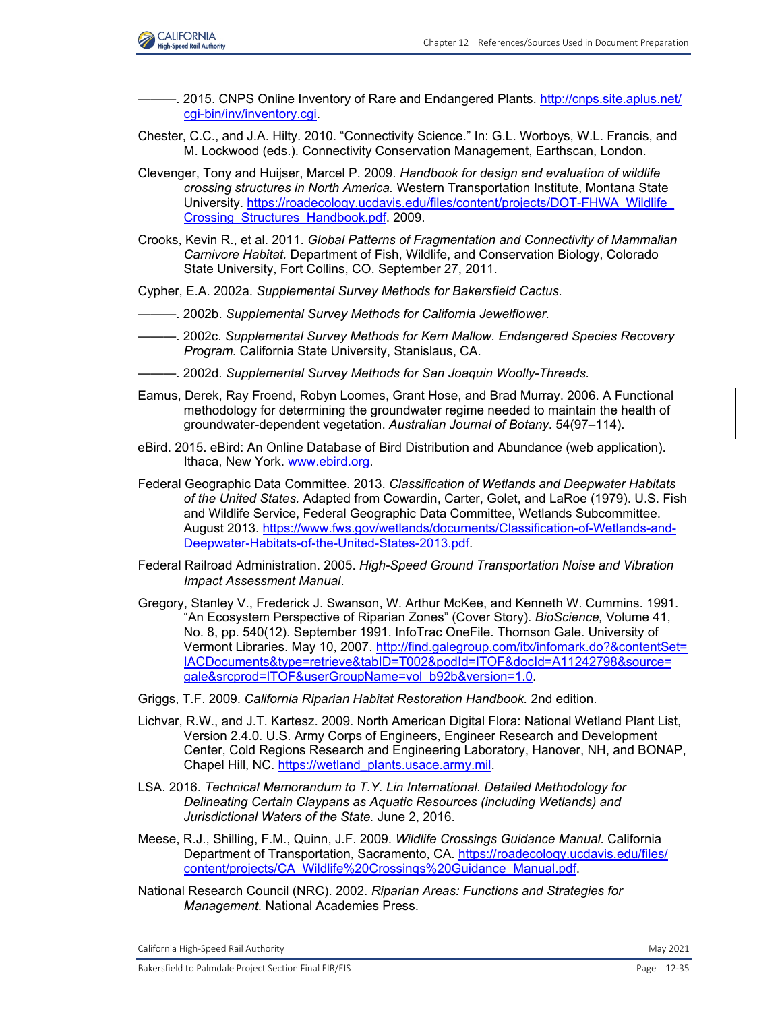

- -. 2015. CNPS Online Inventory of Rare and Endangered Plants. [http://cnps.site.aplus.net/](http://cnps.site.aplus.net/ cgi-bin/inv/inventory.cgi.) [cgi-bin/inv/inventory.cgi.](http://cnps.site.aplus.net/ cgi-bin/inv/inventory.cgi.)
- Chester, C.C., and J.A. Hilty. 2010. "Connectivity Science." In: G.L. Worboys, W.L. Francis, and M. Lockwood (eds.). Connectivity Conservation Management, Earthscan, London.
- Clevenger, Tony and Huijser, Marcel P. 2009. *Handbook for design and evaluation of wildlife crossing structures in North America.* Western Transportation Institute, Montana State University[. https://roadecology.ucdavis.edu/files/content/projects/DOT-FHWA\\_Wildlife\\_](https://roadecology.ucdavis.edu/files/content/projects/DOT-FHWA_Wildlife_ Crossing_Structures_Handbook.pdf.) [Crossing\\_Structures\\_Handbook.pdf.](https://roadecology.ucdavis.edu/files/content/projects/DOT-FHWA_Wildlife_ Crossing_Structures_Handbook.pdf.) 2009.
- Crooks, Kevin R., et al. 2011. *Global Patterns of Fragmentation and Connectivity of Mammalian Carnivore Habitat.* Department of Fish, Wildlife, and Conservation Biology, Colorado State University, Fort Collins, CO. September 27, 2011.
- Cypher, E.A. 2002a. *Supplemental Survey Methods for Bakersfield Cactus.*
- ———. 2002b. *Supplemental Survey Methods for California Jewelflower.*
- ———. 2002c. *Supplemental Survey Methods for Kern Mallow. Endangered Species Recovery Program.* California State University, Stanislaus, CA.
- ———. 2002d. *Supplemental Survey Methods for San Joaquin Woolly-Threads.*
- Eamus, Derek, Ray Froend, Robyn Loomes, Grant Hose, and Brad Murray. 2006. A Functional methodology for determining the groundwater regime needed to maintain the health of groundwater-dependent vegetation. *Australian Journal of Botany*. 54(97–114).
- eBird. 2015. eBird: An Online Database of Bird Distribution and Abundance (web application). Ithaca, New York. [www.ebird.org.](http://www.ebird.org.)
- Federal Geographic Data Committee. 2013. *Classification of Wetlands and Deepwater Habitats of the United States.* Adapted from Cowardin, Carter, Golet, and LaRoe (1979). U.S. Fish and Wildlife Service, Federal Geographic Data Committee, Wetlands Subcommittee. August 2013[. https://www.fws.gov/wetlands/documents/Classification-of-Wetlands-and-](https://www.fws.gov/wetlands/documents/Classification-of-Wetlands-and- Deepwater-Habitats-of-the-United-States-2013.pdf.)[Deepwater-Habitats-of-the-United-States-2013.pdf.](https://www.fws.gov/wetlands/documents/Classification-of-Wetlands-and- Deepwater-Habitats-of-the-United-States-2013.pdf.)
- Federal Railroad Administration. 2005. *High-Speed Ground Transportation Noise and Vibration Impact Assessment Manual*.
- Gregory, Stanley V., Frederick J. Swanson, W. Arthur McKee, and Kenneth W. Cummins. 1991. "An Ecosystem Perspective of Riparian Zones" (Cover Story). *BioScience,* Volume 41, No. 8, pp. 540(12). September 1991. InfoTrac OneFile. Thomson Gale. University of Vermont Libraries. May 10, 2007. [http://find.galegroup.com/itx/infomark.do?&contentSet=](http://find.galegroup.com/itx/infomark.do?&contentSet= IACDocuments&type=retrieve&tabID=T002&podId=ITOF&docId=A11242798&source= gale&srcprod=ITOF&userGroupName=vol_b92b&version=1.0.) [IACDocuments&type=retrieve&tabID=T002&podId=ITOF&docId=A11242798&source=](http://find.galegroup.com/itx/infomark.do?&contentSet= IACDocuments&type=retrieve&tabID=T002&podId=ITOF&docId=A11242798&source= gale&srcprod=ITOF&userGroupName=vol_b92b&version=1.0.) gale&srcprod=ITOF&userGroupName=vol\_b92b&version=1.0.
- Griggs, T.F. 2009. *California Riparian Habitat Restoration Handbook.* 2nd edition.
- Lichvar, R.W., and J.T. Kartesz. 2009. North American Digital Flora: National Wetland Plant List, Version 2.4.0. U.S. Army Corps of Engineers, Engineer Research and Development Center, Cold Regions Research and Engineering Laboratory, Hanover, NH, and BONAP, Chapel Hill, NC. [https://wetland\\_plants.usace.army.mil.](https://wetland_plants.usace.army.mil.)
- LSA. 2016. *Technical Memorandum to T.Y. Lin International. Detailed Methodology for Delineating Certain Claypans as Aquatic Resources (including Wetlands) and Jurisdictional Waters of the State.* June 2, 2016.
- Meese, R.J., Shilling, F.M., Quinn, J.F. 2009. *Wildlife Crossings Guidance Manual.* California Department of Transportation, Sacramento, CA[. https://roadecology.ucdavis.edu/files/](https://roadecology.ucdavis.edu/files/ content/projects/CA_Wildlife%20Crossings%20Guidance_Manual.pdf.) [content/projects/CA\\_Wildlife%20Crossings%20Guidance\\_Manual.pdf.](https://roadecology.ucdavis.edu/files/ content/projects/CA_Wildlife%20Crossings%20Guidance_Manual.pdf.)
- National Research Council (NRC). 2002. *Riparian Areas: Functions and Strategies for Management.* National Academies Press.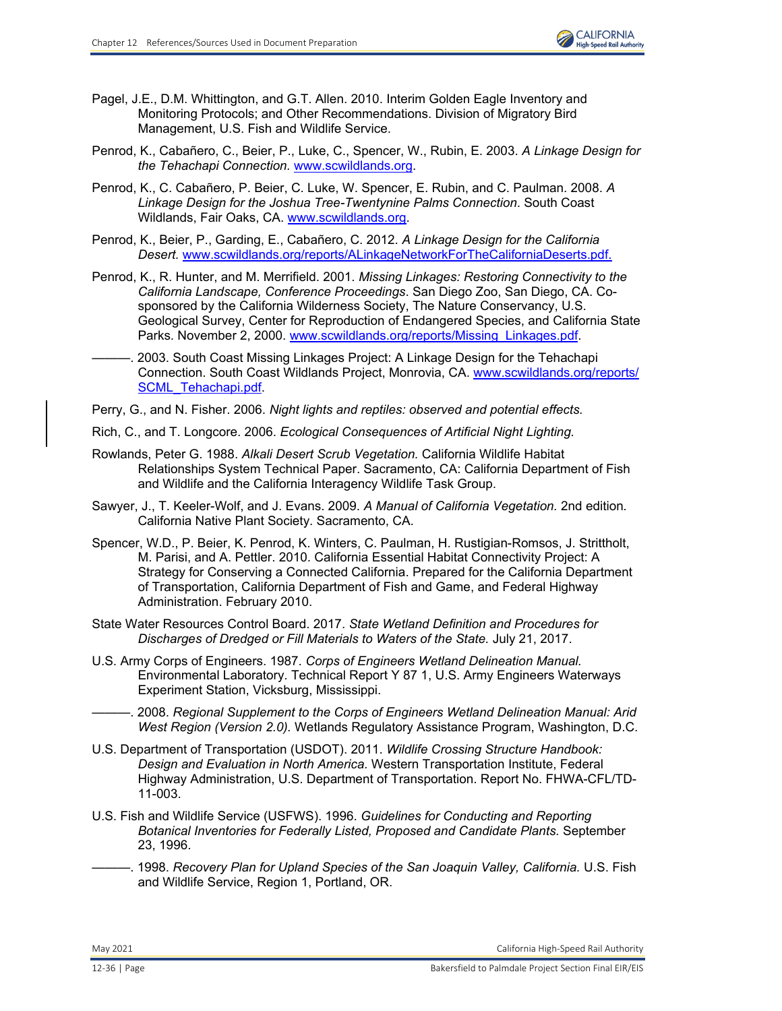

- Pagel, J.E., D.M. Whittington, and G.T. Allen. 2010. Interim Golden Eagle Inventory and Monitoring Protocols; and Other Recommendations. Division of Migratory Bird Management, U.S. Fish and Wildlife Service.
- Penrod, K., Cabañero, C., Beier, P., Luke, C., Spencer, W., Rubin, E. 2003. *A Linkage Design for the Tehachapi Connection.* [www.scwildlands.org.](http://www.scwildlands.org.)
- Penrod, K., C. Cabañero, P. Beier, C. Luke, W. Spencer, E. Rubin, and C. Paulman. 2008. *A Linkage Design for the Joshua Tree-Twentynine Palms Connection*. South Coast Wildlands, Fair Oaks, CA. [www.scwildlands.org.](http://www.scwildlands.org.)
- Penrod, K., Beier, P., Garding, E., Cabañero, C. 2012. *A Linkage Design for the California Desert.* [www.scwildlands.org/reports/ALinkageNetworkForTheCaliforniaDeserts.pdf.](http://www.scwildlands.org/reports/ALinkageNetworkForTheCaliforniaDeserts.pdf.)
- Penrod, K., R. Hunter, and M. Merrifield. 2001. *Missing Linkages: Restoring Connectivity to the California Landscape, Conference Proceedings*. San Diego Zoo, San Diego, CA. Cosponsored by the California Wilderness Society, The Nature Conservancy, U.S. Geological Survey, Center for Reproduction of Endangered Species, and California State Parks. November 2, 2000. [www.scwildlands.org/reports/Missing\\_Linkages.pdf.](http://www.scwildlands.org/reports/Missing_Linkages.pdf.)
- -. 2003. South Coast Missing Linkages Project: A Linkage Design for the Tehachapi Connection. South Coast Wildlands Project, Monrovia, CA. [www.scwildlands.org/reports/](http://www.scwildlands.org/reports/SCML_Tehachapi.pdf.) SCML Tehachapi.pdf.
- Perry, G., and N. Fisher. 2006. *Night lights and reptiles: observed and potential effects.*
- Rich, C., and T. Longcore. 2006. *Ecological Consequences of Artificial Night Lighting.*
- Rowlands, Peter G. 1988. *Alkali Desert Scrub Vegetation.* California Wildlife Habitat Relationships System Technical Paper. Sacramento, CA: California Department of Fish and Wildlife and the California Interagency Wildlife Task Group.
- Sawyer, J., T. Keeler-Wolf, and J. Evans. 2009. *A Manual of California Vegetation.* 2nd edition*.*  California Native Plant Society. Sacramento, CA.
- Spencer, W.D., P. Beier, K. Penrod, K. Winters, C. Paulman, H. Rustigian-Romsos, J. Strittholt, M. Parisi, and A. Pettler. 2010. California Essential Habitat Connectivity Project: A Strategy for Conserving a Connected California. Prepared for the California Department of Transportation, California Department of Fish and Game, and Federal Highway Administration. February 2010.
- State Water Resources Control Board. 2017. *State Wetland Definition and Procedures for Discharges of Dredged or Fill Materials to Waters of the State.* July 21, 2017.
- U.S. Army Corps of Engineers. 1987. *Corps of Engineers Wetland Delineation Manual.* Environmental Laboratory. Technical Report Y 87 1, U.S. Army Engineers Waterways Experiment Station, Vicksburg, Mississippi.
	- ———. 2008. *Regional Supplement to the Corps of Engineers Wetland Delineation Manual: Arid West Region (Version 2.0).* Wetlands Regulatory Assistance Program, Washington, D.C.
- U.S. Department of Transportation (USDOT). 2011. *Wildlife Crossing Structure Handbook: Design and Evaluation in North America.* Western Transportation Institute, Federal Highway Administration, U.S. Department of Transportation. Report No. FHWA-CFL/TD-11-003.
- U.S. Fish and Wildlife Service (USFWS). 1996. *Guidelines for Conducting and Reporting Botanical Inventories for Federally Listed, Proposed and Candidate Plants.* September 23, 1996.
- ———. 1998. *Recovery Plan for Upland Species of the San Joaquin Valley, California.* U.S. Fish and Wildlife Service, Region 1, Portland, OR.

May 2021 California High‐Speed Rail Authority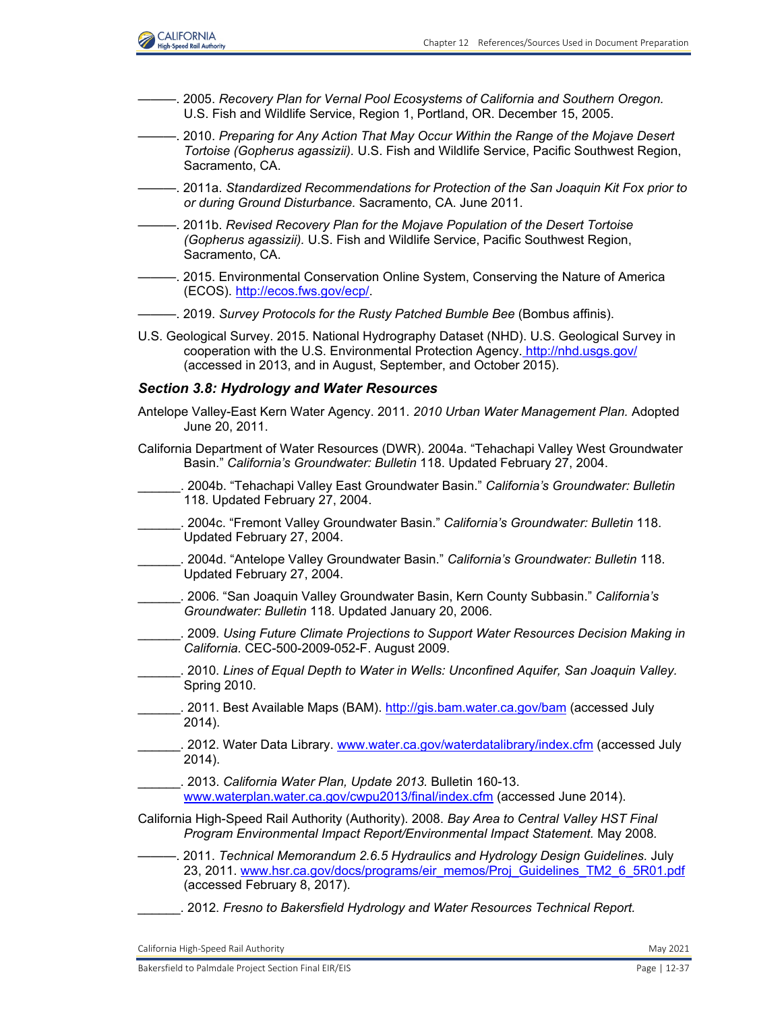

- ———. 2005. *Recovery Plan for Vernal Pool Ecosystems of California and Southern Oregon.*  U.S. Fish and Wildlife Service, Region 1, Portland, OR. December 15, 2005.
- ———. 2010. *Preparing for Any Action That May Occur Within the Range of the Mojave Desert Tortoise (Gopherus agassizii).* U.S. Fish and Wildlife Service, Pacific Southwest Region, Sacramento, CA.
- ———. 2011a. *Standardized Recommendations for Protection of the San Joaquin Kit Fox prior to or during Ground Disturbance.* Sacramento, CA. June 2011.
- ———. 2011b. *Revised Recovery Plan for the Mojave Population of the Desert Tortoise (Gopherus agassizii).* U.S. Fish and Wildlife Service, Pacific Southwest Region, Sacramento, CA.
- ———. 2015. Environmental Conservation Online System, Conserving the Nature of America (ECOS)[. http://ecos.fws.gov/ecp/.](http://ecos.fws.gov/ecp/.)
- ———. 2019. *Survey Protocols for the Rusty Patched Bumble Bee* (Bombus affinis).
- U.S. Geological Survey. 2015. National Hydrography Dataset (NHD). U.S. Geological Survey in cooperation with the U.S. Environmental Protection Agency. <http://nhd.usgs.gov/> (accessed in 2013, and in August, September, and October 2015).

#### *Section 3.8: Hydrology and Water Resources*

- Antelope Valley-East Kern Water Agency. 2011. *2010 Urban Water Management Plan.* Adopted June 20, 2011.
- California Department of Water Resources (DWR). 2004a. "Tehachapi Valley West Groundwater Basin." *California's Groundwater: Bulletin* 118. Updated February 27, 2004.
- \_\_\_\_\_\_. 2004b. "Tehachapi Valley East Groundwater Basin." *California's Groundwater: Bulletin* 118. Updated February 27, 2004.
- \_\_\_\_\_\_. 2004c. "Fremont Valley Groundwater Basin." *California's Groundwater: Bulletin* 118. Updated February 27, 2004.
- \_\_\_\_\_\_. 2004d. "Antelope Valley Groundwater Basin." *California's Groundwater: Bulletin* 118. Updated February 27, 2004.
- \_\_\_\_\_\_. 2006. "San Joaquin Valley Groundwater Basin, Kern County Subbasin." *California's Groundwater: Bulletin* 118. Updated January 20, 2006.
- \_\_\_\_\_\_. 2009. *Using Future Climate Projections to Support Water Resources Decision Making in California.* CEC-500-2009-052-F. August 2009.
- \_\_\_\_\_\_. 2010. *Lines of Equal Depth to Water in Wells: Unconfined Aquifer, San Joaquin Valley.*  Spring 2010.
- . 2011. Best Available Maps (BAM). <http://gis.bam.water.ca.gov/bam> (accessed July 2014).
- \_\_\_\_\_\_. 2012. Water Data Library[. www.water.ca.gov/waterdatalibrary/index.cfm](http://www.water.ca.gov/waterdatalibrary/index.cfm) (accessed July 2014).
- \_\_\_\_\_\_. 2013. *California Water Plan, Update 2013.* Bulletin 160-13.
	- [www.waterplan.water.ca.gov/cwpu2013/final/index.cfm](http://www.waterplan.water.ca.gov/cwpu2013/final/index.cfm) (accessed June 2014).
- California High-Speed Rail Authority (Authority). 2008. *Bay Area to Central Valley HST Final Program Environmental Impact Report/Environmental Impact Statement.* May 2008*.*
- ———. 2011. *Technical Memorandum 2.6.5 Hydraulics and Hydrology Design Guidelines.* July 23, 2011. [www.hsr.ca.gov/docs/programs/eir\\_memos/Proj\\_Guidelines\\_TM2\\_6\\_5R01.pdf](http://www.hsr.ca.gov/docs/programs/eir_memos/Proj_Guidelines_TM2_6_5R01.pdf) (accessed February 8, 2017).
	- \_\_\_\_\_\_. 2012. *Fresno to Bakersfield Hydrology and Water Resources Technical Report.*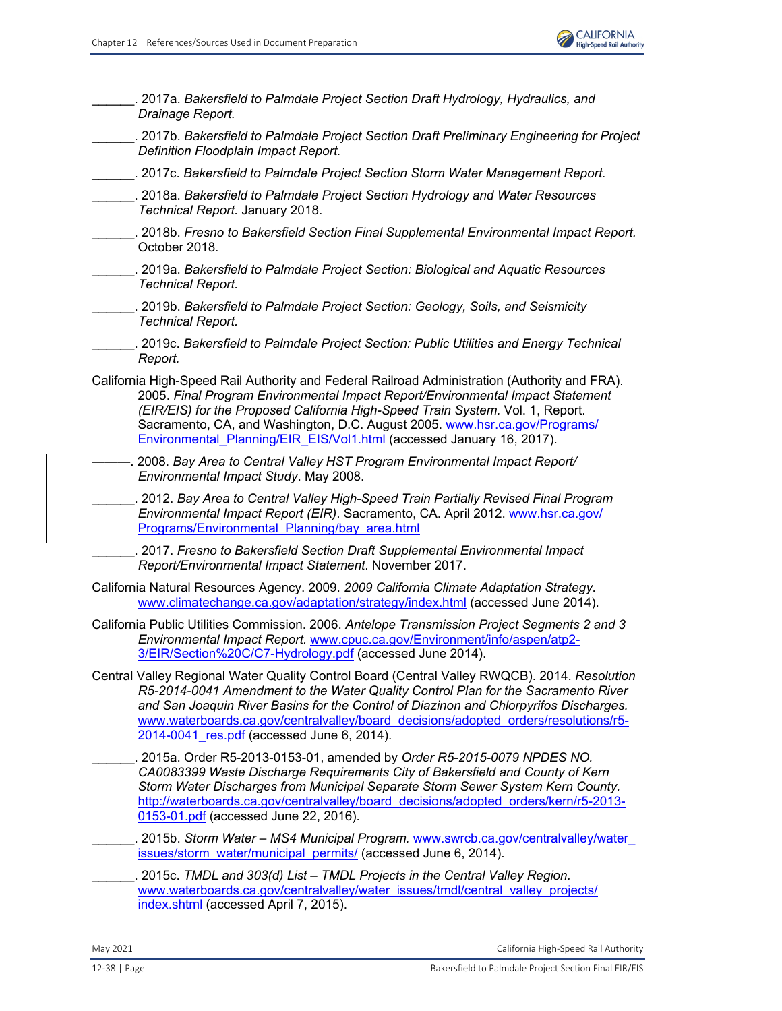\_\_\_\_\_\_. 2017a. *Bakersfield to Palmdale Project Section Draft Hydrology, Hydraulics, and Drainage Report.* \_\_\_\_\_\_. 2017b. *Bakersfield to Palmdale Project Section Draft Preliminary Engineering for Project Definition Floodplain Impact Report.* \_\_\_\_\_\_. 2017c. *Bakersfield to Palmdale Project Section Storm Water Management Report.* \_\_\_\_\_\_. 2018a. *Bakersfield to Palmdale Project Section Hydrology and Water Resources Technical Report.* January 2018. \_\_\_\_\_\_. 2018b. *Fresno to Bakersfield Section Final Supplemental Environmental Impact Report.* October 2018. \_\_\_\_\_\_. 2019a. *Bakersfield to Palmdale Project Section: Biological and Aquatic Resources Technical Report.* \_\_\_\_\_\_. 2019b. *Bakersfield to Palmdale Project Section: Geology, Soils, and Seismicity Technical Report.* \_\_\_\_\_\_. 2019c. *Bakersfield to Palmdale Project Section: Public Utilities and Energy Technical Report.*  California High-Speed Rail Authority and Federal Railroad Administration (Authority and FRA). 2005. *Final Program Environmental Impact Report/Environmental Impact Statement (EIR/EIS) for the Proposed California High-Speed Train System.* Vol. 1, Report. Sacramento, CA, and Washington, D.C. August 2005. [www.hsr.ca.gov/Programs/](http://www.hsr.ca.gov/Programs/Environmental_Planning/EIR_EIS/Vol1.html) [Environmental\\_Planning/EIR\\_EIS/Vol1.html](http://www.hsr.ca.gov/Programs/Environmental_Planning/EIR_EIS/Vol1.html) (accessed January 16, 2017). ———. 2008. *Bay Area to Central Valley HST Program Environmental Impact Report/ Environmental Impact Study*. May 2008. \_\_\_\_\_\_. 2012. *Bay Area to Central Valley High-Speed Train Partially Revised Final Program Environmental Impact Report (EIR)*. Sacramento, CA. April 2012. [www.hsr.ca.gov/](http://www.hsr.ca.gov/Programs/Environmental_Planning/bay_area.html) [Programs/Environmental\\_Planning/bay\\_area.html](http://www.hsr.ca.gov/Programs/Environmental_Planning/bay_area.html) \_\_\_\_\_\_. 2017. *Fresno to Bakersfield Section Draft Supplemental Environmental Impact Report/Environmental Impact Statement*. November 2017. California Natural Resources Agency. 2009. *2009 California Climate Adaptation Strategy*. [www.climatechange.ca.gov/adaptation/strategy/index.html](http://www.climatechange.ca.gov/adaptation/strategy/index.html) (accessed June 2014). California Public Utilities Commission. 2006. *Antelope Transmission Project Segments 2 and 3 Environmental Impact Report.* [www.cpuc.ca.gov/Environment/info/aspen/atp2-](http://www.cpuc.ca.gov/Environment/info/aspen/atp2-3/EIR/Section%20C/C7-Hydrology.pdf) [3/EIR/Section%20C/C7-Hydrology.pdf](http://www.cpuc.ca.gov/Environment/info/aspen/atp2-3/EIR/Section%20C/C7-Hydrology.pdf) (accessed June 2014). Central Valley Regional Water Quality Control Board (Central Valley RWQCB). 2014. *Resolution R5-2014-0041 Amendment to the Water Quality Control Plan for the Sacramento River and San Joaquin River Basins for the Control of Diazinon and Chlorpyrifos Discharges.*  [www.waterboards.ca.gov/centralvalley/board\\_decisions/adopted\\_orders/resolutions/r5-](http://waterboards.ca.gov/centralvalley/board_decisions/adopted_orders/kern/r5-2013-0153-01.pdf) [2014-0041\\_res.pdf](http://waterboards.ca.gov/centralvalley/board_decisions/adopted_orders/kern/r5-2013-0153-01.pdf) (accessed June 6, 2014). \_\_\_\_\_\_. 2015a. Order R5-2013-0153-01, amended by *Order R5-2015-0079 NPDES NO. CA0083399 Waste Discharge Requirements City of Bakersfield and County of Kern Storm Water Discharges from Municipal Separate Storm Sewer System Kern County.*  [http://waterboards.ca.gov/centralvalley/board\\_decisions/adopted\\_orders/kern/r5-2013-](http://waterboards.ca.gov/centralvalley/board_decisions/adopted_orders/kern/r5-2013- 0153-01.pdf) [0153-01.pdf](http://waterboards.ca.gov/centralvalley/board_decisions/adopted_orders/kern/r5-2013- 0153-01.pdf) (accessed June 22, 2016). \_\_\_\_\_\_. 2015b. *Storm Water – MS4 Municipal Program.* [www.swrcb.ca.gov/centralvalley/water\\_](http://www.swrcb.ca.gov/centralvalley/water_issues/storm_water/municipal_permits/) [issues/storm\\_water/municipal\\_permits/](http://www.swrcb.ca.gov/centralvalley/water_issues/storm_water/municipal_permits/) (accessed June 6, 2014). \_\_\_\_\_\_. 2015c. *TMDL and 303(d) List – TMDL Projects in the Central Valley Region.* [www.waterboards.ca.gov/centralvalley/water\\_issues/tmdl/central\\_valley\\_projects/](http://www.waterboards.ca.gov/centralvalley/water_issues/tmdl/central_valley_projects/index.shtml) [index.shtml](http://www.waterboards.ca.gov/centralvalley/water_issues/tmdl/central_valley_projects/index.shtml) (accessed April 7, 2015).

May 2021 California High‐Speed Rail Authority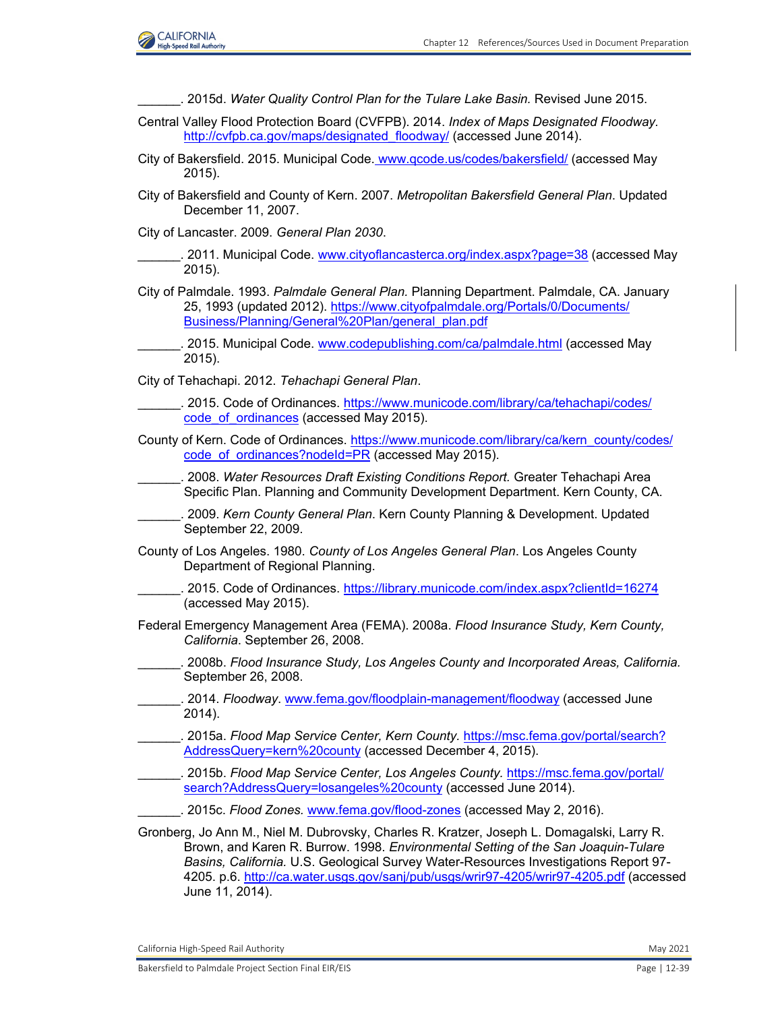

| 2015d. Water Quality Control Plan for the Tulare Lake Basin. Revised June 2015.                                                                                                                                                                                                                                                                                    |  |
|--------------------------------------------------------------------------------------------------------------------------------------------------------------------------------------------------------------------------------------------------------------------------------------------------------------------------------------------------------------------|--|
| Central Valley Flood Protection Board (CVFPB). 2014. Index of Maps Designated Floodway.<br>http://cvfpb.ca.gov/maps/designated floodway/ (accessed June 2014).                                                                                                                                                                                                     |  |
| City of Bakersfield. 2015. Municipal Code. www.gcode.us/codes/bakersfield/ (accessed May<br>2015).                                                                                                                                                                                                                                                                 |  |
| City of Bakersfield and County of Kern. 2007. Metropolitan Bakersfield General Plan. Updated<br>December 11, 2007.                                                                                                                                                                                                                                                 |  |
| City of Lancaster. 2009. General Plan 2030.                                                                                                                                                                                                                                                                                                                        |  |
| . 2011. Municipal Code. www.cityoflancasterca.org/index.aspx?page=38 (accessed May<br>$2015$ ).                                                                                                                                                                                                                                                                    |  |
| City of Palmdale. 1993. Palmdale General Plan. Planning Department. Palmdale, CA. January<br>25, 1993 (updated 2012). https://www.cityofpalmdale.org/Portals/0/Documents/<br>Business/Planning/General%20Plan/general plan.pdf                                                                                                                                     |  |
| . 2015. Municipal Code. www.codepublishing.com/ca/palmdale.html (accessed May<br>$2015$ ).                                                                                                                                                                                                                                                                         |  |
| City of Tehachapi. 2012. Tehachapi General Plan.                                                                                                                                                                                                                                                                                                                   |  |
| . 2015. Code of Ordinances. https://www.municode.com/library/ca/tehachapi/codes/<br>code of ordinances (accessed May 2015).                                                                                                                                                                                                                                        |  |
| County of Kern. Code of Ordinances. https://www.municode.com/library/ca/kern_county/codes/<br>code of ordinances?nodeld=PR (accessed May 2015).                                                                                                                                                                                                                    |  |
| . 2008. Water Resources Draft Existing Conditions Report. Greater Tehachapi Area<br>Specific Plan. Planning and Community Development Department. Kern County, CA.                                                                                                                                                                                                 |  |
| . 2009. Kern County General Plan. Kern County Planning & Development. Updated<br>September 22, 2009.                                                                                                                                                                                                                                                               |  |
| County of Los Angeles. 1980. County of Los Angeles General Plan. Los Angeles County<br>Department of Regional Planning.                                                                                                                                                                                                                                            |  |
| . 2015. Code of Ordinances. https://library.municode.com/index.aspx?clientId=16274<br>(accessed May 2015).                                                                                                                                                                                                                                                         |  |
| Federal Emergency Management Area (FEMA). 2008a. Flood Insurance Study, Kern County,<br>California. September 26, 2008.                                                                                                                                                                                                                                            |  |
| 2008b. Flood Insurance Study, Los Angeles County and Incorporated Areas, California.<br>September 26, 2008.                                                                                                                                                                                                                                                        |  |
| . 2014. Floodway. www.fema.gov/floodplain-management/floodway (accessed June<br>2014).                                                                                                                                                                                                                                                                             |  |
| . 2015a. Flood Map Service Center, Kern County. https://msc.fema.gov/portal/search?<br>AddressQuery=kern%20county (accessed December 4, 2015).                                                                                                                                                                                                                     |  |
| . 2015b. Flood Map Service Center, Los Angeles County. https://msc.fema.gov/portal/<br>search?AddressQuery=losangeles%20county (accessed June 2014).                                                                                                                                                                                                               |  |
| . 2015c. Flood Zones. www.fema.gov/flood-zones (accessed May 2, 2016).                                                                                                                                                                                                                                                                                             |  |
| Gronberg, Jo Ann M., Niel M. Dubrovsky, Charles R. Kratzer, Joseph L. Domagalski, Larry R.<br>Brown, and Karen R. Burrow. 1998. Environmental Setting of the San Joaquin-Tulare<br>Basins, California. U.S. Geological Survey Water-Resources Investigations Report 97-<br>4205. p.6. http://ca.water.usgs.gov/sanj/pub/usgs/wrir97-4205/wrir97-4205.pdf (accessed |  |

June 11, 2014).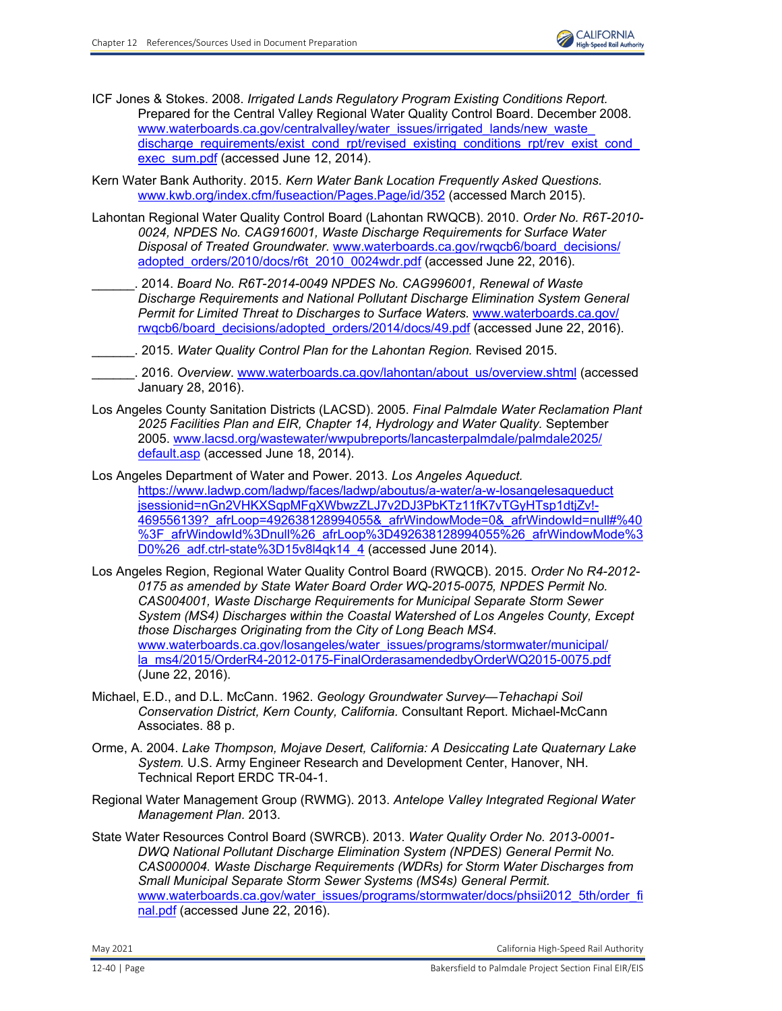- ICF Jones & Stokes. 2008. *Irrigated Lands Regulatory Program Existing Conditions Report.* Prepared for the Central Valley Regional Water Quality Control Board. December 2008. www.waterboards.ca.gov/centralvalley/water\_issues/irrigated\_lands/new\_waste discharge\_requirements/exist\_cond\_rpt/revised\_existing\_conditions\_rpt/rev\_exist\_cond [exec\\_sum.pdf](http://www.waterboards.ca.gov/centralvalley/water_issues/irrigated_lands/new_waste_discharge_requirements/exist_cond_rpt/revised_existing_conditions_rpt/rev_exist_cond_exec_sum.pdf) (accessed June 12, 2014).
- Kern Water Bank Authority. 2015. *Kern Water Bank Location Frequently Asked Questions.* [www.kwb.org/index.cfm/fuseaction/Pages.Page/id/352 \(](http://www.kwb.org/index.cfm/fuseaction/Pages.Page/id/352)accessed March 2015).
- Lahontan Regional Water Quality Control Board (Lahontan RWQCB). 2010. *Order No. R6T-2010- 0024, NPDES No. CAG916001, Waste Discharge Requirements for Surface Water Disposal of Treated Groundwater.* [www.waterboards.ca.gov/rwqcb6/board\\_decisions/](http://www.waterboards.ca.gov/rwqcb6/board_decisions/adopted_orders/2010/docs/r6t_2010_0024wdr.pdf) [adopted\\_orders/2010/docs/r6t\\_2010\\_0024wdr.pdf](http://www.waterboards.ca.gov/rwqcb6/board_decisions/adopted_orders/2010/docs/r6t_2010_0024wdr.pdf) (accessed June 22, 2016).
	- \_\_\_\_\_\_. 2014. *Board No. R6T-2014-0049 NPDES No. CAG996001, Renewal of Waste Discharge Requirements and National Pollutant Discharge Elimination System General Permit for Limited Threat to Discharges to Surface Waters.* [www.waterboards.ca.gov/](http://www.waterboards.ca.gov/rwqcb6/board_decisions/adopted_orders/2014/docs/49.pdf) [rwqcb6/board\\_decisions/adopted\\_orders/2014/docs/49.pdf](http://www.waterboards.ca.gov/rwqcb6/board_decisions/adopted_orders/2014/docs/49.pdf) (accessed June 22, 2016).
	- \_\_\_\_\_\_. 2015. *Water Quality Control Plan for the Lahontan Region.* Revised 2015.
- \_\_\_\_\_\_. 2016. *Overview*. [www.waterboards.ca.gov/lahontan/about\\_us/overview.shtml](http://www.waterboards.ca.gov/lahontan/about_us/overview.shtml) (accessed January 28, 2016).
- Los Angeles County Sanitation Districts (LACSD). 2005. *Final Palmdale Water Reclamation Plant 2025 Facilities Plan and EIR, Chapter 14, Hydrology and Water Quality.* September 2005. [www.lacsd.org/wastewater/wwpubreports/lancasterpalmdale/palmdale2025/](http://www.lacsd.org/wastewater/wwpubreports/lancasterpalmdale/palmdale2025/default.asp) [default.asp](http://www.lacsd.org/wastewater/wwpubreports/lancasterpalmdale/palmdale2025/default.asp) (accessed June 18, 2014).
- Los Angeles Department of Water and Power. 2013. *Los Angeles Aqueduct.* https://www.ladwp.com/ladwp/faces/ladwp/aboutus/a-water/a-w-losangelesaqueduct jsessionid=nGn2VHKXSqpMFgXWbwzZLJ7v2DJ3PbKTz11fK7vTGyHTsp1dtjZv!- 469556139?\_afrLoop=492638128994055&\_afrWindowMode=0&\_afrWindowId=null#%40 [%3F\\_afrWindowId%3Dnull%26\\_afrLoop%3D492638128994055%26\\_afrWindowMode%3](https://www.ladwp.com/ladwp/faces/ladwp/aboutus/a-water/a-w-losangelesaqueduct jsessionid=nGn2VHKXSqpMFgXWbwzZLJ7v2DJ3PbKTz11fK7vTGyHTsp1dtjZv!- 469556139?_afrLoop=492638128994055&_afrWindowMode=0&_afrWindowId=null#%40 %3F_afrWindowId%3Dnull%26_afrLoop%3D492638128994055%26_afrWindowMode%3 D0%26_adf.ctrl-state%3D15v8l4qk14_4) [D0%26\\_adf.ctrl-state%3D15v8l4qk14\\_4](https://www.ladwp.com/ladwp/faces/ladwp/aboutus/a-water/a-w-losangelesaqueduct jsessionid=nGn2VHKXSqpMFgXWbwzZLJ7v2DJ3PbKTz11fK7vTGyHTsp1dtjZv!- 469556139?_afrLoop=492638128994055&_afrWindowMode=0&_afrWindowId=null#%40 %3F_afrWindowId%3Dnull%26_afrLoop%3D4926) (accessed June 2014).
- Los Angeles Region, Regional Water Quality Control Board (RWQCB). 2015. *Order No R4-2012- 0175 as amended by State Water Board Order WQ-2015-0075, NPDES Permit No. CAS004001, Waste Discharge Requirements for Municipal Separate Storm Sewer System (MS4) Discharges within the Coastal Watershed of Los Angeles County, Except those Discharges Originating from the City of Long Beach MS4.*  www.waterboards.ca.gov/losangeles/water\_issues/programs/stormwater/municipal/ [la\\_ms4/2015/OrderR4-2012-0175-FinalOrderasamendedbyOrderWQ2015-0075.pdf](http://www.waterboards.ca.gov/losangeles/water_issues/programs/stormwater/municipal/la_ms4/2015/OrderR4-2012-0175-FinalOrderasamendedbyOrderWQ2015-0075.pdf) (June 22, 2016).
- Michael, E.D., and D.L. McCann. 1962. *Geology Groundwater Survey—Tehachapi Soil Conservation District, Kern County, California.* Consultant Report. Michael-McCann Associates. 88 p.
- Orme, A. 2004. *Lake Thompson, Mojave Desert, California: A Desiccating Late Quaternary Lake System.* U.S. Army Engineer Research and Development Center, Hanover, NH. Technical Report ERDC TR-04-1.
- Regional Water Management Group (RWMG). 2013. *Antelope Valley Integrated Regional Water Management Plan.* 2013.
- State Water Resources Control Board (SWRCB). 2013. *Water Quality Order No. 2013-0001- DWQ National Pollutant Discharge Elimination System (NPDES) General Permit No. CAS000004. Waste Discharge Requirements (WDRs) for Storm Water Discharges from Small Municipal Separate Storm Sewer Systems (MS4s) General Permit.* [www.waterboards.ca.gov/water\\_issues/programs/stormwater/docs/phsii2012\\_5th/order\\_fi](http://www.waterboards.ca.gov/water_issues/programs/stormwater/docs/phsii2012_5th/order_final.pdf) [nal.pdf](http://www.waterboards.ca.gov/water_issues/programs/stormwater/docs/phsii2012_5th/order_final.pdf) (accessed June 22, 2016).

May 2021 California High‐Speed Rail Authority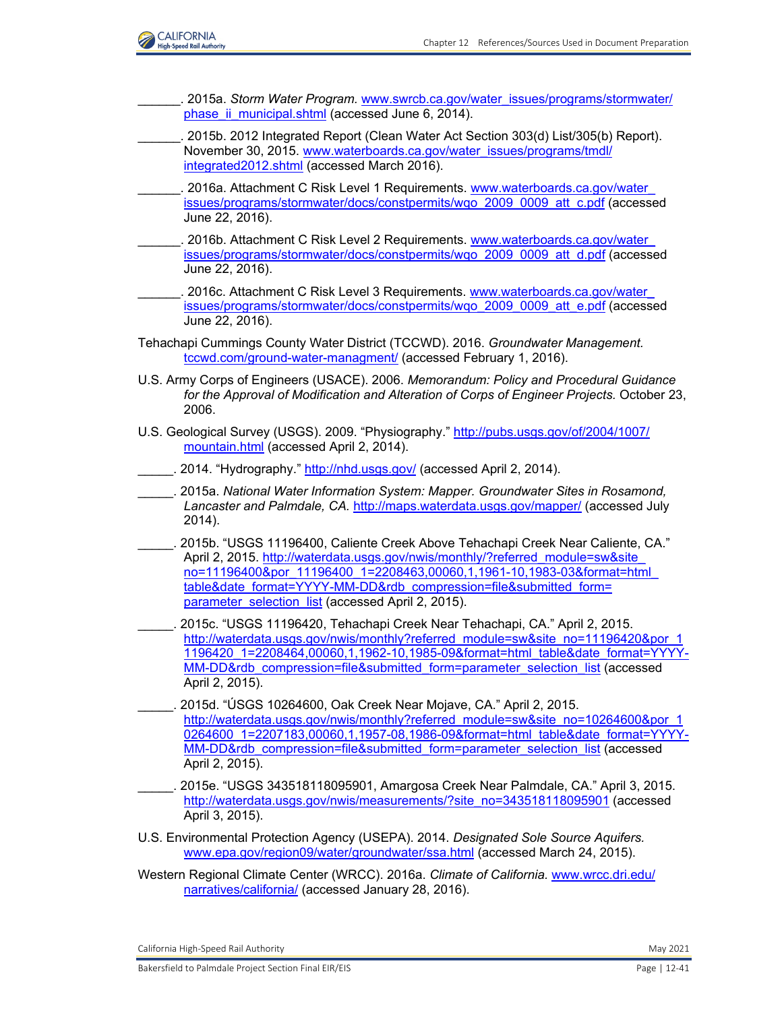

- \_\_\_\_\_\_. 2015a. *Storm Water Program.* [www.swrcb.ca.gov/water\\_issues/programs/stormwater/](http://www.swrcb.ca.gov/water_issues/programs/stormwater/phase_ii_municipal.shtml) phase ii\_municipal.shtml (accessed June 6, 2014).
- \_\_\_\_\_\_. 2015b. 2012 Integrated Report (Clean Water Act Section 303(d) List/305(b) Report). November 30, 2015. [www.waterboards.ca.gov/water\\_issues/programs/tmdl/](http://www.waterboards.ca.gov/water_issues/programs/tmdl/integrated2012.shtml) [integrated2012.shtml](http://www.waterboards.ca.gov/water_issues/programs/tmdl/integrated2012.shtml) (accessed March 2016).
- . 2016a. Attachment C Risk Level 1 Requirements. www.waterboards.ca.gov/water [issues/programs/stormwater/docs/constpermits/wqo\\_2009\\_0009\\_att\\_c.pdf](http://www.waterboards.ca.gov/water_issues/programs/stormwater/docs/constpermits/wqo_2009_0009_att_c.pdf) (accessed June 22, 2016).
- . 2016b. Attachment C Risk Level 2 Requirements. www.waterboards.ca.gov/water [issues/programs/stormwater/docs/constpermits/wqo\\_2009\\_0009\\_att\\_d.pdf](http://www.waterboards.ca.gov/water_issues/programs/stormwater/docs/constpermits/wqo_2009_0009_att_d.pdf) (accessed June 22, 2016).
- . 2016c. Attachment C Risk Level 3 Requirements. www.waterboards.ca.gov/water [issues/programs/stormwater/docs/constpermits/wqo\\_2009\\_0009\\_att\\_e.pdf](http://www.waterboards.ca.gov/water_issues/programs/stormwater/docs/constpermits/wqo_2009_0009_att_e.pdf) (accessed June 22, 2016).
- Tehachapi Cummings County Water District (TCCWD). 2016. *Groundwater Management.* [tccwd.com/ground-water-managment/](http://tccwd.com/ground-water-managment/) (accessed February 1, 2016).
- U.S. Army Corps of Engineers (USACE). 2006. *Memorandum: Policy and Procedural Guidance for the Approval of Modification and Alteration of Corps of Engineer Projects.* October 23, 2006.
- U.S. Geological Survey (USGS). 2009. "Physiography." [http://pubs.usgs.gov/of/2004/1007/](http://pubs.usgs.gov/of/2004/1007/ mountain.html) [mountain.html](http://pubs.usgs.gov/of/2004/1007/ mountain.html) (accessed April 2, 2014).
- 2014. "Hydrography." <http://nhd.usgs.gov/>(accessed April 2, 2014).
- \_\_\_\_\_. 2015a. *National Water Information System: Mapper. Groundwater Sites in Rosamond, Lancaster and Palmdale, CA.* <http://maps.waterdata.usgs.gov/mapper/> (accessed July 2014).
- \_\_\_\_\_. 2015b. "USGS 11196400, Caliente Creek Above Tehachapi Creek Near Caliente, CA." April 2, 2015. [http://waterdata.usgs.gov/nwis/monthly/?referred\\_module=sw&site\\_](http://waterdata.usgs.gov/nwis/monthly/?referred_module=sw&site_ no=11196400&por_11196400_1=2208463,00060,1,1961-10,1983-03&format=html_ table&date_format=YYYY-MM-DD&rdb_compression=file&submitted_form= parameter_selection_list) [no=11196400&por\\_11196400\\_1=2208463,00060,1,1961-10,1983-03&format=html\\_](http://waterdata.usgs.gov/nwis/monthly/?referred_module=sw&site_ no=11196400&por_11196400_1=2208463,00060,1,1961-10,1983-03&format=html_ table&date_format=YYYY-MM-DD&rdb_compression=file&submitted_form= parameter_selection_list) table&date\_format=YYYY-MM-DD&rdb\_compression=file&submitted\_form= [parameter\\_selection\\_list](http://waterdata.usgs.gov/nwis/monthly/?referred_module=sw&site_ no=11196400&por_11196400_1=2208463,00060,1,1961-10,1983-03&format=html_ table&date_format=YYYY-MM-DD&rdb_compression=file&submitted_form= parameter_selection_list) (accessed April 2, 2015).
- \_\_\_\_\_. 2015c. "USGS 11196420, Tehachapi Creek Near Tehachapi, CA." April 2, 2015. http://waterdata.usgs.gov/nwis/monthly?referred\_module=sw&site\_no=11196420&por\_1 [1196420\\_1=2208464,00060,1,1962-10,1985-09&format=html\\_table&date\\_format=YYYY-](http://waterdata.usgs.gov/nwis/monthly?referred_module=sw&site_no=11196420&por_1 1196420_1=2208464,00060,1,1962-10,1985-09&format=html_table&date_format=YYYYMM-DD&rdb_compression=file&submitted_form=parameter_selection_list)[MM-DD&rdb\\_compression=file&submitted\\_form=parameter\\_selection\\_list](http://waterdata.usgs.gov/nwis/monthly?referred_module=sw&site_no=11196420&por_1 1196420_1=2208464,00060,1,1962-10,1985-09&format=html_table&date_format=YYYYMM-DD&rdb_compression=file&submitted_form=parameter_selection_list) (accessed April 2, 2015).
- \_\_\_\_\_. 2015d. "ÚSGS 10264600, Oak Creek Near Mojave, CA." April 2, 2015. http://waterdata.usgs.gov/nwis/monthly?referred\_module=sw&site\_no=10264600&por\_1 [0264600\\_1=2207183,00060,1,1957-08,1986-09&format=html\\_table&date\\_format=YYYY-](http://waterdata.usgs.gov/nwis/monthly?referred_module=sw&site_no=10264600&por_1 0264600_1=2207183,00060,1,1957-08,1986-09&format=html_table&date_format=YYYYMM-DD&rdb_compression=file&submitted_form=parameter_selection_list)[MM-DD&rdb\\_compression=file&submitted\\_form=parameter\\_selection\\_list](http://waterdata.usgs.gov/nwis/monthly?referred_module=sw&site_no=10264600&por_1 0264600_1=2207183,00060,1,1957-08,1986-09&format=html_table&date_format=YYYYMM-DD&rdb_compression=file&submitted_form=parameter_selection_list) (accessed April 2, 2015).
- \_\_\_\_\_. 2015e. "USGS 343518118095901, Amargosa Creek Near Palmdale, CA." April 3, 2015. [http://waterdata.usgs.gov/nwis/measurements/?site\\_no=343518118095901](http://waterdata.usgs.gov/nwis/measurements/?site_no=343518118095901) (accessed April 3, 2015).
- U.S. Environmental Protection Agency (USEPA). 2014. *Designated Sole Source Aquifers.* [www.epa.gov/region09/water/groundwater/ssa.html](http://www.epa.gov/region09/water/groundwater/ssa.html) (accessed March 24, 2015).
- Western Regional Climate Center (WRCC). 2016a. *Climate of California.* [www.wrcc.dri.edu/](http://www.wrcc.dri.edu/narratives/california/) [narratives/california/](http://www.wrcc.dri.edu/narratives/california/) (accessed January 28, 2016).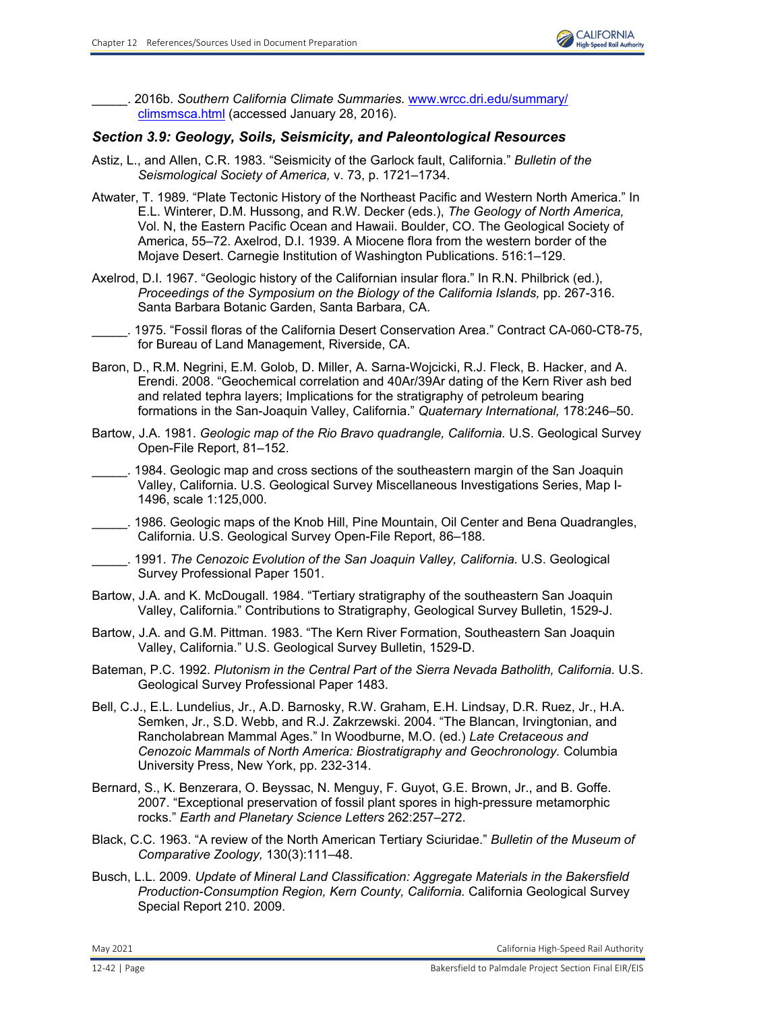

\_\_\_\_\_. 2016b. *Southern California Climate Summaries.* [www.wrcc.dri.edu/summary/](http://www.wrcc.dri.edu/summary/climsmsca.html) [climsmsca.html](http://www.wrcc.dri.edu/summary/climsmsca.html) (accessed January 28, 2016).

## *Section 3.9: Geology, Soils, Seismicity, and Paleontological Resources*

- Astiz, L., and Allen, C.R. 1983. "Seismicity of the Garlock fault, California." *Bulletin of the Seismological Society of America,* v. 73, p. 1721–1734.
- Atwater, T. 1989. "Plate Tectonic History of the Northeast Pacific and Western North America." In E.L. Winterer, D.M. Hussong, and R.W. Decker (eds.), *The Geology of North America,* Vol. N, the Eastern Pacific Ocean and Hawaii. Boulder, CO. The Geological Society of America, 55–72. Axelrod, D.I. 1939. A Miocene flora from the western border of the Mojave Desert. Carnegie Institution of Washington Publications. 516:1–129.
- Axelrod, D.I. 1967. "Geologic history of the Californian insular flora." In R.N. Philbrick (ed.), *Proceedings of the Symposium on the Biology of the California Islands,* pp. 267-316. Santa Barbara Botanic Garden, Santa Barbara, CA.

\_\_\_\_\_. 1975. "Fossil floras of the California Desert Conservation Area." Contract CA-060-CT8-75, for Bureau of Land Management, Riverside, CA.

- Baron, D., R.M. Negrini, E.M. Golob, D. Miller, A. Sarna-Wojcicki, R.J. Fleck, B. Hacker, and A. Erendi. 2008. "Geochemical correlation and 40Ar/39Ar dating of the Kern River ash bed and related tephra layers; Implications for the stratigraphy of petroleum bearing formations in the San-Joaquin Valley, California." *Quaternary International,* 178:246–50.
- Bartow, J.A. 1981. *Geologic map of the Rio Bravo quadrangle, California.* U.S. Geological Survey Open-File Report, 81–152.
- \_\_\_\_\_. 1984. Geologic map and cross sections of the southeastern margin of the San Joaquin Valley, California. U.S. Geological Survey Miscellaneous Investigations Series, Map I-1496, scale 1:125,000.
- \_\_\_\_\_. 1986. Geologic maps of the Knob Hill, Pine Mountain, Oil Center and Bena Quadrangles, California. U.S. Geological Survey Open-File Report, 86–188.
- \_\_\_\_\_. 1991. *The Cenozoic Evolution of the San Joaquin Valley, California.* U.S. Geological Survey Professional Paper 1501.
- Bartow, J.A. and K. McDougall. 1984. "Tertiary stratigraphy of the southeastern San Joaquin Valley, California." Contributions to Stratigraphy, Geological Survey Bulletin, 1529-J.
- Bartow, J.A. and G.M. Pittman. 1983. "The Kern River Formation, Southeastern San Joaquin Valley, California." U.S. Geological Survey Bulletin, 1529-D.
- Bateman, P.C. 1992. *Plutonism in the Central Part of the Sierra Nevada Batholith, California.* U.S. Geological Survey Professional Paper 1483.
- Bell, C.J., E.L. Lundelius, Jr., A.D. Barnosky, R.W. Graham, E.H. Lindsay, D.R. Ruez, Jr., H.A. Semken, Jr., S.D. Webb, and R.J. Zakrzewski. 2004. "The Blancan, Irvingtonian, and Rancholabrean Mammal Ages." In Woodburne, M.O. (ed.) *Late Cretaceous and Cenozoic Mammals of North America: Biostratigraphy and Geochronology.* Columbia University Press, New York, pp. 232-314.
- Bernard, S., K. Benzerara, O. Beyssac, N. Menguy, F. Guyot, G.E. Brown, Jr., and B. Goffe. 2007. "Exceptional preservation of fossil plant spores in high-pressure metamorphic rocks." *Earth and Planetary Science Letters* 262:257–272.
- Black, C.C. 1963. "A review of the North American Tertiary Sciuridae." *Bulletin of the Museum of Comparative Zoology,* 130(3):111–48.
- Busch, L.L. 2009. *Update of Mineral Land Classification: Aggregate Materials in the Bakersfield Production-Consumption Region, Kern County, California.* California Geological Survey Special Report 210. 2009.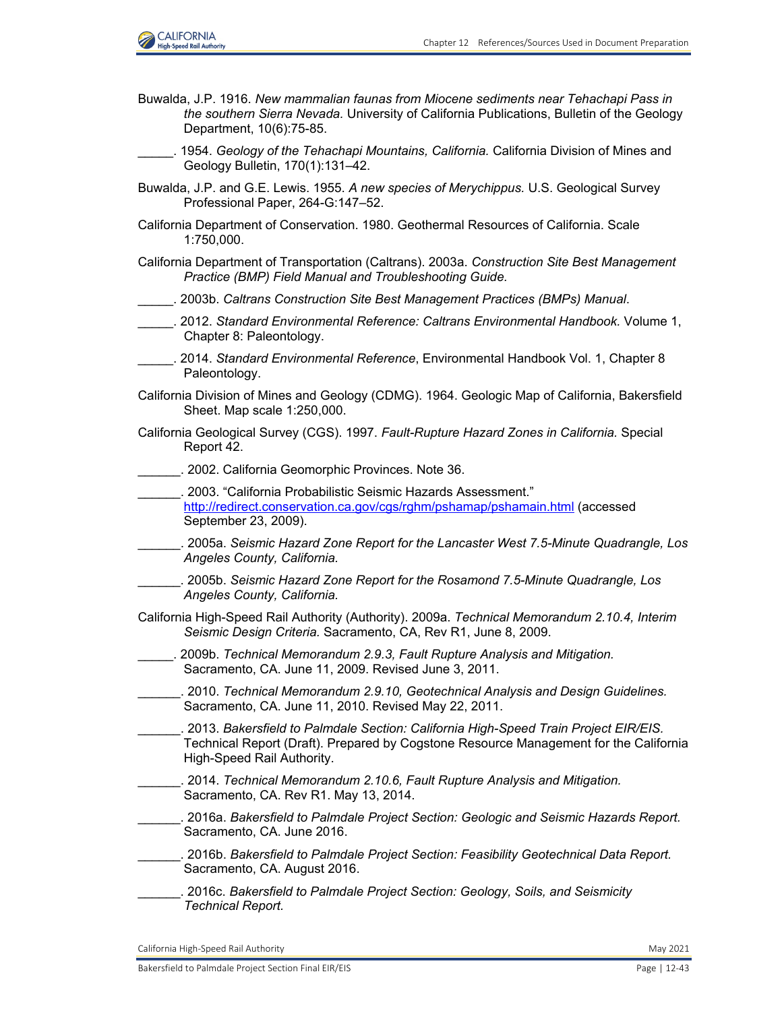

- Buwalda, J.P. 1916. *New mammalian faunas from Miocene sediments near Tehachapi Pass in the southern Sierra Nevada.* University of California Publications, Bulletin of the Geology Department, 10(6):75-85.
- \_\_\_\_\_. 1954. *Geology of the Tehachapi Mountains, California.* California Division of Mines and Geology Bulletin, 170(1):131–42.
- Buwalda, J.P. and G.E. Lewis. 1955. *A new species of Merychippus.* U.S. Geological Survey Professional Paper, 264-G:147–52.
- California Department of Conservation. 1980. Geothermal Resources of California. Scale 1:750,000.
- California Department of Transportation (Caltrans). 2003a. *Construction Site Best Management Practice (BMP) Field Manual and Troubleshooting Guide.*
- \_\_\_\_\_. 2003b. *Caltrans Construction Site Best Management Practices (BMPs) Manual*.
- \_\_\_\_\_. 2012. *Standard Environmental Reference: Caltrans Environmental Handbook.* Volume 1, Chapter 8: Paleontology.
- \_\_\_\_\_. 2014. *Standard Environmental Reference*, Environmental Handbook Vol. 1, Chapter 8 Paleontology.
- California Division of Mines and Geology (CDMG). 1964. Geologic Map of California, Bakersfield Sheet. Map scale 1:250,000.
- California Geological Survey (CGS). 1997. *Fault-Rupture Hazard Zones in California.* Special Report 42.
- \_\_\_\_\_\_. 2002. California Geomorphic Provinces. Note 36.
- \_\_\_\_\_\_. 2003. "California Probabilistic Seismic Hazards Assessment." <http://redirect.conservation.ca.gov/cgs/rghm/pshamap/pshamain.html> (accessed September 23, 2009).
- \_\_\_\_\_\_. 2005a. *Seismic Hazard Zone Report for the Lancaster West 7.5-Minute Quadrangle, Los Angeles County, California.*
- \_\_\_\_\_\_. 2005b. *Seismic Hazard Zone Report for the Rosamond 7.5-Minute Quadrangle, Los Angeles County, California.*
- California High-Speed Rail Authority (Authority). 2009a. *Technical Memorandum 2.10.4, Interim Seismic Design Criteria.* Sacramento, CA, Rev R1, June 8, 2009.
- \_\_\_\_\_. 2009b. *Technical Memorandum 2.9.3, Fault Rupture Analysis and Mitigation.*  Sacramento, CA. June 11, 2009. Revised June 3, 2011.
- \_\_\_\_\_\_. 2010. *Technical Memorandum 2.9.10, Geotechnical Analysis and Design Guidelines.*  Sacramento, CA. June 11, 2010. Revised May 22, 2011.
- \_\_\_\_\_\_. 2013. *Bakersfield to Palmdale Section: California High-Speed Train Project EIR/EIS.*  Technical Report (Draft). Prepared by Cogstone Resource Management for the California High-Speed Rail Authority.
- \_\_\_\_\_\_. 2014. *Technical Memorandum 2.10.6, Fault Rupture Analysis and Mitigation.*  Sacramento, CA. Rev R1. May 13, 2014.
- \_\_\_\_\_\_. 2016a. *Bakersfield to Palmdale Project Section: Geologic and Seismic Hazards Report.*  Sacramento, CA. June 2016.
- \_\_\_\_\_\_. 2016b. *Bakersfield to Palmdale Project Section: Feasibility Geotechnical Data Report.*  Sacramento, CA. August 2016.
- \_\_\_\_\_\_. 2016c. *Bakersfield to Palmdale Project Section: Geology, Soils, and Seismicity Technical Report.*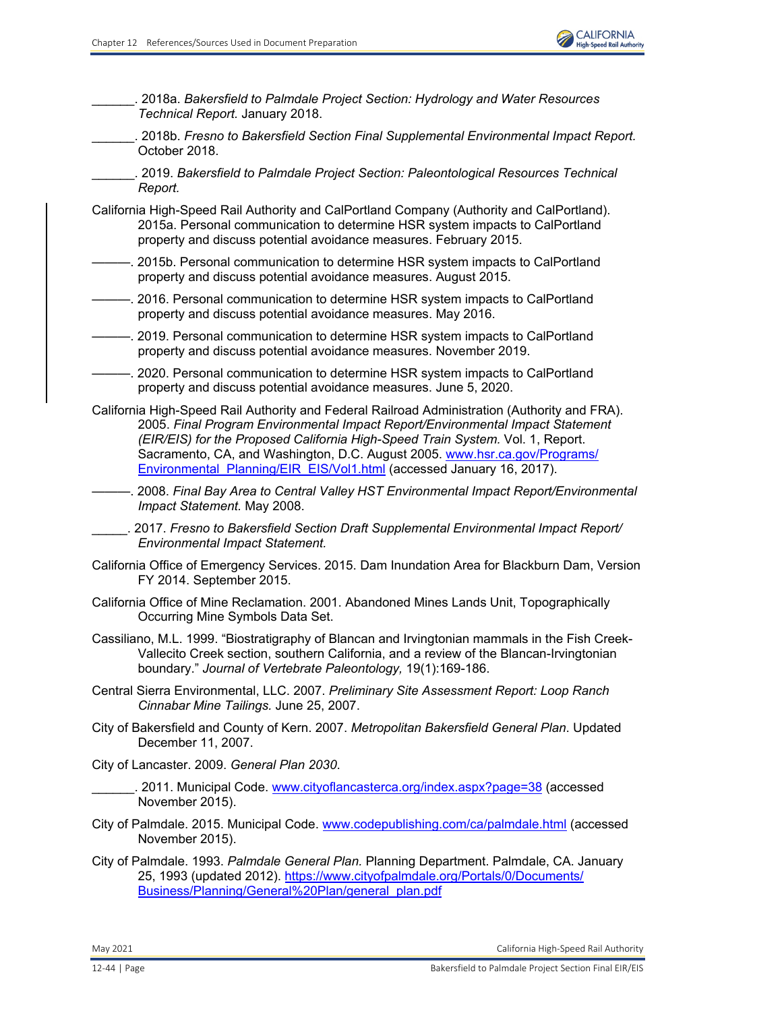

\_\_\_\_\_\_. 2018a. *Bakersfield to Palmdale Project Section: Hydrology and Water Resources Technical Report.* January 2018.

\_\_\_\_\_\_. 2018b. *Fresno to Bakersfield Section Final Supplemental Environmental Impact Report.*  October 2018.

\_\_\_\_\_\_. 2019. *Bakersfield to Palmdale Project Section: Paleontological Resources Technical Report.* 

California High-Speed Rail Authority and CalPortland Company (Authority and CalPortland). 2015a. Personal communication to determine HSR system impacts to CalPortland property and discuss potential avoidance measures. February 2015.

———. 2015b. Personal communication to determine HSR system impacts to CalPortland property and discuss potential avoidance measures. August 2015.

———. 2016. Personal communication to determine HSR system impacts to CalPortland property and discuss potential avoidance measures. May 2016.

-. 2019. Personal communication to determine HSR system impacts to CalPortland property and discuss potential avoidance measures. November 2019.

———. 2020. Personal communication to determine HSR system impacts to CalPortland property and discuss potential avoidance measures. June 5, 2020.

California High-Speed Rail Authority and Federal Railroad Administration (Authority and FRA). 2005. *Final Program Environmental Impact Report/Environmental Impact Statement (EIR/EIS) for the Proposed California High-Speed Train System.* Vol. 1, Report. Sacramento, CA, and Washington, D.C. August 2005. [www.hsr.ca.gov/Programs/](http://www.hsr.ca.gov/Programs/Environmental_Planning/EIR_EIS/Vol1.html) [Environmental\\_Planning/EIR\\_EIS/Vol1.html](http://www.hsr.ca.gov/Programs/Environmental_Planning/EIR_EIS/Vol1.html) (accessed January 16, 2017).

———. 2008. *Final Bay Area to Central Valley HST Environmental Impact Report/Environmental Impact Statement.* May 2008.

\_\_\_\_\_. 2017. *Fresno to Bakersfield Section Draft Supplemental Environmental Impact Report/ Environmental Impact Statement.*

- California Office of Emergency Services. 2015. Dam Inundation Area for Blackburn Dam, Version FY 2014. September 2015.
- California Office of Mine Reclamation. 2001. Abandoned Mines Lands Unit, Topographically Occurring Mine Symbols Data Set.

Cassiliano, M.L. 1999. "Biostratigraphy of Blancan and Irvingtonian mammals in the Fish Creek-Vallecito Creek section, southern California, and a review of the Blancan-Irvingtonian boundary." *Journal of Vertebrate Paleontology,* 19(1):169-186.

- Central Sierra Environmental, LLC. 2007. *Preliminary Site Assessment Report: Loop Ranch Cinnabar Mine Tailings.* June 25, 2007.
- City of Bakersfield and County of Kern. 2007. *Metropolitan Bakersfield General Plan*. Updated December 11, 2007.

City of Lancaster. 2009. *General Plan 2030*.

\_\_\_\_\_\_. 2011. Municipal Code. [www.cityoflancasterca.org/index.aspx?page=38](http://www.cityoflancasterca.org/index.aspx?page=38) (accessed November 2015).

- City of Palmdale. 2015. Municipal Code. [www.codepublishing.com/ca/palmdale.html](http://www.codepublishing.com/ca/palmdale.html) (accessed November 2015).
- City of Palmdale. 1993. *Palmdale General Plan.* Planning Department. Palmdale, CA. January 25, 1993 (updated 2012). [https://www.cityofpalmdale.org/Portals/0/Documents/](https://www.cityofpalmdale.org/Portals/0/Documents/ Business/Planning/General%20Plan/general_plan.pdf) [Business/Planning/General%20Plan/general\\_plan.pdf](https://www.cityofpalmdale.org/Portals/0/Documents/ Business/Planning/General%20Plan/general_plan.pdf)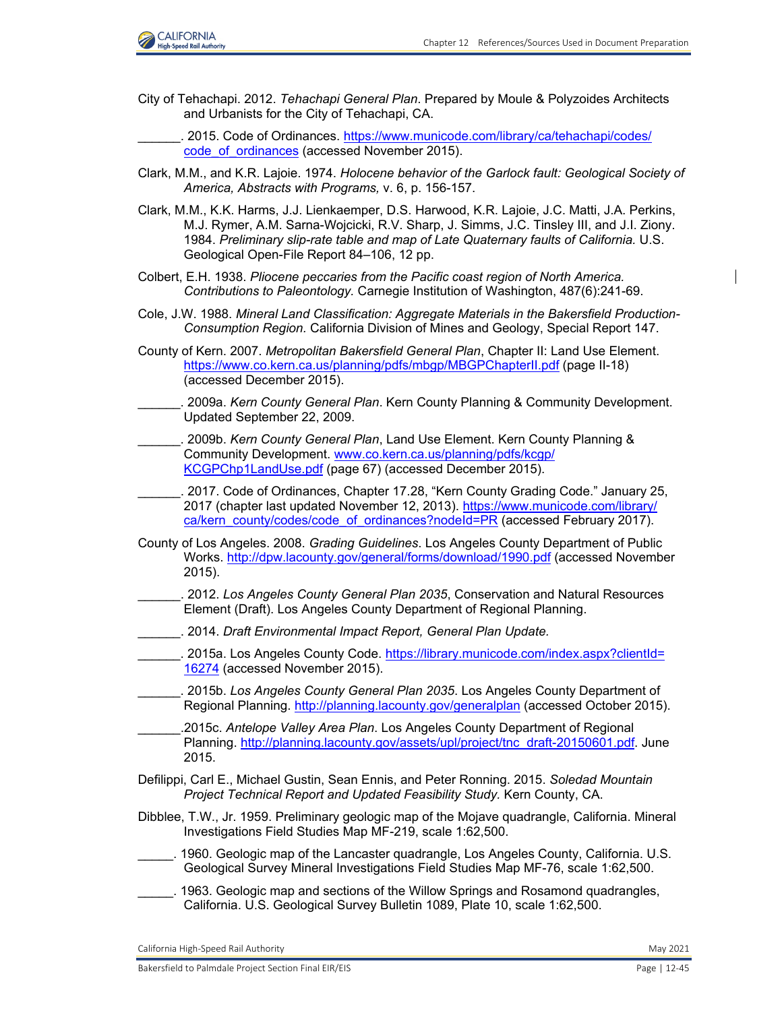

City of Tehachapi. 2012. *Tehachapi General Plan*. Prepared by Moule & Polyzoides Architects and Urbanists for the City of Tehachapi, CA.

. 2015. Code of Ordinances. [https://www.municode.com/library/ca/tehachapi/codes/](https://www.municode.com/library/ca/tehachapi/codes/ code_of_ordinances) [code\\_of\\_ordinances \(](https://www.municode.com/library/ca/tehachapi/codes/ code_of_ordinances)accessed November 2015).

- Clark, M.M., and K.R. Lajoie. 1974. *Holocene behavior of the Garlock fault: Geological Society of America, Abstracts with Programs,* v. 6, p. 156-157.
- Clark, M.M., K.K. Harms, J.J. Lienkaemper, D.S. Harwood, K.R. Lajoie, J.C. Matti, J.A. Perkins, M.J. Rymer, A.M. Sarna-Wojcicki, R.V. Sharp, J. Simms, J.C. Tinsley III, and J.I. Ziony. 1984. *Preliminary slip-rate table and map of Late Quaternary faults of California.* U.S. Geological Open-File Report 84–106, 12 pp.
- Colbert, E.H. 1938. *Pliocene peccaries from the Pacific coast region of North America. Contributions to Paleontology.* Carnegie Institution of Washington, 487(6):241-69.
- Cole, J.W. 1988. *Mineral Land Classification: Aggregate Materials in the Bakersfield Production-Consumption Region.* California Division of Mines and Geology, Special Report 147.
- County of Kern. 2007. *Metropolitan Bakersfield General Plan*, Chapter II: Land Use Element. [https://www.co.kern.ca.us/planning/pdfs/mbgp/MBGPChapterII.pdf \(](https://www.co.kern.ca.us/planning/pdfs/mbgp/MBGPChapterII.pdf)page II-18) (accessed December 2015).
- \_\_\_\_\_\_. 2009a. *Kern County General Plan*. Kern County Planning & Community Development. Updated September 22, 2009.
- \_\_\_\_\_\_. 2009b. *Kern County General Plan*, Land Use Element. Kern County Planning & Community Development. [www.co.kern.ca.us/planning/pdfs/kcgp/](http://www.co.kern.ca.us/planning/pdfs/kcgp/KCGPChp1LandUse.pdf) [KCGPChp1LandUse.pdf](http://www.co.kern.ca.us/planning/pdfs/kcgp/KCGPChp1LandUse.pdf) (page 67) (accessed December 2015).
- \_\_\_\_\_\_. 2017. Code of Ordinances, Chapter 17.28, "Kern County Grading Code." January 25, 2017 (chapter last updated November 12, 2013). [https://www.municode.com/library/](https://www.municode.com/library/ ca/kern_county/codes/code_of_ordinances?nodeId=PR) [ca/kern\\_county/codes/code\\_of\\_ordinances?nodeId=PR](https://www.municode.com/library/ ca/kern_county/codes/code_of_ordinances?nodeId=PR) (accessed February 2017).
- County of Los Angeles. 2008. *Grading Guidelines*. Los Angeles County Department of Public Works.<http://dpw.lacounty.gov/general/forms/download/1990.pdf> (accessed November 2015).
- \_\_\_\_\_\_. 2012. *Los Angeles County General Plan 2035*, Conservation and Natural Resources Element (Draft). Los Angeles County Department of Regional Planning.
- \_\_\_\_\_\_. 2014. *Draft Environmental Impact Report, General Plan Update.*
- \_\_\_\_\_\_. 2015a. Los Angeles County Code. [https://library.municode.com/index.aspx?clientId=](https://library.municode.com/index.aspx?clientId= 16274) [16274](https://library.municode.com/index.aspx?clientId= 16274) (accessed November 2015).
- \_\_\_\_\_\_. 2015b. *Los Angeles County General Plan 2035*. Los Angeles County Department of Regional Planning.<http://planning.lacounty.gov/generalplan> (accessed October 2015).
- \_\_\_\_\_\_.2015c. *Antelope Valley Area Plan*. Los Angeles County Department of Regional Planning. [http://planning.lacounty.gov/assets/upl/project/tnc\\_draft-20150601.pd](http://planning.lacounty.gov/assets/upl/project/tnc_draft-20150601.pdf)f. June 2015.
- Defilippi, Carl E., Michael Gustin, Sean Ennis, and Peter Ronning. 2015. *Soledad Mountain Project Technical Report and Updated Feasibility Study.* Kern County, CA.
- Dibblee, T.W., Jr. 1959. Preliminary geologic map of the Mojave quadrangle, California. Mineral Investigations Field Studies Map MF-219, scale 1:62,500.
- \_\_\_\_\_. 1960. Geologic map of the Lancaster quadrangle, Los Angeles County, California. U.S. Geological Survey Mineral Investigations Field Studies Map MF-76, scale 1:62,500.
- \_\_\_\_\_. 1963. Geologic map and sections of the Willow Springs and Rosamond quadrangles, California. U.S. Geological Survey Bulletin 1089, Plate 10, scale 1:62,500.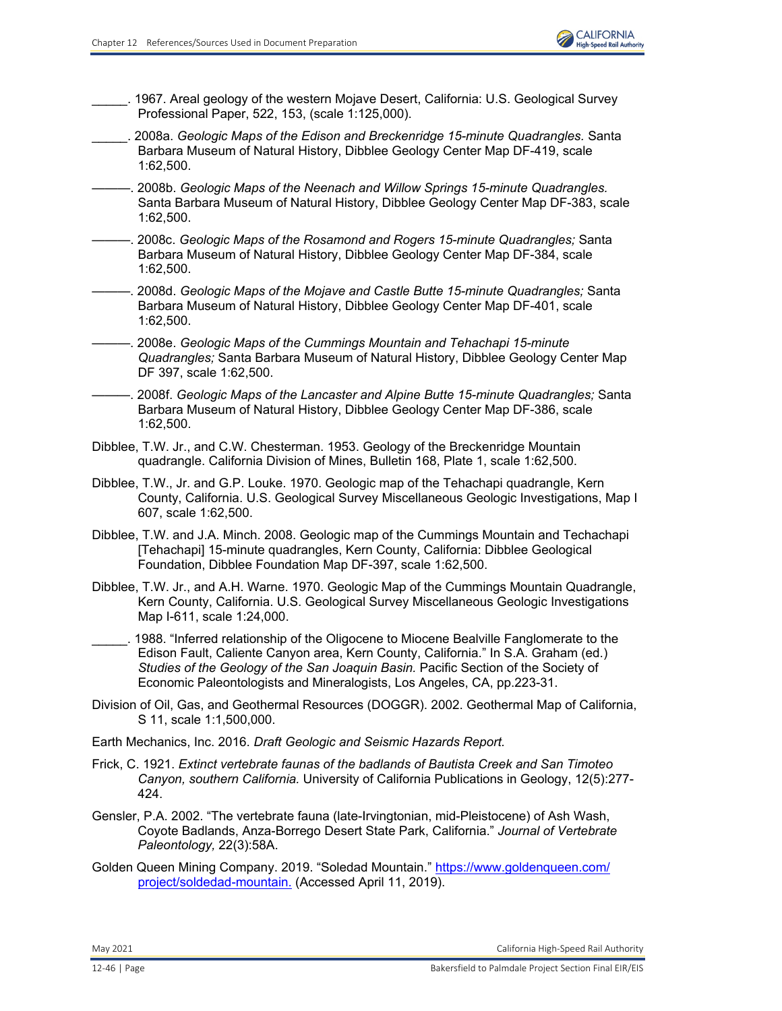\_\_\_\_\_. 1967. Areal geology of the western Mojave Desert, California: U.S. Geological Survey Professional Paper, 522, 153, (scale 1:125,000).

- \_\_\_\_\_. 2008a. *Geologic Maps of the Edison and Breckenridge 15-minute Quadrangles.* Santa Barbara Museum of Natural History, Dibblee Geology Center Map DF-419, scale 1:62,500.
- ———. 2008b. *Geologic Maps of the Neenach and Willow Springs 15-minute Quadrangles.*  Santa Barbara Museum of Natural History, Dibblee Geology Center Map DF-383, scale 1:62,500.
- ———. 2008c. *Geologic Maps of the Rosamond and Rogers 15-minute Quadrangles;* Santa Barbara Museum of Natural History, Dibblee Geology Center Map DF-384, scale 1:62,500.
- ———. 2008d. *Geologic Maps of the Mojave and Castle Butte 15-minute Quadrangles;* Santa Barbara Museum of Natural History, Dibblee Geology Center Map DF-401, scale 1:62,500.
- ———. 2008e. *Geologic Maps of the Cummings Mountain and Tehachapi 15-minute Quadrangles;* Santa Barbara Museum of Natural History, Dibblee Geology Center Map DF 397, scale 1:62,500.
- ———. 2008f. *Geologic Maps of the Lancaster and Alpine Butte 15-minute Quadrangles;* Santa Barbara Museum of Natural History, Dibblee Geology Center Map DF-386, scale 1:62,500.
- Dibblee, T.W. Jr., and C.W. Chesterman. 1953. Geology of the Breckenridge Mountain quadrangle. California Division of Mines, Bulletin 168, Plate 1, scale 1:62,500.

Dibblee, T.W., Jr. and G.P. Louke. 1970. Geologic map of the Tehachapi quadrangle, Kern County, California. U.S. Geological Survey Miscellaneous Geologic Investigations, Map I 607, scale 1:62,500.

- Dibblee, T.W. and J.A. Minch. 2008. Geologic map of the Cummings Mountain and Techachapi [Tehachapi] 15-minute quadrangles, Kern County, California: Dibblee Geological Foundation, Dibblee Foundation Map DF-397, scale 1:62,500.
- Dibblee, T.W. Jr., and A.H. Warne. 1970. Geologic Map of the Cummings Mountain Quadrangle, Kern County, California. U.S. Geological Survey Miscellaneous Geologic Investigations Map I-611, scale 1:24,000.
- 1988. "Inferred relationship of the Oligocene to Miocene Bealville Fanglomerate to the Edison Fault, Caliente Canyon area, Kern County, California." In S.A. Graham (ed.) *Studies of the Geology of the San Joaquin Basin.* Pacific Section of the Society of Economic Paleontologists and Mineralogists, Los Angeles, CA, pp.223-31.
- Division of Oil, Gas, and Geothermal Resources (DOGGR). 2002. Geothermal Map of California, S 11, scale 1:1,500,000.
- Earth Mechanics, Inc. 2016. *Draft Geologic and Seismic Hazards Report.*
- Frick, C. 1921. *Extinct vertebrate faunas of the badlands of Bautista Creek and San Timoteo Canyon, southern California.* University of California Publications in Geology, 12(5):277- 424.
- Gensler, P.A. 2002. "The vertebrate fauna (late-Irvingtonian, mid-Pleistocene) of Ash Wash, Coyote Badlands, Anza-Borrego Desert State Park, California." *Journal of Vertebrate Paleontology,* 22(3):58A.
- Golden Queen Mining Company. 2019. "Soledad Mountain." [https://www.goldenqueen.com/](https://www.goldenqueen.com/ project/soldedad-mountain) [project/soldedad-mountain.](https://www.goldenqueen.com/ project/soldedad-mountain) (Accessed April 11, 2019).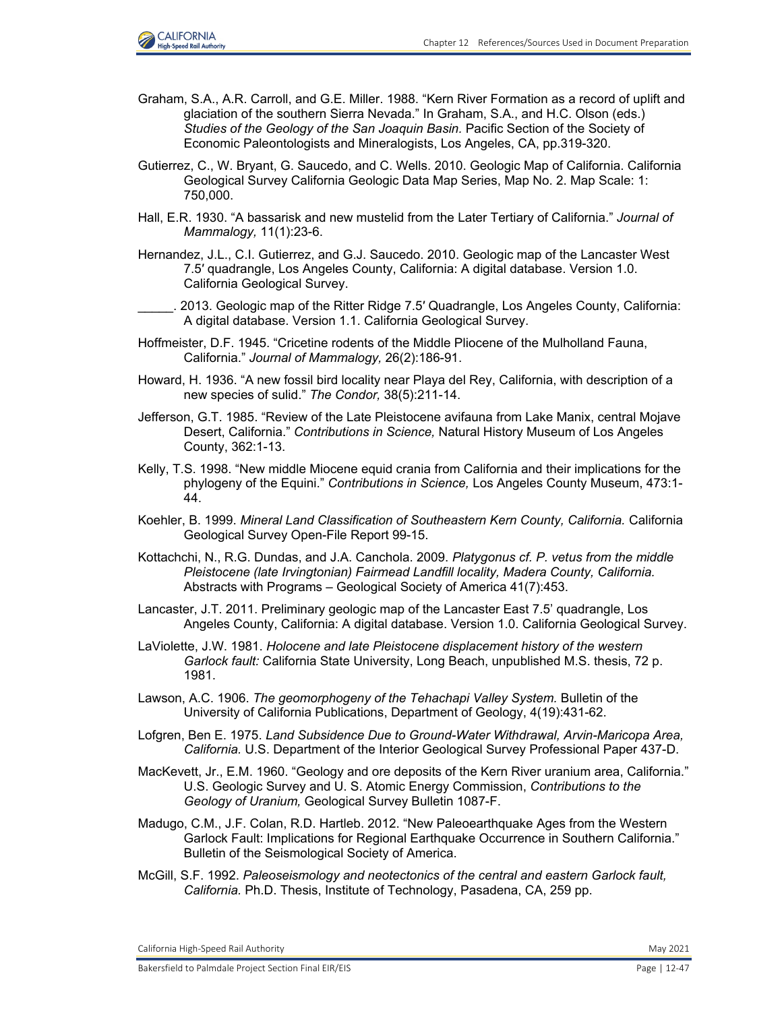

- Graham, S.A., A.R. Carroll, and G.E. Miller. 1988. "Kern River Formation as a record of uplift and glaciation of the southern Sierra Nevada." In Graham, S.A., and H.C. Olson (eds.) *Studies of the Geology of the San Joaquin Basin.* Pacific Section of the Society of Economic Paleontologists and Mineralogists, Los Angeles, CA, pp.319-320.
- Gutierrez, C., W. Bryant, G. Saucedo, and C. Wells. 2010. Geologic Map of California. California Geological Survey California Geologic Data Map Series, Map No. 2. Map Scale: 1: 750,000.
- Hall, E.R. 1930. "A bassarisk and new mustelid from the Later Tertiary of California." *Journal of Mammalogy,* 11(1):23-6.
- Hernandez, J.L., C.I. Gutierrez, and G.J. Saucedo. 2010. Geologic map of the Lancaster West 7.5′ quadrangle, Los Angeles County, California: A digital database. Version 1.0. California Geological Survey.
- \_\_\_\_\_. 2013. Geologic map of the Ritter Ridge 7.5′ Quadrangle, Los Angeles County, California: A digital database. Version 1.1. California Geological Survey.
- Hoffmeister, D.F. 1945. "Cricetine rodents of the Middle Pliocene of the Mulholland Fauna, California." *Journal of Mammalogy,* 26(2):186-91.
- Howard, H. 1936. "A new fossil bird locality near Playa del Rey, California, with description of a new species of sulid." *The Condor,* 38(5):211-14.
- Jefferson, G.T. 1985. "Review of the Late Pleistocene avifauna from Lake Manix, central Mojave Desert, California." *Contributions in Science,* Natural History Museum of Los Angeles County, 362:1-13.
- Kelly, T.S. 1998. "New middle Miocene equid crania from California and their implications for the phylogeny of the Equini." *Contributions in Science,* Los Angeles County Museum, 473:1- 44.
- Koehler, B. 1999. *Mineral Land Classification of Southeastern Kern County, California.* California Geological Survey Open-File Report 99-15.
- Kottachchi, N., R.G. Dundas, and J.A. Canchola. 2009. *Platygonus cf. P. vetus from the middle Pleistocene (late Irvingtonian) Fairmead Landfill locality, Madera County, California.*  Abstracts with Programs – Geological Society of America 41(7):453.
- Lancaster, J.T. 2011. Preliminary geologic map of the Lancaster East 7.5' quadrangle, Los Angeles County, California: A digital database. Version 1.0. California Geological Survey.
- LaViolette, J.W. 1981. *Holocene and late Pleistocene displacement history of the western Garlock fault:* California State University, Long Beach, unpublished M.S. thesis, 72 p. 1981.
- Lawson, A.C. 1906. *The geomorphogeny of the Tehachapi Valley System.* Bulletin of the University of California Publications, Department of Geology, 4(19):431-62.
- Lofgren, Ben E. 1975. *Land Subsidence Due to Ground-Water Withdrawal, Arvin-Maricopa Area, California.* U.S. Department of the Interior Geological Survey Professional Paper 437-D.
- MacKevett, Jr., E.M. 1960. "Geology and ore deposits of the Kern River uranium area, California." U.S. Geologic Survey and U. S. Atomic Energy Commission, *Contributions to the Geology of Uranium,* Geological Survey Bulletin 1087-F.
- Madugo, C.M., J.F. Colan, R.D. Hartleb. 2012. "New Paleoearthquake Ages from the Western Garlock Fault: Implications for Regional Earthquake Occurrence in Southern California." Bulletin of the Seismological Society of America.
- McGill, S.F. 1992. *Paleoseismology and neotectonics of the central and eastern Garlock fault, California.* Ph.D. Thesis, Institute of Technology, Pasadena, CA, 259 pp.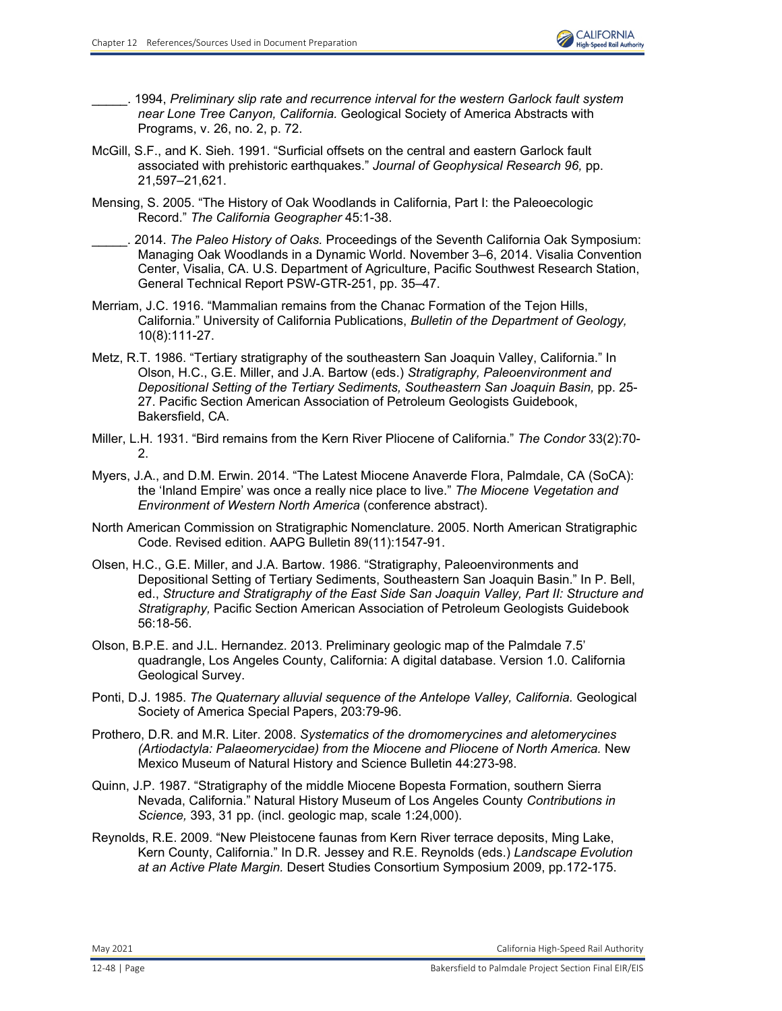

\_\_\_\_\_. 1994, *Preliminary slip rate and recurrence interval for the western Garlock fault system near Lone Tree Canyon, California.* Geological Society of America Abstracts with Programs, v. 26, no. 2, p. 72.

- McGill, S.F., and K. Sieh. 1991. "Surficial offsets on the central and eastern Garlock fault associated with prehistoric earthquakes." *Journal of Geophysical Research 96,* pp. 21,597–21,621.
- Mensing, S. 2005. "The History of Oak Woodlands in California, Part I: the Paleoecologic Record." *The California Geographer* 45:1-38.
- \_\_\_\_\_. 2014. *The Paleo History of Oaks.* Proceedings of the Seventh California Oak Symposium: Managing Oak Woodlands in a Dynamic World. November 3–6, 2014. Visalia Convention Center, Visalia, CA. U.S. Department of Agriculture, Pacific Southwest Research Station, General Technical Report PSW-GTR-251, pp. 35–47.
- Merriam, J.C. 1916. "Mammalian remains from the Chanac Formation of the Tejon Hills, California." University of California Publications, *Bulletin of the Department of Geology,* 10(8):111-27.
- Metz, R.T. 1986. "Tertiary stratigraphy of the southeastern San Joaquin Valley, California." In Olson, H.C., G.E. Miller, and J.A. Bartow (eds.) *Stratigraphy, Paleoenvironment and Depositional Setting of the Tertiary Sediments, Southeastern San Joaquin Basin,* pp. 25- 27. Pacific Section American Association of Petroleum Geologists Guidebook, Bakersfield, CA.
- Miller, L.H. 1931. "Bird remains from the Kern River Pliocene of California." *The Condor* 33(2):70-  $\mathcal{D}$
- Myers, J.A., and D.M. Erwin. 2014. "The Latest Miocene Anaverde Flora, Palmdale, CA (SoCA): the 'Inland Empire' was once a really nice place to live." *The Miocene Vegetation and Environment of Western North America* (conference abstract).
- North American Commission on Stratigraphic Nomenclature. 2005. North American Stratigraphic Code. Revised edition. AAPG Bulletin 89(11):1547-91.
- Olsen, H.C., G.E. Miller, and J.A. Bartow. 1986. "Stratigraphy, Paleoenvironments and Depositional Setting of Tertiary Sediments, Southeastern San Joaquin Basin." In P. Bell, ed., *Structure and Stratigraphy of the East Side San Joaquin Valley, Part II: Structure and Stratigraphy,* Pacific Section American Association of Petroleum Geologists Guidebook 56:18-56.
- Olson, B.P.E. and J.L. Hernandez. 2013. Preliminary geologic map of the Palmdale 7.5' quadrangle, Los Angeles County, California: A digital database. Version 1.0. California Geological Survey.
- Ponti, D.J. 1985. *The Quaternary alluvial sequence of the Antelope Valley, California.* Geological Society of America Special Papers, 203:79-96.
- Prothero, D.R. and M.R. Liter. 2008. *Systematics of the dromomerycines and aletomerycines (Artiodactyla: Palaeomerycidae) from the Miocene and Pliocene of North America. New* Mexico Museum of Natural History and Science Bulletin 44:273-98.
- Quinn, J.P. 1987. "Stratigraphy of the middle Miocene Bopesta Formation, southern Sierra Nevada, California." Natural History Museum of Los Angeles County *Contributions in Science,* 393, 31 pp. (incl. geologic map, scale 1:24,000).
- Reynolds, R.E. 2009. "New Pleistocene faunas from Kern River terrace deposits, Ming Lake, Kern County, California." In D.R. Jessey and R.E. Reynolds (eds.) *Landscape Evolution at an Active Plate Margin.* Desert Studies Consortium Symposium 2009, pp.172-175.

May 2021 California High‐Speed Rail Authority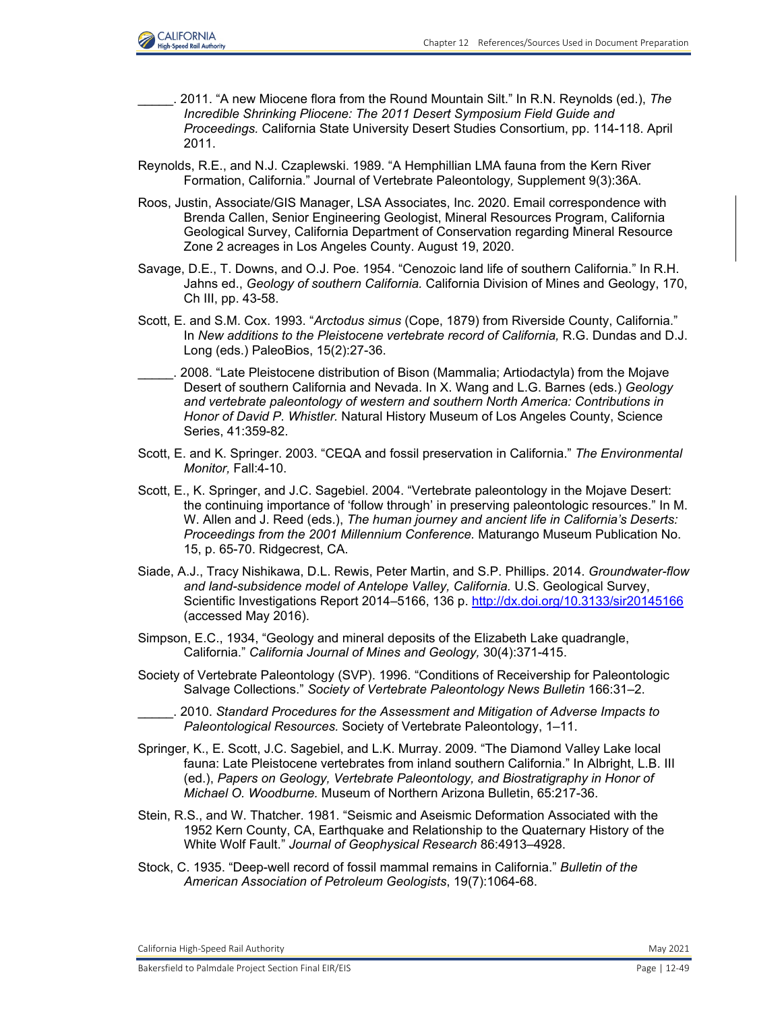

- \_\_\_\_\_. 2011. "A new Miocene flora from the Round Mountain Silt." In R.N. Reynolds (ed.), *The Incredible Shrinking Pliocene: The 2011 Desert Symposium Field Guide and Proceedings.* California State University Desert Studies Consortium, pp. 114-118. April 2011.
- Reynolds, R.E., and N.J. Czaplewski. 1989. "A Hemphillian LMA fauna from the Kern River Formation, California." Journal of Vertebrate Paleontology*,* Supplement 9(3):36A.
- Roos, Justin, Associate/GIS Manager, LSA Associates, Inc. 2020. Email correspondence with Brenda Callen, Senior Engineering Geologist, Mineral Resources Program, California Geological Survey, California Department of Conservation regarding Mineral Resource Zone 2 acreages in Los Angeles County. August 19, 2020.
- Savage, D.E., T. Downs, and O.J. Poe. 1954. "Cenozoic land life of southern California." In R.H. Jahns ed., *Geology of southern California.* California Division of Mines and Geology, 170, Ch III, pp. 43-58.
- Scott, E. and S.M. Cox. 1993. "*Arctodus simus* (Cope, 1879) from Riverside County, California." In *New additions to the Pleistocene vertebrate record of California, R.G. Dundas and D.J.* Long (eds.) PaleoBios, 15(2):27-36.
- \_\_\_\_\_. 2008. "Late Pleistocene distribution of Bison (Mammalia; Artiodactyla) from the Mojave Desert of southern California and Nevada. In X. Wang and L.G. Barnes (eds.) *Geology and vertebrate paleontology of western and southern North America: Contributions in Honor of David P. Whistler.* Natural History Museum of Los Angeles County, Science Series, 41:359-82.
- Scott, E. and K. Springer. 2003. "CEQA and fossil preservation in California." *The Environmental Monitor,* Fall:4-10.
- Scott, E., K. Springer, and J.C. Sagebiel. 2004. "Vertebrate paleontology in the Mojave Desert: the continuing importance of 'follow through' in preserving paleontologic resources." In M. W. Allen and J. Reed (eds.), *The human journey and ancient life in California's Deserts: Proceedings from the 2001 Millennium Conference.* Maturango Museum Publication No. 15, p. 65-70. Ridgecrest, CA.
- Siade, A.J., Tracy Nishikawa, D.L. Rewis, Peter Martin, and S.P. Phillips. 2014. *Groundwater-flow and land-subsidence model of Antelope Valley, California.* U.S. Geological Survey, Scientific Investigations Report 2014–5166, 136 p.<http://dx.doi.org/10.3133/sir20145166> (accessed May 2016).
- Simpson, E.C., 1934, "Geology and mineral deposits of the Elizabeth Lake quadrangle, California." *California Journal of Mines and Geology,* 30(4):371-415.
- Society of Vertebrate Paleontology (SVP). 1996. "Conditions of Receivership for Paleontologic Salvage Collections." *Society of Vertebrate Paleontology News Bulletin* 166:31–2.
- \_\_\_\_\_. 2010. *Standard Procedures for the Assessment and Mitigation of Adverse Impacts to Paleontological Resources.* Society of Vertebrate Paleontology, 1–11.
- Springer, K., E. Scott, J.C. Sagebiel, and L.K. Murray. 2009. "The Diamond Valley Lake local fauna: Late Pleistocene vertebrates from inland southern California." In Albright, L.B. III (ed.), *Papers on Geology, Vertebrate Paleontology, and Biostratigraphy in Honor of Michael O. Woodburne.* Museum of Northern Arizona Bulletin, 65:217-36.
- Stein, R.S., and W. Thatcher. 1981. "Seismic and Aseismic Deformation Associated with the 1952 Kern County, CA, Earthquake and Relationship to the Quaternary History of the White Wolf Fault." *Journal of Geophysical Research* 86:4913–4928.
- Stock, C. 1935. "Deep-well record of fossil mammal remains in California." *Bulletin of the American Association of Petroleum Geologists*, 19(7):1064-68.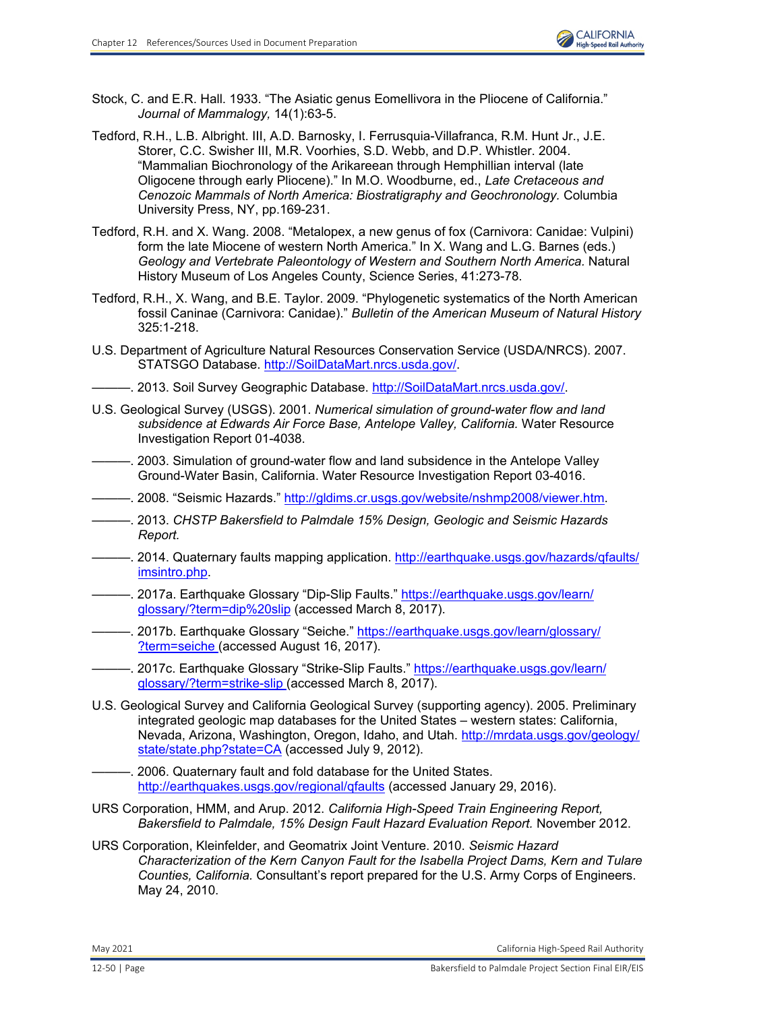

- Stock, C. and E.R. Hall. 1933. "The Asiatic genus Eomellivora in the Pliocene of California." *Journal of Mammalogy,* 14(1):63-5.
- Tedford, R.H., L.B. Albright. III, A.D. Barnosky, I. Ferrusquia-Villafranca, R.M. Hunt Jr., J.E. Storer, C.C. Swisher III, M.R. Voorhies, S.D. Webb, and D.P. Whistler. 2004. "Mammalian Biochronology of the Arikareean through Hemphillian interval (late Oligocene through early Pliocene)." In M.O. Woodburne, ed., *Late Cretaceous and Cenozoic Mammals of North America: Biostratigraphy and Geochronology.* Columbia University Press, NY, pp.169-231.
- Tedford, R.H. and X. Wang. 2008. "Metalopex, a new genus of fox (Carnivora: Canidae: Vulpini) form the late Miocene of western North America." In X. Wang and L.G. Barnes (eds.) *Geology and Vertebrate Paleontology of Western and Southern North America.* Natural History Museum of Los Angeles County, Science Series, 41:273-78.
- Tedford, R.H., X. Wang, and B.E. Taylor. 2009. "Phylogenetic systematics of the North American fossil Caninae (Carnivora: Canidae)." *Bulletin of the American Museum of Natural History* 325:1-218.
- U.S. Department of Agriculture Natural Resources Conservation Service (USDA/NRCS). 2007. STATSGO Database. [http://SoilDataMart.nrcs.usda.gov/.](http://SoilDataMart.nrcs.usda.gov/)
	- -. 2013. Soil Survey Geographic Database. [http://SoilDataMart.nrcs.usda.gov/.](http://SoilDataMart.nrcs.usda.gov/)
- U.S. Geological Survey (USGS). 2001. *Numerical simulation of ground-water flow and land subsidence at Edwards Air Force Base, Antelope Valley, California.* Water Resource Investigation Report 01-4038.
- ———. 2003. Simulation of ground-water flow and land subsidence in the Antelope Valley Ground-Water Basin, California. Water Resource Investigation Report 03-4016.
- ———. 2008. "Seismic Hazards." [http://gldims.cr.usgs.gov/website/nshmp2008/viewer.htm.](http://gldims.cr.usgs.gov/website/nshmp2008/viewer.htm)
- ———. 2013. *CHSTP Bakersfield to Palmdale 15% Design, Geologic and Seismic Hazards Report.*
- ———. 2014. Quaternary faults mapping application. [http://earthquake.usgs.gov/hazards/qfaults/](http://earthquake.usgs.gov/hazards/qfaults/imsintro.php) [imsintro.php.](http://earthquake.usgs.gov/hazards/qfaults/imsintro.php)
- —. 2017a. Earthquake Glossary "Dip-Slip Faults." [https://earthquake.usgs.gov/learn/](https://earthquake.usgs.gov/learn/glossary/?term=dip%20slip) [glossary/?term=dip%20slip](https://earthquake.usgs.gov/learn/glossary/?term=dip%20slip) (accessed March 8, 2017).
- . 2017b. Earthquake Glossary "Seiche." [https://earthquake.usgs.gov/learn/glossary/](https://earthquake.usgs.gov/learn/glossary/?term=seiche) [?term=seiche](https://earthquake.usgs.gov/learn/glossary/?term=seiche) (accessed August 16, 2017).
- ———. 2017c. Earthquake Glossary "Strike-Slip Faults." [https://earthquake.usgs.gov/learn/](https://earthquake.usgs.gov/learn/glossary/?term=strike-slip) [glossary/?term=strike-slip](https://earthquake.usgs.gov/learn/glossary/?term=strike-slip) (accessed March 8, 2017).
- U.S. Geological Survey and California Geological Survey (supporting agency). 2005. Preliminary integrated geologic map databases for the United States – western states: California, Nevada, Arizona, Washington, Oregon, Idaho, and Utah. [http://mrdata.usgs.gov/geology/](http://mrdata.usgs.gov/geology/state/state.php?state=CA) [state/state.php?state=CA](http://mrdata.usgs.gov/geology/state/state.php?state=CA) (accessed July 9, 2012).
- . 2006. Quaternary fault and fold database for the United States. http://earthquakes.usgs.gov/regional/gfaults (accessed January 29, 2016).
- URS Corporation, HMM, and Arup. 2012. *California High-Speed Train Engineering Report, Bakersfield to Palmdale, 15% Design Fault Hazard Evaluation Report.* November 2012.
- URS Corporation, Kleinfelder, and Geomatrix Joint Venture. 2010. *Seismic Hazard Characterization of the Kern Canyon Fault for the Isabella Project Dams, Kern and Tulare Counties, California.* Consultant's report prepared for the U.S. Army Corps of Engineers. May 24, 2010.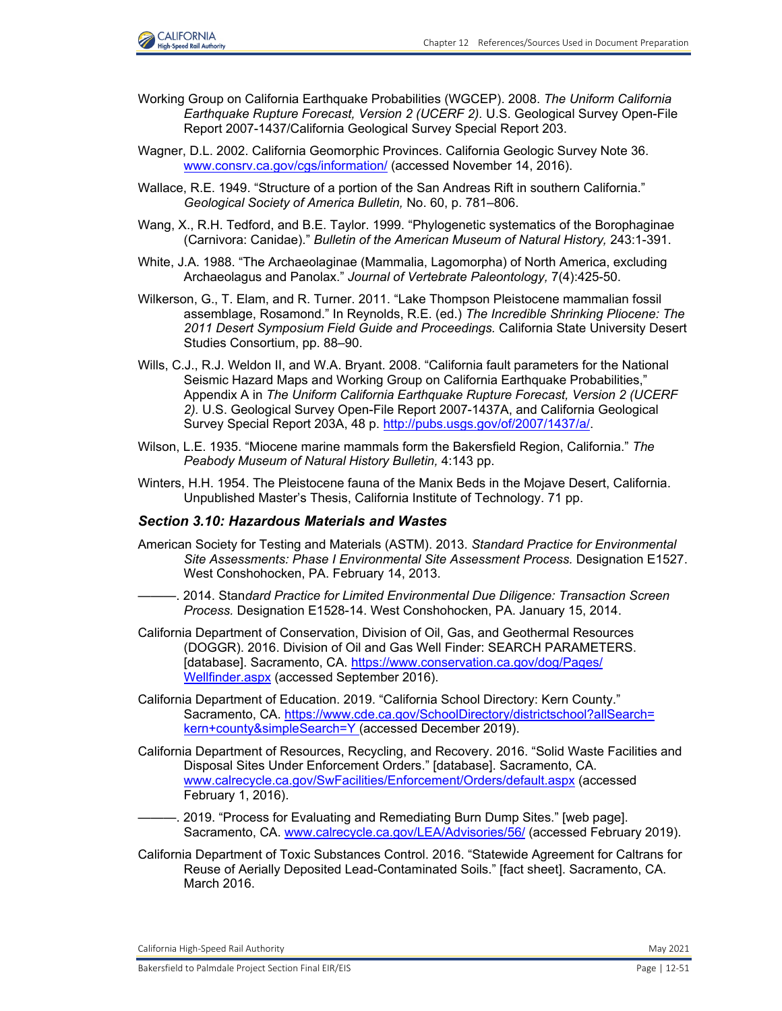

- Working Group on California Earthquake Probabilities (WGCEP). 2008. *The Uniform California Earthquake Rupture Forecast, Version 2 (UCERF 2).* U.S. Geological Survey Open-File Report 2007-1437/California Geological Survey Special Report 203.
- Wagner, D.L. 2002. California Geomorphic Provinces. California Geologic Survey Note 36. [www.consrv.ca.gov/cgs/information/](http://www.consrv.ca.gov/cgs/information/) (accessed November 14, 2016).
- Wallace, R.E. 1949. "Structure of a portion of the San Andreas Rift in southern California." *Geological Society of America Bulletin,* No. 60, p. 781–806.
- Wang, X., R.H. Tedford, and B.E. Taylor. 1999. "Phylogenetic systematics of the Borophaginae (Carnivora: Canidae)." *Bulletin of the American Museum of Natural History,* 243:1-391.
- White, J.A. 1988. "The Archaeolaginae (Mammalia, Lagomorpha) of North America, excluding Archaeolagus and Panolax." *Journal of Vertebrate Paleontology,* 7(4):425-50.
- Wilkerson, G., T. Elam, and R. Turner. 2011. "Lake Thompson Pleistocene mammalian fossil assemblage, Rosamond." In Reynolds, R.E. (ed.) *The Incredible Shrinking Pliocene: The 2011 Desert Symposium Field Guide and Proceedings.* California State University Desert Studies Consortium, pp. 88–90.
- Wills, C.J., R.J. Weldon II, and W.A. Bryant. 2008. "California fault parameters for the National Seismic Hazard Maps and Working Group on California Earthquake Probabilities," Appendix A in *The Uniform California Earthquake Rupture Forecast, Version 2 (UCERF 2).* U.S. Geological Survey Open-File Report 2007-1437A, and California Geological Survey Special Report 203A, 48 p. [http://pubs.usgs.gov/of/2007/1437/a/.](http://pubs.usgs.gov/of/2007/1437/a/)
- Wilson, L.E. 1935. "Miocene marine mammals form the Bakersfield Region, California." *The Peabody Museum of Natural History Bulletin,* 4:143 pp.
- Winters, H.H. 1954. The Pleistocene fauna of the Manix Beds in the Mojave Desert, California. Unpublished Master's Thesis, California Institute of Technology. 71 pp.

### *Section 3.10: Hazardous Materials and Wastes*

- American Society for Testing and Materials (ASTM). 2013. *Standard Practice for Environmental Site Assessments: Phase I Environmental Site Assessment Process.* Designation E1527. West Conshohocken, PA. February 14, 2013.
- ———. 2014. Stan*dard Practice for Limited Environmental Due Diligence: Transaction Screen Process.* Designation E1528-14. West Conshohocken, PA. January 15, 2014.
- California Department of Conservation, Division of Oil, Gas, and Geothermal Resources (DOGGR). 2016. Division of Oil and Gas Well Finder: SEARCH PARAMETERS. [database]. Sacramento, CA. [https://www.conservation.ca.gov/dog/Pages/](https://www.conservation.ca.gov/dog/Pages/ Wellfinder.aspx) [Wellfinder.aspx](https://www.conservation.ca.gov/dog/Pages/ Wellfinder.aspx) (accessed September 2016).
- California Department of Education. 2019. "California School Directory: Kern County." Sacramento, CA. [https://www.cde.ca.gov/SchoolDirectory/districtschool?allSearch=](https://www.cde.ca.gov/SchoolDirectory/districtschool?allSearch= kern+county&simpleSearch=Y) [kern+county&simpleSearch=Y](https://www.cde.ca.gov/SchoolDirectory/districtschool?allSearch= kern+county&simpleSearch=Y) (accessed December 2019).
- California Department of Resources, Recycling, and Recovery. 2016. "Solid Waste Facilities and Disposal Sites Under Enforcement Orders." [database]. Sacramento, CA. [www.calrecycle.ca.gov/SwFacilities/Enforcement/Orders/default.aspx](http://www.calrecycle.ca.gov/SwFacilities/Enforcement/Orders/default.aspx) (accessed February 1, 2016).
- 2019. "Process for Evaluating and Remediating Burn Dump Sites." [web page]. Sacramento, CA. [www.calrecycle.ca.gov/LEA/Advisories/56/ \(](http://www.calrecycle.ca.gov/LEA/Advisories/56/)accessed February 2019).
- California Department of Toxic Substances Control. 2016. "Statewide Agreement for Caltrans for Reuse of Aerially Deposited Lead-Contaminated Soils." [fact sheet]. Sacramento, CA. March 2016.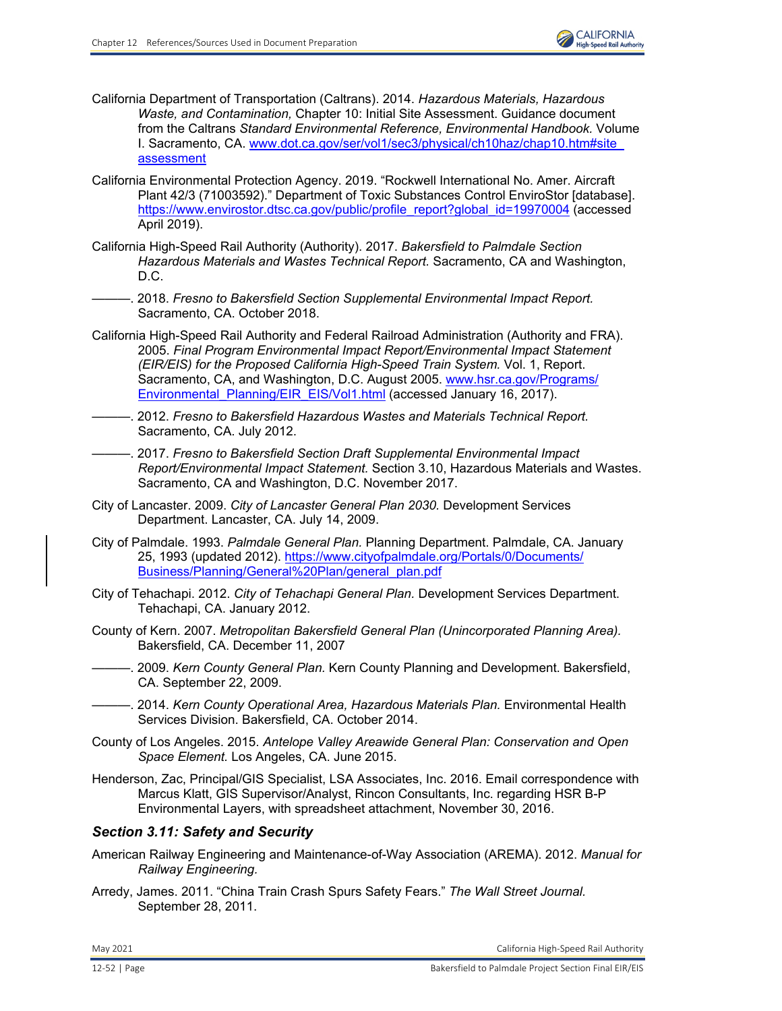- California Department of Transportation (Caltrans). 2014. *Hazardous Materials, Hazardous Waste, and Contamination,* Chapter 10: Initial Site Assessment. Guidance document from the Caltrans *Standard Environmental Reference, Environmental Handbook.* Volume I. Sacramento, CA. [www.dot.ca.gov/ser/vol1/sec3/physical/ch10haz/chap10.htm#site](http://www.dot.ca.gov/ser/vol1/sec3/physical/ch10haz/chap10.htm#siteassessment) [assessment](http://www.dot.ca.gov/ser/vol1/sec3/physical/ch10haz/chap10.htm#siteassessment)
- California Environmental Protection Agency. 2019. "Rockwell International No. Amer. Aircraft Plant 42/3 (71003592)." Department of Toxic Substances Control EnviroStor [database]. [https://www.envirostor.dtsc.ca.gov/public/profile\\_report?global\\_id=19970004](https://www.envirostor.dtsc.ca.gov/public/profile_report?global_id=19970004) (accessed April 2019).
- California High-Speed Rail Authority (Authority). 2017. *Bakersfield to Palmdale Section Hazardous Materials and Wastes Technical Report.* Sacramento, CA and Washington, D.C.
- ———. 2018. *Fresno to Bakersfield Section Supplemental Environmental Impact Report.* Sacramento, CA. October 2018.
- California High-Speed Rail Authority and Federal Railroad Administration (Authority and FRA). 2005. *Final Program Environmental Impact Report/Environmental Impact Statement (EIR/EIS) for the Proposed California High-Speed Train System.* Vol. 1, Report. Sacramento, CA, and Washington, D.C. August 2005. [www.hsr.ca.gov/Programs/](http://www.hsr.ca.gov/Programs/Environmental_Planning/EIR_EIS/Vol1.html) Environmental Planning/EIR\_EIS/Vol1.html (accessed January 16, 2017).
- ———. 2012. *Fresno to Bakersfield Hazardous Wastes and Materials Technical Report.*  Sacramento, CA. July 2012.
- ———. 2017. *Fresno to Bakersfield Section Draft Supplemental Environmental Impact Report/Environmental Impact Statement.* Section 3.10, Hazardous Materials and Wastes. Sacramento, CA and Washington, D.C. November 2017.
- City of Lancaster. 2009. *City of Lancaster General Plan 2030.* Development Services Department. Lancaster, CA. July 14, 2009.
- City of Palmdale. 1993. *Palmdale General Plan.* Planning Department. Palmdale, CA. January 25, 1993 (updated 2012)[. https://www.cityofpalmdale.org/Portals/0/Documents/](https://www.cityofpalmdale.org/Portals/0/Documents/ Business/Planning/General%20Plan/general_plan.pdf) [Business/Planning/General%20Plan/general\\_plan.pdf](https://www.cityofpalmdale.org/Portals/0/Documents/ Business/Planning/General%20Plan/general_plan.pdf)
- City of Tehachapi. 2012. *City of Tehachapi General Plan.* Development Services Department. Tehachapi, CA. January 2012.
- County of Kern. 2007. *Metropolitan Bakersfield General Plan (Unincorporated Planning Area).*  Bakersfield, CA. December 11, 2007
	- ———. 2009. *Kern County General Plan.* Kern County Planning and Development. Bakersfield, CA. September 22, 2009.
- ———. 2014. *Kern County Operational Area, Hazardous Materials Plan.* Environmental Health Services Division. Bakersfield, CA. October 2014.
- County of Los Angeles. 2015. *Antelope Valley Areawide General Plan: Conservation and Open Space Element.* Los Angeles, CA. June 2015.
- Henderson, Zac, Principal/GIS Specialist, LSA Associates, Inc. 2016. Email correspondence with Marcus Klatt, GIS Supervisor/Analyst, Rincon Consultants, Inc. regarding HSR B-P Environmental Layers, with spreadsheet attachment, November 30, 2016.

## *Section 3.11: Safety and Security*

- American Railway Engineering and Maintenance-of-Way Association (AREMA). 2012. *Manual for Railway Engineering.*
- Arredy, James. 2011. "China Train Crash Spurs Safety Fears." *The Wall Street Journal.* September 28, 2011.

May 2021 California High‐Speed Rail Authority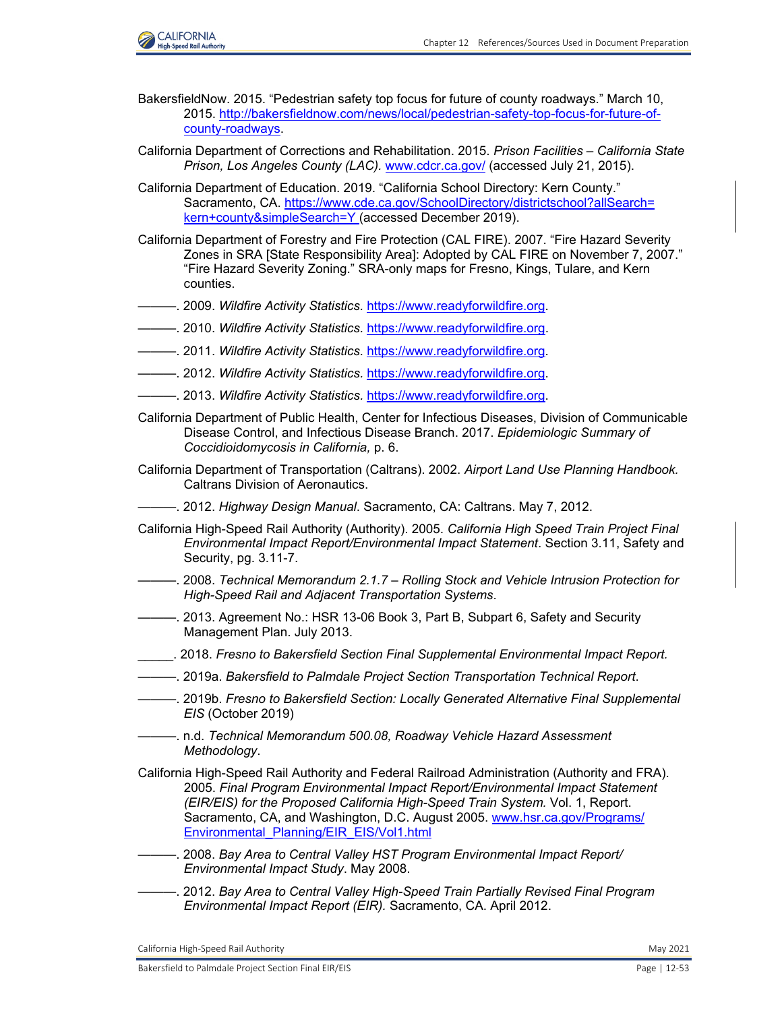

- BakersfieldNow. 2015. "Pedestrian safety top focus for future of county roadways." March 10, 2015. [http://bakersfieldnow.com/news/local/pedestrian-safety-top-focus-for-future-of](http://bakersfieldnow.com/news/local/pedestrian-safety-top-focus-for-future-ofcounty-roadways)[county-roadways.](http://bakersfieldnow.com/news/local/pedestrian-safety-top-focus-for-future-ofcounty-roadways)
- California Department of Corrections and Rehabilitation. 2015. *Prison Facilities California State Prison, Los Angeles County (LAC).* [www.cdcr.ca.gov/ \(](http://www.cdcr.ca.gov/)accessed July 21, 2015).
- California Department of Education. 2019. "California School Directory: Kern County." Sacramento, CA. [https://www.cde.ca.gov/SchoolDirectory/districtschool?allSearch=](https://www.cde.ca.gov/SchoolDirectory/districtschool?allSearch= kern+county&simpleSearch=Y) [kern+county&simpleSearch=Y](https://www.cde.ca.gov/SchoolDirectory/districtschool?allSearch= kern+county&simpleSearch=Y) (accessed December 2019).
- California Department of Forestry and Fire Protection (CAL FIRE). 2007. "Fire Hazard Severity Zones in SRA [State Responsibility Area]: Adopted by CAL FIRE on November 7, 2007." "Fire Hazard Severity Zoning." SRA-only maps for Fresno, Kings, Tulare, and Kern counties.
- ———. 2009. *Wildfire Activity Statistics.* [https://www.readyforwildfire.org.](https://www.readyforwildfire.org)
- ———. 2010. *Wildfire Activity Statistics.* [https://www.readyforwildfire.org.](https://www.readyforwildfire.org)
- ———. 2011. *Wildfire Activity Statistics.* [https://www.readyforwildfire.org.](https://www.readyforwildfire.org)
- ———. 2012. *Wildfire Activity Statistics.* [https://www.readyforwildfire.org.](https://www.readyforwildfire.org)
- ———. 2013. *Wildfire Activity Statistics.* [https://www.readyforwildfire.org.](https://www.readyforwildfire.org)
- California Department of Public Health, Center for Infectious Diseases, Division of Communicable Disease Control, and Infectious Disease Branch. 2017. *Epidemiologic Summary of Coccidioidomycosis in California,* p. 6.
- California Department of Transportation (Caltrans). 2002. *Airport Land Use Planning Handbook.*  Caltrans Division of Aeronautics.
- ———. 2012. *Highway Design Manual*. Sacramento, CA: Caltrans. May 7, 2012.
- California High-Speed Rail Authority (Authority). 2005. *California High Speed Train Project Final Environmental Impact Report/Environmental Impact Statement*. Section 3.11, Safety and Security, pg. 3.11-7.
- ———. 2008. *Technical Memorandum 2.1.7 Rolling Stock and Vehicle Intrusion Protection for High-Speed Rail and Adjacent Transportation Systems*.
- -. 2013. Agreement No.: HSR 13-06 Book 3, Part B, Subpart 6, Safety and Security Management Plan. July 2013.
- \_\_\_\_\_. 2018. *Fresno to Bakersfield Section Final Supplemental Environmental Impact Report.*
- ———. 2019a. *Bakersfield to Palmdale Project Section Transportation Technical Report*.
- ———. 2019b. *Fresno to Bakersfield Section: Locally Generated Alternative Final Supplemental EIS* (October 2019)
- ———. n.d. *Technical Memorandum 500.08, Roadway Vehicle Hazard Assessment Methodology*.
- California High-Speed Rail Authority and Federal Railroad Administration (Authority and FRA). 2005. *Final Program Environmental Impact Report/Environmental Impact Statement (EIR/EIS) for the Proposed California High-Speed Train System.* Vol. 1, Report. Sacramento, CA, and Washington, D.C. August 2005. [www.hsr.ca.gov/Programs/](http://www.hsr.ca.gov/Programs/Environmental_Planning/EIR_EIS/Vol1.html) [Environmental\\_Planning/EIR\\_EIS/Vol1.html](http://www.hsr.ca.gov/Programs/Environmental_Planning/EIR_EIS/Vol1.html)
- ———. 2008. *Bay Area to Central Valley HST Program Environmental Impact Report/ Environmental Impact Study*. May 2008.
- ———. 2012. *Bay Area to Central Valley High-Speed Train Partially Revised Final Program Environmental Impact Report (EIR).* Sacramento, CA. April 2012.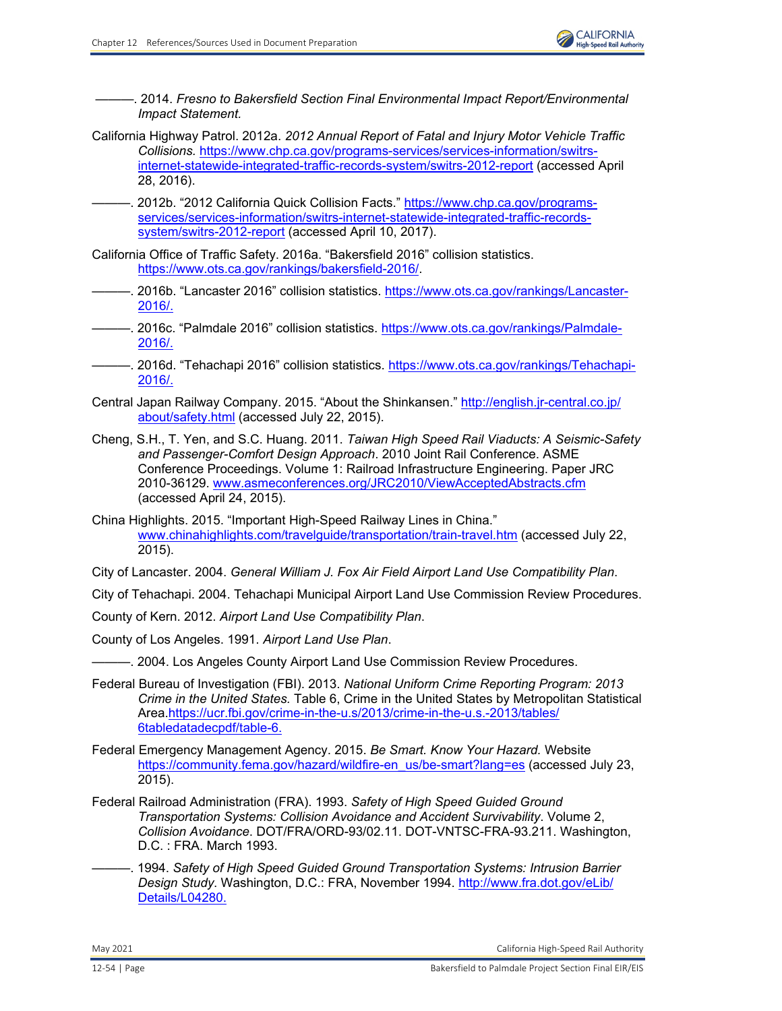———. 2014. *Fresno to Bakersfield Section Final Environmental Impact Report/Environmental Impact Statement.* 

- California Highway Patrol. 2012a. *2012 Annual Report of Fatal and Injury Motor Vehicle Traffic Collisions.* [https://www.chp.ca.gov/programs-services/services-information/switrs](https://www.chp.ca.gov/programs-services/services-information/switrsinternet-statewide-integrated-traffic-records-system/switrs-2012-report)[internet-statewide-integrated-traffic-records-system/switrs-2012-report](https://www.chp.ca.gov/programs-services/services-information/switrsinternet-statewide-integrated-traffic-records-system/switrs-2012-report) (accessed April 28, 2016).
- -. 2012b. "2012 California Quick Collision Facts." [https://www.chp.ca.gov/programs](https://www.chp.ca.gov/programsservices/services-information/switrs-internet-statewide-integrated-traffic-recordssystem/switrs-2012-report)[services/services-information/switrs-internet-statewide-integrated-traffic-records](https://www.chp.ca.gov/programsservices/services-information/switrs-internet-statewide-integrated-traffic-recordssystem/switrs-2012-report)[system/switrs-2012-report](https://www.chp.ca.gov/programsservices/services-information/switrs-internet-statewide-integrated-traffic-recordssystem/switrs-2012-report) (accessed April 10, 2017).
- California Office of Traffic Safety. 2016a. "Bakersfield 2016" collision statistics. <https://www.ots.ca.gov/rankings/bakersfield-2016/.>
- ———. 2016b. "Lancaster 2016" collision statistics. [https://www.ots.ca.gov/rankings/Lancaster-](https://www.ots.ca.gov/rankings/Lancaster- 2016/.)[2016/.](https://www.ots.ca.gov/rankings/Lancaster- 2016/.)
- -. 2016c. "Palmdale 2016" collision statistics. [https://www.ots.ca.gov/rankings/Palmdale-](https://www.ots.ca.gov/rankings/Palmdale- 2016/.)[2016/.](https://www.ots.ca.gov/rankings/Palmdale- 2016/.)
- -. 2016d. "Tehachapi 2016" collision statistics. [https://www.ots.ca.gov/rankings/Tehachapi-](https://www.ots.ca.gov/rankings/Tehachapi- 2016/.)[2016/.](https://www.ots.ca.gov/rankings/Tehachapi- 2016/.)
- Central Japan Railway Company. 2015. "About the Shinkansen." [http://english.jr-central.co.jp/](http://english.jr-central.co.jp/ about/safety.html) [about/safety.html](http://english.jr-central.co.jp/ about/safety.html) (accessed July 22, 2015).
- Cheng, S.H., T. Yen, and S.C. Huang. 2011. *Taiwan High Speed Rail Viaducts: A Seismic-Safety and Passenger-Comfort Design Approach*. 2010 Joint Rail Conference. ASME Conference Proceedings. Volume 1: Railroad Infrastructure Engineering. Paper JRC 2010-36129. [www.asmeconferences.org/JRC2010/ViewAcceptedAbstracts.cfm](http://www.asmeconferences.org/JRC2010/ViewAcceptedAbstracts.cfm) (accessed April 24, 2015).
- China Highlights. 2015. "Important High-Speed Railway Lines in China." [www.chinahighlights.com/travelguide/transportation/train-travel.htm](http://www.chinahighlights.com/travelguide/transportation/train-travel.htm) (accessed July 22, 2015).

City of Lancaster. 2004. *General William J. Fox Air Field Airport Land Use Compatibility Plan*.

City of Tehachapi. 2004. Tehachapi Municipal Airport Land Use Commission Review Procedures.

- County of Kern. 2012. *Airport Land Use Compatibility Plan*.
- County of Los Angeles. 1991. *Airport Land Use Plan*.

———. 2004. Los Angeles County Airport Land Use Commission Review Procedures.

- Federal Bureau of Investigation (FBI). 2013. *National Uniform Crime Reporting Program: 2013 Crime in the United States.* Table 6, Crime in the United States by Metropolitan Statistical Area[.https://ucr.fbi.gov/crime-in-the-u.s/2013/crime-in-the-u.s.-2013/tables/](https://ucr.fbi.gov/crime-in-the-u.s/2013/crime-in-the-u.s.-2013/tables/ 6tabledatadecpdf/table-6.) [6tabledatadecpdf/table-6.](https://ucr.fbi.gov/crime-in-the-u.s/2013/crime-in-the-u.s.-2013/tables/ 6tabledatadecpdf/table-6.)
- Federal Emergency Management Agency. 2015. *Be Smart. Know Your Hazard.* Website [https://community.fema.gov/hazard/wildfire-en\\_us/be-smart?lang=es](https://community.fema.gov/hazard/wildfire-en_us/be-smart?lang=es) (accessed July 23, 2015).
- Federal Railroad Administration (FRA). 1993. *Safety of High Speed Guided Ground Transportation Systems: Collision Avoidance and Accident Survivability*. Volume 2, *Collision Avoidance*. DOT/FRA/ORD-93/02.11. DOT-VNTSC-FRA-93.211. Washington, D.C. : FRA. March 1993.
- ———. 1994. *Safety of High Speed Guided Ground Transportation Systems: Intrusion Barrier Design Study*. Washington, D.C.: FRA, November 1994. [http://www.fra.dot.gov/eLib/](http://www.fra.dot.gov/eLib/ Details/L04280.) [Details/L04280.](http://www.fra.dot.gov/eLib/ Details/L04280.)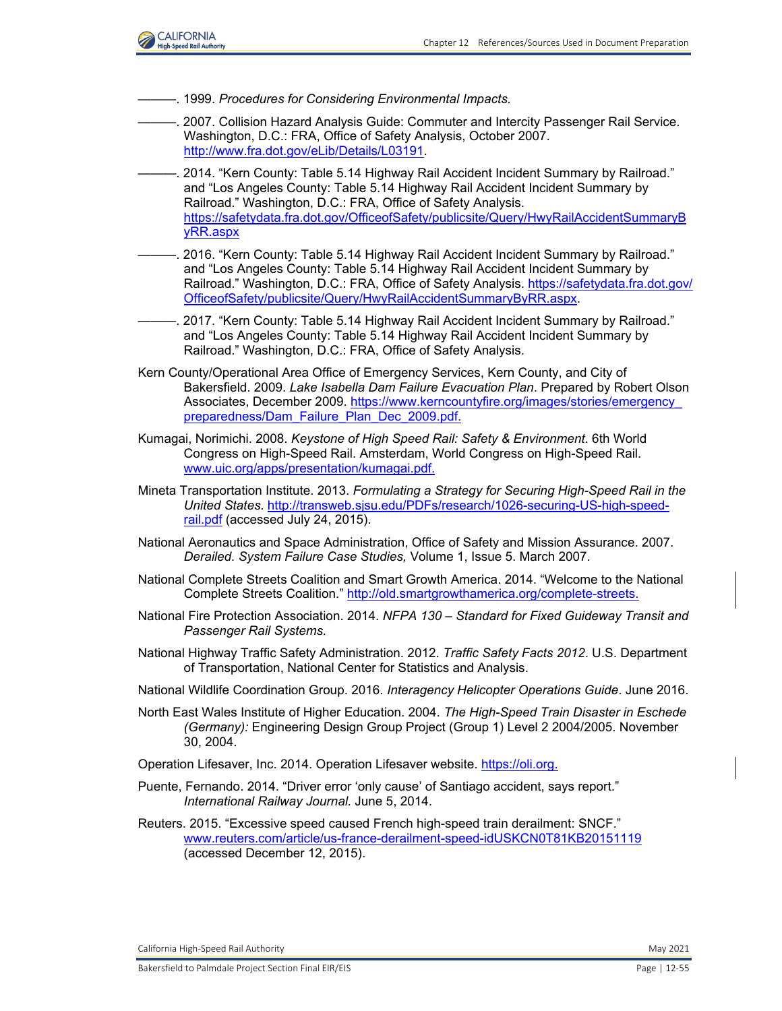

- ———. 1999. *Procedures for Considering Environmental Impacts.*
- ———. 2007. Collision Hazard Analysis Guide: Commuter and Intercity Passenger Rail Service. Washington, D.C.: FRA, Office of Safety Analysis, October 2007. [http://www.fra.dot.gov/eLib/Details/L03191.](http://www.fra.dot.gov/eLib/Details/L03191)
- 2014. "Kern County: Table 5.14 Highway Rail Accident Incident Summary by Railroad." and "Los Angeles County: Table 5.14 Highway Rail Accident Incident Summary by Railroad." Washington, D.C.: FRA, Office of Safety Analysis. [https://safetydata.fra.dot.gov/OfficeofSafety/publicsite/Query/HwyRailAccidentSummaryB](https://safetydata.fra.dot.gov/OfficeofSafety/publicsite/Query/HwyRailAccidentSummaryByRR.aspx) yRR.aspx
- ———. 2016. "Kern County: Table 5.14 Highway Rail Accident Incident Summary by Railroad." and "Los Angeles County: Table 5.14 Highway Rail Accident Incident Summary by Railroad." Washington, D.C.: FRA, Office of Safety Analysis. [https://safetydata.fra.dot.gov/](https://safetydata.fra.dot.gov/OfficeofSafety/publicsite/Query/HwyRailAccidentSummaryByRR.aspx) [OfficeofSafety/publicsite/Query/HwyRailAccidentSummaryByRR.aspx.](https://safetydata.fra.dot.gov/OfficeofSafety/publicsite/Query/HwyRailAccidentSummaryByRR.aspx)
- 2017. "Kern County: Table 5.14 Highway Rail Accident Incident Summary by Railroad." and "Los Angeles County: Table 5.14 Highway Rail Accident Incident Summary by Railroad." Washington, D.C.: FRA, Office of Safety Analysis.
- Kern County/Operational Area Office of Emergency Services, Kern County, and City of Bakersfield. 2009. *Lake Isabella Dam Failure Evacuation Plan*. Prepared by Robert Olson Associates, December 2009. [https://www.kerncountyfire.org/images/stories/emergency\\_](https://www.kerncountyfire.org/images/stories/emergency_ preparedness/Dam_Failure_Plan_Dec_2009.pdf)  [preparedness/Dam\\_Failure\\_Plan\\_Dec\\_2009.pdf.](https://www.kerncountyfire.org/images/stories/emergency_ preparedness/Dam_Failure_Plan_Dec_2009.pdf)
- Kumagai, Norimichi. 2008. *Keystone of High Speed Rail: Safety & Environment*. 6th World Congress on High-Speed Rail. Amsterdam, World Congress on High-Speed Rail. [www.uic.org/apps/presentation/kumagai.pdf.](http://www.uic.org/apps/presentation/kumagai.pdf)
- Mineta Transportation Institute. 2013. *Formulating a Strategy for Securing High-Speed Rail in the United States*. [http://transweb.sjsu.edu/PDFs/research/1026-securing-US-high-speed](http://transweb.sjsu.edu/PDFs/research/1026-securing-US-high-speed-rail.pdf)[rail.pdf](http://transweb.sjsu.edu/PDFs/research/1026-securing-US-high-speed-rail.pdf) (accessed July 24, 2015).
- National Aeronautics and Space Administration, Office of Safety and Mission Assurance. 2007. *Derailed. System Failure Case Studies,* Volume 1, Issue 5. March 2007.
- National Complete Streets Coalition and Smart Growth America. 2014. "Welcome to the National Complete Streets Coalition." [http://old.smartgrowthamerica.org/complete-streets.](http://old.smartgrowthamerica.org/complete-streets)
- National Fire Protection Association. 2014. *NFPA 130 Standard for Fixed Guideway Transit and Passenger Rail Systems.*
- National Highway Traffic Safety Administration. 2012. *Traffic Safety Facts 2012*. U.S. Department of Transportation, National Center for Statistics and Analysis.
- National Wildlife Coordination Group. 2016. *Interagency Helicopter Operations Guide*. June 2016.
- North East Wales Institute of Higher Education. 2004. *The High-Speed Train Disaster in Eschede (Germany):* Engineering Design Group Project (Group 1) Level 2 2004/2005. November 30, 2004.
- Operation Lifesaver, Inc. 2014. Operation Lifesaver website. [https://oli.org.](https://oli.org)
- Puente, Fernando. 2014. "Driver error 'only cause' of Santiago accident, says report." *International Railway Journal.* June 5, 2014.
- Reuters. 2015. "Excessive speed caused French high-speed train derailment: SNCF." [www.reuters.com/article/us-france-derailment-speed-idUSKCN0T81KB20151119](http://www.reuters.com/article/us-france-derailment-speed-idUSKCN0T81KB20151119) (accessed December 12, 2015).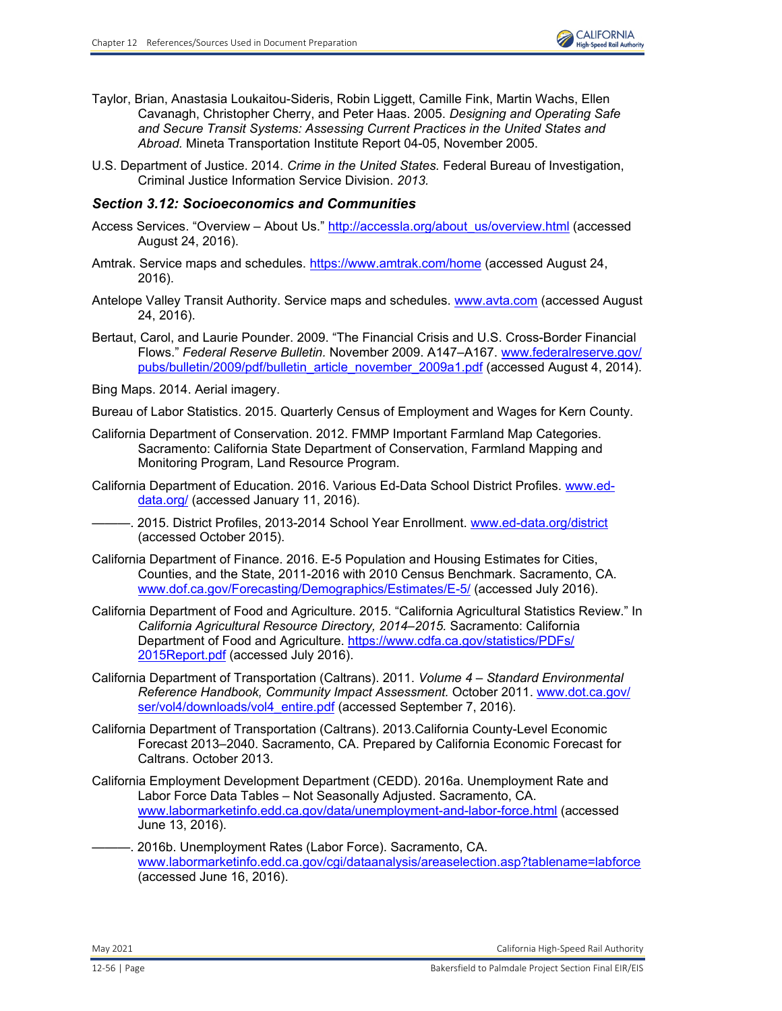

- Taylor, Brian, Anastasia Loukaitou-Sideris, Robin Liggett, Camille Fink, Martin Wachs, Ellen Cavanagh, Christopher Cherry, and Peter Haas. 2005. *Designing and Operating Safe and Secure Transit Systems: Assessing Current Practices in the United States and Abroad.* Mineta Transportation Institute Report 04-05, November 2005.
- U.S. Department of Justice. 2014. *Crime in the United States.* Federal Bureau of Investigation, Criminal Justice Information Service Division. *2013.*

## *Section 3.12: Socioeconomics and Communities*

- Access Services. "Overview About Us." [http://accessla.org/about\\_us/overview.html](http://accessla.org/about_us/overview.html) (accessed August 24, 2016).
- Amtrak. Service maps and schedules.<https://www.amtrak.com/home> (accessed August 24, 2016).
- Antelope Valley Transit Authority. Service maps and schedules. [www.avta.com](http://www.avta.com) (accessed August 24, 2016).
- Bertaut, Carol, and Laurie Pounder. 2009. "The Financial Crisis and U.S. Cross-Border Financial Flows." *Federal Reserve Bulletin.* November 2009. A147–A167. [www.federalreserve.gov/](http://www.federalreserve.gov/pubs/bulletin/2009/pdf/bulletin_article_november_2009a1.pdf) [pubs/bulletin/2009/pdf/bulletin\\_article\\_november\\_2009a1.pdf](http://www.federalreserve.gov/pubs/bulletin/2009/pdf/bulletin_article_november_2009a1.pdf) (accessed August 4, 2014).

Bing Maps. 2014. Aerial imagery.

Bureau of Labor Statistics. 2015. Quarterly Census of Employment and Wages for Kern County.

- California Department of Conservation. 2012. FMMP Important Farmland Map Categories. Sacramento: California State Department of Conservation, Farmland Mapping and Monitoring Program, Land Resource Program.
- California Department of Education. 2016. Various Ed-Data School District Profiles. [www.ed](http://www.ed-data.org/)[data.org/](http://www.ed-data.org/) (accessed January 11, 2016).
	- 2015. District Profiles, 2013-2014 School Year Enrollment. [www.ed-data.org/district](http://www.ed-data.org/district) (accessed October 2015).
- California Department of Finance. 2016. E-5 Population and Housing Estimates for Cities, Counties, and the State, 2011-2016 with 2010 Census Benchmark. Sacramento, CA. [www.dof.ca.gov/Forecasting/Demographics/Estimates/E-5/](http://www.dof.ca.gov/Forecasting/Demographics/Estimates/E-5/) (accessed July 2016).
- California Department of Food and Agriculture. 2015. "California Agricultural Statistics Review." In *California Agricultural Resource Directory, 2014–2015.* Sacramento: California Department of Food and Agriculture. [https://www.cdfa.ca.gov/statistics/PDFs/](https://www.cdfa.ca.gov/statistics/PDFs/2015Report.pdf) [2015Report.pdf](https://www.cdfa.ca.gov/statistics/PDFs/2015Report.pdf) (accessed July 2016).
- California Department of Transportation (Caltrans). 2011. *Volume 4 Standard Environmental Reference Handbook, Community Impact Assessment.* October 2011. [www.dot.ca.gov/](http://www.dot.ca.gov/ser/vol4/downloads/vol4_entire.pdf) [ser/vol4/downloads/vol4\\_entire.pdf](http://www.dot.ca.gov/ser/vol4/downloads/vol4_entire.pdf) (accessed September 7, 2016).
- California Department of Transportation (Caltrans). 2013.California County-Level Economic Forecast 2013–2040. Sacramento, CA. Prepared by California Economic Forecast for Caltrans. October 2013.
- California Employment Development Department (CEDD). 2016a. Unemployment Rate and Labor Force Data Tables – Not Seasonally Adjusted. Sacramento, CA. [www.labormarketinfo.edd.ca.gov/data/unemployment-and-labor-force.html](http://www.labormarketinfo.edd.ca.gov/data/unemployment-and-labor-force.html) (accessed June 13, 2016).
- 2016b. Unemployment Rates (Labor Force). Sacramento, CA. [www.labormarketinfo.edd.ca.gov/cgi/dataanalysis/areaselection.asp?tablename=labforce](http://www.labormarketinfo.edd.ca.gov/cgi/dataanalysis/areaselection.asp?tablename=labforce) (accessed June 16, 2016).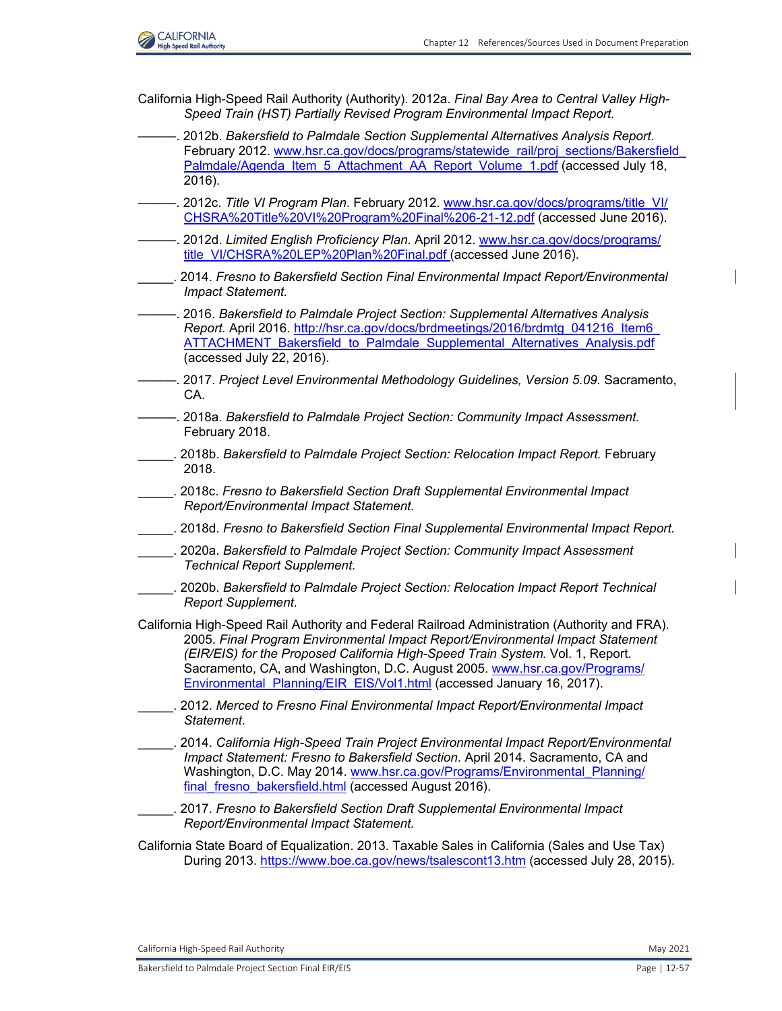

California High-Speed Rail Authority (Authority). 2012a. *Final Bay Area to Central Valley High-Speed Train (HST) Partially Revised Program Environmental Impact Report.* 

- ———. 2012b. *Bakersfield to Palmdale Section Supplemental Alternatives Analysis Report.*  February 2012. [www.hsr.ca.gov/docs/programs/statewide\\_rail/proj\\_sections/Bakersfield](http://www.hsr.ca.gov/docs/programs/statewide_rail/proj_sections/BakersfieldPalmdale/Agenda_Item_5_Attachment_AA_Report_Volume_1.pdf) [Palmdale/Agenda\\_Item\\_5\\_Attachment\\_AA\\_Report\\_Volume\\_1.pdf](http://www.hsr.ca.gov/docs/programs/statewide_rail/proj_sections/BakersfieldPalmdale/Agenda_Item_5_Attachment_AA_Report_Volume_1.pdf) (accessed July 18, 2016).
- ———. 2012c. *Title VI Program Plan*. February 2012. [www.hsr.ca.gov/docs/programs/title\\_VI/](http://www.hsr.ca.gov/docs/programs/title_VI/CHSRA%20Title%20VI%20Program%20Final%206-21-12.pdf) [CHSRA%20Title%20VI%20Program%20Final%206-21-12.pdf](http://www.hsr.ca.gov/docs/programs/title_VI/CHSRA%20Title%20VI%20Program%20Final%206-21-12.pdf) (accessed June 2016).
- ———. 2012d. *Limited English Proficiency Plan*. April 2012. [www.hsr.ca.gov/docs/programs/](http://www.hsr.ca.gov/docs/programs/title_VI/CHSRA%20LEP%20Plan%20Final.pdf) [title\\_VI/CHSRA%20LEP%20Plan%20Final.pdf](http://www.hsr.ca.gov/docs/programs/title_VI/CHSRA%20LEP%20Plan%20Final.pdf) (accessed June 2016).
- \_\_\_\_\_. 2014. *Fresno to Bakersfield Section Final Environmental Impact Report/Environmental Impact Statement.*
- ———. 2016. *Bakersfield to Palmdale Project Section: Supplemental Alternatives Analysis*  Report. April 2016. [http://hsr.ca.gov/docs/brdmeetings/2016/brdmtg\\_041216\\_Item6](http://hsr.ca.gov/docs/brdmeetings/2016/brdmtg_041216_Item6ATTACHMENT_Bakersfield_to_Palmdale_Supplemental_Alternatives_Analysis.pdf) [ATTACHMENT\\_Bakersfield\\_to\\_Palmdale\\_Supplemental\\_Alternatives\\_Analysis.pdf](http://hsr.ca.gov/docs/brdmeetings/2016/brdmtg_041216_Item6ATTACHMENT_Bakersfield_to_Palmdale_Supplemental_Alternatives_Analysis.pdf) (accessed July 22, 2016).
- ———. 2017. *Project Level Environmental Methodology Guidelines, Version 5.09.* Sacramento, CA.
- ———. 2018a. *Bakersfield to Palmdale Project Section: Community Impact Assessment.*  February 2018.
- \_\_\_\_\_. 2018b. *Bakersfield to Palmdale Project Section: Relocation Impact Report.* February 2018.
- \_\_\_\_\_. 2018c. *Fresno to Bakersfield Section Draft Supplemental Environmental Impact Report/Environmental Impact Statement.*
- \_\_\_\_\_. 2018d. *Fresno to Bakersfield Section Final Supplemental Environmental Impact Report.*
- \_\_\_\_\_. 2020a. *Bakersfield to Palmdale Project Section: Community Impact Assessment Technical Report Supplement.*
- \_\_\_\_\_. 2020b. *Bakersfield to Palmdale Project Section: Relocation Impact Report Technical Report Supplement.*
- California High-Speed Rail Authority and Federal Railroad Administration (Authority and FRA). 2005. *Final Program Environmental Impact Report/Environmental Impact Statement (EIR/EIS) for the Proposed California High-Speed Train System.* Vol. 1, Report. Sacramento, CA, and Washington, D.C. August 2005[. www.hsr.ca.gov/Programs/](http://www.hsr.ca.gov/Programs/Environmental_Planning/EIR_EIS/Vol1.html) Environmental Planning/EIR\_EIS/Vol1.html (accessed January 16, 2017).
- \_\_\_\_\_. 2012. *Merced to Fresno Final Environmental Impact Report/Environmental Impact Statement.*
- \_\_\_\_\_. 2014. *California High-Speed Train Project Environmental Impact Report/Environmental Impact Statement: Fresno to Bakersfield Section. April 2014. Sacramento, CA and* Washington, D.C. May 2014. [www.hsr.ca.gov/Programs/Environmental\\_Planning/](http://www.hsr.ca.gov/Programs/Environmental_Planning/final_fresno_bakersfield.html) [final\\_fresno\\_bakersfield.html](http://www.hsr.ca.gov/Programs/Environmental_Planning/final_fresno_bakersfield.html) (accessed August 2016).
- \_\_\_\_\_. 2017. *Fresno to Bakersfield Section Draft Supplemental Environmental Impact Report/Environmental Impact Statement.*
- California State Board of Equalization. 2013. Taxable Sales in California (Sales and Use Tax) During 2013.<https://www.boe.ca.gov/news/tsalescont13.htm>(accessed July 28, 2015).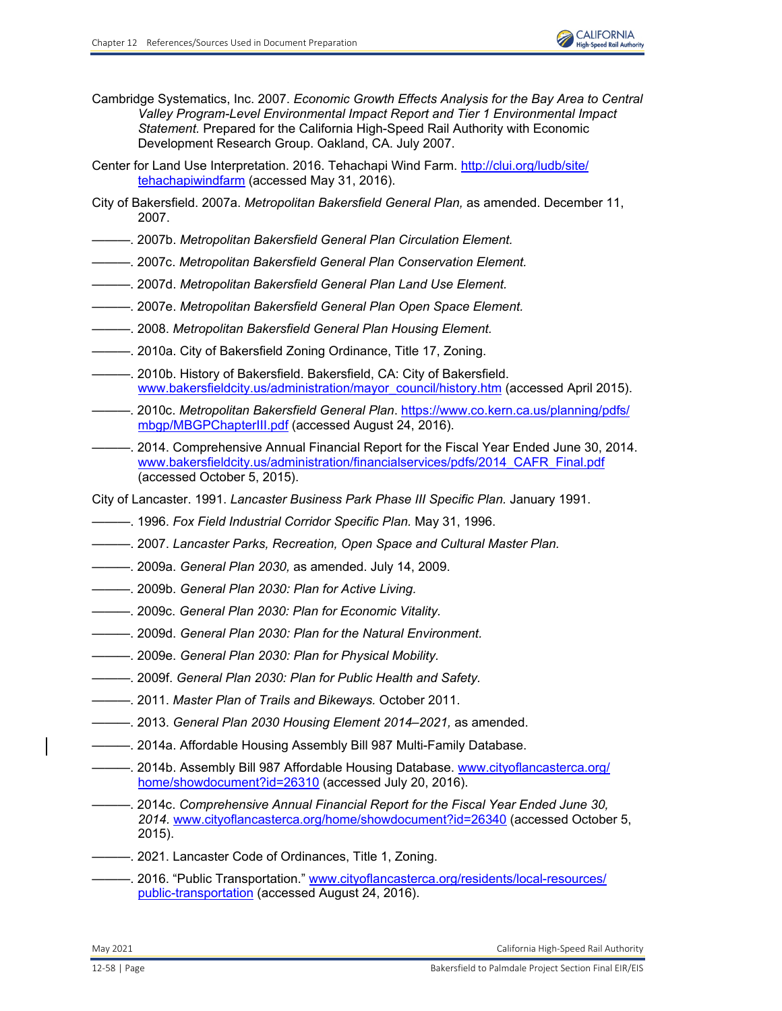- Cambridge Systematics, Inc. 2007. *Economic Growth Effects Analysis for the Bay Area to Central Valley Program-Level Environmental Impact Report and Tier 1 Environmental Impact Statement.* Prepared for the California High-Speed Rail Authority with Economic Development Research Group. Oakland, CA. July 2007.
- Center for Land Use Interpretation. 2016. Tehachapi Wind Farm. [http://clui.org/ludb/site/](http://clui.org/ludb/site/tehachapiwindfarm) [tehachapiwindfarm](http://clui.org/ludb/site/tehachapiwindfarm) (accessed May 31, 2016).
- City of Bakersfield. 2007a. *Metropolitan Bakersfield General Plan,* as amended. December 11, 2007.
- ———. 2007b. *Metropolitan Bakersfield General Plan Circulation Element.*
- ———. 2007c. *Metropolitan Bakersfield General Plan Conservation Element.*
- ———. 2007d. *Metropolitan Bakersfield General Plan Land Use Element.*
- ———. 2007e. *Metropolitan Bakersfield General Plan Open Space Element.*
- ———. 2008. *Metropolitan Bakersfield General Plan Housing Element.*
- ———. 2010a. City of Bakersfield Zoning Ordinance, Title 17, Zoning.
- ———. 2010b. History of Bakersfield. Bakersfield, CA: City of Bakersfield. [www.bakersfieldcity.us/administration/mayor\\_council/history.htm](http://www.bakersfieldcity.us/administration/mayor_council/history.htm) (accessed April 2015).
- ———. 2010c. *Metropolitan Bakersfield General Plan*. [https://www.co.kern.ca.us/planning/pdfs/](https://www.co.kern.ca.us/planning/pdfs/mbgp/MBGPChapterIII.pdf) [mbgp/MBGPChapterIII.pdf \(](https://www.co.kern.ca.us/planning/pdfs/mbgp/MBGPChapterIII.pdf)accessed August 24, 2016).
- ———. 2014. Comprehensive Annual Financial Report for the Fiscal Year Ended June 30, 2014. [www.bakersfieldcity.us/administration/financialservices/pdfs/2014\\_CAFR\\_Final.pdf](http://www.bakersfieldcity.us/administration/financialservices/pdfs/2014_CAFR_Final.pdf) (accessed October 5, 2015).
- City of Lancaster. 1991. *Lancaster Business Park Phase III Specific Plan.* January 1991.
- ———. 1996. *Fox Field Industrial Corridor Specific Plan.* May 31, 1996.
- ———. 2007. *Lancaster Parks, Recreation, Open Space and Cultural Master Plan.*
- ———. 2009a. *General Plan 2030,* as amended. July 14, 2009.
- ———. 2009b. *General Plan 2030: Plan for Active Living.*
- ———. 2009c. *General Plan 2030: Plan for Economic Vitality.*
- ———. 2009d. *General Plan 2030: Plan for the Natural Environment.*
- ———. 2009e. *General Plan 2030: Plan for Physical Mobility.*
- ———. 2009f. *General Plan 2030: Plan for Public Health and Safety.*
- ———. 2011. *Master Plan of Trails and Bikeways.* October 2011.
- ———. 2013. *General Plan 2030 Housing Element 2014–2021,* as amended.
- ———. 2014a. Affordable Housing Assembly Bill 987 Multi-Family Database.
- ———. 2014b. Assembly Bill 987 Affordable Housing Database. [www.cityoflancasterca.org/](http://www.cityoflancasterca.org/home/showdocument?id=26310) [home/showdocument?id=26310 \(](http://www.cityoflancasterca.org/home/showdocument?id=26310)accessed July 20, 2016).
- ———. 2014c. *Comprehensive Annual Financial Report for the Fiscal Year Ended June 30, 2014.* [www.cityoflancasterca.org/home/showdocument?id=26340](http://www.cityoflancasterca.org/home/showdocument?id=26340) (accessed October 5, 2015).
- ———. 2021. Lancaster Code of Ordinances, Title 1, Zoning.
- ---. 2016. "Public Transportation." [www.cityoflancasterca.org/residents/local-resources/](http://www.cityoflancasterca.org/residents/local-resources/public-transportation) [public-transportation](http://www.cityoflancasterca.org/residents/local-resources/public-transportation) (accessed August 24, 2016).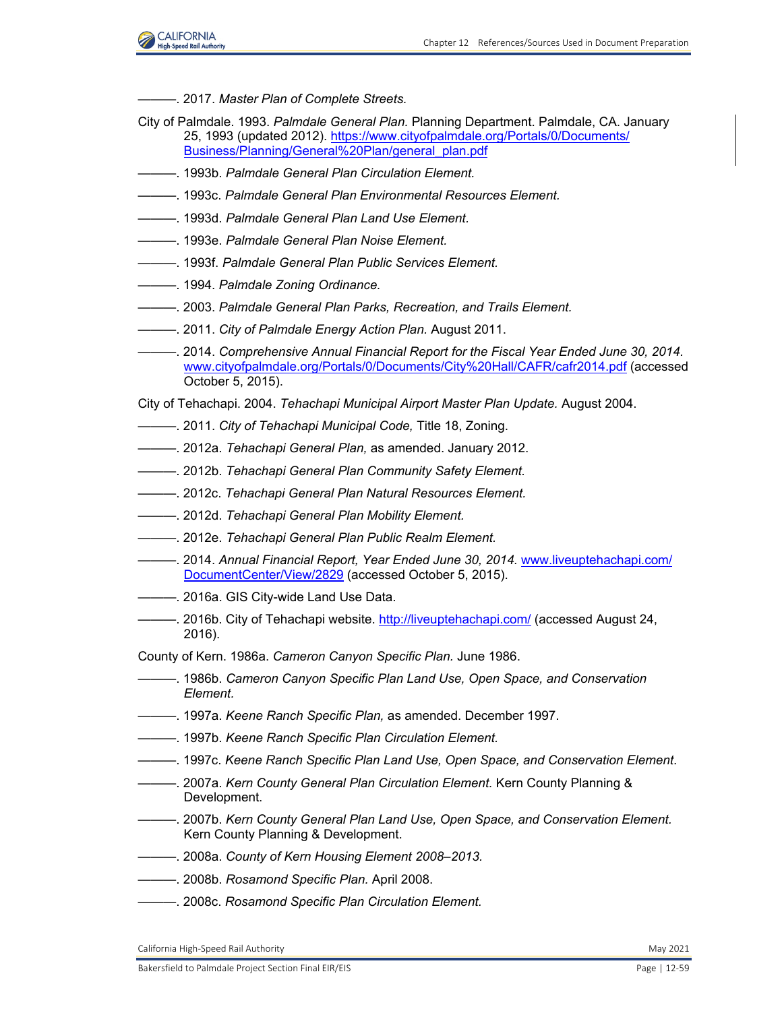

- ———. 2017. *Master Plan of Complete Streets.*
- City of Palmdale. 1993. *Palmdale General Plan.* Planning Department. Palmdale, CA. January 25, 1993 (updated 2012). [https://www.cityofpalmdale.org/Portals/0/Documents/](https://www.cityofpalmdale.org/Portals/0/Documents/Business/Planning/General%20Plan/general_plan.pdf) [Business/Planning/General%20Plan/general\\_plan.pdf](https://www.cityofpalmdale.org/Portals/0/Documents/Business/Planning/General%20Plan/general_plan.pdf)
- ———. 1993b. *Palmdale General Plan Circulation Element.*
- ———. 1993c. *Palmdale General Plan Environmental Resources Element.*
- ———. 1993d. *Palmdale General Plan Land Use Element.*
- ———. 1993e. *Palmdale General Plan Noise Element.*
- ———. 1993f. *Palmdale General Plan Public Services Element.*
- ———. 1994. *Palmdale Zoning Ordinance.*
- ———. 2003. *Palmdale General Plan Parks, Recreation, and Trails Element.*
- ———. 2011. *City of Palmdale Energy Action Plan.* August 2011.
- ———. 2014. *Comprehensive Annual Financial Report for the Fiscal Year Ended June 30, 2014.*  [www.cityofpalmdale.org/Portals/0/Documents/City%20Hall/CAFR/cafr2014.pdf](http://www.cityofpalmdale.org/Portals/0/Documents/City%20Hall/CAFR/cafr2014.pdf) (accessed October 5, 2015).
- City of Tehachapi. 2004. *Tehachapi Municipal Airport Master Plan Update.* August 2004.
- ———. 2011. *City of Tehachapi Municipal Code,* Title 18, Zoning.
- ———. 2012a. *Tehachapi General Plan,* as amended. January 2012.
- ———. 2012b. *Tehachapi General Plan Community Safety Element.*
- ———. 2012c. *Tehachapi General Plan Natural Resources Element.*
- ———. 2012d. *Tehachapi General Plan Mobility Element.*
- ———. 2012e. *Tehachapi General Plan Public Realm Element.*
- ———. 2014. *Annual Financial Report, Year Ended June 30, 2014.* [www.liveuptehachapi.com/](http://www.liveuptehachapi.com/DocumentCenter/View/2829) [DocumentCenter/View/2829 \(](http://www.liveuptehachapi.com/DocumentCenter/View/2829)accessed October 5, 2015).
- $-$ . 2016a. GIS City-wide Land Use Data.
- ——. 2016b. City of Tehachapi website[. http://liveuptehachapi.com/ \(](http://liveuptehachapi.com/)accessed August 24, 2016).
- County of Kern. 1986a. *Cameron Canyon Specific Plan.* June 1986.
- ———. 1986b. *Cameron Canyon Specific Plan Land Use, Open Space, and Conservation Element.*
- ———. 1997a. *Keene Ranch Specific Plan,* as amended. December 1997.
- ———. 1997b. *Keene Ranch Specific Plan Circulation Element.*
- ———. 1997c. *Keene Ranch Specific Plan Land Use, Open Space, and Conservation Element*.
- ———. 2007a. *Kern County General Plan Circulation Element.* Kern County Planning & Development.
- ———. 2007b. *Kern County General Plan Land Use, Open Space, and Conservation Element.*  Kern County Planning & Development.
- ———. 2008a. *County of Kern Housing Element 2008–2013.*
- ———. 2008b. *Rosamond Specific Plan.* April 2008.
- ———. 2008c. *Rosamond Specific Plan Circulation Element.*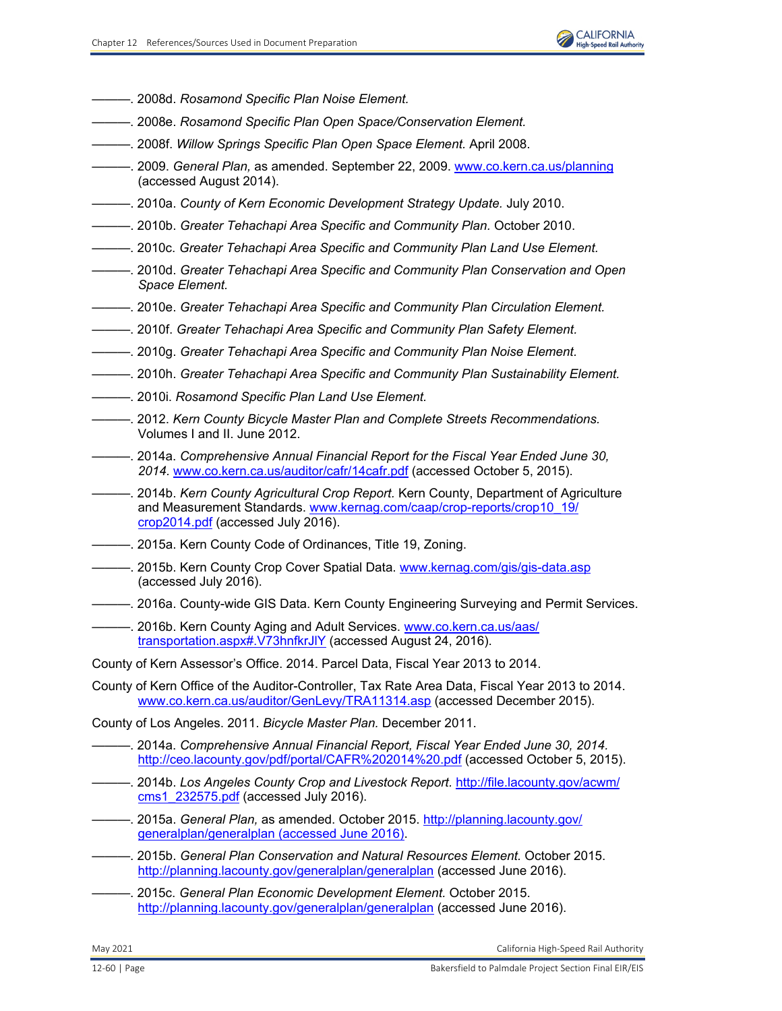- ———. 2008d. *Rosamond Specific Plan Noise Element.*
- ———. 2008e. *Rosamond Specific Plan Open Space/Conservation Element.*
- ———. 2008f. *Willow Springs Specific Plan Open Space Element.* April 2008.
- ———. 2009. *General Plan,* as amended. September 22, 2009. [www.co.kern.ca.us/planning](http://www.co.kern.ca.us/planning) (accessed August 2014).
- ———. 2010a. *County of Kern Economic Development Strategy Update.* July 2010.
- ———. 2010b. *Greater Tehachapi Area Specific and Community Plan.* October 2010.
- ———. 2010c. *Greater Tehachapi Area Specific and Community Plan Land Use Element.*
- ———. 2010d. *Greater Tehachapi Area Specific and Community Plan Conservation and Open Space Element.*
- ———. 2010e. *Greater Tehachapi Area Specific and Community Plan Circulation Element.*
- ———. 2010f. *Greater Tehachapi Area Specific and Community Plan Safety Element.*
- ———. 2010g. *Greater Tehachapi Area Specific and Community Plan Noise Element.*
- ———. 2010h. *Greater Tehachapi Area Specific and Community Plan Sustainability Element.*
- ———. 2010i. *Rosamond Specific Plan Land Use Element.*
- ———. 2012. *Kern County Bicycle Master Plan and Complete Streets Recommendations.* Volumes I and II. June 2012.
- ———. 2014a. *Comprehensive Annual Financial Report for the Fiscal Year Ended June 30, 2014.* [www.co.kern.ca.us/auditor/cafr/14cafr.pdf \(](http://www.co.kern.ca.us/auditor/cafr/14cafr.pdf)accessed October 5, 2015).
- ———. 2014b. *Kern County Agricultural Crop Report.* Kern County, Department of Agriculture and Measurement Standards. [www.kernag.com/caap/crop-reports/crop10\\_19/](http://www.kernag.com/caap/crop-reports/crop10_19/crop2014.pdf) [crop2014.pdf](http://www.kernag.com/caap/crop-reports/crop10_19/crop2014.pdf) (accessed July 2016).
- ———. 2015a. Kern County Code of Ordinances, Title 19, Zoning.
- -. 2015b. Kern County Crop Cover Spatial Data. [www.kernag.com/gis/gis-data.asp](http://www.kernag.com/gis/gis-data.asp) (accessed July 2016).
- ———. 2016a. County-wide GIS Data. Kern County Engineering Surveying and Permit Services.
- <sup>----</sup> 2016b. Kern County Aging and Adult Services. [www.co.kern.ca.us/aas/](http://www.co.kern.ca.us/aas/transportation.aspx#.V73hnfkrJlY) [transportation.aspx#.V73hnfkrJlY](http://www.co.kern.ca.us/aas/transportation.aspx#.V73hnfkrJlY) (accessed August 24, 2016).
- County of Kern Assessor's Office. 2014. Parcel Data, Fiscal Year 2013 to 2014.
- County of Kern Office of the Auditor-Controller, Tax Rate Area Data, Fiscal Year 2013 to 2014. [www.co.kern.ca.us/auditor/GenLevy/TRA11314.asp](http://www.co.kern.ca.us/auditor/GenLevy/TRA11314.asp) (accessed December 2015).

County of Los Angeles. 2011. *Bicycle Master Plan.* December 2011.

- ———. 2014a. *Comprehensive Annual Financial Report, Fiscal Year Ended June 30, 2014.*  <http://ceo.lacounty.gov/pdf/portal/CAFR%202014%20.pdf> (accessed October 5, 2015).
- ———. 2014b. *Los Angeles County Crop and Livestock Report.* [http://file.lacounty.gov/acwm/](http://file.lacounty.gov/acwm/cms1_232575.pdf) [cms1\\_232575.pdf \(a](http://file.lacounty.gov/acwm/cms1_232575.pdf)ccessed July 2016).
- ———. 2015a. *General Plan,* as amended. October 2015. [http://planning.lacounty.gov/](http://planning.lacounty.gov/generalplan/generalplan (accessed June 2016)) [generalplan/generalplan \(accessed June 2016\).](http://planning.lacounty.gov/generalplan/generalplan (accessed June 2016))
- ———. 2015b. *General Plan Conservation and Natural Resources Element.* October 2015. <http://planning.lacounty.gov/generalplan/generalplan>(accessed June 2016).
- ———. 2015c. *General Plan Economic Development Element.* October 2015. <http://planning.lacounty.gov/generalplan/generalplan>(accessed June 2016).

May 2021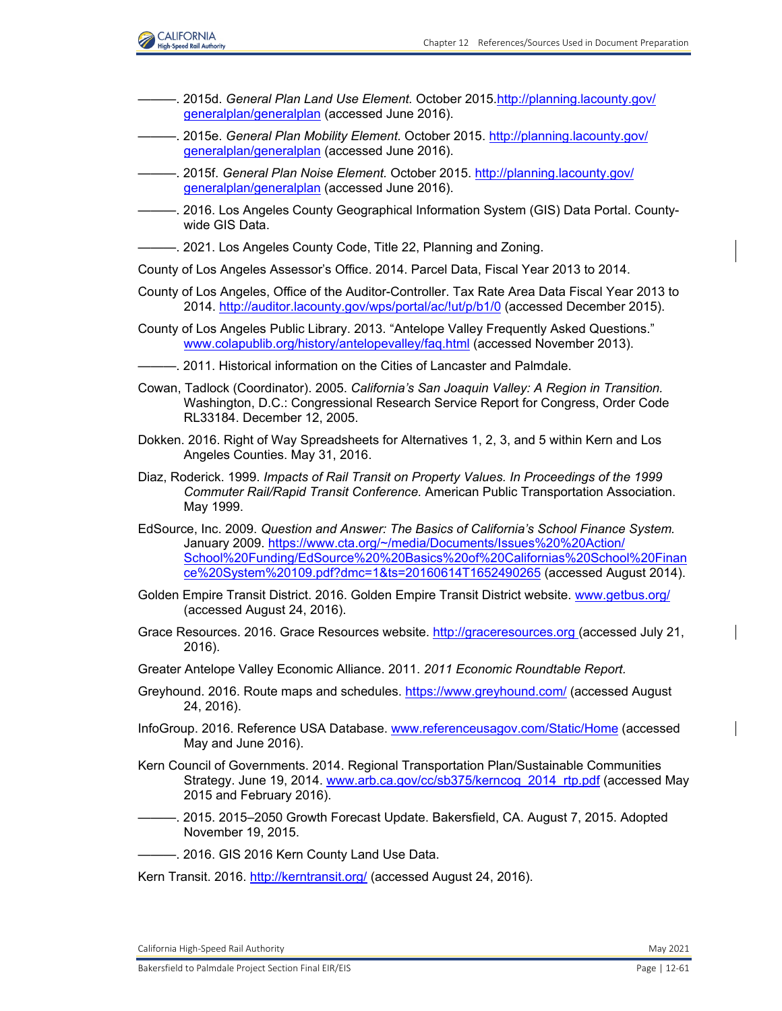

- ———. 2015d. *General Plan Land Use Element.* October 2015[.http://planning.lacounty.gov/](http://planning.lacounty.gov/generalplan/generalplan) [generalplan/generalplan](http://planning.lacounty.gov/generalplan/generalplan) (accessed June 2016).
- ———. 2015e. *General Plan Mobility Element.* October 2015[. http://planning.lacounty.gov/](http://planning.lacounty.gov/generalplan/generalplan) [generalplan/generalplan \(](http://planning.lacounty.gov/generalplan/generalplan)accessed June 2016).
- ———. 2015f. *General Plan Noise Element.* October 2015. [http://planning.lacounty.gov/](http://planning.lacounty.gov/generalplan/generalplan) [generalplan/generalplan](http://planning.lacounty.gov/generalplan/generalplan) (accessed June 2016).
- -. 2016. Los Angeles County Geographical Information System (GIS) Data Portal. Countywide GIS Data.
- ———. 2021. Los Angeles County Code, Title 22, Planning and Zoning.

County of Los Angeles Assessor's Office. 2014. Parcel Data, Fiscal Year 2013 to 2014.

- County of Los Angeles, Office of the Auditor-Controller. Tax Rate Area Data Fiscal Year 2013 to 2014.<http://auditor.lacounty.gov/wps/portal/ac/!ut/p/b1/0>(accessed December 2015).
- County of Los Angeles Public Library. 2013. "Antelope Valley Frequently Asked Questions." [www.colapublib.org/history/antelopevalley/faq.html \(](http://www.colapublib.org/history/antelopevalley/faq.html)accessed November 2013).
- -. 2011. Historical information on the Cities of Lancaster and Palmdale.
- Cowan, Tadlock (Coordinator). 2005. *California's San Joaquin Valley: A Region in Transition.*  Washington, D.C.: Congressional Research Service Report for Congress, Order Code RL33184. December 12, 2005.
- Dokken. 2016. Right of Way Spreadsheets for Alternatives 1, 2, 3, and 5 within Kern and Los Angeles Counties. May 31, 2016.
- Diaz, Roderick. 1999. *Impacts of Rail Transit on Property Values. In Proceedings of the 1999 Commuter Rail/Rapid Transit Conference.* American Public Transportation Association. May 1999.
- EdSource, Inc. 2009. *Question and Answer: The Basics of California's School Finance System.*  January 2009. [https://www.cta.org/~/media/Documents/Issues%20%20Action/](https://www.cta.org/~/media/Documents/Issues%20%20Action/ School%20Funding/EdSource%20%20Basics%20of%20Californias%20School%20Finan ce%20System%20109.pdf?dmc=1&ts=20160614T1652490265)  [School%20Funding/EdSource%20%20Basics%20of%20Californias%20School%20Finan](https://www.cta.org/~/media/Documents/Issues%20%20Action/ School%20Funding/EdSource%20%20Basics%20of%20Californias%20School%20Finan ce%20System%20109.pdf?dmc=1&ts=20160614T1652490265)  [ce%20System%20109.pdf?dmc=1&ts=20160614T1652490265](https://www.cta.org/~/media/Documents/Issues%20%20Action/ School%20Funding/EdSource%20%20Basics%20of%20Californias%20School%20Finan ce%20System%20109.pdf?dmc=1&ts=20160614T1652490265) (accessed August 2014).
- Golden Empire Transit District. 2016. Golden Empire Transit District website. [www.getbus.org/](http://www.getbus.org/) (accessed August 24, 2016).
- Grace Resources. 2016. Grace Resources website[. http://graceresources.org](http://graceresources.org) (accessed July 21, 2016).
- Greater Antelope Valley Economic Alliance. 2011. *2011 Economic Roundtable Report.*
- Greyhound. 2016. Route maps and schedules.<https://www.greyhound.com/> (accessed August 24, 2016).
- InfoGroup. 2016. Reference USA Database. [www.referenceusagov.com/Static/Home \(](http://www.referenceusagov.com/Static/Home)accessed May and June 2016).
- Kern Council of Governments. 2014. Regional Transportation Plan/Sustainable Communities Strategy. June 19, 2014. [www.arb.ca.gov/cc/sb375/kerncog\\_2014\\_rtp.pdf](http://www.arb.ca.gov/cc/sb375/kerncog_2014_rtp.pdf) (accessed May 2015 and February 2016).
- ———. 2015. 2015–2050 Growth Forecast Update. Bakersfield, CA. August 7, 2015. Adopted November 19, 2015.
- $-$ . 2016. GIS 2016 Kern County Land Use Data.

Kern Transit. 2016.<http://kerntransit.org/> (accessed August 24, 2016).

 California High‐Speed Rail Authority May 2021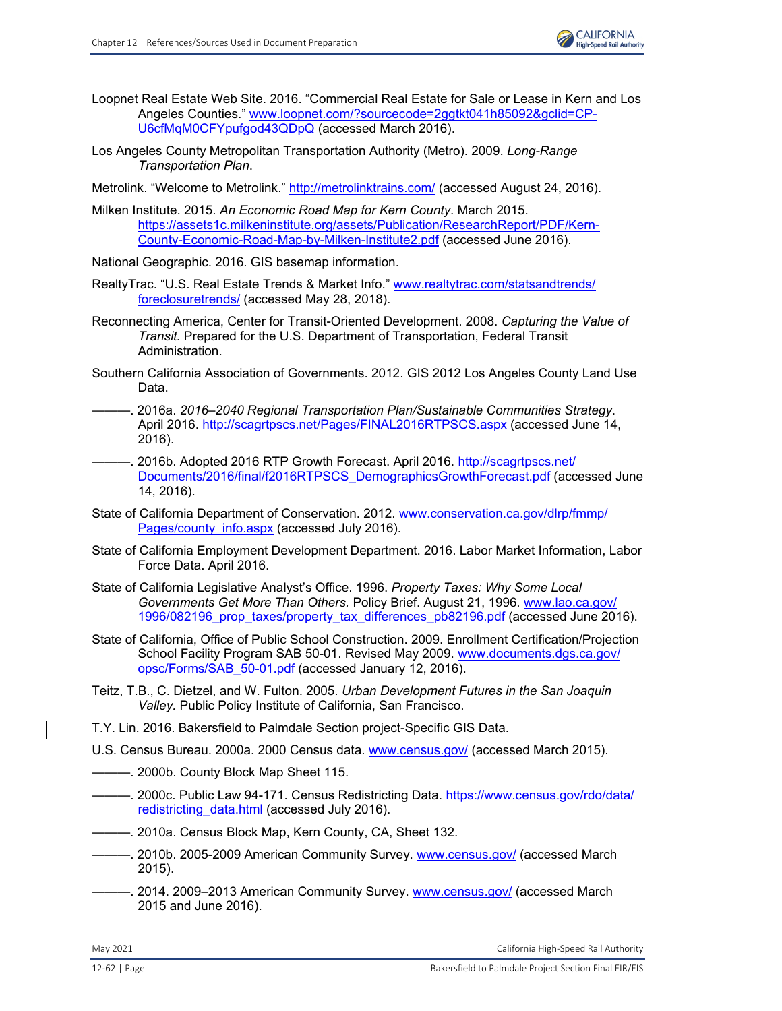- Loopnet Real Estate Web Site. 2016. "Commercial Real Estate for Sale or Lease in Kern and Los Angeles Counties." [www.loopnet.com/?sourcecode=2ggtkt041h85092&gclid=CP-](http://www.loopnet.com/?sourcecode=2ggtkt041h85092&gclid=CP-U6cfMqM0CFYpufgod43QDpQ)[U6cfMqM0CFYpufgod43QDpQ](http://www.loopnet.com/?sourcecode=2ggtkt041h85092&gclid=CP-U6cfMqM0CFYpufgod43QDpQ) (accessed March 2016).
- Los Angeles County Metropolitan Transportation Authority (Metro). 2009. *Long-Range Transportation Plan*.
- Metrolink. "Welcome to Metrolink."<http://metrolinktrains.com/>(accessed August 24, 2016).
- Milken Institute. 2015. *An Economic Road Map for Kern County*. March 2015. [https://assets1c.milkeninstitute.org/assets/Publication/ResearchReport/PDF/Kern-](https://assets1c.milkeninstitute.org/assets/Publication/ResearchReport/PDF/Kern-County-Economic-Road-Map-by-Milken-Institute2.pdf)[County-Economic-Road-Map-by-Milken-Institute2.pdf](https://assets1c.milkeninstitute.org/assets/Publication/ResearchReport/PDF/Kern-County-Economic-Road-Map-by-Milken-Institute2.pdf) (accessed June 2016).
- National Geographic. 2016. GIS basemap information.
- RealtyTrac. "U.S. Real Estate Trends & Market Info." [www.realtytrac.com/statsandtrends/](http://www.realtytrac.com/statsandtrends/foreclosuretrends/) [foreclosuretrends/](http://www.realtytrac.com/statsandtrends/foreclosuretrends/) (accessed May 28, 2018).
- Reconnecting America, Center for Transit-Oriented Development. 2008. *Capturing the Value of Transit.* Prepared for the U.S. Department of Transportation, Federal Transit Administration.
- Southern California Association of Governments. 2012. GIS 2012 Los Angeles County Land Use Data.
- ———. 2016a. *2016–2040 Regional Transportation Plan/Sustainable Communities Strategy*. April 2016.<http://scagrtpscs.net/Pages/FINAL2016RTPSCS.aspx> (accessed June 14, 2016).
- -. 2016b. Adopted 2016 RTP Growth Forecast. April 2016. [http://scagrtpscs.net/](http://scagrtpscs.net/Documents/2016/final/f2016RTPSCS_DemographicsGrowthForecast.pdf) [Documents/2016/final/f2016RTPSCS\\_DemographicsGrowthForecast.pdf \(](http://scagrtpscs.net/Documents/2016/final/f2016RTPSCS_DemographicsGrowthForecast.pdf)accessed June 14, 2016).
- State of California Department of Conservation. 2012. [www.conservation.ca.gov/dlrp/fmmp/](http://www.conservation.ca.gov/dlrp/fmmp/Pages/county_info.aspx) Pages/county info.aspx (accessed July 2016).
- State of California Employment Development Department. 2016. Labor Market Information, Labor Force Data. April 2016.
- State of California Legislative Analyst's Office. 1996. *Property Taxes: Why Some Local Governments Get More Than Others.* Policy Brief. August 21, 1996. [www.lao.ca.gov/](http://www.lao.ca.gov/1996/082196_prop_taxes/property_tax_differences_pb82196.pdf) 1996/082196 prop\_taxes/property\_tax\_differences\_pb82196.pdf (accessed June 2016).
- State of California, Office of Public School Construction. 2009. Enrollment Certification/Projection School Facility Program SAB 50-01. Revised May 2009. [www.documents.dgs.ca.gov/](http://www.documents.dgs.ca.gov/opsc/Forms/SAB_50-01.pdf) [opsc/Forms/SAB\\_50-01.pdf](http://www.documents.dgs.ca.gov/opsc/Forms/SAB_50-01.pdf) (accessed January 12, 2016).
- Teitz, T.B., C. Dietzel, and W. Fulton. 2005. *Urban Development Futures in the San Joaquin Valley.* Public Policy Institute of California, San Francisco.
- T.Y. Lin. 2016. Bakersfield to Palmdale Section project-Specific GIS Data.
- U.S. Census Bureau. 2000a. 2000 Census data. [www.census.gov/](http://www.census.gov/) (accessed March 2015).
- ———. 2000b. County Block Map Sheet 115.
- ———. 2000c. Public Law 94-171. Census Redistricting Data. [https://www.census.gov/rdo/data/](https://www.census.gov/rdo/data/redistricting_data.html) redistricting data.html (accessed July 2016).
- ———. 2010a. Census Block Map, Kern County, CA, Sheet 132.
- ——. 2010b. 2005-2009 American Community Survey. [www.census.gov/](http://www.census.gov/) (accessed March 2015).
- —. 2014. 2009–2013 American Community Survey. <u>www.census.gov/</u> (accessed March 2015 and June 2016).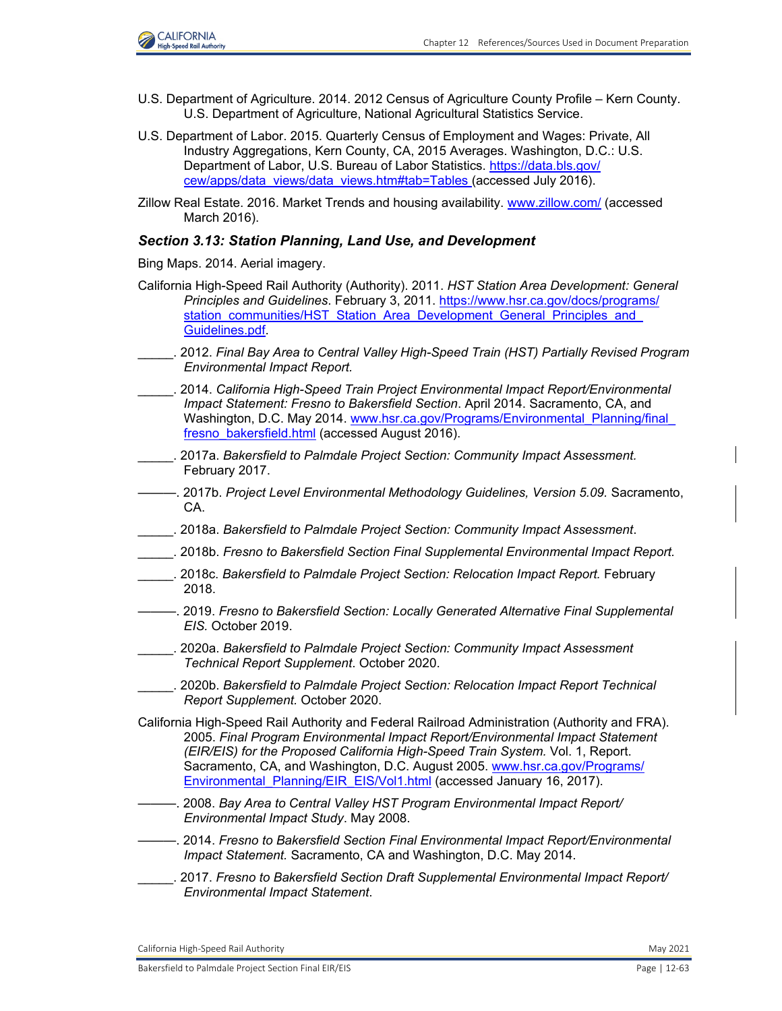- U.S. Department of Agriculture. 2014. 2012 Census of Agriculture County Profile Kern County. U.S. Department of Agriculture, National Agricultural Statistics Service.
- U.S. Department of Labor. 2015. Quarterly Census of Employment and Wages: Private, All Industry Aggregations, Kern County, CA, 2015 Averages. Washington, D.C.: U.S. Department of Labor, U.S. Bureau of Labor Statistics. [https://data.bls.gov/](https://data.bls.gov/cew/apps/data_views/data_views.htm#tab=Tables) [cew/apps/data\\_views/data\\_views.htm#tab=Tables](https://data.bls.gov/cew/apps/data_views/data_views.htm#tab=Tables) (accessed July 2016).
- Zillow Real Estate. 2016. Market Trends and housing availability. [www.zillow.com/](http://www.zillow.com/) (accessed March 2016).

### *Section 3.13: Station Planning, Land Use, and Development*

Bing Maps. 2014. Aerial imagery.

- California High-Speed Rail Authority (Authority). 2011. *HST Station Area Development: General Principles and Guidelines*. February 3, 2011. [https://www.hsr.ca.gov/docs/programs/](https://www.hsr.ca.gov/docs/programs/station_communities/HST_Station_Area_Development_General_Principles_andGuidelines.pdf) station communities/HST Station Area Development General Principles and [Guidelines.pdf.](https://www.hsr.ca.gov/docs/programs/station_communities/HST_Station_Area_Development_General_Principles_andGuidelines.pdf)
- \_\_\_\_\_. 2012. *Final Bay Area to Central Valley High-Speed Train (HST) Partially Revised Program Environmental Impact Report.*
- \_\_\_\_\_. 2014. *California High-Speed Train Project Environmental Impact Report/Environmental Impact Statement: Fresno to Bakersfield Section*. April 2014. Sacramento, CA, and Washington, D.C. May 2014[. www.hsr.ca.gov/Programs/Environmental\\_Planning/final](http://www.hsr.ca.gov/Programs/Environmental_Planning/finalfresno_bakersfield.html)\_ [fresno\\_bakersfield.html](http://www.hsr.ca.gov/Programs/Environmental_Planning/finalfresno_bakersfield.html) (accessed August 2016).
- \_\_\_\_\_. 2017a. *Bakersfield to Palmdale Project Section: Community Impact Assessment.*  February 2017.
- ———. 2017b. *Project Level Environmental Methodology Guidelines, Version 5.09.* Sacramento, CA.
- \_\_\_\_\_. 2018a. *Bakersfield to Palmdale Project Section: Community Impact Assessment*.
- \_\_\_\_\_. 2018b. *Fresno to Bakersfield Section Final Supplemental Environmental Impact Report.*
- \_\_\_\_\_. 2018c. *Bakersfield to Palmdale Project Section: Relocation Impact Report.* February 2018.
- ———. 2019. *Fresno to Bakersfield Section: Locally Generated Alternative Final Supplemental EIS.* October 2019.
- \_\_\_\_\_. 2020a. *Bakersfield to Palmdale Project Section: Community Impact Assessment Technical Report Supplement*. October 2020.
- \_\_\_\_\_. 2020b. *Bakersfield to Palmdale Project Section: Relocation Impact Report Technical Report Supplement.* October 2020.
- California High-Speed Rail Authority and Federal Railroad Administration (Authority and FRA). 2005. *Final Program Environmental Impact Report/Environmental Impact Statement (EIR/EIS) for the Proposed California High-Speed Train System.* Vol. 1, Report. Sacramento, CA, and Washington, D.C. August 2005. [www.hsr.ca.gov/Programs/](http://www.hsr.ca.gov/Programs/Environmental_Planning/EIR_EIS/Vol1.html) [Environmental\\_Planning/EIR\\_EIS/Vol1.html](http://www.hsr.ca.gov/Programs/Environmental_Planning/EIR_EIS/Vol1.html) (accessed January 16, 2017).
- ———. 2008. *Bay Area to Central Valley HST Program Environmental Impact Report/ Environmental Impact Study*. May 2008.
- ———. 2014. *Fresno to Bakersfield Section Final Environmental Impact Report/Environmental Impact Statement.* Sacramento, CA and Washington, D.C. May 2014.
- \_\_\_\_\_. 2017. *Fresno to Bakersfield Section Draft Supplemental Environmental Impact Report/ Environmental Impact Statement*.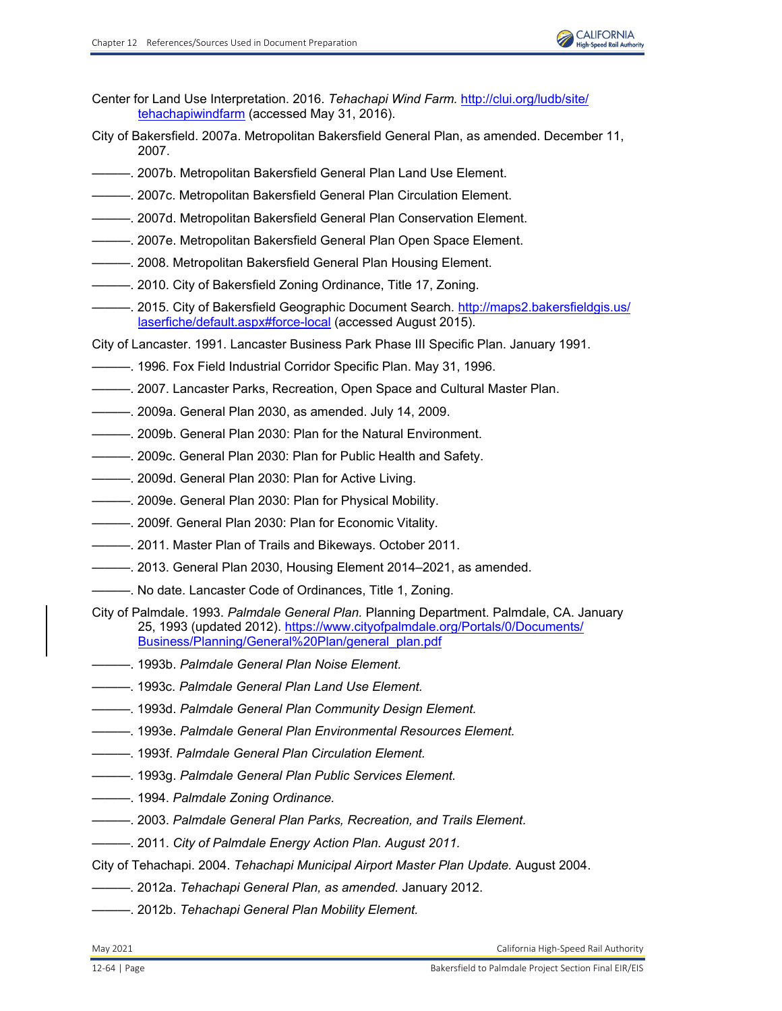

- Center for Land Use Interpretation. 2016. *Tehachapi Wind Farm.* [http://clui.org/ludb/site/](http://clui.org/ludb/site/tehachapiwindfarm) [tehachapiwindfarm](http://clui.org/ludb/site/tehachapiwindfarm) (accessed May 31, 2016).
- City of Bakersfield. 2007a. Metropolitan Bakersfield General Plan, as amended. December 11, 2007.
- ———. 2007b. Metropolitan Bakersfield General Plan Land Use Element.
- ———. 2007c. Metropolitan Bakersfield General Plan Circulation Element.
- ———. 2007d. Metropolitan Bakersfield General Plan Conservation Element.
- ———. 2007e. Metropolitan Bakersfield General Plan Open Space Element.
- ———. 2008. Metropolitan Bakersfield General Plan Housing Element.
- ———. 2010. City of Bakersfield Zoning Ordinance, Title 17, Zoning.
- -. 2015. City of Bakersfield Geographic Document Search. <u>http://maps2.bakersfieldgis.us/</u> [laserfiche/default.aspx#force-local](http://maps2.bakersfieldgis.us/laserfiche/default.aspx#force-local) (accessed August 2015).
- City of Lancaster. 1991. Lancaster Business Park Phase III Specific Plan. January 1991.
- ———. 1996. Fox Field Industrial Corridor Specific Plan. May 31, 1996.
- ———. 2007. Lancaster Parks, Recreation, Open Space and Cultural Master Plan.
- ———. 2009a. General Plan 2030, as amended. July 14, 2009.
- $-$ . 2009b. General Plan 2030: Plan for the Natural Environment.
- ———. 2009c. General Plan 2030: Plan for Public Health and Safety.
- ———. 2009d. General Plan 2030: Plan for Active Living.
- ———. 2009e. General Plan 2030: Plan for Physical Mobility.
- ———. 2009f. General Plan 2030: Plan for Economic Vitality.
- ———. 2011. Master Plan of Trails and Bikeways. October 2011.
- ———. 2013. General Plan 2030, Housing Element 2014–2021, as amended.
- -. No date. Lancaster Code of Ordinances, Title 1, Zoning.
- City of Palmdale. 1993. *Palmdale General Plan.* Planning Department. Palmdale, CA. January 25, 1993 (updated 2012). [https://www.cityofpalmdale.org/Portals/0/Documents/](https://www.cityofpalmdale.org/Portals/0/Documents/Business/Planning/General%20Plan/general_plan.pdf) [Business/Planning/General%20Plan/general\\_plan.pdf](https://www.cityofpalmdale.org/Portals/0/Documents/Business/Planning/General%20Plan/general_plan.pdf)
- ———. 1993b. *Palmdale General Plan Noise Element.*
- ———. 1993c. *Palmdale General Plan Land Use Element.*
- ———. 1993d. *Palmdale General Plan Community Design Element.*
- ———. 1993e. *Palmdale General Plan Environmental Resources Element.*
- ———. 1993f. *Palmdale General Plan Circulation Element.*
- ———. 1993g. *Palmdale General Plan Public Services Element.*
- ———. 1994. *Palmdale Zoning Ordinance.*
- ———. 2003. *Palmdale General Plan Parks, Recreation, and Trails Element.*
- $-$ . 2011. *City of Palmdale Energy Action Plan. August 2011.*
- City of Tehachapi. 2004. *Tehachapi Municipal Airport Master Plan Update.* August 2004.
- ———. 2012a. *Tehachapi General Plan, as amended.* January 2012.
- ———. 2012b. *Tehachapi General Plan Mobility Element.*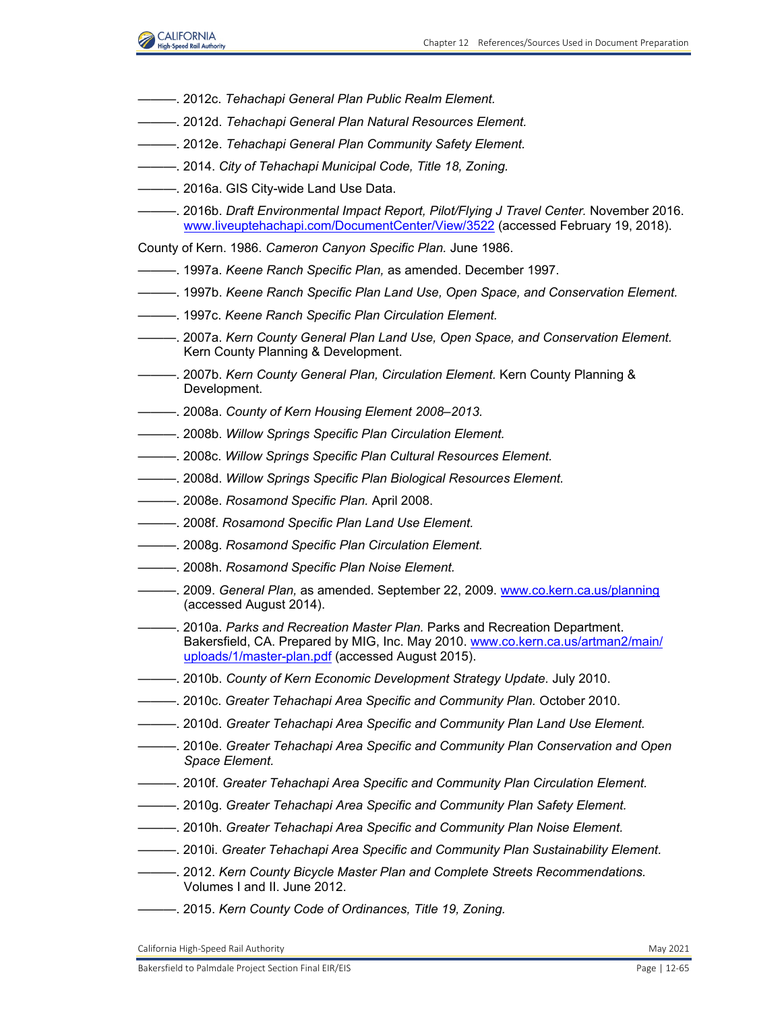

- ———. 2012c. *Tehachapi General Plan Public Realm Element.*
- ———. 2012d. *Tehachapi General Plan Natural Resources Element.*
- ———. 2012e. *Tehachapi General Plan Community Safety Element.*
- ———. 2014. *City of Tehachapi Municipal Code, Title 18, Zoning.*
- 2016a. GIS City-wide Land Use Data.
- ———. 2016b. *Draft Environmental Impact Report, Pilot/Flying J Travel Center.* November 2016. [www.liveuptehachapi.com/DocumentCenter/View/3522](http://www.liveuptehachapi.com/DocumentCenter/View/3522) (accessed February 19, 2018).
- County of Kern. 1986. *Cameron Canyon Specific Plan.* June 1986.
- ———. 1997a. *Keene Ranch Specific Plan,* as amended. December 1997.
- ———. 1997b. *Keene Ranch Specific Plan Land Use, Open Space, and Conservation Element.*
- ———. 1997c. *Keene Ranch Specific Plan Circulation Element.*
- ———. 2007a. *Kern County General Plan Land Use, Open Space, and Conservation Element.*  Kern County Planning & Development.
- ———. 2007b. *Kern County General Plan, Circulation Element.* Kern County Planning & Development.
- ———. 2008a. *County of Kern Housing Element 2008–2013.*
- ———. 2008b. *Willow Springs Specific Plan Circulation Element.*
- $-$ . 2008c. Willow Springs Specific Plan Cultural Resources Element.
- ———. 2008d. *Willow Springs Specific Plan Biological Resources Element.*
- ———. 2008e. *Rosamond Specific Plan.* April 2008.
- ———. 2008f. *Rosamond Specific Plan Land Use Element.*
- ———. 2008g. *Rosamond Specific Plan Circulation Element.*
- ———. 2008h. *Rosamond Specific Plan Noise Element.*
- ———. 2009. *General Plan,* as amended. September 22, 2009. [www.co.kern.ca.us/planning](http://www.co.kern.ca.us/planning) (accessed August 2014).
- ———. 2010a. *Parks and Recreation Master Plan.* Parks and Recreation Department. Bakersfield, CA. Prepared by MIG, Inc. May 2010. [www.co.kern.ca.us/artman2/main/](http://www.co.kern.ca.us/artman2/main/uploads/1/master-plan.pdf) [uploads/1/master-plan.pdf](http://www.co.kern.ca.us/artman2/main/uploads/1/master-plan.pdf) (accessed August 2015).
- ———. 2010b. *County of Kern Economic Development Strategy Update.* July 2010.
- ———. 2010c. *Greater Tehachapi Area Specific and Community Plan.* October 2010.
- ———. 2010d. *Greater Tehachapi Area Specific and Community Plan Land Use Element.*
- ———. 2010e. *Greater Tehachapi Area Specific and Community Plan Conservation and Open Space Element.*
- ———. 2010f. *Greater Tehachapi Area Specific and Community Plan Circulation Element.*
- ———. 2010g. *Greater Tehachapi Area Specific and Community Plan Safety Element.*
- ———. 2010h. *Greater Tehachapi Area Specific and Community Plan Noise Element.*
- ———. 2010i. *Greater Tehachapi Area Specific and Community Plan Sustainability Element.*
- ———. 2012. *Kern County Bicycle Master Plan and Complete Streets Recommendations.*  Volumes I and II. June 2012.
- ———. 2015. *Kern County Code of Ordinances, Title 19, Zoning.*

California High-Speed Rail Authority May 2021 and Separation California High-Speed Rail Authority May 2021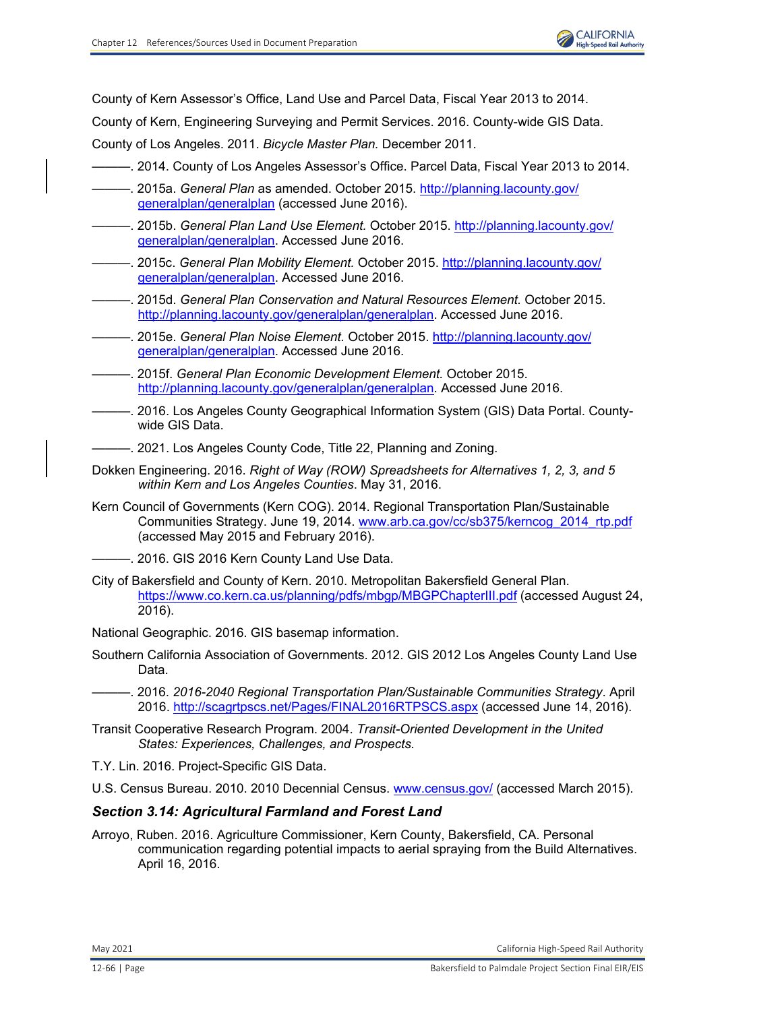County of Kern Assessor's Office, Land Use and Parcel Data, Fiscal Year 2013 to 2014.

County of Kern, Engineering Surveying and Permit Services. 2016. County-wide GIS Data.

County of Los Angeles. 2011. *Bicycle Master Plan.* December 2011.

- ———. 2014. County of Los Angeles Assessor's Office. Parcel Data, Fiscal Year 2013 to 2014.
- ———. 2015a. *General Plan* as amended. October 2015. [http://planning.lacounty.gov/](http://planning.lacounty.gov/ generalplan/generalplan) [generalplan/generalplan](http://planning.lacounty.gov/ generalplan/generalplan) (accessed June 2016).
- ———. 2015b. *General Plan Land Use Element.* October 2015. [http://planning.lacounty.gov/](http://planning.lacounty.gov/ generalplan/generalplan.) [generalplan/generalplan.](http://planning.lacounty.gov/ generalplan/generalplan.) Accessed June 2016.
- ———. 2015c. *General Plan Mobility Element.* October 2015. [http://planning.lacounty.gov/](http://planning.lacounty.gov/ generalplan/generalplan.) [generalplan/generalplan. A](http://planning.lacounty.gov/ generalplan/generalplan.)ccessed June 2016.
- ———. 2015d. *General Plan Conservation and Natural Resources Element.* October 2015. <http://planning.lacounty.gov/generalplan/generalplan.>Accessed June 2016.
- ———. 2015e. *General Plan Noise Element.* October 2015. [http://planning.lacounty.gov/](http://planning.lacounty.gov/ generalplan/generalplan.) [generalplan/generalplan. A](http://planning.lacounty.gov/ generalplan/generalplan.)ccessed June 2016.
- ———. 2015f. *General Plan Economic Development Element.* October 2015. <http://planning.lacounty.gov/generalplan/generalplan.>Accessed June 2016.
- ———. 2016. Los Angeles County Geographical Information System (GIS) Data Portal. Countywide GIS Data.
- $-$ . 2021. Los Angeles County Code, Title 22, Planning and Zoning.
- Dokken Engineering. 2016. *Right of Way (ROW) Spreadsheets for Alternatives 1, 2, 3, and 5 within Kern and Los Angeles Counties*. May 31, 2016.
- Kern Council of Governments (Kern COG). 2014. Regional Transportation Plan/Sustainable Communities Strategy. June 19, 2014. [www.arb.ca.gov/cc/sb375/kerncog\\_2014\\_rtp.pdf](http://www.arb.ca.gov/cc/sb375/kerncog_2014_rtp.pdf) (accessed May 2015 and February 2016).

-. 2016. GIS 2016 Kern County Land Use Data.

City of Bakersfield and County of Kern. 2010. Metropolitan Bakersfield General Plan. <https://www.co.kern.ca.us/planning/pdfs/mbgp/MBGPChapterIII.pdf> (accessed August 24, 2016).

National Geographic. 2016. GIS basemap information.

Southern California Association of Governments. 2012. GIS 2012 Los Angeles County Land Use Data.

———. 2016. *2016-2040 Regional Transportation Plan/Sustainable Communities Strategy*. April 2016. <http://scagrtpscs.net/Pages/FINAL2016RTPSCS.aspx> (accessed June 14, 2016).

Transit Cooperative Research Program. 2004. *Transit-Oriented Development in the United States: Experiences, Challenges, and Prospects.* 

T.Y. Lin. 2016. Project-Specific GIS Data.

U.S. Census Bureau. 2010. 2010 Decennial Census. [www.census.gov/](http://www.census.gov/) (accessed March 2015).

### *Section 3.14: Agricultural Farmland and Forest Land*

Arroyo, Ruben. 2016. Agriculture Commissioner, Kern County, Bakersfield, CA. Personal communication regarding potential impacts to aerial spraying from the Build Alternatives. April 16, 2016.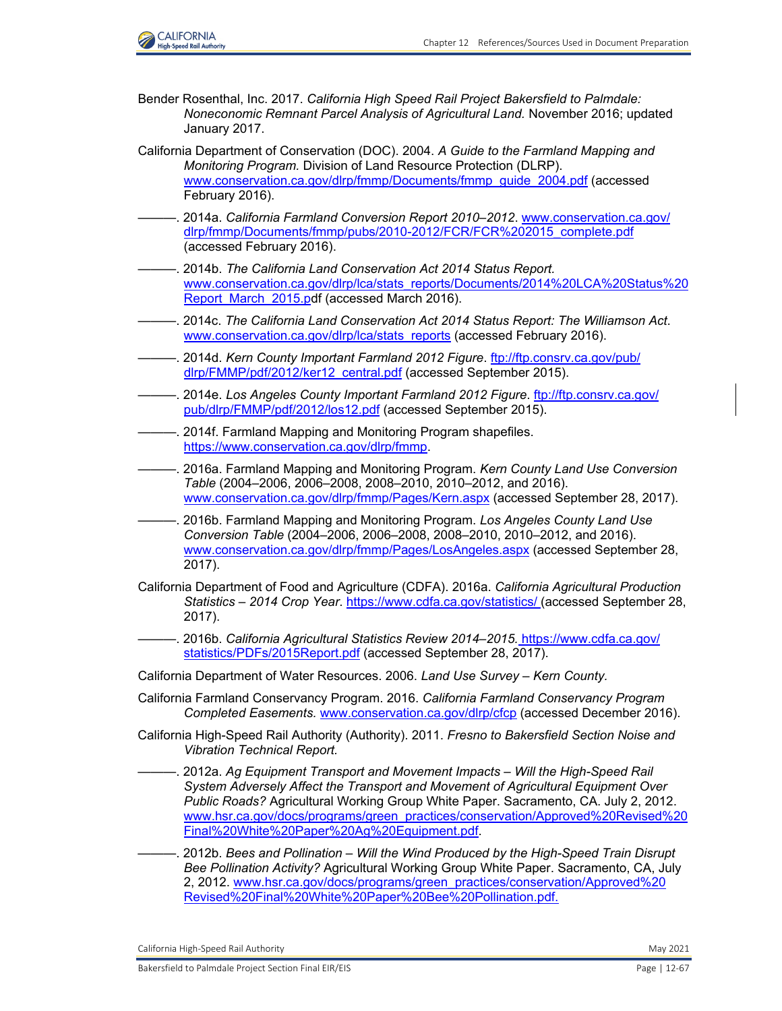

- Bender Rosenthal, Inc. 2017. *California High Speed Rail Project Bakersfield to Palmdale: Noneconomic Remnant Parcel Analysis of Agricultural Land.* November 2016; updated January 2017.
- California Department of Conservation (DOC). 2004. *A Guide to the Farmland Mapping and Monitoring Program.* Division of Land Resource Protection (DLRP). [www.conservation.ca.gov/dlrp/fmmp/Documents/fmmp\\_guide\\_2004.pdf](http://www.conservation.ca.gov/dlrp/fmmp/Documents/fmmp_guide_2004.pdf) (accessed February 2016).
- ———. 2014a. *California Farmland Conversion Report 2010–2012*. [www.conservation.ca.gov/](http://www.conservation.ca.gov/dlrp/fmmp/Documents/fmmp/pubs/2010-2012/FCR/FCR%202015_complete.pdf) [dlrp/fmmp/Documents/fmmp/pubs/2010-2012/FCR/FCR%202015\\_complete.pdf](http://www.conservation.ca.gov/dlrp/fmmp/Documents/fmmp/pubs/2010-2012/FCR/FCR%202015_complete.pdf)  (accessed February 2016).
- ———. 2014b. *The California Land Conservation Act 2014 Status Report.*  [www.conservation.ca.gov/dlrp/lca/stats\\_reports/Documents/2014%20LCA%20Status%20](http://www.conservation.ca.gov/dlrp/lca/stats_reports/Documents/2014%20LCA%20Status%20Report_March_2015.pdf) Report March 2015.pdf (accessed March 2016).
- ———. 2014c. *The California Land Conservation Act 2014 Status Report: The Williamson Act*. [www.conservation.ca.gov/dlrp/lca/stats\\_reports](http://www.conservation.ca.gov/dlrp/lca/stats_reports) (accessed February 2016).
- ———. 2014d. *Kern County Important Farmland 2012 Figure*. [ftp://ftp.consrv.ca.gov/pub/](ftp://ftp.consrv.ca.gov/pub/ dlrp/FMMP/pdf/2012/ker12_central.pdf) [dlrp/FMMP/pdf/2012/ker12\\_central.pdf](ftp://ftp.consrv.ca.gov/pub/ dlrp/FMMP/pdf/2012/ker12_central.pdf) (accessed September 2015).
- ———. 2014e. *Los Angeles County Important Farmland 2012 Figure*. [ftp://ftp.consrv.ca.gov/](ftp://ftp.consrv.ca.gov/ pub/dlrp/FMMP/pdf/2012/los12.pdf) [pub/dlrp/FMMP/pdf/2012/los12.pdf](ftp://ftp.consrv.ca.gov/ pub/dlrp/FMMP/pdf/2012/los12.pdf) (accessed September 2015).
- -. 2014f. Farmland Mapping and Monitoring Program shapefiles. <https://www.conservation.ca.gov/dlrp/fmmp.>
- ———. 2016a. Farmland Mapping and Monitoring Program. *Kern County Land Use Conversion Table* (2004–2006, 2006–2008, 2008–2010, 2010–2012, and 2016). [www.conservation.ca.gov/dlrp/fmmp/Pages/Kern.aspx](http://www.conservation.ca.gov/dlrp/fmmp/Pages/Kern.aspx) (accessed September 28, 2017).
- ———. 2016b. Farmland Mapping and Monitoring Program. *Los Angeles County Land Use Conversion Table* (2004–2006, 2006–2008, 2008–2010, 2010–2012, and 2016). [www.conservation.ca.gov/dlrp/fmmp/Pages/LosAngeles.aspx](http://www.conservation.ca.gov/dlrp/fmmp/Pages/LosAngeles.aspx) (accessed September 28, 2017).
- California Department of Food and Agriculture (CDFA). 2016a. *California Agricultural Production Statistics – 2014 Crop Year*. [https://www.cdfa.ca.gov/statistics/ \(](https://www.cdfa.ca.gov/statistics/)accessed September 28, 2017).
- ———. 2016b. *California Agricultural Statistics Review 2014–2015.* [https://www.cdfa.ca.gov/](https://www.cdfa.ca.gov/ statistics/PDFs/2015Report.pdf) [statistics/PDFs/2015Report.pdf](https://www.cdfa.ca.gov/ statistics/PDFs/2015Report.pdf) (accessed September 28, 2017).
- California Department of Water Resources. 2006. *Land Use Survey Kern County.*
- California Farmland Conservancy Program. 2016. *California Farmland Conservancy Program Completed Easements.* [www.conservation.ca.gov/dlrp/cfcp](http://www.conservation.ca.gov/dlrp/cfcp) (accessed December 2016).
- California High-Speed Rail Authority (Authority). 2011. *Fresno to Bakersfield Section Noise and Vibration Technical Report.*
- ———. 2012a. *Ag Equipment Transport and Movement Impacts Will the High-Speed Rail System Adversely Affect the Transport and Movement of Agricultural Equipment Over Public Roads?* Agricultural Working Group White Paper. Sacramento, CA. July 2, 2012. [www.hsr.ca.gov/docs/programs/green\\_practices/conservation/Approved%20Revised%20](http://www.hsr.ca.gov/docs/programs/green_practices/conservation/Approved%20Revised%20Final%20White%20Paper%20Ag%20Equipment.pdf.) Final%20White%20Paper%20Ag%20Equipment.pdf.
- ———. 2012b. *Bees and Pollination Will the Wind Produced by the High-Speed Train Disrupt Bee Pollination Activity?* Agricultural Working Group White Paper. Sacramento, CA, July 2, 2012. [www.hsr.ca.gov/docs/programs/green\\_practices/conservation/Approved%20](http://www.hsr.ca.gov/docs/programs/green_practices/conservation/Approved%20Revised%20Final%20White%20Paper%20Bee%20Pollination.pdf.) [Revised%20Final%20White%20Paper%20Bee%20Pollination.pdf.](http://www.hsr.ca.gov/docs/programs/green_practices/conservation/Approved%20Revised%20Final%20White%20Paper%20Bee%20Pollination.pdf.)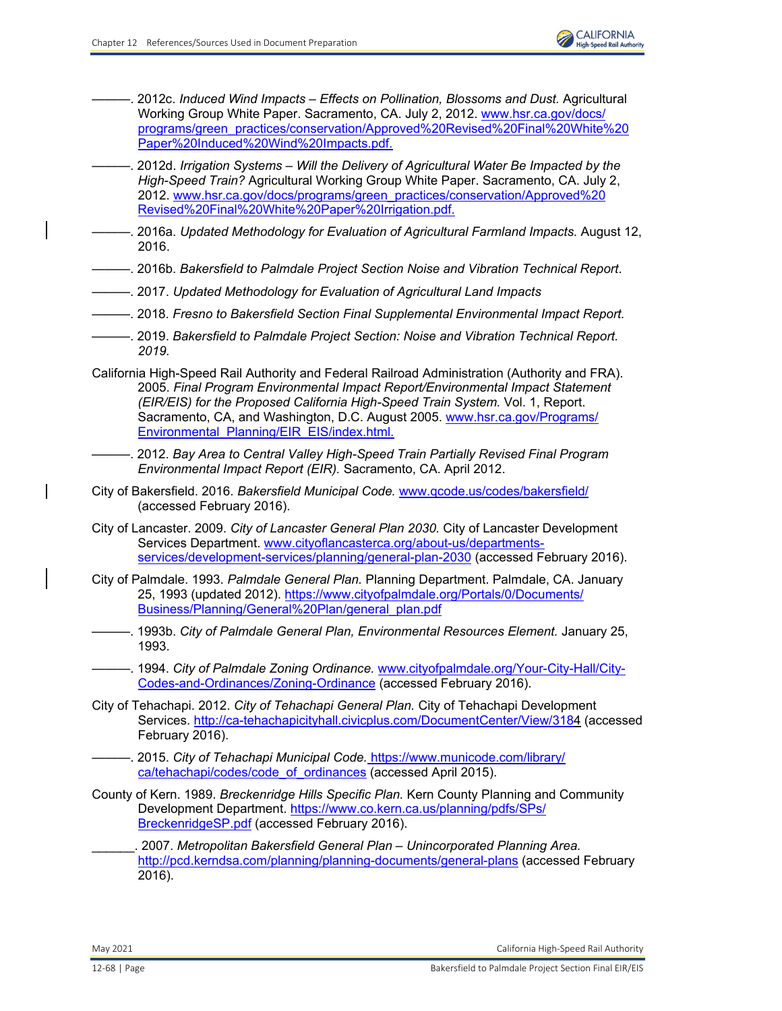- ———. 2012c. *Induced Wind Impacts Effects on Pollination, Blossoms and Dust.* Agricultural Working Group White Paper. Sacramento, CA. July 2, 2012. [www.hsr.ca.gov/docs/](http://www.hsr.ca.gov/docs/programs/green_practices/conservation/Approved%20Revised%20Final%20White%20Paper%20Induced%20Wind%20Impacts.pdf.) [programs/green\\_practices/conservation/Approved%20Revised%20Final%20White%20](http://www.hsr.ca.gov/docs/programs/green_practices/conservation/Approved%20Revised%20Final%20White%20Paper%20Induced%20Wind%20Impacts.pdf.) Paper%20Induced%20Wind%20Impacts.pdf.
- ———. 2012d. *Irrigation Systems Will the Delivery of Agricultural Water Be Impacted by the High-Speed Train?* Agricultural Working Group White Paper. Sacramento, CA. July 2, 2012. [www.hsr.ca.gov/docs/programs/green\\_practices/conservation/Approved%20](http://www.hsr.ca.gov/docs/programs/green_practices/conservation/Approved%20Revised%20Final%20White%20Paper%20Irrigation.pdf.) [Revised%20Final%20White%20Paper%20Irrigation.pdf.](http://www.hsr.ca.gov/docs/programs/green_practices/conservation/Approved%20Revised%20Final%20White%20Paper%20Irrigation.pdf.)
- ———. 2016a. *Updated Methodology for Evaluation of Agricultural Farmland Impacts.* August 12, 2016.
- ———. 2016b. *Bakersfield to Palmdale Project Section Noise and Vibration Technical Report*.
- ———. 2017. *Updated Methodology for Evaluation of Agricultural Land Impacts*
- ———. 2018. *Fresno to Bakersfield Section Final Supplemental Environmental Impact Report.*
- ———. 2019. *Bakersfield to Palmdale Project Section: Noise and Vibration Technical Report. 2019.*
- California High-Speed Rail Authority and Federal Railroad Administration (Authority and FRA). 2005. *Final Program Environmental Impact Report/Environmental Impact Statement (EIR/EIS) for the Proposed California High-Speed Train System.* Vol. 1, Report. Sacramento, CA, and Washington, D.C. August 2005. [www.hsr.ca.gov/Programs/](http://www.hsr.ca.gov/Programs/Environmental_Planning/EIR_EIS/index.html.) [Environmental\\_Planning/EIR\\_EIS/index.html.](http://www.hsr.ca.gov/Programs/Environmental_Planning/EIR_EIS/index.html.)
- ———. 2012. *Bay Area to Central Valley High-Speed Train Partially Revised Final Program Environmental Impact Report (EIR).* Sacramento, CA. April 2012.
- City of Bakersfield. 2016. *Bakersfield Municipal Code.* [www.qcode.us/codes/bakersfield/](http://www.qcode.us/codes/bakersfield/) (accessed February 2016).
- City of Lancaster. 2009. *City of Lancaster General Plan 2030.* City of Lancaster Development Services Department. [www.cityoflancasterca.org/about-us/departments](http://www.cityoflancasterca.org/about-us/departments-services/development-services/planning/general-plan-2030)[services/development-services/planning/general-plan-2030](http://www.cityoflancasterca.org/about-us/departments-services/development-services/planning/general-plan-2030) (accessed February 2016).
- City of Palmdale. 1993. *Palmdale General Plan.* Planning Department. Palmdale, CA. January 25, 1993 (updated 2012). [https://www.cityofpalmdale.org/Portals/0/Documents/](https://www.cityofpalmdale.org/Portals/0/Documents/ Business/Planning/General%20Plan/general_plan.pdf) [Business/Planning/General%20Plan/general\\_plan.pdf](https://www.cityofpalmdale.org/Portals/0/Documents/ Business/Planning/General%20Plan/general_plan.pdf)
- ———. 1993b. *City of Palmdale General Plan, Environmental Resources Element.* January 25, 1993.
	- ———. 1994. *City of Palmdale Zoning Ordinance.* [www.cityofpalmdale.org/Your-City-Hall/City-](http://www.cityofpalmdale.org/Your-City-Hall/City-Codes-and-Ordinances/Zoning-Ordinance)[Codes-and-Ordinances/Zoning-Ordinance](http://www.cityofpalmdale.org/Your-City-Hall/City-Codes-and-Ordinances/Zoning-Ordinance) (accessed February 2016).
- City of Tehachapi. 2012. *City of Tehachapi General Plan.* City of Tehachapi Development Services. [http://ca-tehachapicityhall.civicplus.com/DocumentCenter/View/3184 \(](http://ca-tehachapicityhall.civicplus.com/DocumentCenter/View/3184)accessed February 2016).
- ———. 2015. *City of Tehachapi Municipal Code.* [https://www.municode.com/library/](https://www.municode.com/library/ ca/tehachapi/codes/code_of_ordinances) [ca/tehachapi/codes/code\\_of\\_ordinances](https://www.municode.com/library/ ca/tehachapi/codes/code_of_ordinances) (accessed April 2015).
- County of Kern. 1989. *Breckenridge Hills Specific Plan.* Kern County Planning and Community Development Department. [https://www.co.kern.ca.us/planning/pdfs/SPs/](https://www.co.kern.ca.us/planning/pdfs/SPs/ BreckenridgeSP.pdf) [BreckenridgeSP.pdf](https://www.co.kern.ca.us/planning/pdfs/SPs/ BreckenridgeSP.pdf) (accessed February 2016).
- \_\_\_\_\_\_. 2007. *Metropolitan Bakersfield General Plan Unincorporated Planning Area.*  <http://pcd.kerndsa.com/planning/planning-documents/general-plans> (accessed February 2016).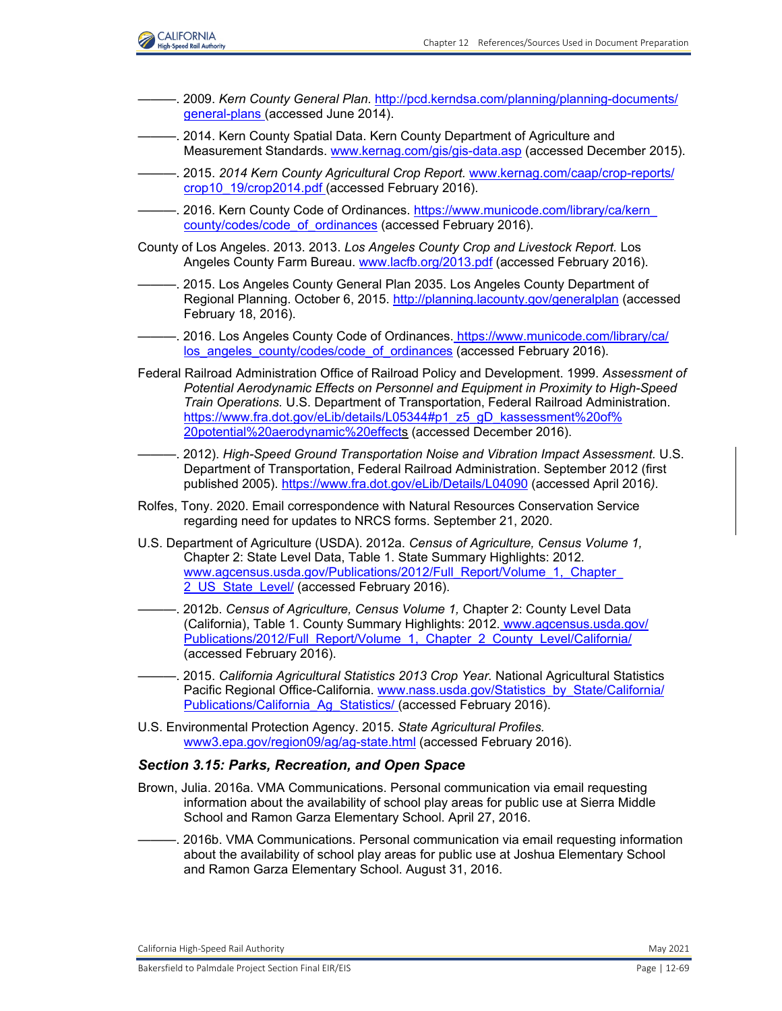

- ———. 2009. *Kern County General Plan.* [http://pcd.kerndsa.com/planning/planning-documents/](http://pcd.kerndsa.com/planning/planning-documents/ general-plans) [general-plans \(](http://pcd.kerndsa.com/planning/planning-documents/ general-plans)accessed June 2014).
- ———. 2014. Kern County Spatial Data. Kern County Department of Agriculture and Measurement Standards. [www.kernag.com/gis/gis-data.asp](http://www.kernag.com/gis/gis-data.asp) (accessed December 2015).
- ———. 2015. *2014 Kern County Agricultural Crop Report.* [www.kernag.com/caap/crop-reports/](http://www.kernag.com/caap/crop-reports/crop10_19/crop2014.pdf) [crop10\\_19/crop2014.pdf \(](http://www.kernag.com/caap/crop-reports/crop10_19/crop2014.pdf)accessed February 2016).
- -. 2016. Kern County Code of Ordinances. https://www.municode.com/library/ca/kern [county/codes/code\\_of\\_ordinances](https://www.municode.com/library/ca/kern_ county/codes/code_of_ordinances) (accessed February 2016).
- County of Los Angeles. 2013. 2013. *Los Angeles County Crop and Livestock Report.* Los Angeles County Farm Bureau. [www.lacfb.org/2013.pdf](http://www.lacfb.org/2013.pdf) (accessed February 2016).
- ———. 2015. Los Angeles County General Plan 2035. Los Angeles County Department of Regional Planning. October 6, 2015. <http://planning.lacounty.gov/generalplan> (accessed February 18, 2016).
- ———. 2016. Los Angeles County Code of Ordinances. [https://www.municode.com/library/ca/](https://www.municode.com/library/ca/ los_angeles_county/codes/code_of_ordinances) [los\\_angeles\\_county/codes/code\\_of\\_ordinances](https://www.municode.com/library/ca/ los_angeles_county/codes/code_of_ordinances) (accessed February 2016).
- Federal Railroad Administration Office of Railroad Policy and Development. 1999. *Assessment of Potential Aerodynamic Effects on Personnel and Equipment in Proximity to High-Speed Train Operations.* U.S. Department of Transportation, Federal Railroad Administration. [https://www.fra.dot.gov/eLib/details/L05344#p1\\_z5\\_gD\\_kassessment%20of%](https://www.fra.dot.gov/eLib/details/L05344#p1_z5_gD_kassessment%20of% 20potential%20aerodynamic%20effects) [20potential%20aerodynamic%20effects](https://www.fra.dot.gov/eLib/details/L05344#p1_z5_gD_kassessment%20of% 20potential%20aerodynamic%20effects) (accessed December 2016).
- ———. 2012). *High-Speed Ground Transportation Noise and Vibration Impact Assessment.* U.S. Department of Transportation, Federal Railroad Administration. September 2012 (first published 2005).<https://www.fra.dot.gov/eLib/Details/L04090> (accessed April 2016*).*
- Rolfes, Tony. 2020. Email correspondence with Natural Resources Conservation Service regarding need for updates to NRCS forms. September 21, 2020.
- U.S. Department of Agriculture (USDA). 2012a. *Census of Agriculture, Census Volume 1,*  Chapter 2: State Level Data, Table 1. State Summary Highlights: 2012*.* www.agcensus.usda.gov/Publications/2012/Full\_Report/Volume\_1,\_Chapter 2 US State Level/ (accessed February 2016).
- ———. 2012b. *Census of Agriculture, Census Volume 1,* Chapter 2: County Level Data (California), Table 1. County Summary Highlights: 2012*.* [www.agcensus.usda.gov/](http://www.agcensus.usda.gov/Publications/2012/Full_Report/Volume_1,_Chapter_2_County_Level/California/) [Publications/2012/Full\\_Report/Volume\\_1,\\_Chapter\\_2\\_County\\_Level/California/](http://www.agcensus.usda.gov/Publications/2012/Full_Report/Volume_1,_Chapter_2_County_Level/California/) (accessed February 2016).
- ———. 2015. *California Agricultural Statistics 2013 Crop Year.* National Agricultural Statistics Pacific Regional Office-California. [www.nass.usda.gov/Statistics\\_by\\_State/California/](http://www.nass.usda.gov/Statistics_by_State/California/Publications/California_Ag_Statistics/) [Publications/California\\_Ag\\_Statistics/ \(](http://www.nass.usda.gov/Statistics_by_State/California/Publications/California_Ag_Statistics/)accessed February 2016).
- U.S. Environmental Protection Agency. 2015. *State Agricultural Profiles.*  [www3.epa.gov/region09/ag/ag-state.html](http://www3.epa.gov/region09/ag/ag-state.html) (accessed February 2016).

### *Section 3.15: Parks, Recreation, and Open Space*

- Brown, Julia. 2016a. VMA Communications. Personal communication via email requesting information about the availability of school play areas for public use at Sierra Middle School and Ramon Garza Elementary School. April 27, 2016.
- ———. 2016b. VMA Communications. Personal communication via email requesting information about the availability of school play areas for public use at Joshua Elementary School and Ramon Garza Elementary School. August 31, 2016.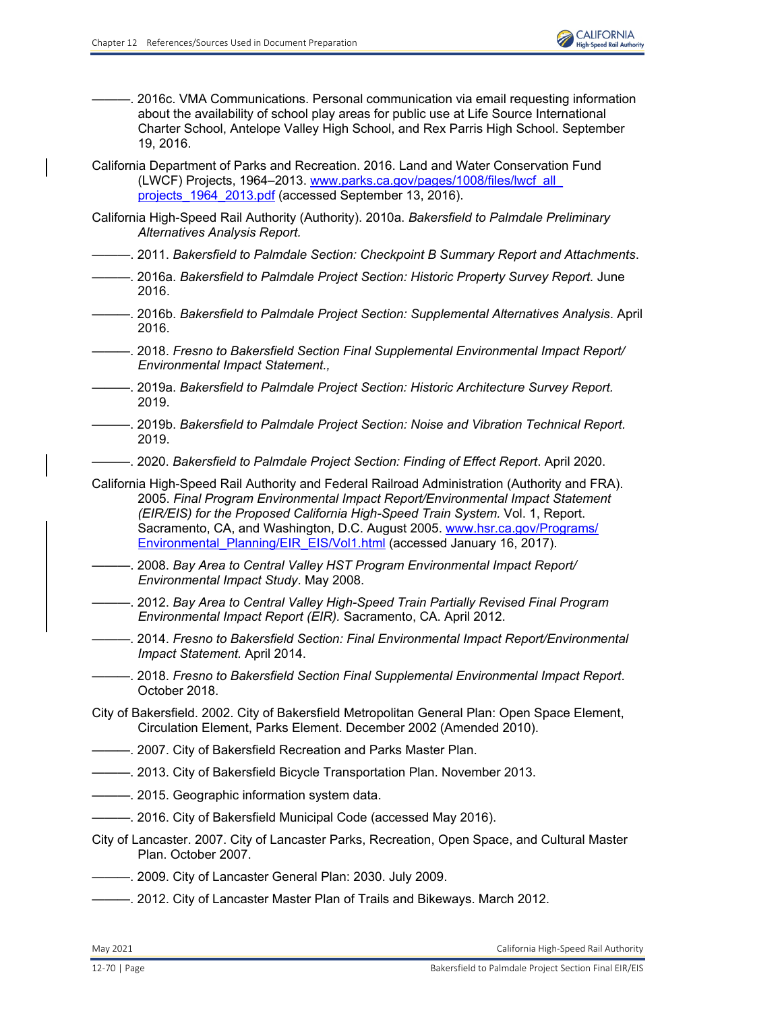-. 2016c. VMA Communications. Personal communication via email requesting information about the availability of school play areas for public use at Life Source International Charter School, Antelope Valley High School, and Rex Parris High School. September 19, 2016. California Department of Parks and Recreation. 2016. Land and Water Conservation Fund (LWCF) Projects, 1964–2013. [www.parks.ca.gov/pages/1008/files/lwcf\\_all\\_](http://www.parks.ca.gov/pages/1008/files/lwcf_all_ projects_1964_2013.pdf) projects 1964 2013.pdf (accessed September 13, 2016). California High-Speed Rail Authority (Authority). 2010a. *Bakersfield to Palmdale Preliminary Alternatives Analysis Report.*  ———. 2011. *Bakersfield to Palmdale Section: Checkpoint B Summary Report and Attachments*. ———. 2016a. *Bakersfield to Palmdale Project Section: Historic Property Survey Report.* June 2016. ———. 2016b. *Bakersfield to Palmdale Project Section: Supplemental Alternatives Analysis*. April 2016. ———. 2018. *Fresno to Bakersfield Section Final Supplemental Environmental Impact Report/ Environmental Impact Statement.,*  ———. 2019a. *Bakersfield to Palmdale Project Section: Historic Architecture Survey Report.* 2019. ———. 2019b. *Bakersfield to Palmdale Project Section: Noise and Vibration Technical Report.* 2019. ———. 2020. *Bakersfield to Palmdale Project Section: Finding of Effect Report*. April 2020. California High-Speed Rail Authority and Federal Railroad Administration (Authority and FRA). 2005. *Final Program Environmental Impact Report/Environmental Impact Statement (EIR/EIS) for the Proposed California High-Speed Train System.* Vol. 1, Report. Sacramento, CA, and Washington, D.C. August 2005. [www.hsr.ca.gov/Programs/](http://www.hsr.ca.gov/Programs/Environmental_Planning/EIR_EIS/Vol1.html) Environmental Planning/EIR\_EIS/Vol1.html (accessed January 16, 2017). ———. 2008. *Bay Area to Central Valley HST Program Environmental Impact Report/ Environmental Impact Study*. May 2008. ———. 2012. *Bay Area to Central Valley High-Speed Train Partially Revised Final Program Environmental Impact Report (EIR).* Sacramento, CA. April 2012. ———. 2014. *Fresno to Bakersfield Section: Final Environmental Impact Report/Environmental Impact Statement.* April 2014. ———. 2018. *Fresno to Bakersfield Section Final Supplemental Environmental Impact Report*. October 2018. City of Bakersfield. 2002. City of Bakersfield Metropolitan General Plan: Open Space Element, Circulation Element, Parks Element. December 2002 (Amended 2010).  $-$ . 2007. City of Bakersfield Recreation and Parks Master Plan. ———. 2013. City of Bakersfield Bicycle Transportation Plan. November 2013. ———. 2015. Geographic information system data. --. 2016. City of Bakersfield Municipal Code (accessed May 2016). City of Lancaster. 2007. City of Lancaster Parks, Recreation, Open Space, and Cultural Master Plan. October 2007. -. 2009. City of Lancaster General Plan: 2030. July 2009. ———. 2012. City of Lancaster Master Plan of Trails and Bikeways. March 2012.

May 2021 California High‐Speed Rail Authority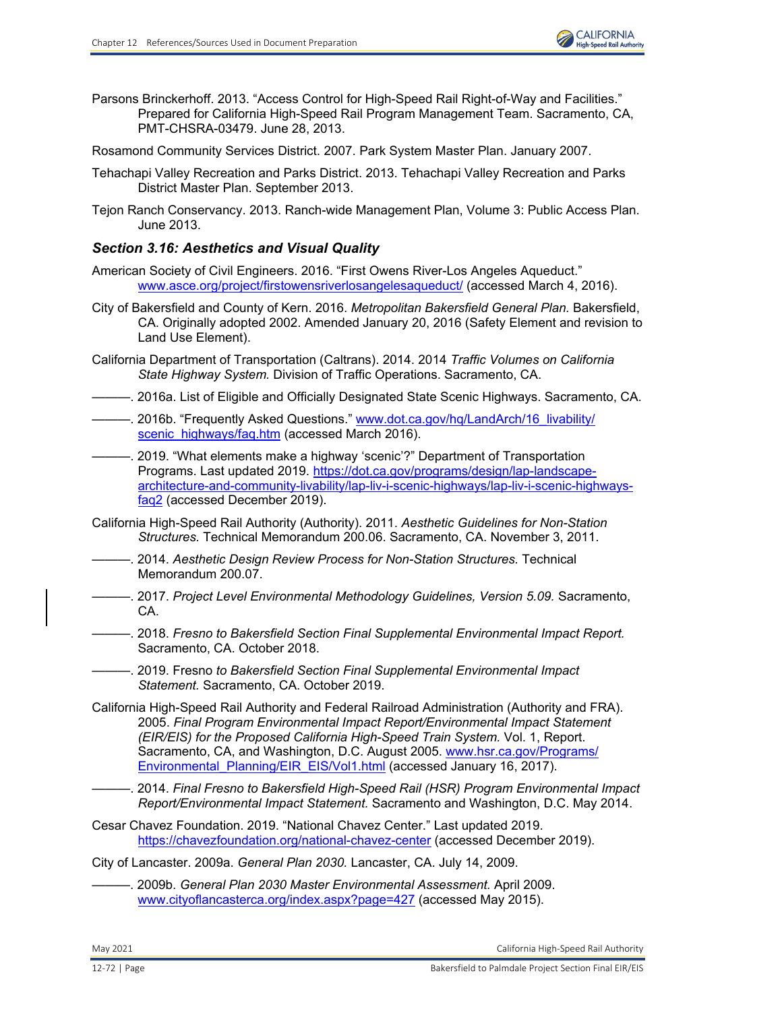

- Parsons Brinckerhoff. 2013. "Access Control for High-Speed Rail Right-of-Way and Facilities." Prepared for California High-Speed Rail Program Management Team. Sacramento, CA, PMT-CHSRA-03479. June 28, 2013.
- Rosamond Community Services District. 2007. Park System Master Plan. January 2007.
- Tehachapi Valley Recreation and Parks District. 2013. Tehachapi Valley Recreation and Parks District Master Plan. September 2013.
- Tejon Ranch Conservancy. 2013. Ranch-wide Management Plan, Volume 3: Public Access Plan. June 2013.

# *Section 3.16: Aesthetics and Visual Quality*

- American Society of Civil Engineers. 2016. "First Owens River-Los Angeles Aqueduct." [www.asce.org/project/firstowensriverlosangelesaqueduct/](http://www.asce.org/project/firstowensriverlosangelesaqueduct/) (accessed March 4, 2016).
- City of Bakersfield and County of Kern. 2016. *Metropolitan Bakersfield General Plan.* Bakersfield, CA. Originally adopted 2002. Amended January 20, 2016 (Safety Element and revision to Land Use Element).
- California Department of Transportation (Caltrans). 2014. 2014 *Traffic Volumes on California State Highway System.* Division of Traffic Operations. Sacramento, CA.
- ———. 2016a. List of Eligible and Officially Designated State Scenic Highways. Sacramento, CA.
- —. 2016b. "Frequently Asked Questions." [www.dot.ca.gov/hq/LandArch/16\\_livability/](http://www.dot.ca.gov/hq/LandArch/16_livability/scenic_highways/faq.htm) [scenic\\_highways/faq.htm](http://www.dot.ca.gov/hq/LandArch/16_livability/scenic_highways/faq.htm) (accessed March 2016).
- 2019. "What elements make a highway 'scenic'?" Department of Transportation Programs. Last updated 2019. [https://dot.ca.gov/programs/design/lap-landscape](https://dot.ca.gov/programs/design/lap-landscapearchitecture-and-community-livability/lap-liv-i-scenic-highways/lap-liv-i-scenic-highwaysfaq2)[architecture-and-community-livability/lap-liv-i-scenic-highways/lap-liv-i-scenic-highways](https://dot.ca.gov/programs/design/lap-landscapearchitecture-and-community-livability/lap-liv-i-scenic-highways/lap-liv-i-scenic-highwaysfaq2)[faq2](https://dot.ca.gov/programs/design/lap-landscapearchitecture-and-community-livability/lap-liv-i-scenic-highways/lap-liv-i-scenic-highwaysfaq2) (accessed December 2019).
- California High-Speed Rail Authority (Authority). 2011. *Aesthetic Guidelines for Non-Station Structures.* Technical Memorandum 200.06. Sacramento, CA. November 3, 2011.
- ———. 2014. *Aesthetic Design Review Process for Non-Station Structures.* Technical Memorandum 200.07.
	- ———. 2017. *Project Level Environmental Methodology Guidelines, Version 5.09.* Sacramento, CA.
- ———. 2018. *Fresno to Bakersfield Section Final Supplemental Environmental Impact Report.* Sacramento, CA. October 2018.
	- ———. 2019. Fresno *to Bakersfield Section Final Supplemental Environmental Impact Statement.* Sacramento, CA. October 2019.
- California High-Speed Rail Authority and Federal Railroad Administration (Authority and FRA). 2005. *Final Program Environmental Impact Report/Environmental Impact Statement (EIR/EIS) for the Proposed California High-Speed Train System.* Vol. 1, Report. Sacramento, CA, and Washington, D.C. August 2005. [www.hsr.ca.gov/Programs/](http://www.hsr.ca.gov/Programs/Environmental_Planning/EIR_EIS/Vol1.html) Environmental Planning/EIR\_EIS/Vol1.html (accessed January 16, 2017).
- ———. 2014. *Final Fresno to Bakersfield High-Speed Rail (HSR) Program Environmental Impact Report/Environmental Impact Statement.* Sacramento and Washington, D.C. May 2014.
- Cesar Chavez Foundation. 2019. "National Chavez Center." Last updated 2019. <https://chavezfoundation.org/national-chavez-center> (accessed December 2019).
- City of Lancaster. 2009a. *General Plan 2030.* Lancaster, CA. July 14, 2009.
- ———. 2009b. *General Plan 2030 Master Environmental Assessment.* April 2009. [www.cityoflancasterca.org/index.aspx?page=427](http://www.cityoflancasterca.org/index.aspx?page=427) (accessed May 2015).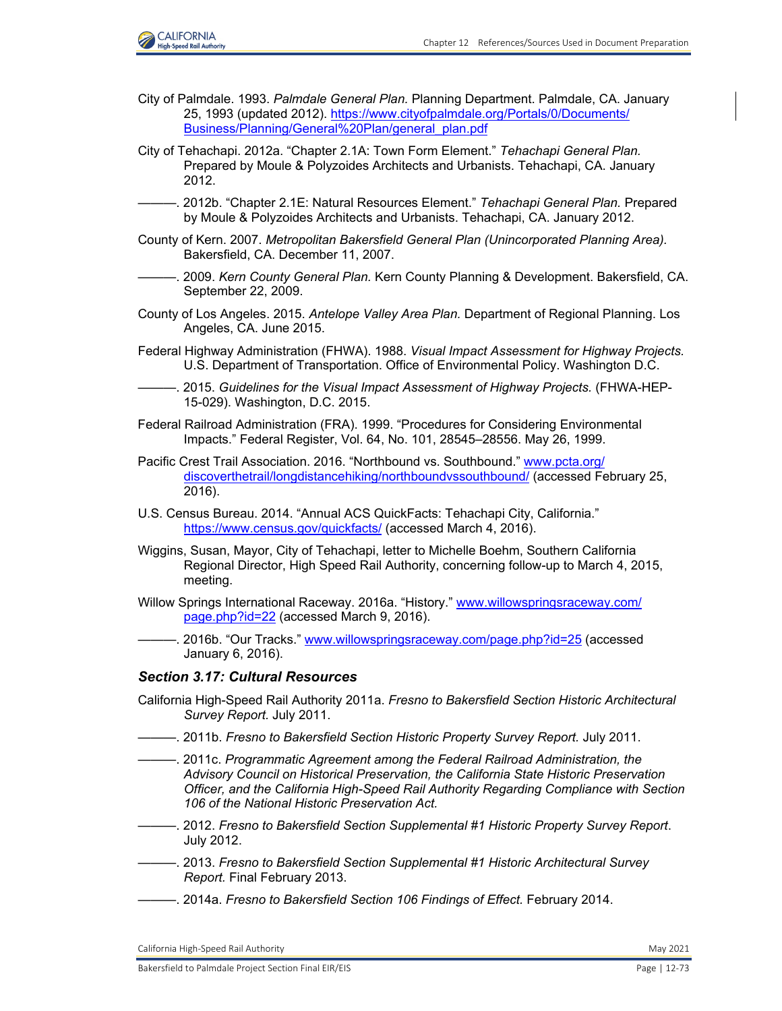

- City of Palmdale. 1993. *Palmdale General Plan.* Planning Department. Palmdale, CA. January 25, 1993 (updated 2012). [https://www.cityofpalmdale.org/Portals/0/Documents/](https://www.cityofpalmdale.org/Portals/0/Documents/ Business/Planning/General%20Plan/general_plan.pdf) [Business/Planning/General%20Plan/general\\_plan.pdf](https://www.cityofpalmdale.org/Portals/0/Documents/ Business/Planning/General%20Plan/general_plan.pdf)
- City of Tehachapi. 2012a. "Chapter 2.1A: Town Form Element." *Tehachapi General Plan.* Prepared by Moule & Polyzoides Architects and Urbanists. Tehachapi, CA. January 2012.
- ———. 2012b. "Chapter 2.1E: Natural Resources Element." *Tehachapi General Plan.* Prepared by Moule & Polyzoides Architects and Urbanists. Tehachapi, CA. January 2012.
- County of Kern. 2007. *Metropolitan Bakersfield General Plan (Unincorporated Planning Area).* Bakersfield, CA. December 11, 2007.
- ———. 2009. *Kern County General Plan.* Kern County Planning & Development. Bakersfield, CA. September 22, 2009.
- County of Los Angeles. 2015. *Antelope Valley Area Plan.* Department of Regional Planning. Los Angeles, CA. June 2015.
- Federal Highway Administration (FHWA). 1988. *Visual Impact Assessment for Highway Projects.* U.S. Department of Transportation. Office of Environmental Policy. Washington D.C.
- ———. 2015. *Guidelines for the Visual Impact Assessment of Highway Projects.* (FHWA-HEP-15-029). Washington, D.C. 2015.
- Federal Railroad Administration (FRA). 1999. "Procedures for Considering Environmental Impacts." Federal Register, Vol. 64, No. 101, 28545–28556. May 26, 1999.
- Pacific Crest Trail Association. 2016. "Northbound vs. Southbound." [www.pcta.org/](http://www.pcta.org/discoverthetrail/longdistancehiking/northboundvssouthbound/) [discoverthetrail/longdistancehiking/northboundvssouthbound/](http://www.pcta.org/discoverthetrail/longdistancehiking/northboundvssouthbound/) (accessed February 25, 2016).
- U.S. Census Bureau. 2014. "Annual ACS QuickFacts: Tehachapi City, California." <https://www.census.gov/quickfacts/> (accessed March 4, 2016).
- Wiggins, Susan, Mayor, City of Tehachapi, letter to Michelle Boehm, Southern California Regional Director, High Speed Rail Authority, concerning follow-up to March 4, 2015, meeting.
- Willow Springs International Raceway. 2016a. "History." [www.willowspringsraceway.com/](http://www.willowspringsraceway.com/page.php?id=22) [page.php?id=22](http://www.willowspringsraceway.com/page.php?id=22) (accessed March 9, 2016).
- -. 2016b. "Our Tracks." [www.willowspringsraceway.com/page.php?id=25](http://www.willowspringsraceway.com/page.php?id=25) (accessed January 6, 2016).

#### *Section 3.17: Cultural Resources*

- California High-Speed Rail Authority 2011a. *Fresno to Bakersfield Section Historic Architectural Survey Report.* July 2011.
- ———. 2011b. *Fresno to Bakersfield Section Historic Property Survey Report.* July 2011.
- ———. 2011c. *Programmatic Agreement among the Federal Railroad Administration, the Advisory Council on Historical Preservation, the California State Historic Preservation Officer, and the California High-Speed Rail Authority Regarding Compliance with Section 106 of the National Historic Preservation Act.*
- ———. 2012. *Fresno to Bakersfield Section Supplemental #1 Historic Property Survey Report*. July 2012.
- ———. 2013. *Fresno to Bakersfield Section Supplemental #1 Historic Architectural Survey Report.* Final February 2013.
- ———. 2014a. *Fresno to Bakersfield Section 106 Findings of Effect.* February 2014.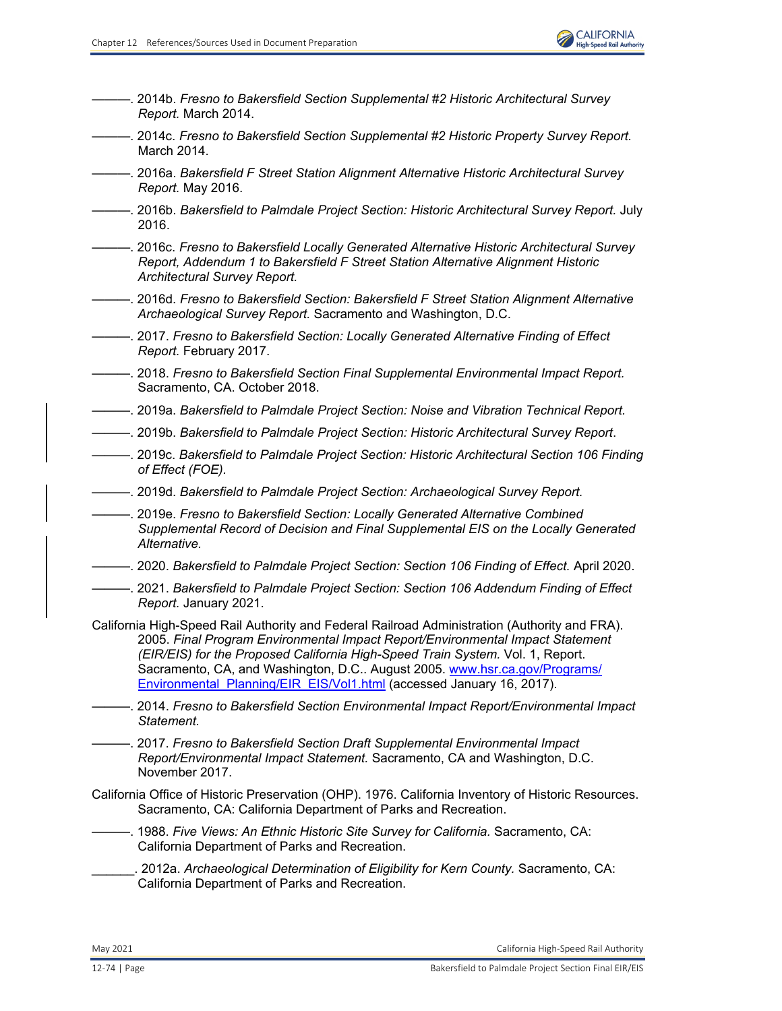———. 2014b. *Fresno to Bakersfield Section Supplemental #2 Historic Architectural Survey Report.* March 2014. ———. 2014c. *Fresno to Bakersfield Section Supplemental #2 Historic Property Survey Report.*  March 2014. ———. 2016a. *Bakersfield F Street Station Alignment Alternative Historic Architectural Survey Report.* May 2016. ———. 2016b. *Bakersfield to Palmdale Project Section: Historic Architectural Survey Report.* July 2016. ———. 2016c. *Fresno to Bakersfield Locally Generated Alternative Historic Architectural Survey Report, Addendum 1 to Bakersfield F Street Station Alternative Alignment Historic Architectural Survey Report.*  ———. 2016d. *Fresno to Bakersfield Section: Bakersfield F Street Station Alignment Alternative Archaeological Survey Report.* Sacramento and Washington, D.C. -. 2017. *Fresno to Bakersfield Section: Locally Generated Alternative Finding of Effect Report.* February 2017. ———. 2018. *Fresno to Bakersfield Section Final Supplemental Environmental Impact Report.* Sacramento, CA. October 2018. ———. 2019a. *Bakersfield to Palmdale Project Section: Noise and Vibration Technical Report.* ———. 2019b. *Bakersfield to Palmdale Project Section: Historic Architectural Survey Report*. ———. 2019c. *Bakersfield to Palmdale Project Section: Historic Architectural Section 106 Finding of Effect (FOE).* ———. 2019d. *Bakersfield to Palmdale Project Section: Archaeological Survey Report.*  ———. 2019e. *Fresno to Bakersfield Section: Locally Generated Alternative Combined Supplemental Record of Decision and Final Supplemental EIS on the Locally Generated Alternative.*  ———. 2020. *Bakersfield to Palmdale Project Section: Section 106 Finding of Effect.* April 2020. ———. 2021. *Bakersfield to Palmdale Project Section: Section 106 Addendum Finding of Effect Report.* January 2021. California High-Speed Rail Authority and Federal Railroad Administration (Authority and FRA). 2005. *Final Program Environmental Impact Report/Environmental Impact Statement (EIR/EIS) for the Proposed California High-Speed Train System.* Vol. 1, Report. Sacramento, CA, and Washington, D.C.. August 2005. [www.hsr.ca.gov/Programs/](http://www.hsr.ca.gov/Programs/Environmental_Planning/EIR_EIS/Vol1.html) [Environmental\\_Planning/EIR\\_EIS/Vol1.html](http://www.hsr.ca.gov/Programs/Environmental_Planning/EIR_EIS/Vol1.html) (accessed January 16, 2017). ———. 2014. *Fresno to Bakersfield Section Environmental Impact Report/Environmental Impact Statement.*  ———. 2017. *Fresno to Bakersfield Section Draft Supplemental Environmental Impact Report/Environmental Impact Statement.* Sacramento, CA and Washington, D.C. November 2017. California Office of Historic Preservation (OHP). 1976. California Inventory of Historic Resources. Sacramento, CA: California Department of Parks and Recreation. ———. 1988. *Five Views: An Ethnic Historic Site Survey for California.* Sacramento, CA: California Department of Parks and Recreation. \_\_\_\_\_\_. 2012a. *Archaeological Determination of Eligibility for Kern County.* Sacramento, CA: California Department of Parks and Recreation.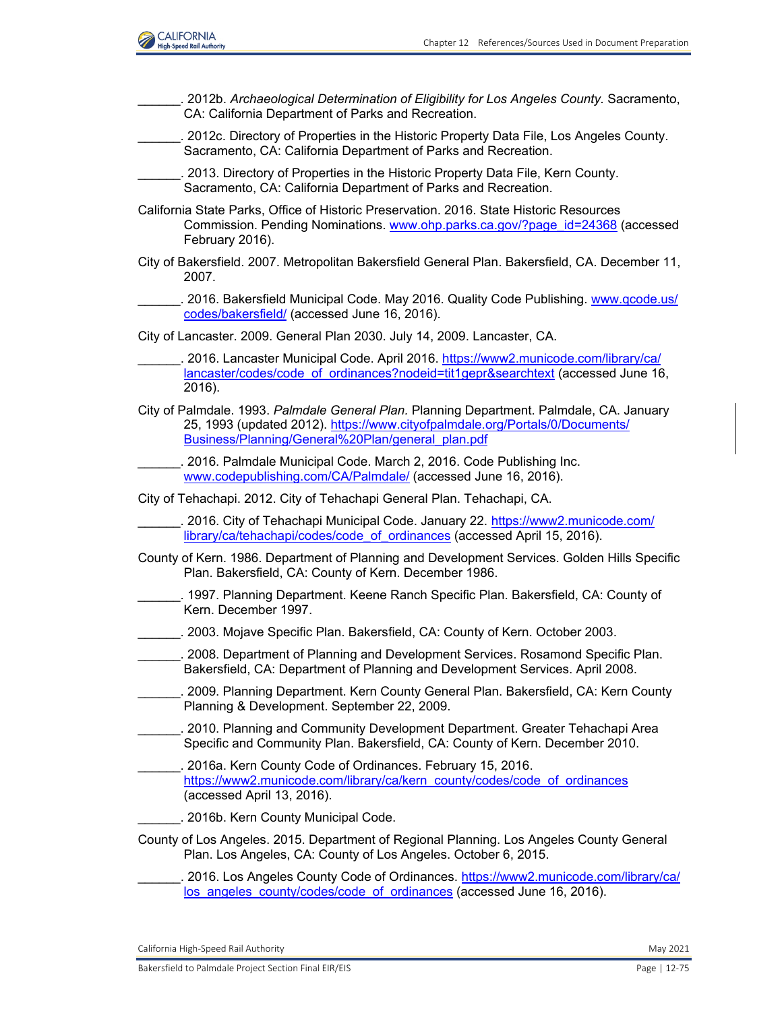

\_\_\_\_\_\_. 2012b. *Archaeological Determination of Eligibility for Los Angeles County.* Sacramento, CA: California Department of Parks and Recreation. \_\_\_\_\_\_. 2012c. Directory of Properties in the Historic Property Data File, Los Angeles County. Sacramento, CA: California Department of Parks and Recreation. 2013. Directory of Properties in the Historic Property Data File, Kern County. Sacramento, CA: California Department of Parks and Recreation. California State Parks, Office of Historic Preservation. 2016. State Historic Resources Commission. Pending Nominations. [www.ohp.parks.ca.gov/?page\\_id=24368](http://www.ohp.parks.ca.gov/?page_id=24368) (accessed February 2016). City of Bakersfield. 2007. Metropolitan Bakersfield General Plan. Bakersfield, CA. December 11, 2007. . 2016. Bakersfield Municipal Code. May 2016. Quality Code Publishing. [www.qcode.us/](http://www.qcode.us/codes/bakersfield/) [codes/bakersfield/](http://www.qcode.us/codes/bakersfield/) (accessed June 16, 2016). City of Lancaster. 2009. General Plan 2030. July 14, 2009. Lancaster, CA. 2016. Lancaster Municipal Code. April 2016. [https://www2.municode.com/library/ca/](https://www2.municode.com/library/ca/ lancaster/codes/code_of_ordinances?nodeid=tit1gepr&searchtext) [lancaster/codes/code\\_of\\_ordinances?nodeid=tit1gepr&searchtext](https://www2.municode.com/library/ca/ lancaster/codes/code_of_ordinances?nodeid=tit1gepr&searchtext) (accessed June 16, 2016). City of Palmdale. 1993. *Palmdale General Plan.* Planning Department. Palmdale, CA. January 25, 1993 (updated 2012). [https://www.cityofpalmdale.org/Portals/0/Documents/](https://www.cityofpalmdale.org/Portals/0/Documents/ Business/Planning/General%20Plan/general_plan.pdf) [Business/Planning/General%20Plan/general\\_plan.pdf](https://www.cityofpalmdale.org/Portals/0/Documents/ Business/Planning/General%20Plan/general_plan.pdf) \_\_\_\_\_\_. 2016. Palmdale Municipal Code. March 2, 2016. Code Publishing Inc. [www.codepublishing.com/CA/Palmdale/](http://www.codepublishing.com/CA/Palmdale/) (accessed June 16, 2016). City of Tehachapi. 2012. City of Tehachapi General Plan. Tehachapi, CA. \_\_\_\_\_\_. 2016. City of Tehachapi Municipal Code. January 22. [https://www2.municode.com/](https://www2.municode.com/ library/ca/tehachapi/codes/code_of_ordinances) [library/ca/tehachapi/codes/code\\_of\\_ordinances](https://www2.municode.com/ library/ca/tehachapi/codes/code_of_ordinances) (accessed April 15, 2016). County of Kern. 1986. Department of Planning and Development Services. Golden Hills Specific Plan. Bakersfield, CA: County of Kern. December 1986. \_\_\_\_\_\_. 1997. Planning Department. Keene Ranch Specific Plan. Bakersfield, CA: County of Kern. December 1997. \_\_\_\_\_\_. 2003. Mojave Specific Plan. Bakersfield, CA: County of Kern. October 2003. \_\_\_\_\_\_. 2008. Department of Planning and Development Services. Rosamond Specific Plan. Bakersfield, CA: Department of Planning and Development Services. April 2008. \_\_\_\_\_\_. 2009. Planning Department. Kern County General Plan. Bakersfield, CA: Kern County Planning & Development. September 22, 2009. 2010. Planning and Community Development Department. Greater Tehachapi Area Specific and Community Plan. Bakersfield, CA: County of Kern. December 2010. \_\_\_\_\_\_. 2016a. Kern County Code of Ordinances. February 15, 2016. [https://www2.municode.com/library/ca/kern\\_county/codes/code\\_of\\_ordinances](https://www2.municode.com/library/ca/kern_county/codes/code_of_ordinances) (accessed April 13, 2016). \_\_\_\_\_\_. 2016b. Kern County Municipal Code. County of Los Angeles. 2015. Department of Regional Planning. Los Angeles County General Plan. Los Angeles, CA: County of Los Angeles. October 6, 2015. \_\_\_\_\_\_. 2016. Los Angeles County Code of Ordinances. [https://www2.municode.com/library/ca/](https://www2.municode.com/library/ca/ los_angeles_county/codes/code_of_ordinances) [los\\_angeles\\_county/codes/code\\_of\\_ordinances](https://www2.municode.com/library/ca/ los_angeles_county/codes/code_of_ordinances) (accessed June 16, 2016).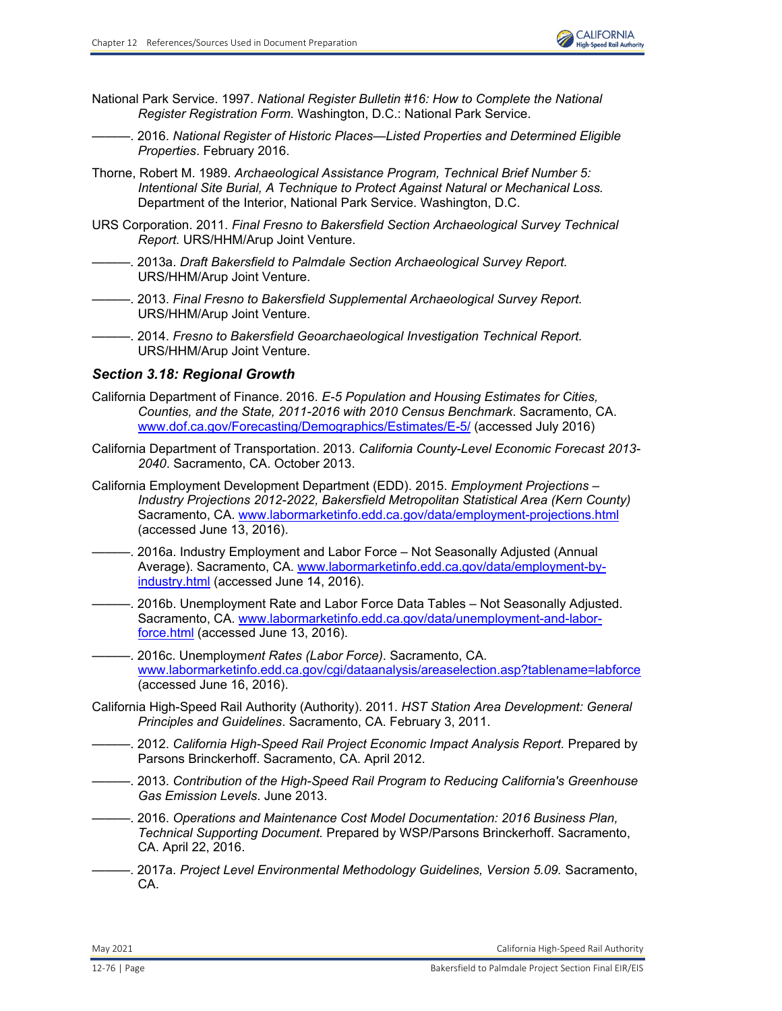

- National Park Service. 1997. *National Register Bulletin #16: How to Complete the National Register Registration Form.* Washington, D.C.: National Park Service.
	- ———. 2016. *National Register of Historic Places—Listed Properties and Determined Eligible Properties*. February 2016.
- Thorne, Robert M. 1989. *Archaeological Assistance Program, Technical Brief Number 5: Intentional Site Burial, A Technique to Protect Against Natural or Mechanical Loss.*  Department of the Interior, National Park Service. Washington, D.C.
- URS Corporation. 2011. *Final Fresno to Bakersfield Section Archaeological Survey Technical Report.* URS/HHM/Arup Joint Venture.
	- ———. 2013a. *Draft Bakersfield to Palmdale Section Archaeological Survey Report.*  URS/HHM/Arup Joint Venture.
- ———. 2013. *Final Fresno to Bakersfield Supplemental Archaeological Survey Report.*  URS/HHM/Arup Joint Venture.
- ———. 2014. *Fresno to Bakersfield Geoarchaeological Investigation Technical Report.*  URS/HHM/Arup Joint Venture.

## *Section 3.18: Regional Growth*

- California Department of Finance. 2016. *E-5 Population and Housing Estimates for Cities, Counties, and the State, 2011-2016 with 2010 Census Benchmark*. Sacramento, CA. [www.dof.ca.gov/Forecasting/Demographics/Estimates/E-5/](http://www.dof.ca.gov/Forecasting/Demographics/Estimates/E-5/) (accessed July 2016)
- California Department of Transportation. 2013. *California County-Level Economic Forecast 2013- 2040*. Sacramento, CA. October 2013.
- California Employment Development Department (EDD). 2015. *Employment Projections Industry Projections 2012-2022, Bakersfield Metropolitan Statistical Area (Kern County)* Sacramento, CA. [www.labormarketinfo.edd.ca.gov/data/employment-projections.html](http://www.labormarketinfo.edd.ca.gov/data/employment-projections.html) (accessed June 13, 2016).
- -. 2016a. Industry Employment and Labor Force Not Seasonally Adjusted (Annual Average). Sacramento, CA. [www.labormarketinfo.edd.ca.gov/data/employment-by](http://www.labormarketinfo.edd.ca.gov/data/employment-byindustry.html)[industry.html](http://www.labormarketinfo.edd.ca.gov/data/employment-byindustry.html) (accessed June 14, 2016).
- -. 2016b. Unemployment Rate and Labor Force Data Tables Not Seasonally Adjusted. Sacramento, CA. [www.labormarketinfo.edd.ca.gov/data/unemployment-and-labor](http://www.labormarketinfo.edd.ca.gov/data/unemployment-and-laborforce.html)[force.html](http://www.labormarketinfo.edd.ca.gov/data/unemployment-and-laborforce.html) (accessed June 13, 2016).
- ———. 2016c. Unemploym*ent Rates (Labor Force)*. Sacramento, CA. [www.labormarketinfo.edd.ca.gov/cgi/dataanalysis/areaselection.asp?tablename=labforce](http://www.labormarketinfo.edd.ca.gov/cgi/dataanalysis/areaselection.asp?tablename=labforce) (accessed June 16, 2016).
- California High-Speed Rail Authority (Authority). 2011. *HST Station Area Development: General Principles and Guidelines*. Sacramento, CA. February 3, 2011.
- ———. 2012. *California High-Speed Rail Project Economic Impact Analysis Report.* Prepared by Parsons Brinckerhoff. Sacramento, CA. April 2012.
- ———. 2013. *Contribution of the High-Speed Rail Program to Reducing California's Greenhouse Gas Emission Levels*. June 2013.
- ———. 2016. *Operations and Maintenance Cost Model Documentation: 2016 Business Plan, Technical Supporting Document.* Prepared by WSP/Parsons Brinckerhoff. Sacramento, CA. April 22, 2016.
- ———. 2017a. *Project Level Environmental Methodology Guidelines, Version 5.09.* Sacramento, CA.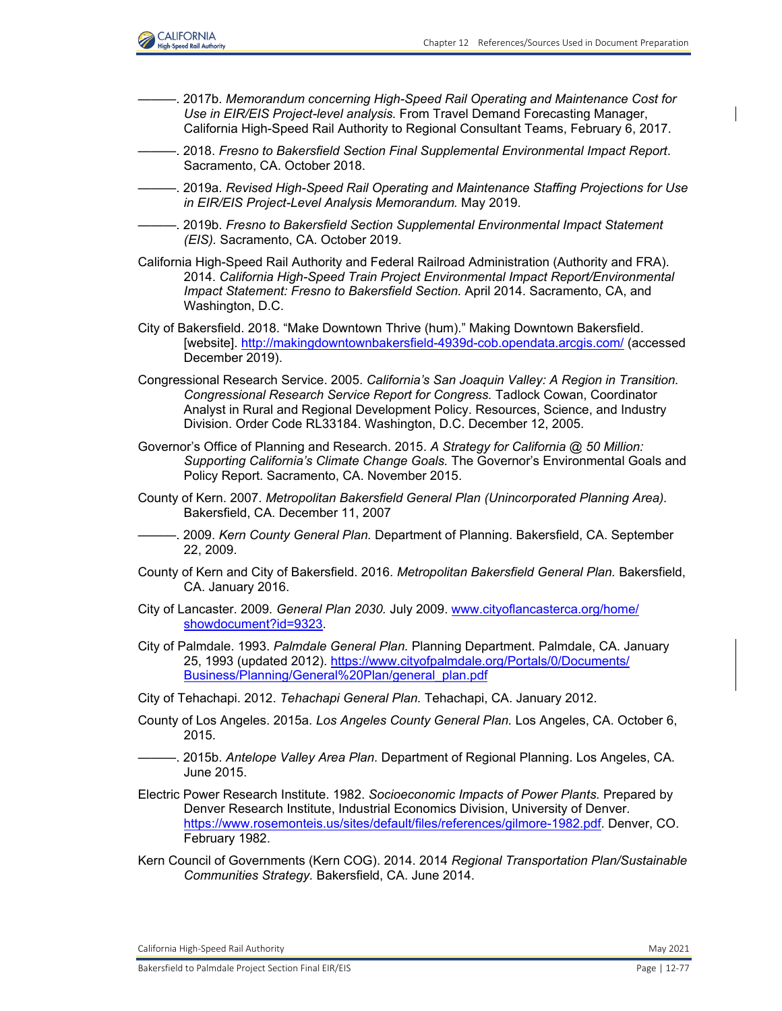

- ———. 2017b. *Memorandum concerning High-Speed Rail Operating and Maintenance Cost for Use in EIR/EIS Project-level analysis.* From Travel Demand Forecasting Manager, California High-Speed Rail Authority to Regional Consultant Teams, February 6, 2017.
- ———. 2018. *Fresno to Bakersfield Section Final Supplemental Environmental Impact Report*. Sacramento, CA. October 2018.
- ———. 2019a. *Revised High-Speed Rail Operating and Maintenance Staffing Projections for Use in EIR/EIS Project-Level Analysis Memorandum.* May 2019.
- ———. 2019b. *Fresno to Bakersfield Section Supplemental Environmental Impact Statement (EIS).* Sacramento, CA. October 2019.
- California High-Speed Rail Authority and Federal Railroad Administration (Authority and FRA). 2014. *California High-Speed Train Project Environmental Impact Report/Environmental Impact Statement: Fresno to Bakersfield Section.* April 2014. Sacramento, CA, and Washington, D.C.
- City of Bakersfield. 2018. "Make Downtown Thrive (hum)." Making Downtown Bakersfield. [website].<http://makingdowntownbakersfield-4939d-cob.opendata.arcgis.com/> (accessed December 2019).
- Congressional Research Service. 2005. *California's San Joaquin Valley: A Region in Transition. Congressional Research Service Report for Congress.* Tadlock Cowan, Coordinator Analyst in Rural and Regional Development Policy. Resources, Science, and Industry Division. Order Code RL33184. Washington, D.C. December 12, 2005.
- Governor's Office of Planning and Research. 2015. *A Strategy for California @ 50 Million: Supporting California's Climate Change Goals.* The Governor's Environmental Goals and Policy Report. Sacramento, CA. November 2015.
- County of Kern. 2007. *Metropolitan Bakersfield General Plan (Unincorporated Planning Area).*  Bakersfield, CA. December 11, 2007
- ———. 2009. *Kern County General Plan.* Department of Planning. Bakersfield, CA. September 22, 2009.
- County of Kern and City of Bakersfield. 2016. *Metropolitan Bakersfield General Plan.* Bakersfield, CA. January 2016.
- City of Lancaster. 2009*. General Plan 2030.* July 2009. [www.cityoflancasterca.org/home/](http://www.cityoflancasterca.org/home/showdocument?id=9323.) [showdocument?id=9323.](http://www.cityoflancasterca.org/home/showdocument?id=9323.)
- City of Palmdale. 1993. *Palmdale General Plan.* Planning Department. Palmdale, CA. January 25, 1993 (updated 2012). [https://www.cityofpalmdale.org/Portals/0/Documents/](https://www.cityofpalmdale.org/Portals/0/Documents/ Business/Planning/General%20Plan/general_plan.pdf) [Business/Planning/General%20Plan/general\\_plan.pdf](https://www.cityofpalmdale.org/Portals/0/Documents/ Business/Planning/General%20Plan/general_plan.pdf)
- City of Tehachapi. 2012. *Tehachapi General Plan.* Tehachapi, CA. January 2012.
- County of Los Angeles. 2015a. *Los Angeles County General Plan.* Los Angeles, CA. October 6, 2015.
- ———. 2015b. *Antelope Valley Area Plan.* Department of Regional Planning. Los Angeles, CA. June 2015.
- Electric Power Research Institute. 1982. *Socioeconomic Impacts of Power Plants.* Prepared by Denver Research Institute, Industrial Economics Division, University of Denver. <https://www.rosemonteis.us/sites/default/files/references/gilmore-1982.pdf.>Denver, CO. February 1982.
- Kern Council of Governments (Kern COG). 2014. 2014 *Regional Transportation Plan/Sustainable Communities Strategy.* Bakersfield, CA. June 2014.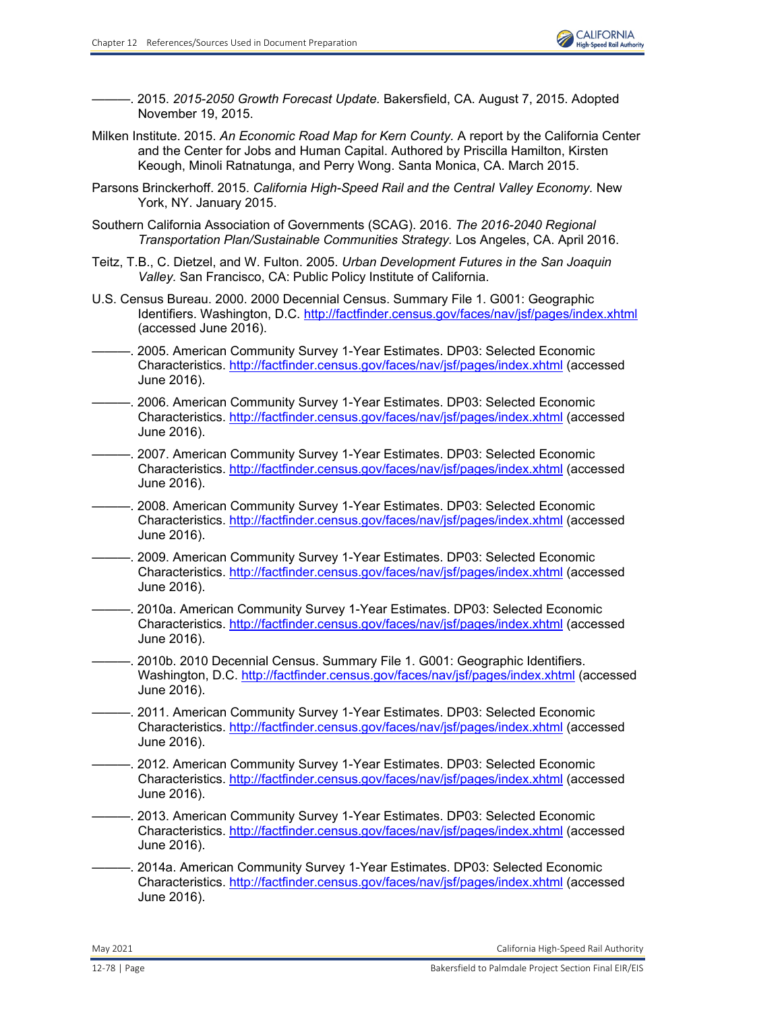

———. 2015. *2015-2050 Growth Forecast Update.* Bakersfield, CA. August 7, 2015. Adopted November 19, 2015.

- Milken Institute. 2015. *An Economic Road Map for Kern County.* A report by the California Center and the Center for Jobs and Human Capital. Authored by Priscilla Hamilton, Kirsten Keough, Minoli Ratnatunga, and Perry Wong. Santa Monica, CA. March 2015.
- Parsons Brinckerhoff. 2015. *California High-Speed Rail and the Central Valley Economy.* New York, NY. January 2015.
- Southern California Association of Governments (SCAG). 2016. *The 2016-2040 Regional Transportation Plan/Sustainable Communities Strategy.* Los Angeles, CA. April 2016.
- Teitz, T.B., C. Dietzel, and W. Fulton. 2005. *Urban Development Futures in the San Joaquin Valley.* San Francisco, CA: Public Policy Institute of California.
- U.S. Census Bureau. 2000. 2000 Decennial Census. Summary File 1. G001: Geographic Identifiers. Washington, D.C.<http://factfinder.census.gov/faces/nav/jsf/pages/index.xhtml> (accessed June 2016).
- ———. 2005. American Community Survey 1-Year Estimates. DP03: Selected Economic Characteristics.<http://factfinder.census.gov/faces/nav/jsf/pages/index.xhtml> (accessed June 2016).
- -. 2006. American Community Survey 1-Year Estimates. DP03: Selected Economic Characteristics.<http://factfinder.census.gov/faces/nav/jsf/pages/index.xhtml> (accessed June 2016).
- ———. 2007. American Community Survey 1-Year Estimates. DP03: Selected Economic Characteristics. <http://factfinder.census.gov/faces/nav/jsf/pages/index.xhtml> (accessed June 2016).
- ———. 2008. American Community Survey 1-Year Estimates. DP03: Selected Economic Characteristics.<http://factfinder.census.gov/faces/nav/jsf/pages/index.xhtml> (accessed June 2016).
- ———. 2009. American Community Survey 1-Year Estimates. DP03: Selected Economic Characteristics. <http://factfinder.census.gov/faces/nav/jsf/pages/index.xhtml> (accessed June 2016).
- ———. 2010a. American Community Survey 1-Year Estimates. DP03: Selected Economic Characteristics. <http://factfinder.census.gov/faces/nav/jsf/pages/index.xhtml> (accessed June 2016).
- ———. 2010b. 2010 Decennial Census. Summary File 1. G001: Geographic Identifiers. Washington, D.C.<http://factfinder.census.gov/faces/nav/jsf/pages/index.xhtml> (accessed June 2016).
- ———. 2011. American Community Survey 1-Year Estimates. DP03: Selected Economic Characteristics.<http://factfinder.census.gov/faces/nav/jsf/pages/index.xhtml>(accessed June 2016).
- ———. 2012. American Community Survey 1-Year Estimates. DP03: Selected Economic Characteristics.<http://factfinder.census.gov/faces/nav/jsf/pages/index.xhtml> (accessed June 2016).
- -. 2013. American Community Survey 1-Year Estimates. DP03: Selected Economic Characteristics.<http://factfinder.census.gov/faces/nav/jsf/pages/index.xhtml> (accessed June 2016).
- -. 2014a. American Community Survey 1-Year Estimates. DP03: Selected Economic Characteristics.<http://factfinder.census.gov/faces/nav/jsf/pages/index.xhtml> (accessed June 2016).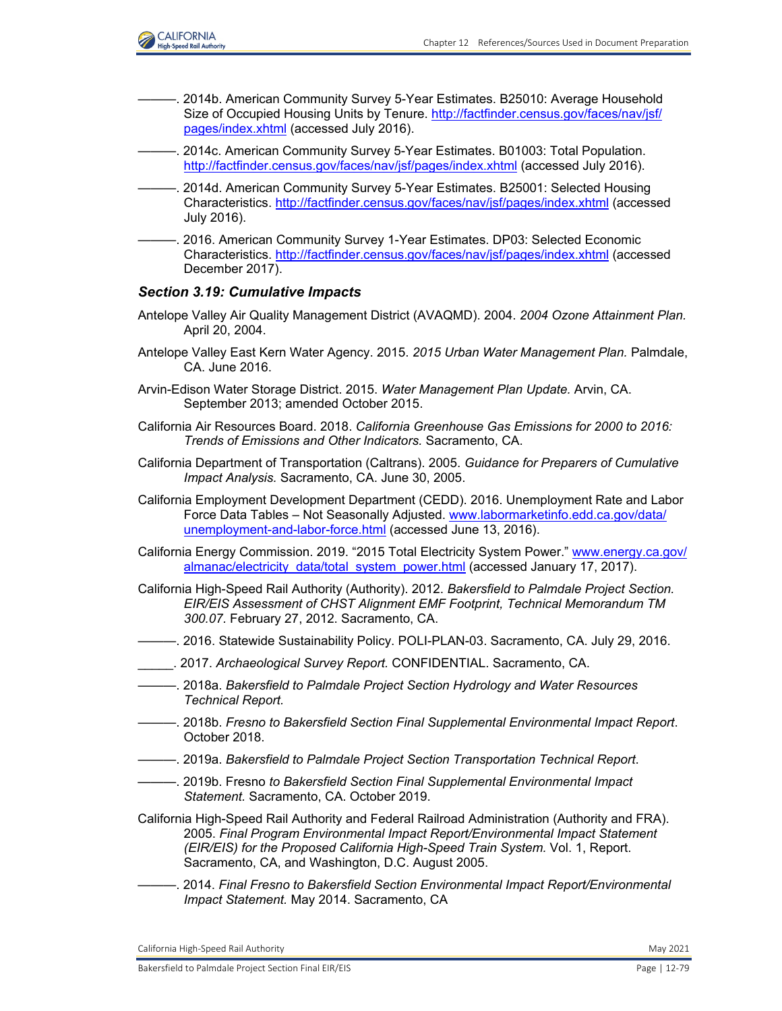

- -. 2014b. American Community Survey 5-Year Estimates. B25010: Average Household Size of Occupied Housing Units by Tenure. [http://factfinder.census.gov/faces/nav/jsf/](http://factfinder.census.gov/faces/nav/jsf/ pages/index.xhtml) [pages/index.xhtml](http://factfinder.census.gov/faces/nav/jsf/ pages/index.xhtml) (accessed July 2016).
- ———. 2014c. American Community Survey 5-Year Estimates. B01003: Total Population. <http://factfinder.census.gov/faces/nav/jsf/pages/index.xhtml> (accessed July 2016).
	- ———. 2014d. American Community Survey 5-Year Estimates. B25001: Selected Housing Characteristics. <http://factfinder.census.gov/faces/nav/jsf/pages/index.xhtml> (accessed July 2016).
- ———. 2016. American Community Survey 1-Year Estimates. DP03: Selected Economic Characteristics. <http://factfinder.census.gov/faces/nav/jsf/pages/index.xhtml> (accessed December 2017).

#### *Section 3.19: Cumulative Impacts*

- Antelope Valley Air Quality Management District (AVAQMD). 2004. *2004 Ozone Attainment Plan.* April 20, 2004.
- Antelope Valley East Kern Water Agency. 2015. *2015 Urban Water Management Plan.* Palmdale, CA. June 2016.
- Arvin-Edison Water Storage District. 2015. *Water Management Plan Update.* Arvin, CA. September 2013; amended October 2015.
- California Air Resources Board. 2018. *California Greenhouse Gas Emissions for 2000 to 2016: Trends of Emissions and Other Indicators.* Sacramento, CA.
- California Department of Transportation (Caltrans). 2005. *Guidance for Preparers of Cumulative Impact Analysis.* Sacramento, CA. June 30, 2005.
- California Employment Development Department (CEDD). 2016. Unemployment Rate and Labor Force Data Tables – Not Seasonally Adjusted. [www.labormarketinfo.edd.ca.gov/data/](http://www.labormarketinfo.edd.ca.gov/data/unemployment-and-labor-force.html) [unemployment-and-labor-force.html](http://www.labormarketinfo.edd.ca.gov/data/unemployment-and-labor-force.html) (accessed June 13, 2016).
- California Energy Commission. 2019. "2015 Total Electricity System Power." [www.energy.ca.gov/](http://www.energy.ca.gov/almanac/electricity_data/total_system_power.html) [almanac/electricity\\_data/total\\_system\\_power.html](http://www.energy.ca.gov/almanac/electricity_data/total_system_power.html) (accessed January 17, 2017).
- California High-Speed Rail Authority (Authority). 2012. *Bakersfield to Palmdale Project Section. EIR/EIS Assessment of CHST Alignment EMF Footprint, Technical Memorandum TM 300.07.* February 27, 2012. Sacramento, CA.
- ———. 2016. Statewide Sustainability Policy. POLI-PLAN-03. Sacramento, CA. July 29, 2016.
- \_\_\_\_\_. 2017. *Archaeological Survey Report.* CONFIDENTIAL. Sacramento, CA.
- ———. 2018a. *Bakersfield to Palmdale Project Section Hydrology and Water Resources Technical Report.*
- ———. 2018b. *Fresno to Bakersfield Section Final Supplemental Environmental Impact Report*. October 2018.
- ———. 2019a. *Bakersfield to Palmdale Project Section Transportation Technical Report*.
- ———. 2019b. Fresno *to Bakersfield Section Final Supplemental Environmental Impact Statement.* Sacramento, CA. October 2019.
- California High-Speed Rail Authority and Federal Railroad Administration (Authority and FRA). 2005. *Final Program Environmental Impact Report/Environmental Impact Statement (EIR/EIS) for the Proposed California High-Speed Train System.* Vol. 1, Report. Sacramento, CA, and Washington, D.C. August 2005.
- ———. 2014. *Final Fresno to Bakersfield Section Environmental Impact Report/Environmental Impact Statement.* May 2014. Sacramento, CA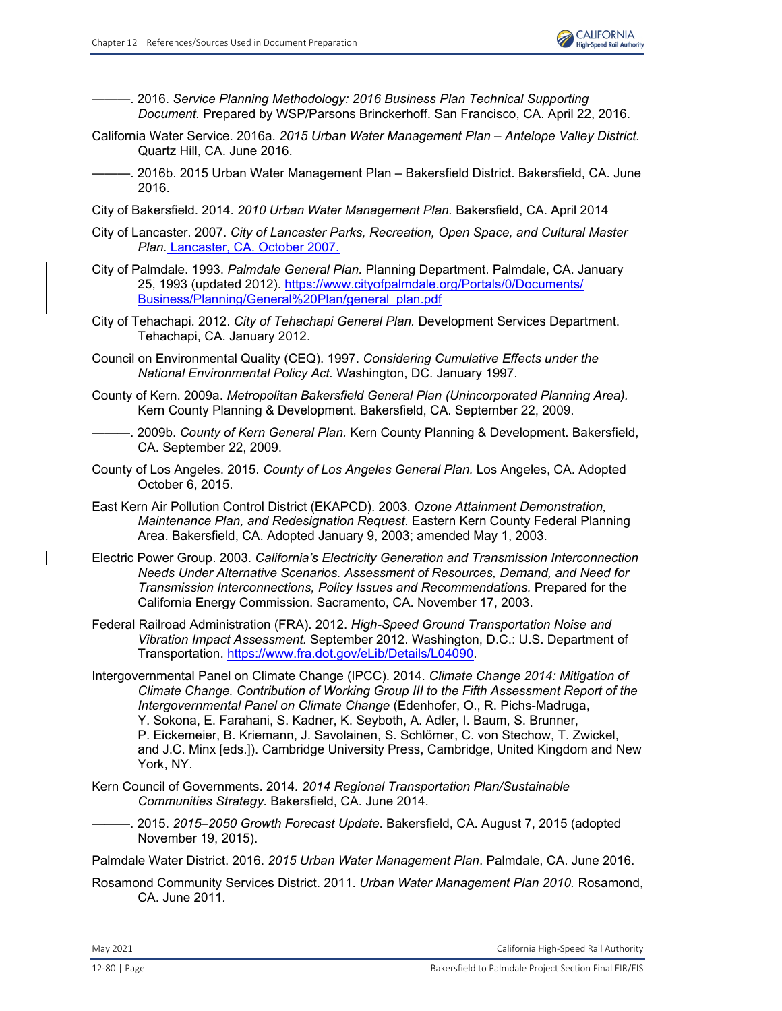———. 2016. *Service Planning Methodology: 2016 Business Plan Technical Supporting Document.* Prepared by WSP/Parsons Brinckerhoff. San Francisco, CA. April 22, 2016.

- California Water Service. 2016a. *2015 Urban Water Management Plan Antelope Valley District.*  Quartz Hill, CA. June 2016.
- ———. 2016b. 2015 Urban Water Management Plan Bakersfield District. Bakersfield, CA. June 2016.
- City of Bakersfield. 2014. *2010 Urban Water Management Plan.* Bakersfield, CA. April 2014
- City of Lancaster. 2007. *City of Lancaster Parks, Recreation, Open Space, and Cultural Master Plan.* Lancaster, CA. October 2007.
- City of Palmdale. 1993. *Palmdale General Plan.* Planning Department. Palmdale, CA. January 25, 1993 (updated 2012). [https://www.cityofpalmdale.org/Portals/0/Documents/](https://www.cityofpalmdale.org/Portals/0/Documents/ Business/Planning/General%20Plan/general_plan.pdf) [Business/Planning/General%20Plan/general\\_plan.pdf](https://www.cityofpalmdale.org/Portals/0/Documents/ Business/Planning/General%20Plan/general_plan.pdf)
- City of Tehachapi. 2012. *City of Tehachapi General Plan.* Development Services Department. Tehachapi, CA. January 2012.
- Council on Environmental Quality (CEQ). 1997. *Considering Cumulative Effects under the National Environmental Policy Act.* Washington, DC. January 1997.
- County of Kern. 2009a. *Metropolitan Bakersfield General Plan (Unincorporated Planning Area).*  Kern County Planning & Development. Bakersfield, CA. September 22, 2009.
- ———. 2009b. *County of Kern General Plan.* Kern County Planning & Development. Bakersfield, CA. September 22, 2009.
- County of Los Angeles. 2015. *County of Los Angeles General Plan.* Los Angeles, CA. Adopted October 6, 2015.
- East Kern Air Pollution Control District (EKAPCD). 2003. *Ozone Attainment Demonstration, Maintenance Plan, and Redesignation Request*. Eastern Kern County Federal Planning Area. Bakersfield, CA. Adopted January 9, 2003; amended May 1, 2003.
- Electric Power Group. 2003. *California's Electricity Generation and Transmission Interconnection Needs Under Alternative Scenarios. Assessment of Resources, Demand, and Need for Transmission Interconnections, Policy Issues and Recommendations.* Prepared for the California Energy Commission. Sacramento, CA. November 17, 2003.
- Federal Railroad Administration (FRA). 2012. *High-Speed Ground Transportation Noise and Vibration Impact Assessment.* September 2012. Washington, D.C.: U.S. Department of Transportation. <https://www.fra.dot.gov/eLib/Details/L04090.>
- Intergovernmental Panel on Climate Change (IPCC). 2014. *Climate Change 2014: Mitigation of Climate Change. Contribution of Working Group III to the Fifth Assessment Report of the Intergovernmental Panel on Climate Change* (Edenhofer, O., R. Pichs-Madruga, Y. Sokona, E. Farahani, S. Kadner, K. Seyboth, A. Adler, I. Baum, S. Brunner, P. Eickemeier, B. Kriemann, J. Savolainen, S. Schlömer, C. von Stechow, T. Zwickel, and J.C. Minx [eds.]). Cambridge University Press, Cambridge, United Kingdom and New York, NY.
- Kern Council of Governments. 2014*. 2014 Regional Transportation Plan/Sustainable Communities Strategy.* Bakersfield, CA. June 2014.
- ———. 2015. *2015–2050 Growth Forecast Update*. Bakersfield, CA. August 7, 2015 (adopted November 19, 2015).

Palmdale Water District. 2016. *2015 Urban Water Management Plan*. Palmdale, CA. June 2016.

Rosamond Community Services District. 2011. *Urban Water Management Plan 2010.* Rosamond, CA. June 2011*.*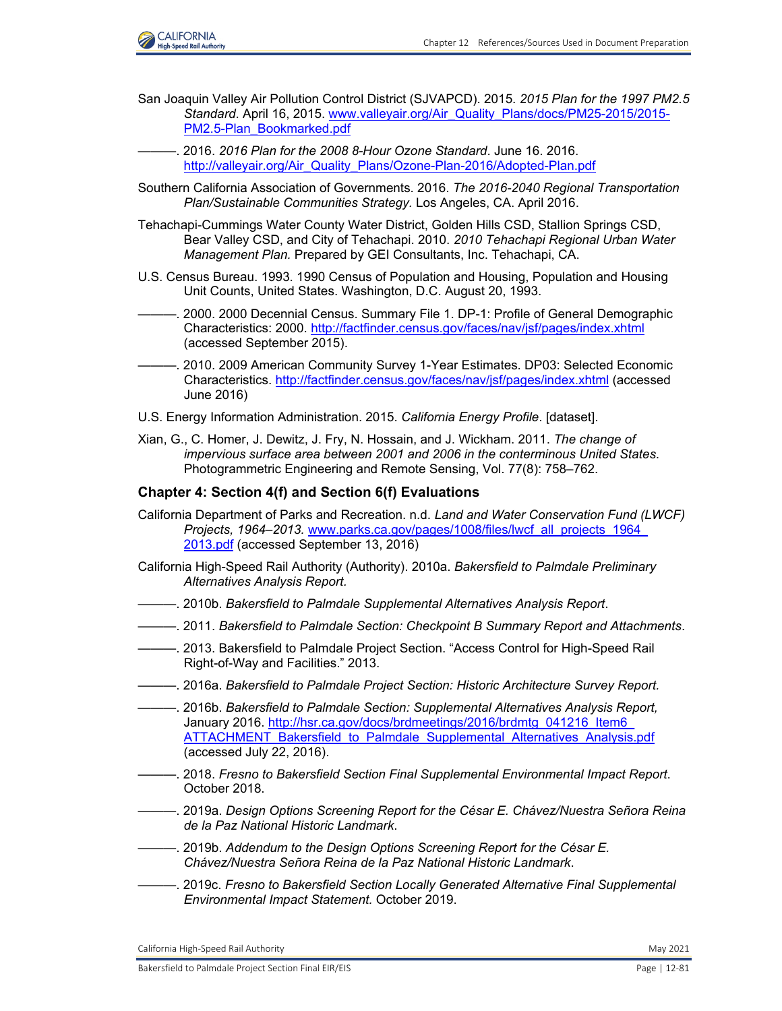

- San Joaquin Valley Air Pollution Control District (SJVAPCD). 2015. *2015 Plan for the 1997 PM2.5 Standard*. April 16, 2015. [www.valleyair.org/Air\\_Quality\\_Plans/docs/PM25-2015/2015-](http://www.valleyair.org/Air_Quality_Plans/docs/PM25-2015/2015-PM2.5-Plan_Bookmarked.pdf) [PM2.5-Plan\\_Bookmarked.pdf](http://www.valleyair.org/Air_Quality_Plans/docs/PM25-2015/2015-PM2.5-Plan_Bookmarked.pdf)
- ———. 2016. *2016 Plan for the 2008 8-Hour Ozone Standard*. June 16. 2016. [http://valleyair.org/Air\\_Quality\\_Plans/Ozone-Plan-2016/Adopted-Plan.pdf](http://valleyair.org/Air_Quality_Plans/Ozone-Plan-2016/Adopted-Plan.pdf)
- Southern California Association of Governments. 2016. *The 2016-2040 Regional Transportation Plan/Sustainable Communities Strategy.* Los Angeles, CA. April 2016.
- Tehachapi-Cummings Water County Water District, Golden Hills CSD, Stallion Springs CSD, Bear Valley CSD, and City of Tehachapi. 2010. *2010 Tehachapi Regional Urban Water Management Plan.* Prepared by GEI Consultants, Inc. Tehachapi, CA.
- U.S. Census Bureau. 1993. 1990 Census of Population and Housing, Population and Housing Unit Counts, United States. Washington, D.C. August 20, 1993.
- -. 2000. 2000 Decennial Census. Summary File 1. DP-1: Profile of General Demographic Characteristics: 2000. <http://factfinder.census.gov/faces/nav/jsf/pages/index.xhtml> (accessed September 2015).
- -. 2010. 2009 American Community Survey 1-Year Estimates. DP03: Selected Economic Characteristics.<http://factfinder.census.gov/faces/nav/jsf/pages/index.xhtml> (accessed June 2016)
- U.S. Energy Information Administration. 2015. *California Energy Profile*. [dataset].
- Xian, G., C. Homer, J. Dewitz, J. Fry, N. Hossain, and J. Wickham. 2011. *The change of impervious surface area between 2001 and 2006 in the conterminous United States*. Photogrammetric Engineering and Remote Sensing, Vol. 77(8): 758–762.

## **Chapter 4: Section 4(f) and Section 6(f) Evaluations**

- California Department of Parks and Recreation. n.d. *Land and Water Conservation Fund (LWCF) Projects, 1964–2013.* [www.parks.ca.gov/pages/1008/files/lwcf\\_all\\_projects\\_1964\\_](http://www.parks.ca.gov/pages/1008/files/lwcf_all_projects_1964_2013.pdf) [2013.pdf](http://www.parks.ca.gov/pages/1008/files/lwcf_all_projects_1964_2013.pdf) (accessed September 13, 2016)
- California High-Speed Rail Authority (Authority). 2010a. *Bakersfield to Palmdale Preliminary Alternatives Analysis Report.*
- ———. 2010b. *Bakersfield to Palmdale Supplemental Alternatives Analysis Report*.
- ———. 2011. *Bakersfield to Palmdale Section: Checkpoint B Summary Report and Attachments*.
- ———. 2013. Bakersfield to Palmdale Project Section. "Access Control for High-Speed Rail Right-of-Way and Facilities." 2013.
- ———. 2016a. *Bakersfield to Palmdale Project Section: Historic Architecture Survey Report.*
- ———. 2016b. *Bakersfield to Palmdale Section: Supplemental Alternatives Analysis Report,*  January 2016. http://hsr.ca.gov/docs/brdmeetings/2016/brdmtg\_041216\_Item6 [ATTACHMENT\\_Bakersfield\\_to\\_Palmdale\\_Supplemental\\_Alternatives\\_Analysis.pdf](http://hsr.ca.gov/docs/brdmeetings/2016/brdmtg_041216_Item6_ ATTACHMENT_Bakersfield_to_Palmdale_Supplemental_Alternatives_Analysis.pdf) (accessed July 22, 2016).
- ———. 2018. *Fresno to Bakersfield Section Final Supplemental Environmental Impact Report*. October 2018.
- ———. 2019a. *Design Options Screening Report for the César E. Chávez/Nuestra Señora Reina de la Paz National Historic Landmark*.
- ———. 2019b. *Addendum to the Design Options Screening Report for the César E. Chávez/Nuestra Señora Reina de la Paz National Historic Landmark*.
- ———. 2019c. *Fresno to Bakersfield Section Locally Generated Alternative Final Supplemental Environmental Impact Statement.* October 2019.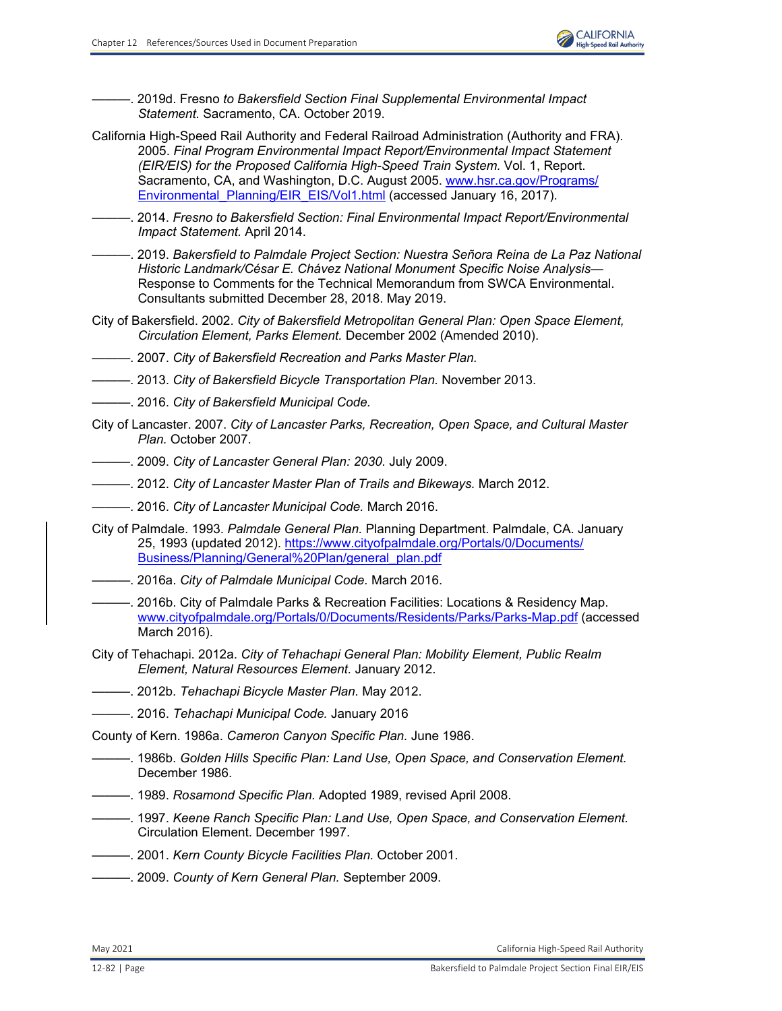

———. 2019d. Fresno *to Bakersfield Section Final Supplemental Environmental Impact Statement.* Sacramento, CA. October 2019.

- California High-Speed Rail Authority and Federal Railroad Administration (Authority and FRA). 2005. *Final Program Environmental Impact Report/Environmental Impact Statement (EIR/EIS) for the Proposed California High-Speed Train System.* Vol. 1, Report. Sacramento, CA, and Washington, D.C. August 2005. [www.hsr.ca.gov/Programs/](http://www.hsr.ca.gov/Programs/Environmental_Planning/EIR_EIS/Vol1.html) Environmental Planning/EIR\_EIS/Vol1.html (accessed January 16, 2017).
- ———. 2014. *Fresno to Bakersfield Section: Final Environmental Impact Report/Environmental Impact Statement.* April 2014.
- ———. 2019. *Bakersfield to Palmdale Project Section: Nuestra Señora Reina de La Paz National Historic Landmark/César E. Chávez National Monument Specific Noise Analysis—* Response to Comments for the Technical Memorandum from SWCA Environmental. Consultants submitted December 28, 2018. May 2019.
- City of Bakersfield. 2002. *City of Bakersfield Metropolitan General Plan: Open Space Element, Circulation Element, Parks Element.* December 2002 (Amended 2010).
- ———. 2007. *City of Bakersfield Recreation and Parks Master Plan.*
- ———. 2013. *City of Bakersfield Bicycle Transportation Plan.* November 2013.
- ———. 2016. *City of Bakersfield Municipal Code.*
- City of Lancaster. 2007. *City of Lancaster Parks, Recreation, Open Space, and Cultural Master Plan.* October 2007.
- ———. 2009. *City of Lancaster General Plan: 2030.* July 2009.
- ———. 2012. *City of Lancaster Master Plan of Trails and Bikeways.* March 2012.
- ———. 2016. *City of Lancaster Municipal Code.* March 2016.
- City of Palmdale. 1993. *Palmdale General Plan.* Planning Department. Palmdale, CA. January 25, 1993 (updated 2012). [https://www.cityofpalmdale.org/Portals/0/Documents/](https://www.cityofpalmdale.org/Portals/0/Documents/ Business/Planning/General%20Plan/general_plan.pdf) [Business/Planning/General%20Plan/general\\_plan.pdf](https://www.cityofpalmdale.org/Portals/0/Documents/ Business/Planning/General%20Plan/general_plan.pdf)
- ———. 2016a. *City of Palmdale Municipal Code.* March 2016.
- ———. 2016b. City of Palmdale Parks & Recreation Facilities: Locations & Residency Map. [www.cityofpalmdale.org/Portals/0/Documents/Residents/Parks/Parks-Map.pdf](http://www.cityofpalmdale.org/Portals/0/Documents/Residents/Parks/Parks-Map.pdf) (accessed March 2016).
- City of Tehachapi. 2012a. *City of Tehachapi General Plan: Mobility Element, Public Realm Element, Natural Resources Element.* January 2012.
- ———. 2012b. *Tehachapi Bicycle Master Plan.* May 2012.
- ———. 2016. *Tehachapi Municipal Code.* January 2016

County of Kern. 1986a. *Cameron Canyon Specific Plan.* June 1986.

- ———. 1986b. *Golden Hills Specific Plan: Land Use, Open Space, and Conservation Element.*  December 1986.
- ———. 1989. *Rosamond Specific Plan.* Adopted 1989, revised April 2008.
- ———. 1997. *Keene Ranch Specific Plan: Land Use, Open Space, and Conservation Element.*  Circulation Element. December 1997.
- ———. 2001. *Kern County Bicycle Facilities Plan.* October 2001.
- ———. 2009. *County of Kern General Plan.* September 2009.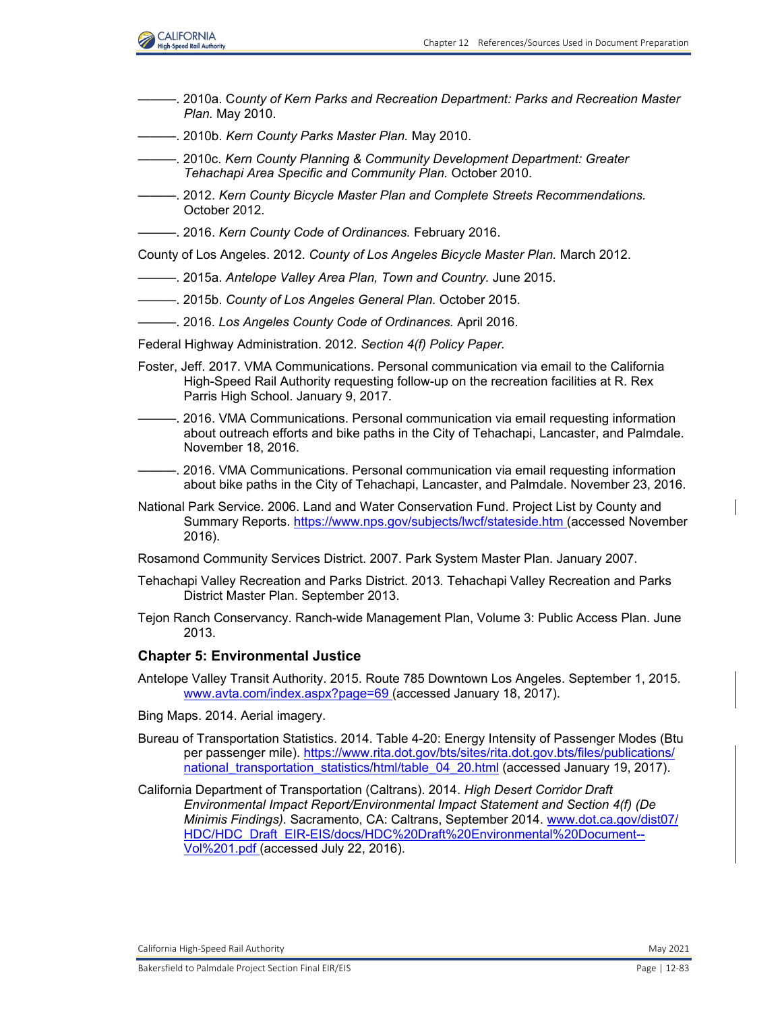

- ———. 2010a. C*ounty of Kern Parks and Recreation Department: Parks and Recreation Master Plan.* May 2010.
- ———. 2010b. *Kern County Parks Master Plan.* May 2010.
- ———. 2010c. *Kern County Planning & Community Development Department: Greater Tehachapi Area Specific and Community Plan.* October 2010.
- ———. 2012. *Kern County Bicycle Master Plan and Complete Streets Recommendations.*  October 2012.
- ———. 2016. *Kern County Code of Ordinances.* February 2016.

County of Los Angeles. 2012. *County of Los Angeles Bicycle Master Plan.* March 2012.

- ———. 2015a. *Antelope Valley Area Plan, Town and Country.* June 2015.
- ———. 2015b. *County of Los Angeles General Plan.* October 2015.
- ———. 2016. *Los Angeles County Code of Ordinances.* April 2016.
- Federal Highway Administration. 2012. *Section 4(f) Policy Paper.*
- Foster, Jeff. 2017. VMA Communications. Personal communication via email to the California High-Speed Rail Authority requesting follow-up on the recreation facilities at R. Rex Parris High School. January 9, 2017.
- –. 2016. VMA Communications. Personal communication via email requesting information about outreach efforts and bike paths in the City of Tehachapi, Lancaster, and Palmdale. November 18, 2016.
- 2016. VMA Communications. Personal communication via email requesting information about bike paths in the City of Tehachapi, Lancaster, and Palmdale. November 23, 2016.
- National Park Service. 2006. Land and Water Conservation Fund. Project List by County and Summary Reports. [https://www.nps.gov/subjects/lwcf/stateside.htm \(](https://www.nps.gov/subjects/lwcf/stateside.htm)accessed November 2016).
- Rosamond Community Services District. 2007. Park System Master Plan. January 2007.
- Tehachapi Valley Recreation and Parks District. 2013. Tehachapi Valley Recreation and Parks District Master Plan. September 2013.
- Tejon Ranch Conservancy. Ranch-wide Management Plan, Volume 3: Public Access Plan. June 2013.

#### **Chapter 5: Environmental Justice**

- Antelope Valley Transit Authority. 2015. Route 785 Downtown Los Angeles. September 1, 2015. [www.avta.com/index.aspx?page=69 \(](http://www.avta.com/index.aspx?page=69)accessed January 18, 2017).
- Bing Maps. 2014. Aerial imagery.
- Bureau of Transportation Statistics. 2014. Table 4-20: Energy Intensity of Passenger Modes (Btu per passenger mile). [https://www.rita.dot.gov/bts/sites/rita.dot.gov.bts/files/publications/](https://www.rita.dot.gov/bts/sites/rita.dot.gov.bts/files/publications/ national_transportation_statistics/html/table_04_20.html) national transportation statistics/html/table 04 20.html (accessed January 19, 2017).
- California Department of Transportation (Caltrans). 2014. *High Desert Corridor Draft Environmental Impact Report/Environmental Impact Statement and Section 4(f) (De Minimis Findings).* Sacramento, CA: Caltrans, September 2014. [www.dot.ca.gov/dist07/](http://www.dot.ca.gov/dist07/HDC/HDC_Draft_EIR-EIS/docs/HDC%20Draft%20Environmental%20Document--Vol%201.pdf) [HDC/HDC\\_Draft\\_EIR-EIS/docs/HDC%20Draft%20Environmental%20Document--](http://www.dot.ca.gov/dist07/HDC/HDC_Draft_EIR-EIS/docs/HDC%20Draft%20Environmental%20Document--Vol%201.pdf) [Vol%201.pdf \(](http://www.dot.ca.gov/dist07/HDC/HDC_Draft_EIR-EIS/docs/HDC%20Draft%20Environmental%20Document--Vol%201.pdf)accessed July 22, 2016).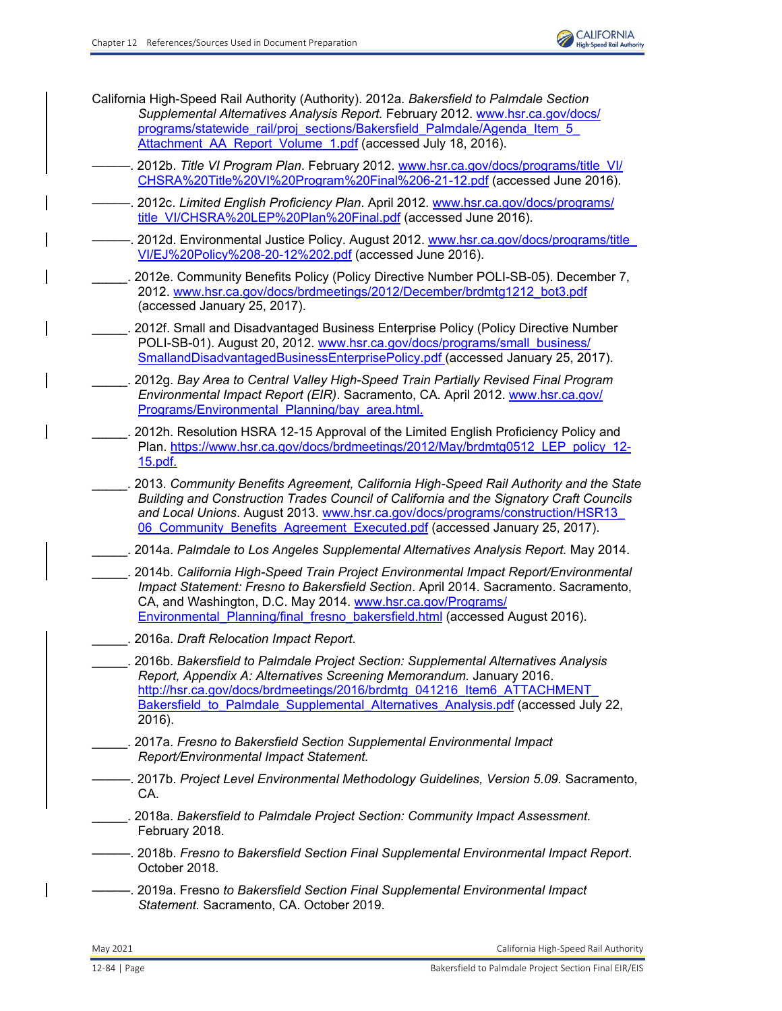

California High-Speed Rail Authority (Authority). 2012a. *Bakersfield to Palmdale Section Supplemental Alternatives Analysis Report.* February 2012. [www.hsr.ca.gov/docs/](http://www.hsr.ca.gov/docs/programs/statewide_rail/proj_sections/Bakersfield_Palmdale/Agenda_Item_5_ Attachment_AA_Report_Volume_1.pdf) [programs/statewide\\_rail/proj\\_sections/Bakersfield\\_Palmdale/Agenda\\_Item\\_5\\_](http://www.hsr.ca.gov/docs/programs/statewide_rail/proj_sections/Bakersfield_Palmdale/Agenda_Item_5_ Attachment_AA_Report_Volume_1.pdf) Attachment AA\_Report\_Volume\_1.pdf (accessed July 18, 2016).

———. 2012b. *Title VI Program Plan*. February 2012. [www.hsr.ca.gov/docs/programs/title\\_VI/](http://www.hsr.ca.gov/docs/programs/title_VI/CHSRA%20Title%20VI%20Program%20Final%206-21-12.pdf) [CHSRA%20Title%20VI%20Program%20Final%206-21-12.pdf](http://www.hsr.ca.gov/docs/programs/title_VI/CHSRA%20Title%20VI%20Program%20Final%206-21-12.pdf) (accessed June 2016).

———. 2012c. *Limited English Proficiency Plan*. April 2012. [www.hsr.ca.gov/docs/programs/](http://www.hsr.ca.gov/docs/programs/title_VI/CHSRA%20LEP%20Plan%20Final.pdf) [title\\_VI/CHSRA%20LEP%20Plan%20Final.pdf](http://www.hsr.ca.gov/docs/programs/title_VI/CHSRA%20LEP%20Plan%20Final.pdf) (accessed June 2016).

———. 2012d. Environmental Justice Policy. August 2012. [www.hsr.ca.gov/docs/programs/title\\_](http://www.hsr.ca.gov/docs/programs/title_VI/CHSRA%20LEP%20Plan%20Final.pdf) [VI/EJ%20Policy%208-20-12%202.pdf](http://www.hsr.ca.gov/docs/programs/title_VI/CHSRA%20LEP%20Plan%20Final.pdf) (accessed June 2016).

2012e. Community Benefits Policy (Policy Directive Number POLI-SB-05). December 7, 2012. [www.hsr.ca.gov/docs/brdmeetings/2012/December/brdmtg1212\\_bot3.pdf](http://www.hsr.ca.gov/docs/brdmeetings/2012/December/brdmtg1212_bot3.pdf)  (accessed January 25, 2017).

2012f. Small and Disadvantaged Business Enterprise Policy (Policy Directive Number POLI-SB-01). August 20, 2012. [www.hsr.ca.gov/docs/programs/small\\_business/](http://www.hsr.ca.gov/docs/programs/small_business/SmallandDisadvantagedBusinessEnterprisePolicy.pdf) [SmallandDisadvantagedBusinessEnterprisePolicy.pdf \(](http://www.hsr.ca.gov/docs/programs/small_business/SmallandDisadvantagedBusinessEnterprisePolicy.pdf)accessed January 25, 2017).

- \_\_\_\_\_. 2012g. *Bay Area to Central Valley High-Speed Train Partially Revised Final Program Environmental Impact Report (EIR)*. Sacramento, CA. April 2012. [www.hsr.ca.gov/](http://www.hsr.ca.gov/Programs/Environmental_Planning/bay_area.html.) [Programs/Environmental\\_Planning/bay\\_area.html.](http://www.hsr.ca.gov/Programs/Environmental_Planning/bay_area.html.)
- 2012h. Resolution HSRA 12-15 Approval of the Limited English Proficiency Policy and Plan. [https://www.hsr.ca.gov/docs/brdmeetings/2012/May/brdmtg0512\\_LEP\\_policy\\_12-](https://www.hsr.ca.gov/docs/brdmeetings/2012/May/brdmtg0512_LEP_policy_12- 15.pdf.) [15.pdf.](https://www.hsr.ca.gov/docs/brdmeetings/2012/May/brdmtg0512_LEP_policy_12- 15.pdf.)

\_\_\_\_\_. 2013. *Community Benefits Agreement, California High-Speed Rail Authority and the State Building and Construction Trades Council of California and the Signatory Craft Councils and Local Unions*. August 2013. [www.hsr.ca.gov/docs/programs/construction/HSR13\\_](http://www.hsr.ca.gov/docs/programs/construction/HSR13_06_Community_Benefits_Agreement_Executed.pdf) 06 Community Benefits Agreement Executed.pdf (accessed January 25, 2017).

\_\_\_\_\_. 2014a. *Palmdale to Los Angeles Supplemental Alternatives Analysis Report.* May 2014.

- \_\_\_\_\_. 2014b. *California High-Speed Train Project Environmental Impact Report/Environmental Impact Statement: Fresno to Bakersfield Section*. April 2014. Sacramento. Sacramento, CA, and Washington, D.C. May 2014. [www.hsr.ca.gov/Programs/](http://www.hsr.ca.gov/Programs/Environmental_Planning/final_fresno_bakersfield.html) [Environmental\\_Planning/final\\_fresno\\_bakersfield.html](http://www.hsr.ca.gov/Programs/Environmental_Planning/final_fresno_bakersfield.html) (accessed August 2016).
- \_\_\_\_\_. 2016a. *Draft Relocation Impact Report.*

\_\_\_\_\_. 2016b. *Bakersfield to Palmdale Project Section: Supplemental Alternatives Analysis Report, Appendix A: Alternatives Screening Memorandum.* January 2016. http://hsr.ca.gov/docs/brdmeetings/2016/brdmtg\_041216\_Item6\_ATTACHMENT Bakersfield to Palmdale Supplemental Alternatives Analysis.pdf (accessed July 22, 2016).

- \_\_\_\_\_. 2017a. *Fresno to Bakersfield Section Supplemental Environmental Impact Report/Environmental Impact Statement.*
- ———. 2017b. *Project Level Environmental Methodology Guidelines, Version 5.09.* Sacramento, CA.

\_\_\_\_\_. 2018a. *Bakersfield to Palmdale Project Section: Community Impact Assessment.*  February 2018.

- ———. 2018b. *Fresno to Bakersfield Section Final Supplemental Environmental Impact Report*. October 2018.
- ———. 2019a. Fresno *to Bakersfield Section Final Supplemental Environmental Impact Statement.* Sacramento, CA. October 2019.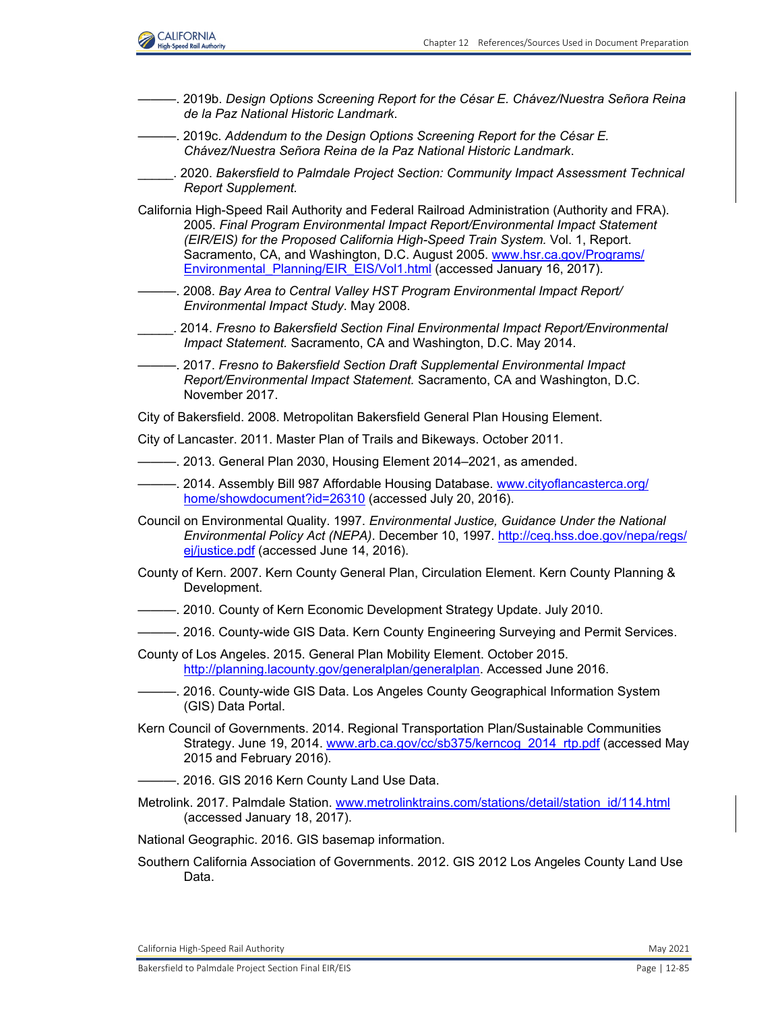

- ———. 2019b. *Design Options Screening Report for the César E. Chávez/Nuestra Señora Reina de la Paz National Historic Landmark*.
- ———. 2019c. *Addendum to the Design Options Screening Report for the César E. Chávez/Nuestra Señora Reina de la Paz National Historic Landmark*.
- \_\_\_\_\_. 2020. *Bakersfield to Palmdale Project Section: Community Impact Assessment Technical Report Supplement.*
- California High-Speed Rail Authority and Federal Railroad Administration (Authority and FRA). 2005. *Final Program Environmental Impact Report/Environmental Impact Statement (EIR/EIS) for the Proposed California High-Speed Train System.* Vol. 1, Report. Sacramento, CA, and Washington, D.C. August 2005. [www.hsr.ca.gov/Programs/](http://www.hsr.ca.gov/Programs/Environmental_Planning/EIR_EIS/Vol1.html) [Environmental\\_Planning/EIR\\_EIS/Vol1.html](http://www.hsr.ca.gov/Programs/Environmental_Planning/EIR_EIS/Vol1.html) (accessed January 16, 2017).
- ———. 2008. *Bay Area to Central Valley HST Program Environmental Impact Report/ Environmental Impact Study*. May 2008.
- \_\_\_\_\_. 2014. *Fresno to Bakersfield Section Final Environmental Impact Report/Environmental Impact Statement.* Sacramento, CA and Washington, D.C. May 2014.
- ———. 2017. *Fresno to Bakersfield Section Draft Supplemental Environmental Impact Report/Environmental Impact Statement.* Sacramento, CA and Washington, D.C. November 2017.
- City of Bakersfield. 2008. Metropolitan Bakersfield General Plan Housing Element.
- City of Lancaster. 2011. Master Plan of Trails and Bikeways. October 2011.
- $-$ . 2013. General Plan 2030, Housing Element 2014–2021, as amended.
- —. 2014. Assembly Bill 987 Affordable Housing Database. [www.cityoflancasterca.org/](http://www.cityoflancasterca.org/home/showdocument?id=26310) [home/showdocument?id=26310](http://www.cityoflancasterca.org/home/showdocument?id=26310) (accessed July 20, 2016).
- Council on Environmental Quality. 1997. *Environmental Justice, Guidance Under the National Environmental Policy Act (NEPA)*. December 10, 1997. [http://ceq.hss.doe.gov/nepa/regs/](http://ceq.hss.doe.gov/nepa/regs/ ej/justice.pdf) [ej/justice.pdf](http://ceq.hss.doe.gov/nepa/regs/ ej/justice.pdf) (accessed June 14, 2016).
- County of Kern. 2007. Kern County General Plan, Circulation Element. Kern County Planning & Development.
- -. 2010. County of Kern Economic Development Strategy Update. July 2010.
- ———. 2016. County-wide GIS Data. Kern County Engineering Surveying and Permit Services.
- County of Los Angeles. 2015. General Plan Mobility Element. October 2015. <http://planning.lacounty.gov/generalplan/generalplan.>Accessed June 2016.
	- . 2016. County-wide GIS Data. Los Angeles County Geographical Information System (GIS) Data Portal.
- Kern Council of Governments. 2014. Regional Transportation Plan/Sustainable Communities Strategy. June 19, 2014. [www.arb.ca.gov/cc/sb375/kerncog\\_2014\\_rtp.pdf](http://www.arb.ca.gov/cc/sb375/kerncog_2014_rtp.pdf) (accessed May 2015 and February 2016).
- 2016. GIS 2016 Kern County Land Use Data.
- Metrolink. 2017. Palmdale Station. [www.metrolinktrains.com/stations/detail/station\\_id/114.html](http://www.metrolinktrains.com/stations/detail/station_id/114.html) (accessed January 18, 2017).
- National Geographic. 2016. GIS basemap information.
- Southern California Association of Governments. 2012. GIS 2012 Los Angeles County Land Use Data.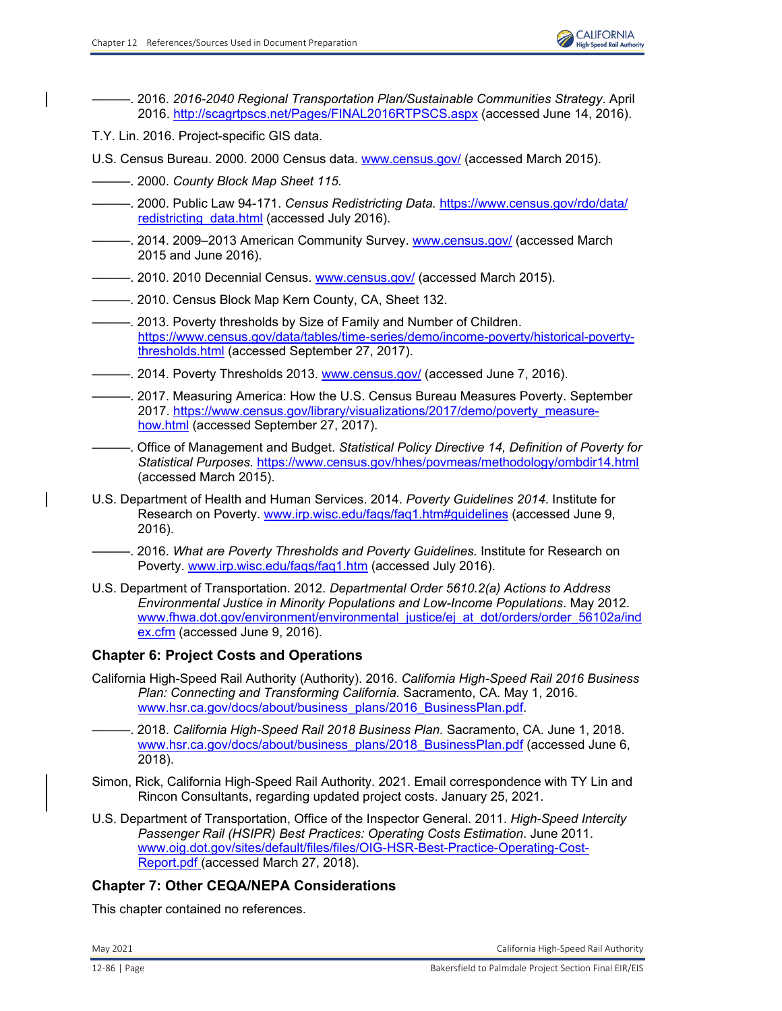- ———. 2016. *2016-2040 Regional Transportation Plan/Sustainable Communities Strategy*. April 2016. <http://scagrtpscs.net/Pages/FINAL2016RTPSCS.aspx> (accessed June 14, 2016).
- T.Y. Lin. 2016. Project-specific GIS data.
- U.S. Census Bureau. 2000. 2000 Census data. [www.census.gov/](http://www.census.gov/) (accessed March 2015).
- ———. 2000. *County Block Map Sheet 115.*
- ———. 2000. Public Law 94-171. *Census Redistricting Data.* [https://www.census.gov/rdo/data/](https://www.census.gov/rdo/data/ redistricting_data.html) redistricting data.html (accessed July 2016).
- ———. 2014. 2009–2013 American Community Survey. [www.census.gov/](http://www.census.gov/) (accessed March 2015 and June 2016).
- ———. 2010. 2010 Decennial Census. [www.census.gov/](http://www.census.gov/) (accessed March 2015).
- ———. 2010. Census Block Map Kern County, CA, Sheet 132.
- 2013. Poverty thresholds by Size of Family and Number of Children. [https://www.census.gov/data/tables/time-series/demo/income-poverty/historical-poverty](https://www.census.gov/data/tables/time-series/demo/income-poverty/historical-povertythresholds.html)[thresholds.html](https://www.census.gov/data/tables/time-series/demo/income-poverty/historical-povertythresholds.html) (accessed September 27, 2017).
- ———. 2014. Poverty Thresholds 2013. [www.census.gov/](http://www.census.gov/) (accessed June 7, 2016).
	- ———. 2017. Measuring America: How the U.S. Census Bureau Measures Poverty. September 2017. [https://www.census.gov/library/visualizations/2017/demo/poverty\\_measure](https://www.census.gov/library/visualizations/2017/demo/poverty_measurehow.html)[how.html](https://www.census.gov/library/visualizations/2017/demo/poverty_measurehow.html) (accessed September 27, 2017).
- ———. Office of Management and Budget. *Statistical Policy Directive 14, Definition of Poverty for Statistical Purposes.* <https://www.census.gov/hhes/povmeas/methodology/ombdir14.html> (accessed March 2015).
- U.S. Department of Health and Human Services. 2014. *Poverty Guidelines 2014*. Institute for Research on Poverty. [www.irp.wisc.edu/faqs/faq1.htm#guidelines](http://www.irp.wisc.edu/faqs/faq1.htm#guidelines) (accessed June 9, 2016).
- ———. 2016. *What are Poverty Thresholds and Poverty Guidelines.* Institute for Research on Poverty. [www.irp.wisc.edu/faqs/faq1.htm](http://www.irp.wisc.edu/faqs/faq1.htm) (accessed July 2016).
- U.S. Department of Transportation. 2012. *Departmental Order 5610.2(a) Actions to Address Environmental Justice in Minority Populations and Low-Income Populations*. May 2012. [www.fhwa.dot.gov/environment/environmental\\_justice/ej\\_at\\_dot/orders/order\\_56102a/ind](http://www.fhwa.dot.gov/environment/environmental_justice/ej_at_dot/orders/order_56102a/index.cfm) [ex.cfm \(](http://www.fhwa.dot.gov/environment/environmental_justice/ej_at_dot/orders/order_56102a/index.cfm)accessed June 9, 2016).

# **Chapter 6: Project Costs and Operations**

- California High-Speed Rail Authority (Authority). 2016. *California High-Speed Rail 2016 Business Plan: Connecting and Transforming California.* Sacramento, CA. May 1, 2016. www.hsr.ca.gov/docs/about/business\_plans/2016\_BusinessPlan.pdf.
	- ———. 2018. *California High-Speed Rail 2018 Business Plan.* Sacramento, CA. June 1, 2018. [www.hsr.ca.gov/docs/about/business\\_plans/2018\\_BusinessPlan.pdf](http://www.hsr.ca.gov/docs/about/business_plans/2018_BusinessPlan.pdf) (accessed June 6, 2018).
- Simon, Rick, California High-Speed Rail Authority. 2021. Email correspondence with TY Lin and Rincon Consultants, regarding updated project costs. January 25, 2021.
- U.S. Department of Transportation, Office of the Inspector General. 2011. *High-Speed Intercity Passenger Rail (HSIPR) Best Practices: Operating Costs Estimation*. June 2011. [www.oig.dot.gov/sites/default/files/files/OIG-HSR-Best-Practice-Operating-Cost-](http://www.oig.dot.gov/sites/default/files/files/OIG-HSR-Best-Practice-Operating-Cost-Report.pdf)[Report.pdf \(](http://www.oig.dot.gov/sites/default/files/files/OIG-HSR-Best-Practice-Operating-Cost-Report.pdf)accessed March 27, 2018).

# **Chapter 7: Other CEQA/NEPA Considerations**

This chapter contained no references.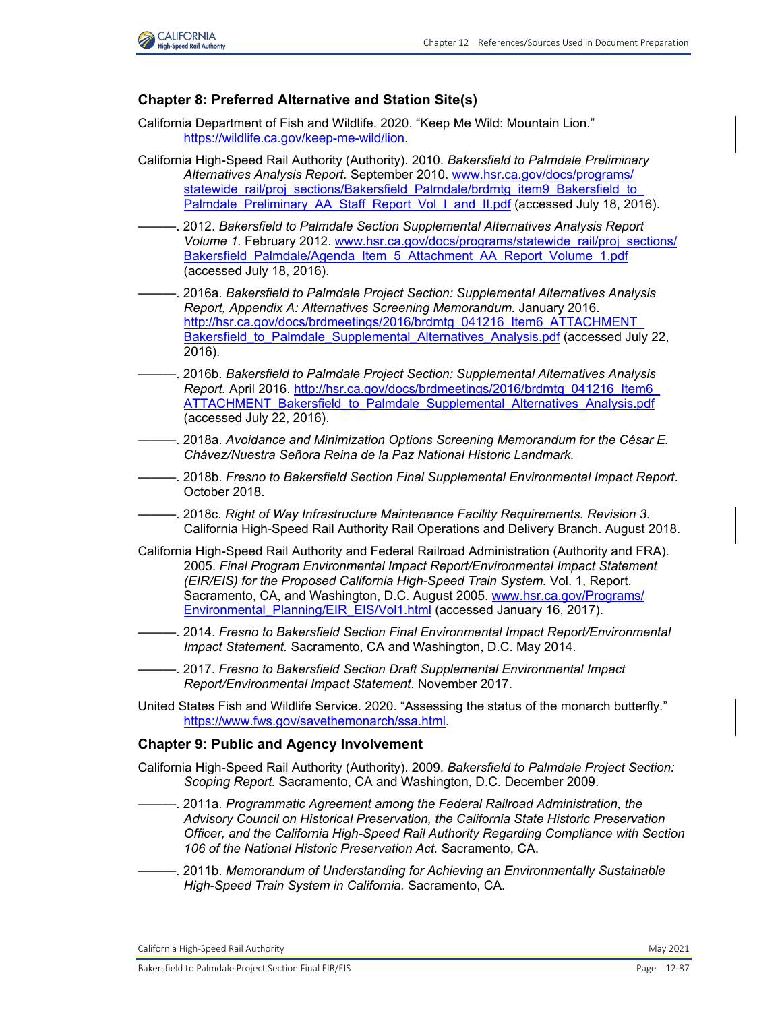

### **Chapter 8: Preferred Alternative and Station Site(s)**

- California Department of Fish and Wildlife. 2020. "Keep Me Wild: Mountain Lion." [https://wildlife.ca.gov/keep-me-wild/lion.](https://wildlife.ca.gov/keep-me-wild/lion)
- California High-Speed Rail Authority (Authority). 2010. *Bakersfield to Palmdale Preliminary Alternatives Analysis Report.* September 2010. [www.hsr.ca.gov/docs/programs/](http://www.hsr.ca.gov/docs/programs/statewide_rail/proj_sections/Bakersfield_Palmdale/brdmtg_item9_Bakersfield_to_Palmdale_Preliminary_AA_Staff_Report_Vol_I_and_II.pdf) statewide\_rail/proj\_sections/Bakersfield\_Palmdale/brdmtg\_item9\_Bakersfield\_to [Palmdale\\_Preliminary\\_AA\\_Staff\\_Report\\_Vol\\_I\\_and\\_II.pdf](http://www.hsr.ca.gov/docs/programs/statewide_rail/proj_sections/Bakersfield_Palmdale/brdmtg_item9_Bakersfield_to_Palmdale_Preliminary_AA_Staff_Report_Vol_I_and_II.pdf) (accessed July 18, 2016).
- -. 2012. *Bakersfield to Palmdale Section Supplemental Alternatives Analysis Report Volume 1.* February 2012. [www.hsr.ca.gov/docs/programs/statewide\\_rail/proj\\_sections/](http://www.hsr.ca.gov/docs/programs/statewide_rail/proj_sections/Bakersfield_Palmdale/Agenda_Item_5_Attachment_AA_Report_Volume_1.pdf) [Bakersfield\\_Palmdale/Agenda\\_Item\\_5\\_Attachment\\_AA\\_Report\\_Volume\\_1.pdf](http://www.hsr.ca.gov/docs/programs/statewide_rail/proj_sections/Bakersfield_Palmdale/Agenda_Item_5_Attachment_AA_Report_Volume_1.pdf) (accessed July 18, 2016).
- ———. 2016a. *Bakersfield to Palmdale Project Section: Supplemental Alternatives Analysis Report, Appendix A: Alternatives Screening Memorandum.* January 2016. http://hsr.ca.gov/docs/brdmeetings/2016/brdmtg\_041216\_Item6\_ATTACHMENT Bakersfield to Palmdale Supplemental Alternatives Analysis.pdf (accessed July 22, 2016).
- ———. 2016b. *Bakersfield to Palmdale Project Section: Supplemental Alternatives Analysis Report.* April 2016. [http://hsr.ca.gov/docs/brdmeetings/2016/brdmtg\\_041216\\_Item6\\_](http://hsr.ca.gov/docs/brdmeetings/2016/brdmtg_041216_Item6_ ATTACHMENT_Bakersfield_to_Palmdale_Supplemental_Alternatives_Analysis.pdf) [ATTACHMENT\\_Bakersfield\\_to\\_Palmdale\\_Supplemental\\_Alternatives\\_Analysis.pdf](http://hsr.ca.gov/docs/brdmeetings/2016/brdmtg_041216_Item6_ ATTACHMENT_Bakersfield_to_Palmdale_Supplemental_Alternatives_Analysis.pdf) (accessed July 22, 2016).
- ———. 2018a. *Avoidance and Minimization Options Screening Memorandum for the César E. Chávez/Nuestra Señora Reina de la Paz National Historic Landmark.*
- ———. 2018b. *Fresno to Bakersfield Section Final Supplemental Environmental Impact Report*. October 2018.
- ———. 2018c. *Right of Way Infrastructure Maintenance Facility Requirements. Revision 3.*  California High-Speed Rail Authority Rail Operations and Delivery Branch. August 2018.
- California High-Speed Rail Authority and Federal Railroad Administration (Authority and FRA). 2005. *Final Program Environmental Impact Report/Environmental Impact Statement (EIR/EIS) for the Proposed California High-Speed Train System.* Vol. 1, Report. Sacramento, CA, and Washington, D.C. August 2005. [www.hsr.ca.gov/Programs/](http://www.hsr.ca.gov/Programs/Environmental_Planning/EIR_EIS/Vol1.html) [Environmental\\_Planning/EIR\\_EIS/Vol1.html](http://www.hsr.ca.gov/Programs/Environmental_Planning/EIR_EIS/Vol1.html) (accessed January 16, 2017).
- ———. 2014. *Fresno to Bakersfield Section Final Environmental Impact Report/Environmental Impact Statement.* Sacramento, CA and Washington, D.C. May 2014.
- ———. 2017. *Fresno to Bakersfield Section Draft Supplemental Environmental Impact Report/Environmental Impact Statement*. November 2017.
- United States Fish and Wildlife Service. 2020. "Assessing the status of the monarch butterfly." [https://www.fws.gov/savethemonarch/ssa.html.](https://www.fws.gov/savethemonarch/ssa.html)

#### **Chapter 9: Public and Agency Involvement**

- California High-Speed Rail Authority (Authority). 2009. *Bakersfield to Palmdale Project Section: Scoping Report.* Sacramento, CA and Washington, D.C. December 2009.
- ———. 2011a. *Programmatic Agreement among the Federal Railroad Administration, the Advisory Council on Historical Preservation, the California State Historic Preservation Officer, and the California High-Speed Rail Authority Regarding Compliance with Section 106 of the National Historic Preservation Act.* Sacramento, CA.
- ———. 2011b. *Memorandum of Understanding for Achieving an Environmentally Sustainable High-Speed Train System in California.* Sacramento, CA.